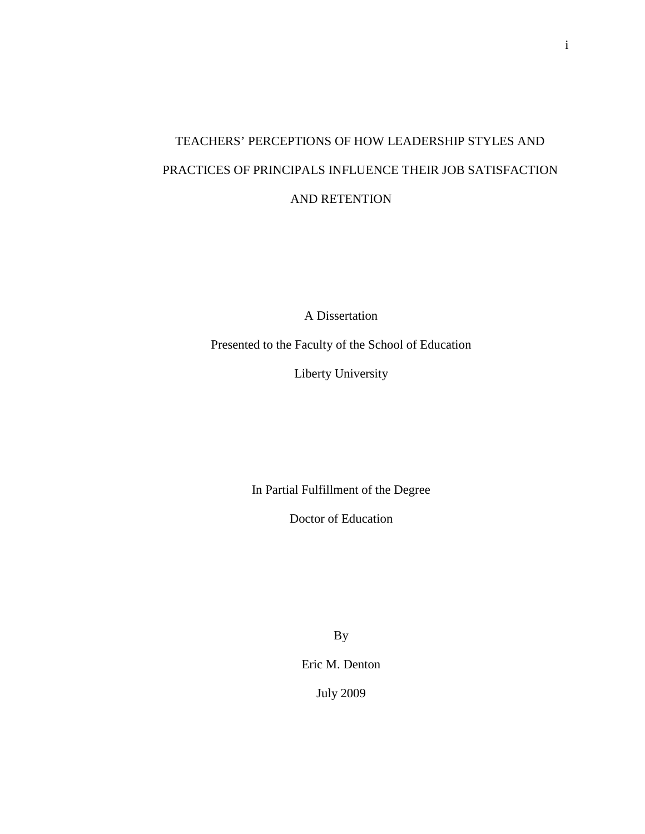# TEACHERS' PERCEPTIONS OF HOW LEADERSHIP STYLES AND PRACTICES OF PRINCIPALS INFLUENCE THEIR JOB SATISFACTION AND RETENTION

A Dissertation

Presented to the Faculty of the School of Education

Liberty University

In Partial Fulfillment of the Degree

Doctor of Education

By

Eric M. Denton

July 2009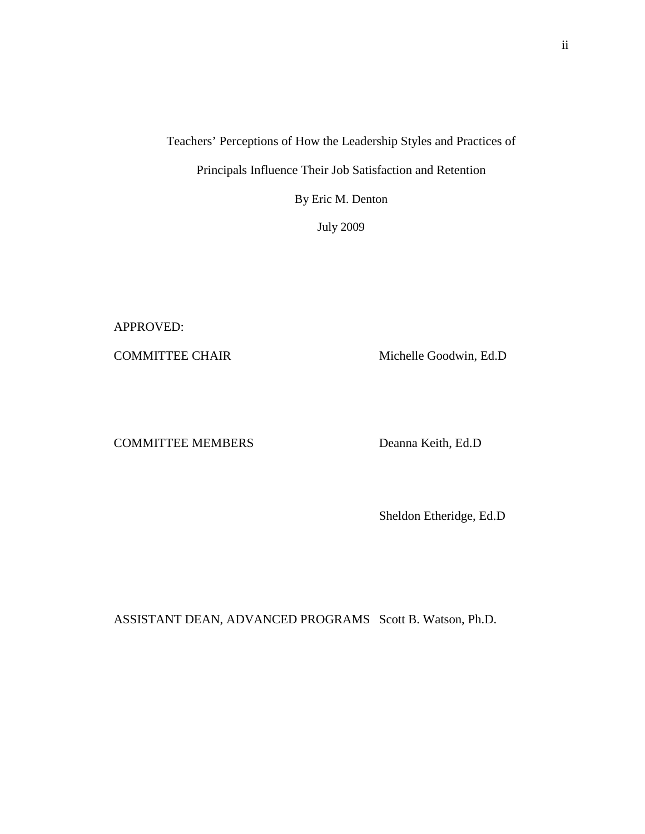Teachers' Perceptions of How the Leadership Styles and Practices of Principals Influence Their Job Satisfaction and Retention

By Eric M. Denton

July 2009

APPROVED:

COMMITTEE CHAIR Michelle Goodwin, Ed.D

COMMITTEE MEMBERS Deanna Keith, Ed.D

Sheldon Etheridge, Ed.D

ASSISTANT DEAN, ADVANCED PROGRAMS Scott B. Watson, Ph.D.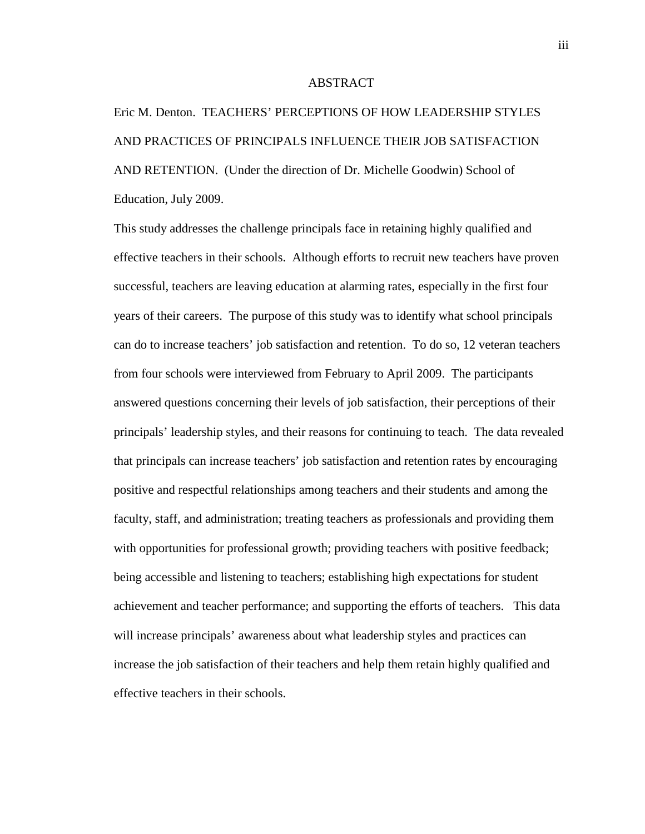# ABSTRACT

Eric M. Denton. TEACHERS' PERCEPTIONS OF HOW LEADERSHIP STYLES AND PRACTICES OF PRINCIPALS INFLUENCE THEIR JOB SATISFACTION AND RETENTION. (Under the direction of Dr. Michelle Goodwin) School of Education, July 2009.

This study addresses the challenge principals face in retaining highly qualified and effective teachers in their schools. Although efforts to recruit new teachers have proven successful, teachers are leaving education at alarming rates, especially in the first four years of their careers. The purpose of this study was to identify what school principals can do to increase teachers' job satisfaction and retention. To do so, 12 veteran teachers from four schools were interviewed from February to April 2009. The participants answered questions concerning their levels of job satisfaction, their perceptions of their principals' leadership styles, and their reasons for continuing to teach. The data revealed that principals can increase teachers' job satisfaction and retention rates by encouraging positive and respectful relationships among teachers and their students and among the faculty, staff, and administration; treating teachers as professionals and providing them with opportunities for professional growth; providing teachers with positive feedback; being accessible and listening to teachers; establishing high expectations for student achievement and teacher performance; and supporting the efforts of teachers. This data will increase principals' awareness about what leadership styles and practices can increase the job satisfaction of their teachers and help them retain highly qualified and effective teachers in their schools.

iii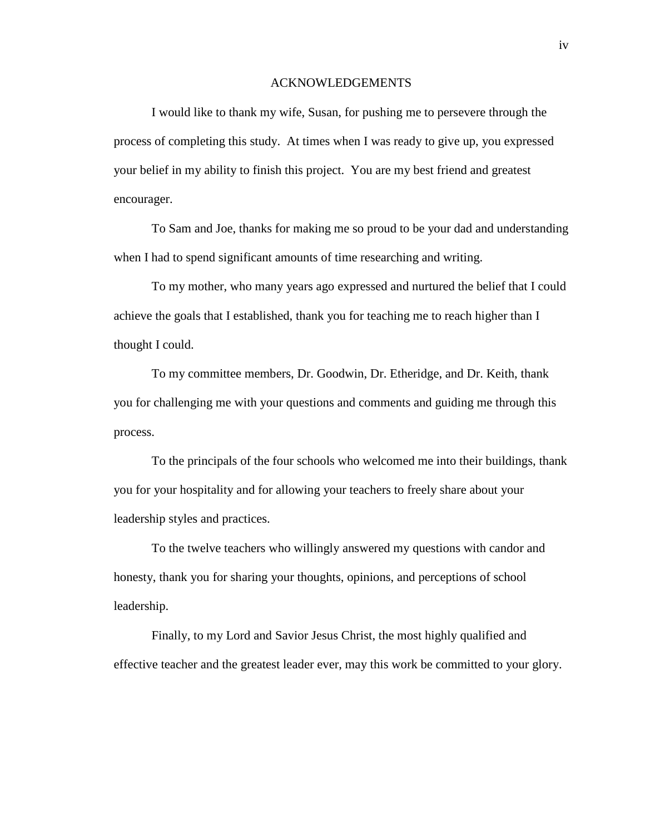## ACKNOWLEDGEMENTS

 I would like to thank my wife, Susan, for pushing me to persevere through the process of completing this study. At times when I was ready to give up, you expressed your belief in my ability to finish this project. You are my best friend and greatest encourager.

 To Sam and Joe, thanks for making me so proud to be your dad and understanding when I had to spend significant amounts of time researching and writing.

 To my mother, who many years ago expressed and nurtured the belief that I could achieve the goals that I established, thank you for teaching me to reach higher than I thought I could.

 To my committee members, Dr. Goodwin, Dr. Etheridge, and Dr. Keith, thank you for challenging me with your questions and comments and guiding me through this process.

 To the principals of the four schools who welcomed me into their buildings, thank you for your hospitality and for allowing your teachers to freely share about your leadership styles and practices.

 To the twelve teachers who willingly answered my questions with candor and honesty, thank you for sharing your thoughts, opinions, and perceptions of school leadership.

 Finally, to my Lord and Savior Jesus Christ, the most highly qualified and effective teacher and the greatest leader ever, may this work be committed to your glory.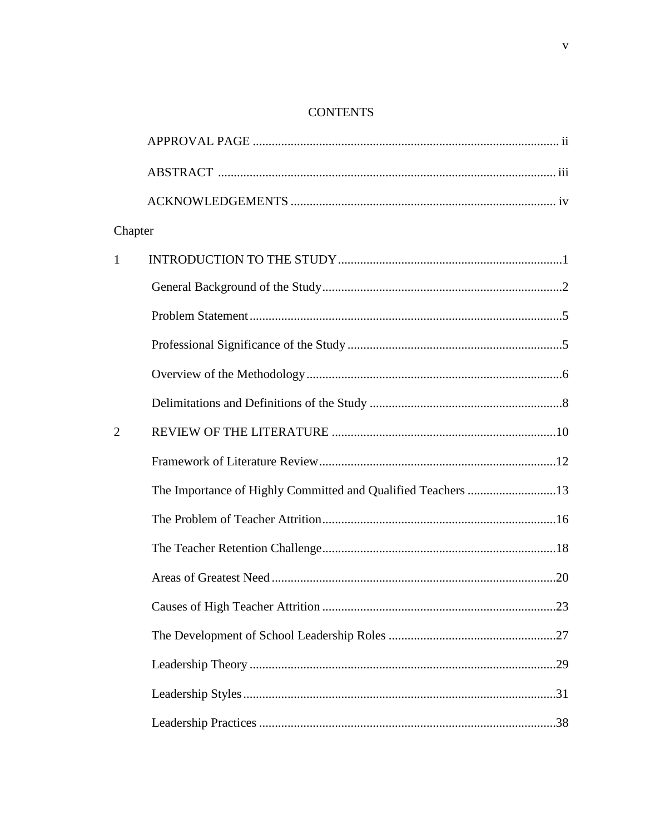# **CONTENTS**

| Chapter        |  |
|----------------|--|
| $\mathbf{1}$   |  |
|                |  |
|                |  |
|                |  |
|                |  |
|                |  |
| $\overline{2}$ |  |
|                |  |
|                |  |
|                |  |
|                |  |
|                |  |
|                |  |
|                |  |
|                |  |
|                |  |
|                |  |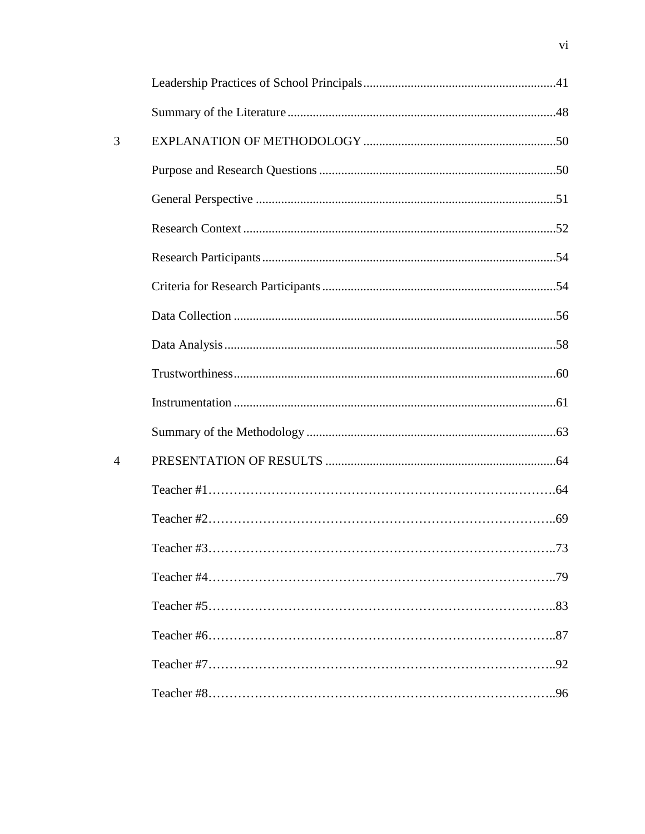| 3              |              |     |
|----------------|--------------|-----|
|                |              |     |
|                |              |     |
|                |              |     |
|                |              |     |
|                |              |     |
|                |              |     |
|                |              |     |
|                |              |     |
|                |              |     |
|                |              |     |
| $\overline{4}$ |              |     |
|                |              |     |
|                |              |     |
|                | Teacher $#3$ | .73 |
|                |              |     |
|                |              |     |
|                |              |     |
|                |              |     |
|                |              |     |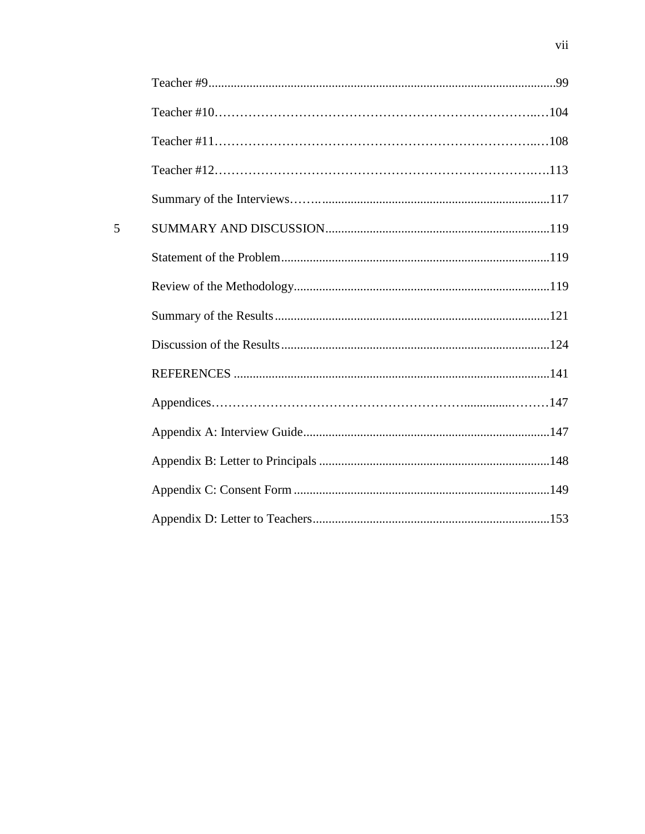| 5 |  |
|---|--|
|   |  |
|   |  |
|   |  |
|   |  |
|   |  |
|   |  |
|   |  |
|   |  |
|   |  |
|   |  |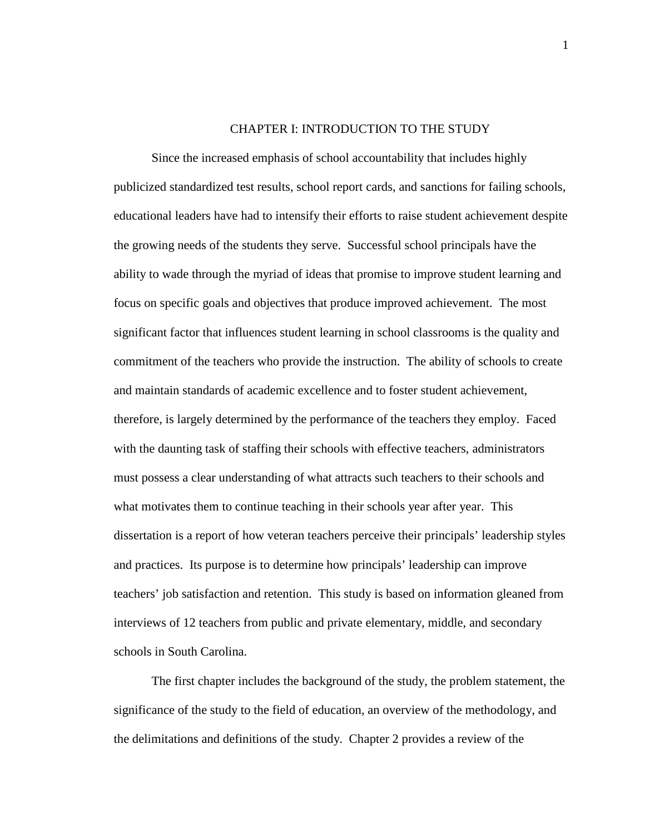# CHAPTER I: INTRODUCTION TO THE STUDY

Since the increased emphasis of school accountability that includes highly publicized standardized test results, school report cards, and sanctions for failing schools, educational leaders have had to intensify their efforts to raise student achievement despite the growing needs of the students they serve. Successful school principals have the ability to wade through the myriad of ideas that promise to improve student learning and focus on specific goals and objectives that produce improved achievement. The most significant factor that influences student learning in school classrooms is the quality and commitment of the teachers who provide the instruction. The ability of schools to create and maintain standards of academic excellence and to foster student achievement, therefore, is largely determined by the performance of the teachers they employ. Faced with the daunting task of staffing their schools with effective teachers, administrators must possess a clear understanding of what attracts such teachers to their schools and what motivates them to continue teaching in their schools year after year. This dissertation is a report of how veteran teachers perceive their principals' leadership styles and practices. Its purpose is to determine how principals' leadership can improve teachers' job satisfaction and retention. This study is based on information gleaned from interviews of 12 teachers from public and private elementary, middle, and secondary schools in South Carolina.

The first chapter includes the background of the study, the problem statement, the significance of the study to the field of education, an overview of the methodology, and the delimitations and definitions of the study. Chapter 2 provides a review of the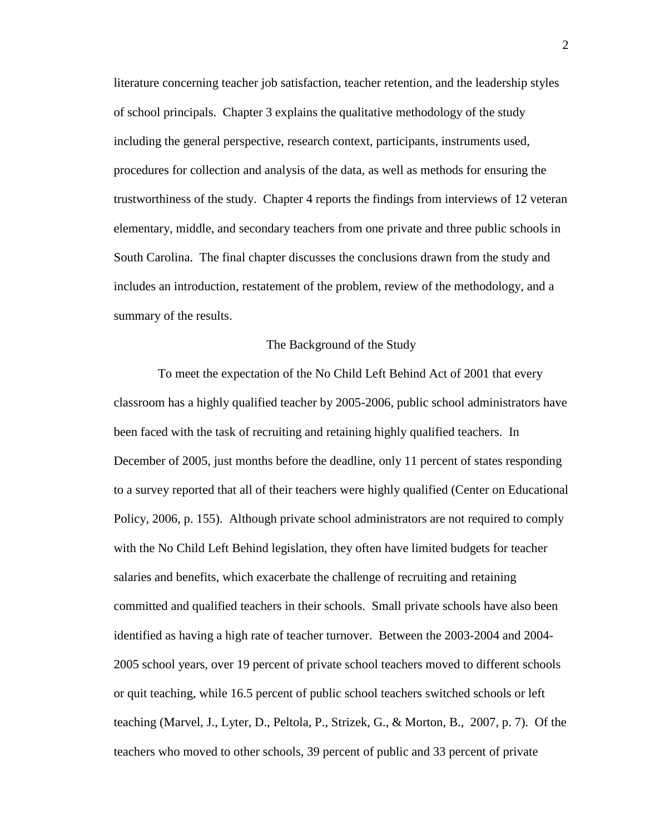literature concerning teacher job satisfaction, teacher retention, and the leadership styles of school principals. Chapter 3 explains the qualitative methodology of the study including the general perspective, research context, participants, instruments used, procedures for collection and analysis of the data, as well as methods for ensuring the trustworthiness of the study. Chapter 4 reports the findings from interviews of 12 veteran elementary, middle, and secondary teachers from one private and three public schools in South Carolina. The final chapter discusses the conclusions drawn from the study and includes an introduction, restatement of the problem, review of the methodology, and a summary of the results.

# The Background of the Study

 To meet the expectation of the No Child Left Behind Act of 2001 that every classroom has a highly qualified teacher by 2005-2006, public school administrators have been faced with the task of recruiting and retaining highly qualified teachers. In December of 2005, just months before the deadline, only 11 percent of states responding to a survey reported that all of their teachers were highly qualified (Center on Educational Policy, 2006, p. 155). Although private school administrators are not required to comply with the No Child Left Behind legislation, they often have limited budgets for teacher salaries and benefits, which exacerbate the challenge of recruiting and retaining committed and qualified teachers in their schools. Small private schools have also been identified as having a high rate of teacher turnover. Between the 2003-2004 and 2004- 2005 school years, over 19 percent of private school teachers moved to different schools or quit teaching, while 16.5 percent of public school teachers switched schools or left teaching (Marvel, J., Lyter, D., Peltola, P., Strizek, G., & Morton, B., 2007, p. 7). Of the teachers who moved to other schools, 39 percent of public and 33 percent of private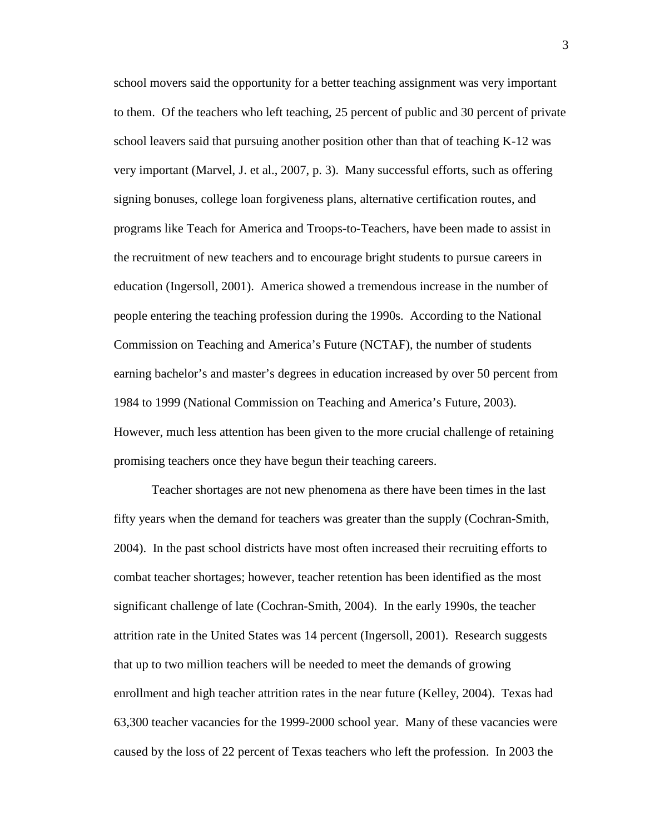school movers said the opportunity for a better teaching assignment was very important to them. Of the teachers who left teaching, 25 percent of public and 30 percent of private school leavers said that pursuing another position other than that of teaching K-12 was very important (Marvel, J. et al., 2007, p. 3). Many successful efforts, such as offering signing bonuses, college loan forgiveness plans, alternative certification routes, and programs like Teach for America and Troops-to-Teachers, have been made to assist in the recruitment of new teachers and to encourage bright students to pursue careers in education (Ingersoll, 2001). America showed a tremendous increase in the number of people entering the teaching profession during the 1990s. According to the National Commission on Teaching and America's Future (NCTAF), the number of students earning bachelor's and master's degrees in education increased by over 50 percent from 1984 to 1999 (National Commission on Teaching and America's Future, 2003). However, much less attention has been given to the more crucial challenge of retaining promising teachers once they have begun their teaching careers.

Teacher shortages are not new phenomena as there have been times in the last fifty years when the demand for teachers was greater than the supply (Cochran-Smith, 2004). In the past school districts have most often increased their recruiting efforts to combat teacher shortages; however, teacher retention has been identified as the most significant challenge of late (Cochran-Smith, 2004). In the early 1990s, the teacher attrition rate in the United States was 14 percent (Ingersoll, 2001). Research suggests that up to two million teachers will be needed to meet the demands of growing enrollment and high teacher attrition rates in the near future (Kelley, 2004). Texas had 63,300 teacher vacancies for the 1999-2000 school year. Many of these vacancies were caused by the loss of 22 percent of Texas teachers who left the profession. In 2003 the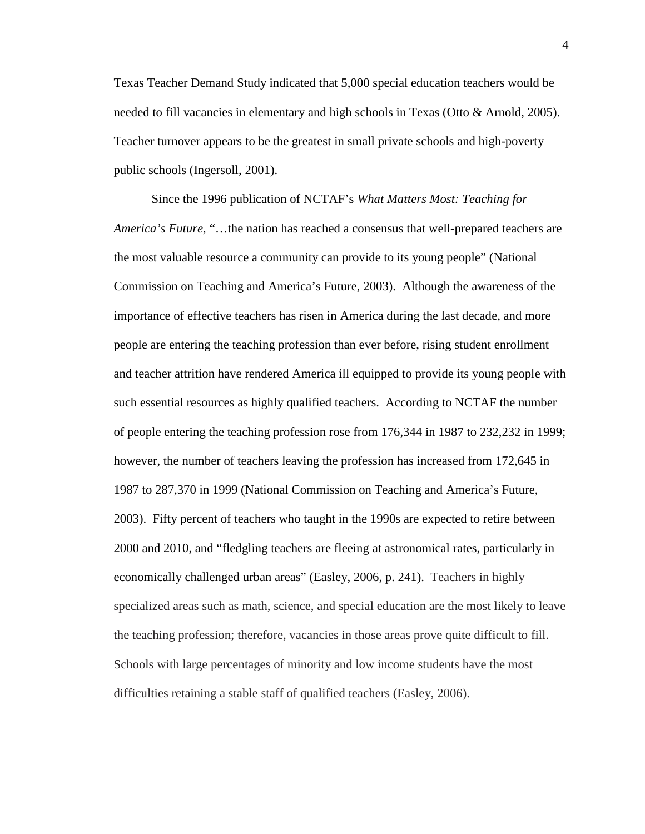Texas Teacher Demand Study indicated that 5,000 special education teachers would be needed to fill vacancies in elementary and high schools in Texas (Otto & Arnold, 2005). Teacher turnover appears to be the greatest in small private schools and high-poverty public schools (Ingersoll, 2001).

Since the 1996 publication of NCTAF's *What Matters Most: Teaching for America's Future,* "…the nation has reached a consensus that well-prepared teachers are the most valuable resource a community can provide to its young people" (National Commission on Teaching and America's Future, 2003). Although the awareness of the importance of effective teachers has risen in America during the last decade, and more people are entering the teaching profession than ever before, rising student enrollment and teacher attrition have rendered America ill equipped to provide its young people with such essential resources as highly qualified teachers. According to NCTAF the number of people entering the teaching profession rose from 176,344 in 1987 to 232,232 in 1999; however, the number of teachers leaving the profession has increased from 172,645 in 1987 to 287,370 in 1999 (National Commission on Teaching and America's Future, 2003). Fifty percent of teachers who taught in the 1990s are expected to retire between 2000 and 2010, and "fledgling teachers are fleeing at astronomical rates, particularly in economically challenged urban areas" (Easley, 2006, p. 241). Teachers in highly specialized areas such as math, science, and special education are the most likely to leave the teaching profession; therefore, vacancies in those areas prove quite difficult to fill. Schools with large percentages of minority and low income students have the most difficulties retaining a stable staff of qualified teachers (Easley, 2006).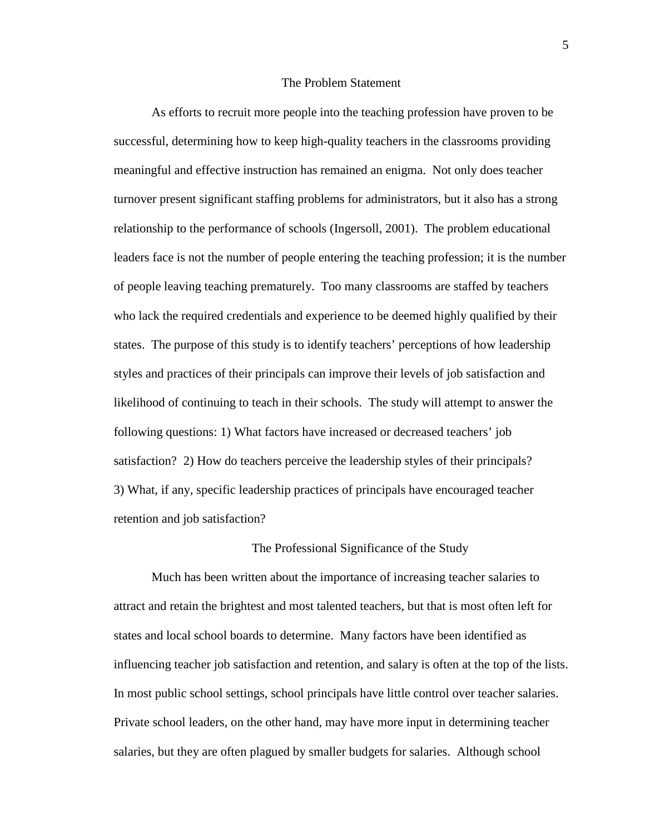# The Problem Statement

As efforts to recruit more people into the teaching profession have proven to be successful, determining how to keep high-quality teachers in the classrooms providing meaningful and effective instruction has remained an enigma. Not only does teacher turnover present significant staffing problems for administrators, but it also has a strong relationship to the performance of schools (Ingersoll, 2001). The problem educational leaders face is not the number of people entering the teaching profession; it is the number of people leaving teaching prematurely. Too many classrooms are staffed by teachers who lack the required credentials and experience to be deemed highly qualified by their states. The purpose of this study is to identify teachers' perceptions of how leadership styles and practices of their principals can improve their levels of job satisfaction and likelihood of continuing to teach in their schools. The study will attempt to answer the following questions: 1) What factors have increased or decreased teachers' job satisfaction? 2) How do teachers perceive the leadership styles of their principals? 3) What, if any, specific leadership practices of principals have encouraged teacher retention and job satisfaction?

# The Professional Significance of the Study

Much has been written about the importance of increasing teacher salaries to attract and retain the brightest and most talented teachers, but that is most often left for states and local school boards to determine. Many factors have been identified as influencing teacher job satisfaction and retention, and salary is often at the top of the lists. In most public school settings, school principals have little control over teacher salaries. Private school leaders, on the other hand, may have more input in determining teacher salaries, but they are often plagued by smaller budgets for salaries. Although school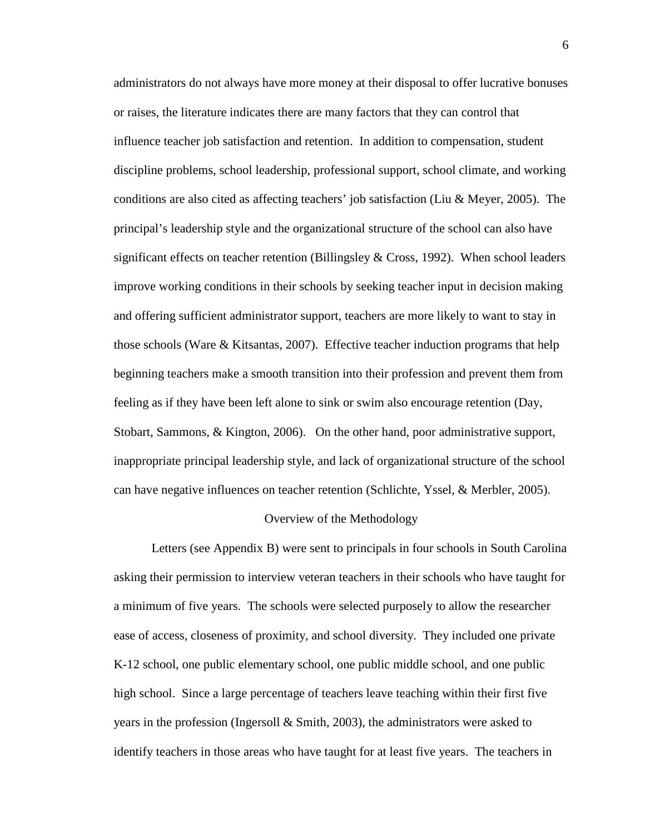administrators do not always have more money at their disposal to offer lucrative bonuses or raises, the literature indicates there are many factors that they can control that influence teacher job satisfaction and retention. In addition to compensation, student discipline problems, school leadership, professional support, school climate, and working conditions are also cited as affecting teachers' job satisfaction (Liu & Meyer, 2005). The principal's leadership style and the organizational structure of the school can also have significant effects on teacher retention (Billingsley  $& Cross$ , 1992). When school leaders improve working conditions in their schools by seeking teacher input in decision making and offering sufficient administrator support, teachers are more likely to want to stay in those schools (Ware & Kitsantas, 2007). Effective teacher induction programs that help beginning teachers make a smooth transition into their profession and prevent them from feeling as if they have been left alone to sink or swim also encourage retention (Day, Stobart, Sammons, & Kington, 2006). On the other hand, poor administrative support, inappropriate principal leadership style, and lack of organizational structure of the school can have negative influences on teacher retention (Schlichte, Yssel, & Merbler, 2005).

#### Overview of the Methodology

Letters (see Appendix B) were sent to principals in four schools in South Carolina asking their permission to interview veteran teachers in their schools who have taught for a minimum of five years. The schools were selected purposely to allow the researcher ease of access, closeness of proximity, and school diversity. They included one private K-12 school, one public elementary school, one public middle school, and one public high school. Since a large percentage of teachers leave teaching within their first five years in the profession (Ingersoll  $\&$  Smith, 2003), the administrators were asked to identify teachers in those areas who have taught for at least five years. The teachers in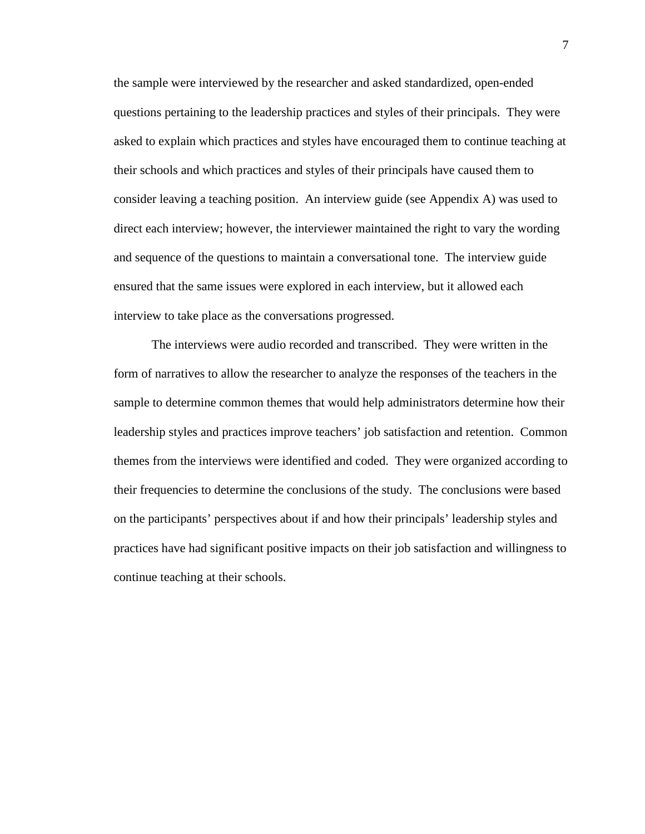the sample were interviewed by the researcher and asked standardized, open-ended questions pertaining to the leadership practices and styles of their principals. They were asked to explain which practices and styles have encouraged them to continue teaching at their schools and which practices and styles of their principals have caused them to consider leaving a teaching position. An interview guide (see Appendix A) was used to direct each interview; however, the interviewer maintained the right to vary the wording and sequence of the questions to maintain a conversational tone. The interview guide ensured that the same issues were explored in each interview, but it allowed each interview to take place as the conversations progressed.

The interviews were audio recorded and transcribed. They were written in the form of narratives to allow the researcher to analyze the responses of the teachers in the sample to determine common themes that would help administrators determine how their leadership styles and practices improve teachers' job satisfaction and retention. Common themes from the interviews were identified and coded. They were organized according to their frequencies to determine the conclusions of the study. The conclusions were based on the participants' perspectives about if and how their principals' leadership styles and practices have had significant positive impacts on their job satisfaction and willingness to continue teaching at their schools.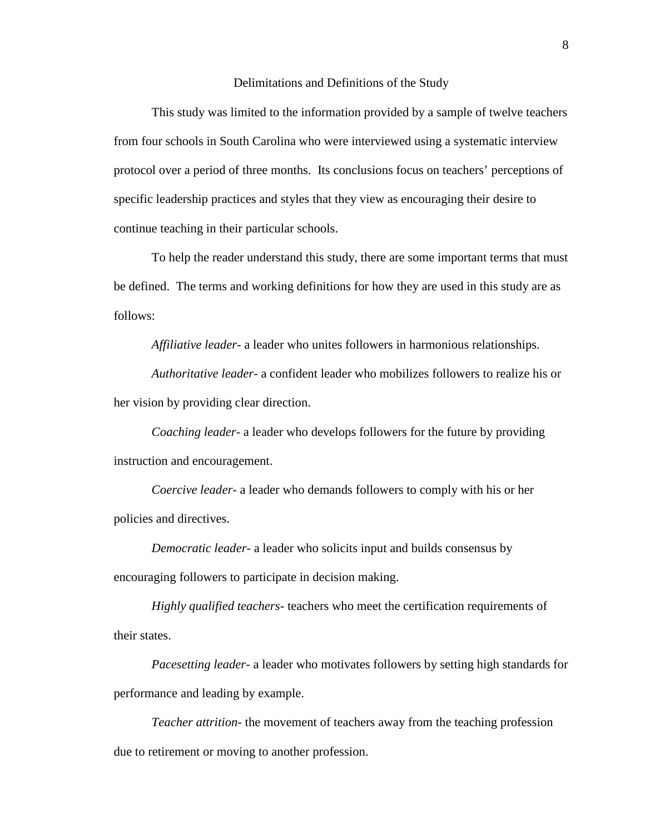#### Delimitations and Definitions of the Study

This study was limited to the information provided by a sample of twelve teachers from four schools in South Carolina who were interviewed using a systematic interview protocol over a period of three months. Its conclusions focus on teachers' perceptions of specific leadership practices and styles that they view as encouraging their desire to continue teaching in their particular schools.

To help the reader understand this study, there are some important terms that must be defined. The terms and working definitions for how they are used in this study are as follows:

*Affiliative leader-* a leader who unites followers in harmonious relationships.

*Authoritative leader*- a confident leader who mobilizes followers to realize his or her vision by providing clear direction.

*Coaching leader-* a leader who develops followers for the future by providing instruction and encouragement.

*Coercive leader*- a leader who demands followers to comply with his or her policies and directives.

*Democratic leader*- a leader who solicits input and builds consensus by encouraging followers to participate in decision making.

*Highly qualified teachers-* teachers who meet the certification requirements of their states.

*Pacesetting leader-* a leader who motivates followers by setting high standards for performance and leading by example.

*Teacher attrition*- the movement of teachers away from the teaching profession due to retirement or moving to another profession.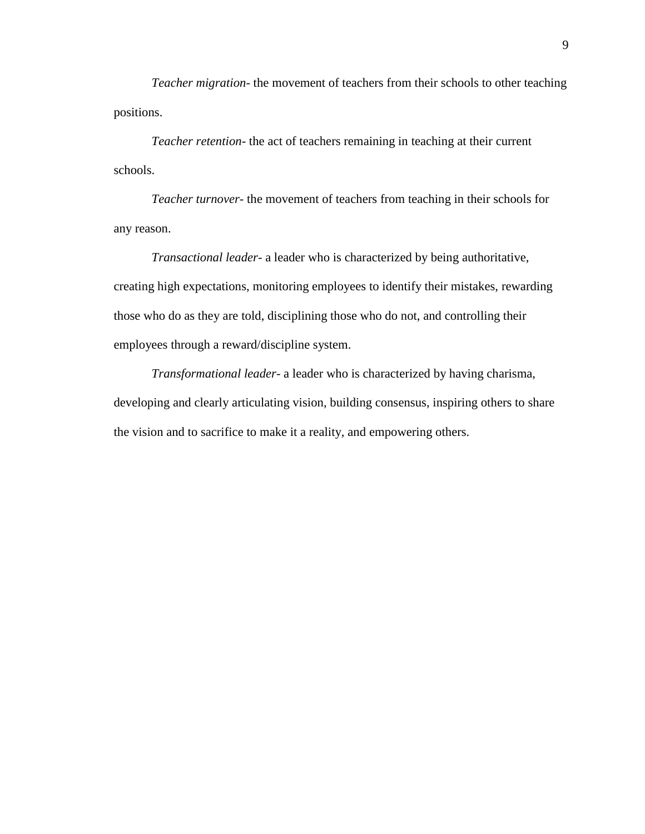*Teacher migration*- the movement of teachers from their schools to other teaching positions.

*Teacher retention*- the act of teachers remaining in teaching at their current schools.

*Teacher turnover*- the movement of teachers from teaching in their schools for any reason.

*Transactional leader*- a leader who is characterized by being authoritative, creating high expectations, monitoring employees to identify their mistakes, rewarding those who do as they are told, disciplining those who do not, and controlling their employees through a reward/discipline system.

*Transformational leader*- a leader who is characterized by having charisma, developing and clearly articulating vision, building consensus, inspiring others to share the vision and to sacrifice to make it a reality, and empowering others.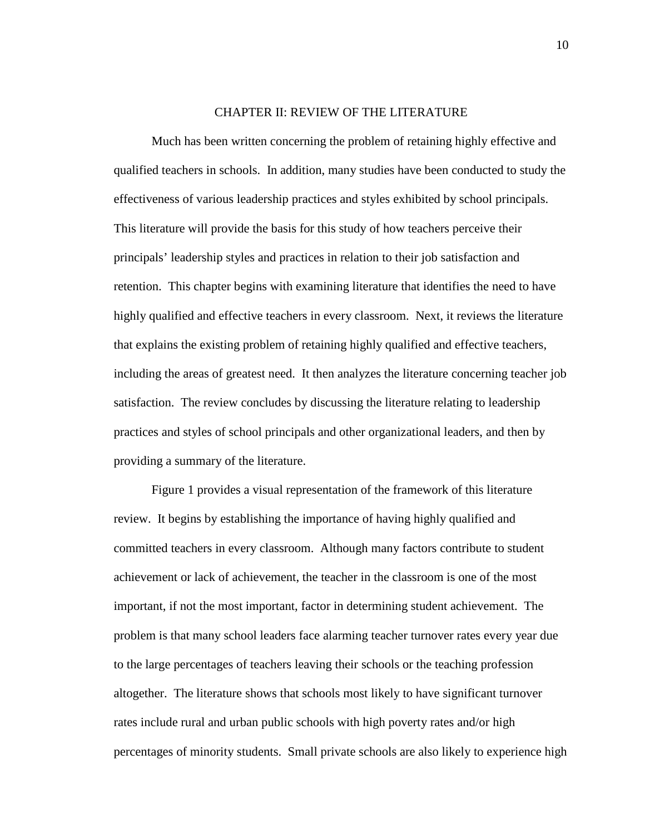# CHAPTER II: REVIEW OF THE LITERATURE

Much has been written concerning the problem of retaining highly effective and qualified teachers in schools. In addition, many studies have been conducted to study the effectiveness of various leadership practices and styles exhibited by school principals. This literature will provide the basis for this study of how teachers perceive their principals' leadership styles and practices in relation to their job satisfaction and retention. This chapter begins with examining literature that identifies the need to have highly qualified and effective teachers in every classroom. Next, it reviews the literature that explains the existing problem of retaining highly qualified and effective teachers, including the areas of greatest need. It then analyzes the literature concerning teacher job satisfaction. The review concludes by discussing the literature relating to leadership practices and styles of school principals and other organizational leaders, and then by providing a summary of the literature.

Figure 1 provides a visual representation of the framework of this literature review. It begins by establishing the importance of having highly qualified and committed teachers in every classroom. Although many factors contribute to student achievement or lack of achievement, the teacher in the classroom is one of the most important, if not the most important, factor in determining student achievement. The problem is that many school leaders face alarming teacher turnover rates every year due to the large percentages of teachers leaving their schools or the teaching profession altogether. The literature shows that schools most likely to have significant turnover rates include rural and urban public schools with high poverty rates and/or high percentages of minority students. Small private schools are also likely to experience high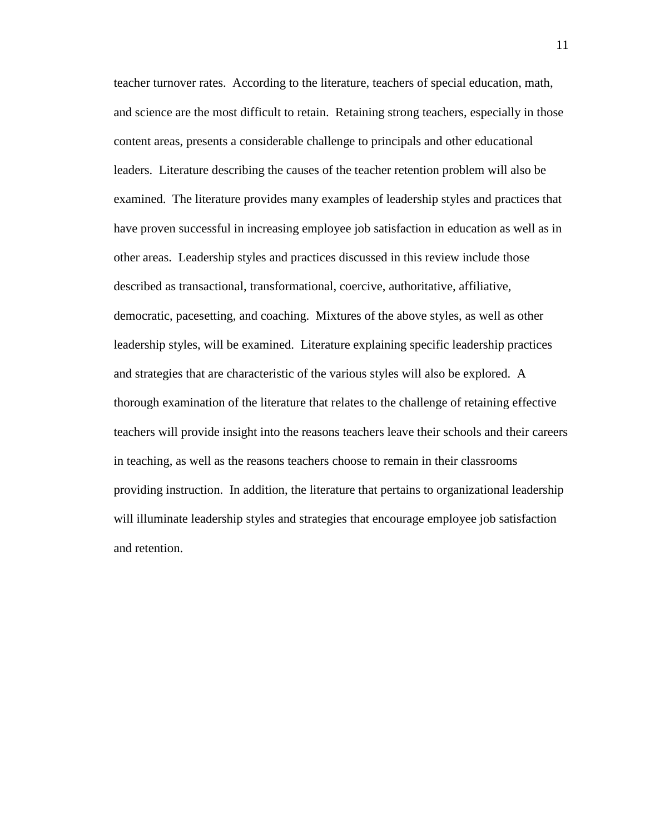teacher turnover rates. According to the literature, teachers of special education, math, and science are the most difficult to retain. Retaining strong teachers, especially in those content areas, presents a considerable challenge to principals and other educational leaders. Literature describing the causes of the teacher retention problem will also be examined. The literature provides many examples of leadership styles and practices that have proven successful in increasing employee job satisfaction in education as well as in other areas. Leadership styles and practices discussed in this review include those described as transactional, transformational, coercive, authoritative, affiliative, democratic, pacesetting, and coaching. Mixtures of the above styles, as well as other leadership styles, will be examined. Literature explaining specific leadership practices and strategies that are characteristic of the various styles will also be explored. A thorough examination of the literature that relates to the challenge of retaining effective teachers will provide insight into the reasons teachers leave their schools and their careers in teaching, as well as the reasons teachers choose to remain in their classrooms providing instruction. In addition, the literature that pertains to organizational leadership will illuminate leadership styles and strategies that encourage employee job satisfaction and retention.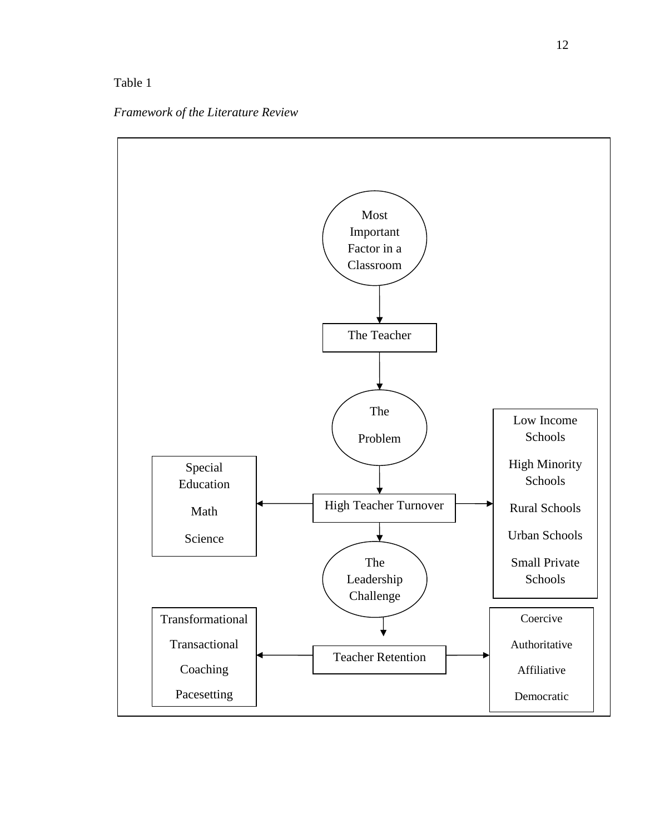# Table 1

*Framework of the Literature Review* 

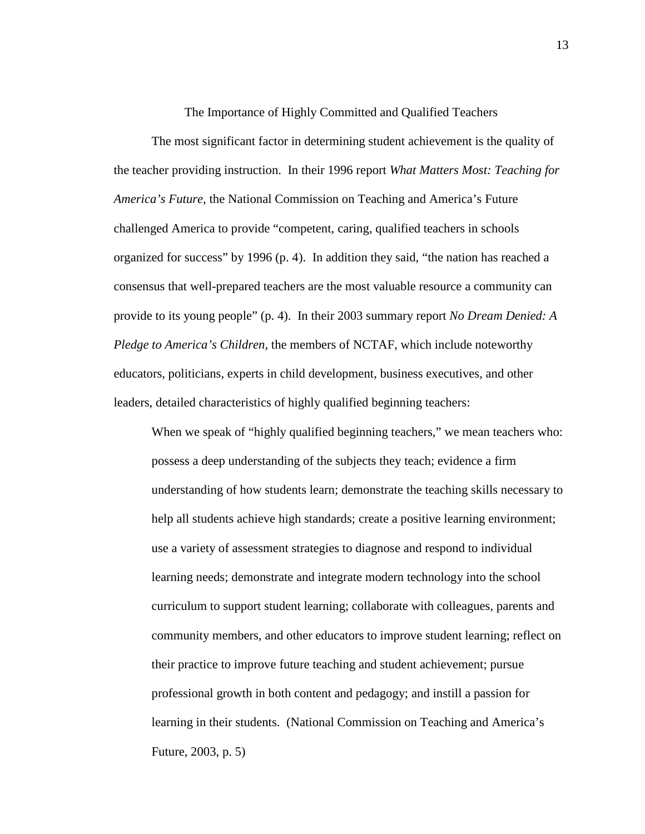The Importance of Highly Committed and Qualified Teachers

The most significant factor in determining student achievement is the quality of the teacher providing instruction. In their 1996 report *What Matters Most: Teaching for America's Future*, the National Commission on Teaching and America's Future challenged America to provide "competent, caring, qualified teachers in schools organized for success" by 1996 (p. 4). In addition they said, "the nation has reached a consensus that well-prepared teachers are the most valuable resource a community can provide to its young people" (p. 4). In their 2003 summary report *No Dream Denied: A Pledge to America's Children,* the members of NCTAF, which include noteworthy educators, politicians, experts in child development, business executives, and other leaders, detailed characteristics of highly qualified beginning teachers:

When we speak of "highly qualified beginning teachers," we mean teachers who: possess a deep understanding of the subjects they teach; evidence a firm understanding of how students learn; demonstrate the teaching skills necessary to help all students achieve high standards; create a positive learning environment; use a variety of assessment strategies to diagnose and respond to individual learning needs; demonstrate and integrate modern technology into the school curriculum to support student learning; collaborate with colleagues, parents and community members, and other educators to improve student learning; reflect on their practice to improve future teaching and student achievement; pursue professional growth in both content and pedagogy; and instill a passion for learning in their students. (National Commission on Teaching and America's Future, 2003, p. 5)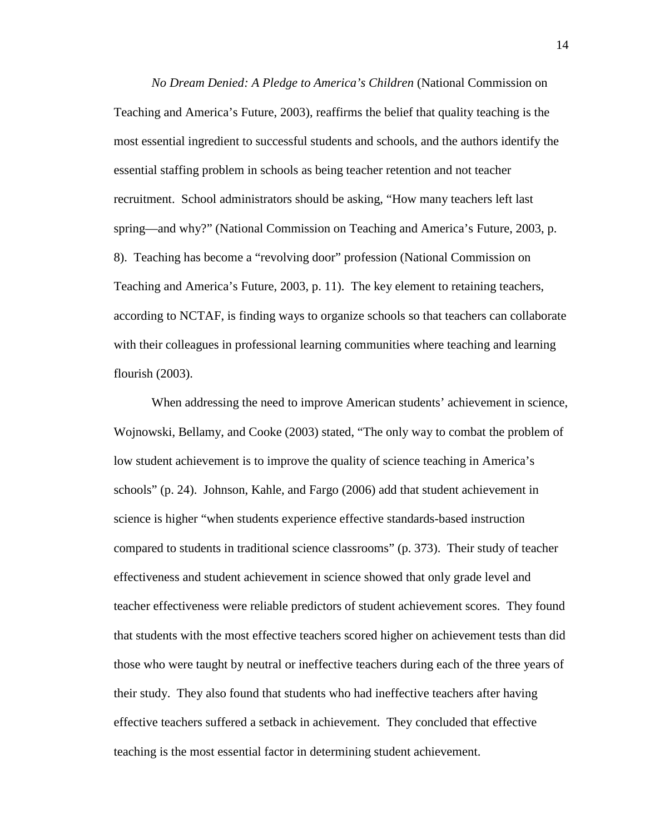*No Dream Denied: A Pledge to America's Children* (National Commission on Teaching and America's Future, 2003), reaffirms the belief that quality teaching is the most essential ingredient to successful students and schools, and the authors identify the essential staffing problem in schools as being teacher retention and not teacher recruitment. School administrators should be asking, "How many teachers left last spring—and why?" (National Commission on Teaching and America's Future, 2003, p. 8). Teaching has become a "revolving door" profession (National Commission on Teaching and America's Future, 2003, p. 11). The key element to retaining teachers, according to NCTAF, is finding ways to organize schools so that teachers can collaborate with their colleagues in professional learning communities where teaching and learning flourish (2003).

When addressing the need to improve American students' achievement in science, Wojnowski, Bellamy, and Cooke (2003) stated, "The only way to combat the problem of low student achievement is to improve the quality of science teaching in America's schools" (p. 24). Johnson, Kahle, and Fargo (2006) add that student achievement in science is higher "when students experience effective standards-based instruction compared to students in traditional science classrooms" (p. 373). Their study of teacher effectiveness and student achievement in science showed that only grade level and teacher effectiveness were reliable predictors of student achievement scores. They found that students with the most effective teachers scored higher on achievement tests than did those who were taught by neutral or ineffective teachers during each of the three years of their study. They also found that students who had ineffective teachers after having effective teachers suffered a setback in achievement. They concluded that effective teaching is the most essential factor in determining student achievement.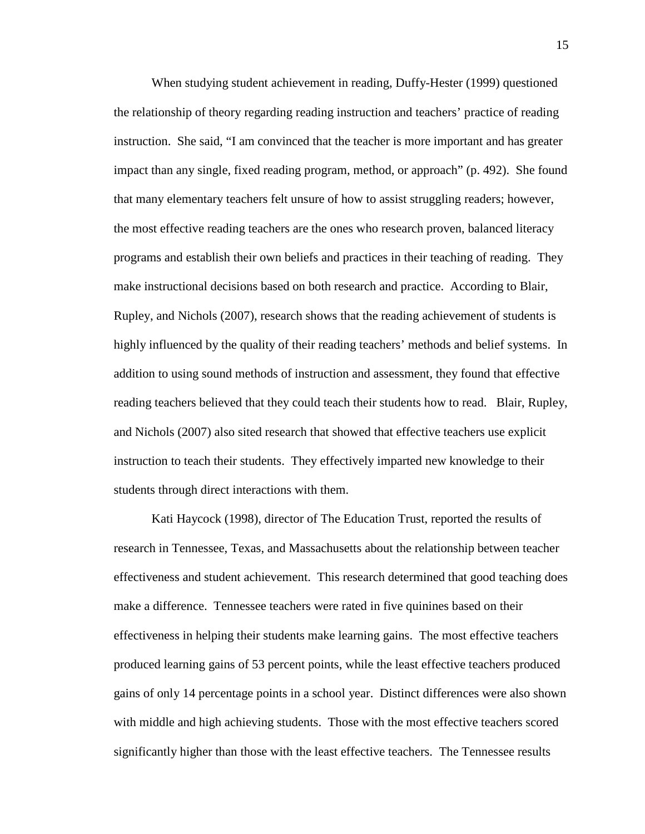When studying student achievement in reading, Duffy-Hester (1999) questioned the relationship of theory regarding reading instruction and teachers' practice of reading instruction. She said, "I am convinced that the teacher is more important and has greater impact than any single, fixed reading program, method, or approach" (p. 492). She found that many elementary teachers felt unsure of how to assist struggling readers; however, the most effective reading teachers are the ones who research proven, balanced literacy programs and establish their own beliefs and practices in their teaching of reading. They make instructional decisions based on both research and practice. According to Blair, Rupley, and Nichols (2007), research shows that the reading achievement of students is highly influenced by the quality of their reading teachers' methods and belief systems. In addition to using sound methods of instruction and assessment, they found that effective reading teachers believed that they could teach their students how to read. Blair, Rupley, and Nichols (2007) also sited research that showed that effective teachers use explicit instruction to teach their students. They effectively imparted new knowledge to their students through direct interactions with them.

Kati Haycock (1998), director of The Education Trust, reported the results of research in Tennessee, Texas, and Massachusetts about the relationship between teacher effectiveness and student achievement. This research determined that good teaching does make a difference. Tennessee teachers were rated in five quinines based on their effectiveness in helping their students make learning gains. The most effective teachers produced learning gains of 53 percent points, while the least effective teachers produced gains of only 14 percentage points in a school year. Distinct differences were also shown with middle and high achieving students. Those with the most effective teachers scored significantly higher than those with the least effective teachers. The Tennessee results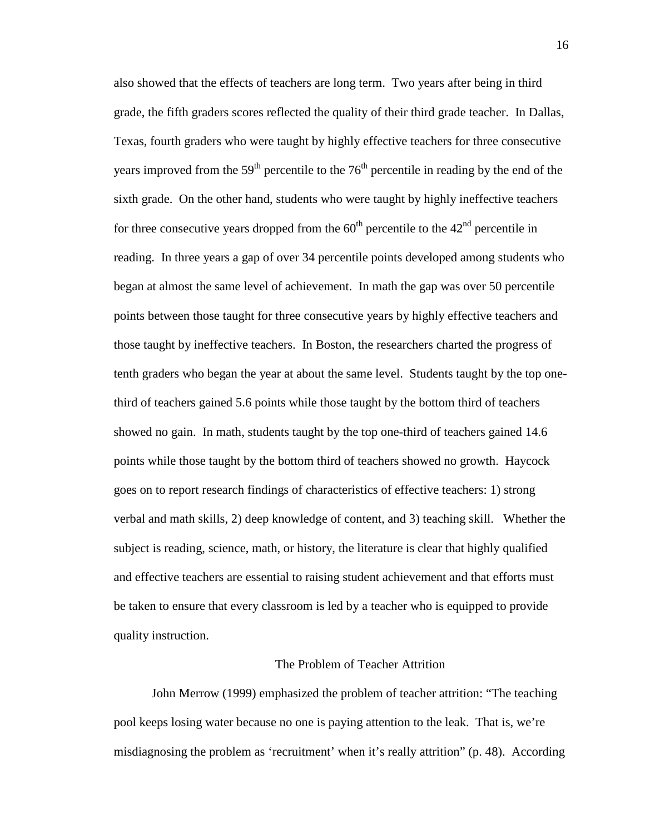also showed that the effects of teachers are long term. Two years after being in third grade, the fifth graders scores reflected the quality of their third grade teacher. In Dallas, Texas, fourth graders who were taught by highly effective teachers for three consecutive years improved from the  $59<sup>th</sup>$  percentile to the  $76<sup>th</sup>$  percentile in reading by the end of the sixth grade. On the other hand, students who were taught by highly ineffective teachers for three consecutive years dropped from the  $60<sup>th</sup>$  percentile to the  $42<sup>nd</sup>$  percentile in reading. In three years a gap of over 34 percentile points developed among students who began at almost the same level of achievement. In math the gap was over 50 percentile points between those taught for three consecutive years by highly effective teachers and those taught by ineffective teachers. In Boston, the researchers charted the progress of tenth graders who began the year at about the same level. Students taught by the top onethird of teachers gained 5.6 points while those taught by the bottom third of teachers showed no gain. In math, students taught by the top one-third of teachers gained 14.6 points while those taught by the bottom third of teachers showed no growth. Haycock goes on to report research findings of characteristics of effective teachers: 1) strong verbal and math skills, 2) deep knowledge of content, and 3) teaching skill. Whether the subject is reading, science, math, or history, the literature is clear that highly qualified and effective teachers are essential to raising student achievement and that efforts must be taken to ensure that every classroom is led by a teacher who is equipped to provide quality instruction.

# The Problem of Teacher Attrition

John Merrow (1999) emphasized the problem of teacher attrition: "The teaching pool keeps losing water because no one is paying attention to the leak. That is, we're misdiagnosing the problem as 'recruitment' when it's really attrition" (p. 48). According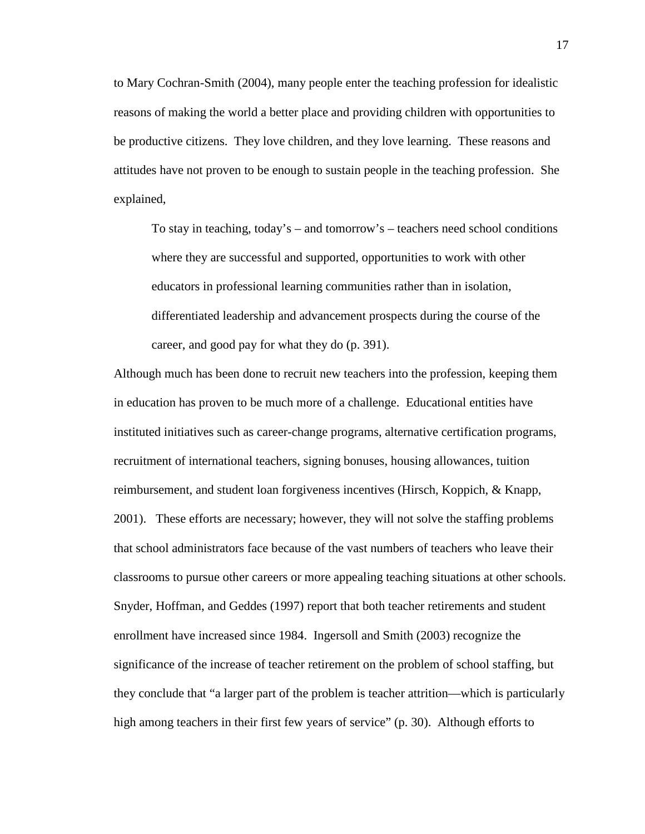to Mary Cochran-Smith (2004), many people enter the teaching profession for idealistic reasons of making the world a better place and providing children with opportunities to be productive citizens. They love children, and they love learning. These reasons and attitudes have not proven to be enough to sustain people in the teaching profession. She explained,

To stay in teaching, today's – and tomorrow's – teachers need school conditions where they are successful and supported, opportunities to work with other educators in professional learning communities rather than in isolation, differentiated leadership and advancement prospects during the course of the career, and good pay for what they do (p. 391).

Although much has been done to recruit new teachers into the profession, keeping them in education has proven to be much more of a challenge. Educational entities have instituted initiatives such as career-change programs, alternative certification programs, recruitment of international teachers, signing bonuses, housing allowances, tuition reimbursement, and student loan forgiveness incentives (Hirsch, Koppich, & Knapp, 2001). These efforts are necessary; however, they will not solve the staffing problems that school administrators face because of the vast numbers of teachers who leave their classrooms to pursue other careers or more appealing teaching situations at other schools. Snyder, Hoffman, and Geddes (1997) report that both teacher retirements and student enrollment have increased since 1984. Ingersoll and Smith (2003) recognize the significance of the increase of teacher retirement on the problem of school staffing, but they conclude that "a larger part of the problem is teacher attrition—which is particularly high among teachers in their first few years of service" (p. 30). Although efforts to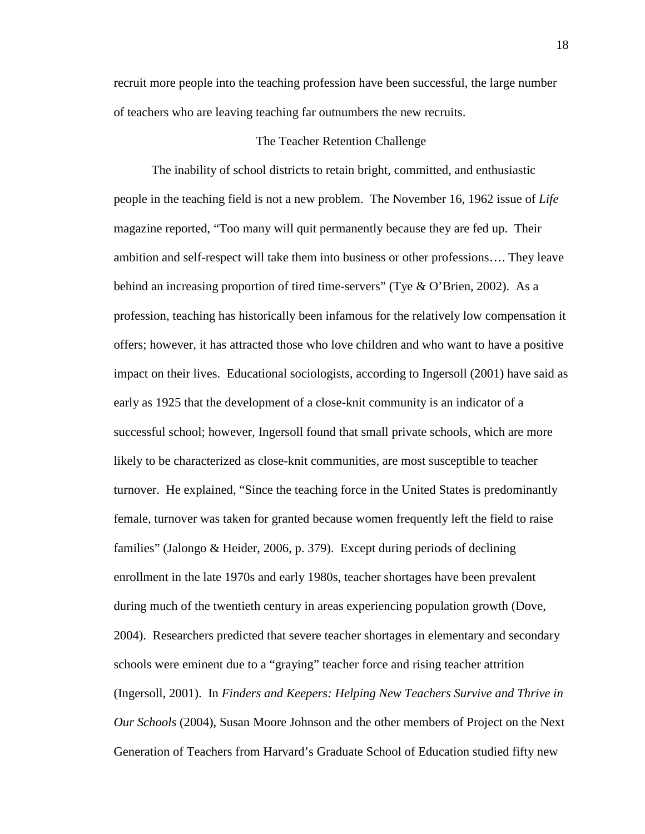recruit more people into the teaching profession have been successful, the large number of teachers who are leaving teaching far outnumbers the new recruits.

# The Teacher Retention Challenge

The inability of school districts to retain bright, committed, and enthusiastic people in the teaching field is not a new problem. The November 16, 1962 issue of *Life*  magazine reported, "Too many will quit permanently because they are fed up. Their ambition and self-respect will take them into business or other professions…. They leave behind an increasing proportion of tired time-servers" (Tye & O'Brien, 2002). As a profession, teaching has historically been infamous for the relatively low compensation it offers; however, it has attracted those who love children and who want to have a positive impact on their lives. Educational sociologists, according to Ingersoll (2001) have said as early as 1925 that the development of a close-knit community is an indicator of a successful school; however, Ingersoll found that small private schools, which are more likely to be characterized as close-knit communities, are most susceptible to teacher turnover. He explained, "Since the teaching force in the United States is predominantly female, turnover was taken for granted because women frequently left the field to raise families" (Jalongo & Heider, 2006, p. 379). Except during periods of declining enrollment in the late 1970s and early 1980s, teacher shortages have been prevalent during much of the twentieth century in areas experiencing population growth (Dove, 2004). Researchers predicted that severe teacher shortages in elementary and secondary schools were eminent due to a "graying" teacher force and rising teacher attrition (Ingersoll, 2001). In *Finders and Keepers: Helping New Teachers Survive and Thrive in Our Schools* (2004), Susan Moore Johnson and the other members of Project on the Next Generation of Teachers from Harvard's Graduate School of Education studied fifty new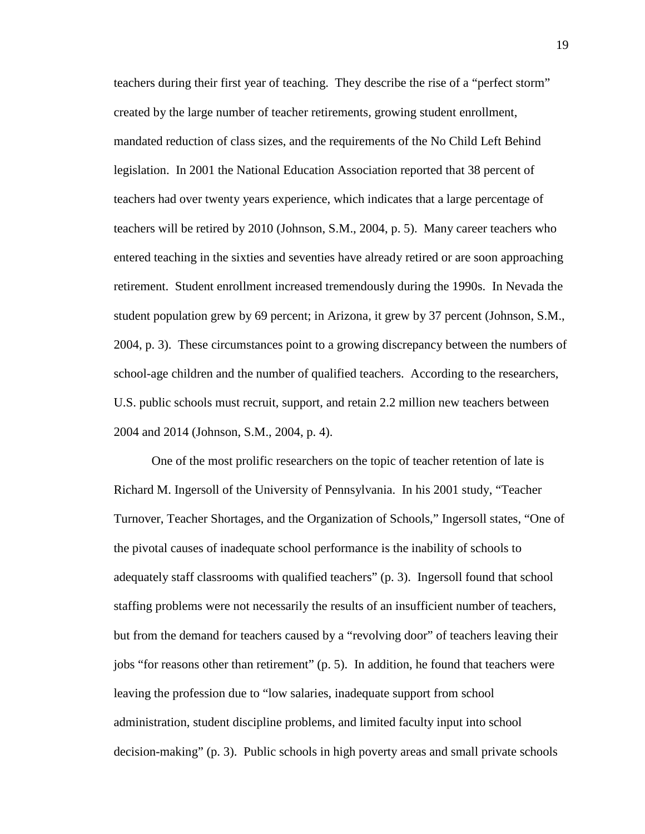teachers during their first year of teaching. They describe the rise of a "perfect storm" created by the large number of teacher retirements, growing student enrollment, mandated reduction of class sizes, and the requirements of the No Child Left Behind legislation. In 2001 the National Education Association reported that 38 percent of teachers had over twenty years experience, which indicates that a large percentage of teachers will be retired by 2010 (Johnson, S.M., 2004, p. 5). Many career teachers who entered teaching in the sixties and seventies have already retired or are soon approaching retirement. Student enrollment increased tremendously during the 1990s. In Nevada the student population grew by 69 percent; in Arizona, it grew by 37 percent (Johnson, S.M., 2004, p. 3). These circumstances point to a growing discrepancy between the numbers of school-age children and the number of qualified teachers. According to the researchers, U.S. public schools must recruit, support, and retain 2.2 million new teachers between 2004 and 2014 (Johnson, S.M., 2004, p. 4).

One of the most prolific researchers on the topic of teacher retention of late is Richard M. Ingersoll of the University of Pennsylvania. In his 2001 study, "Teacher Turnover, Teacher Shortages, and the Organization of Schools," Ingersoll states, "One of the pivotal causes of inadequate school performance is the inability of schools to adequately staff classrooms with qualified teachers" (p. 3). Ingersoll found that school staffing problems were not necessarily the results of an insufficient number of teachers, but from the demand for teachers caused by a "revolving door" of teachers leaving their jobs "for reasons other than retirement" (p. 5). In addition, he found that teachers were leaving the profession due to "low salaries, inadequate support from school administration, student discipline problems, and limited faculty input into school decision-making" (p. 3). Public schools in high poverty areas and small private schools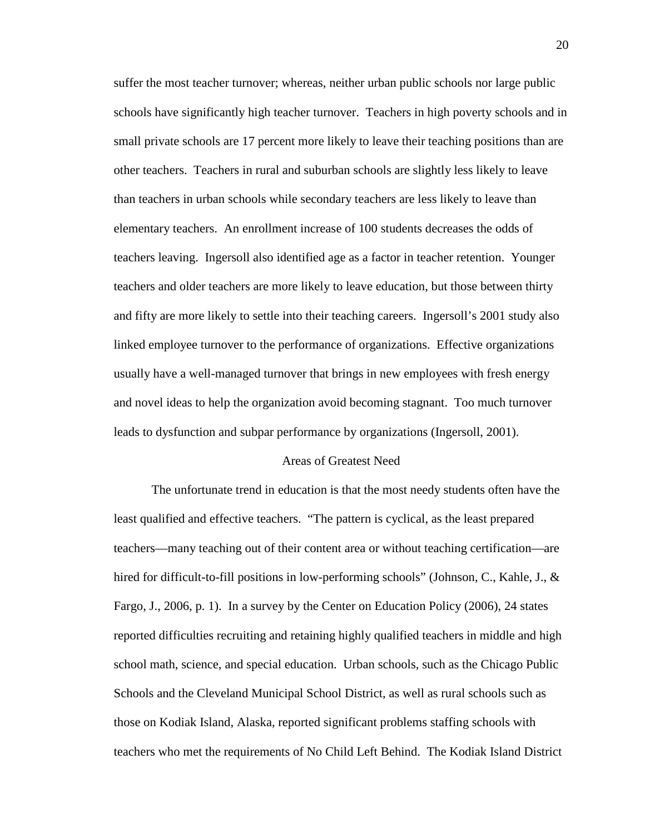suffer the most teacher turnover; whereas, neither urban public schools nor large public schools have significantly high teacher turnover. Teachers in high poverty schools and in small private schools are 17 percent more likely to leave their teaching positions than are other teachers. Teachers in rural and suburban schools are slightly less likely to leave than teachers in urban schools while secondary teachers are less likely to leave than elementary teachers. An enrollment increase of 100 students decreases the odds of teachers leaving. Ingersoll also identified age as a factor in teacher retention. Younger teachers and older teachers are more likely to leave education, but those between thirty and fifty are more likely to settle into their teaching careers. Ingersoll's 2001 study also linked employee turnover to the performance of organizations. Effective organizations usually have a well-managed turnover that brings in new employees with fresh energy and novel ideas to help the organization avoid becoming stagnant. Too much turnover leads to dysfunction and subpar performance by organizations (Ingersoll, 2001).

#### Areas of Greatest Need

The unfortunate trend in education is that the most needy students often have the least qualified and effective teachers. "The pattern is cyclical, as the least prepared teachers—many teaching out of their content area or without teaching certification—are hired for difficult-to-fill positions in low-performing schools" (Johnson, C., Kahle, J., & Fargo, J., 2006, p. 1). In a survey by the Center on Education Policy (2006), 24 states reported difficulties recruiting and retaining highly qualified teachers in middle and high school math, science, and special education. Urban schools, such as the Chicago Public Schools and the Cleveland Municipal School District, as well as rural schools such as those on Kodiak Island, Alaska, reported significant problems staffing schools with teachers who met the requirements of No Child Left Behind. The Kodiak Island District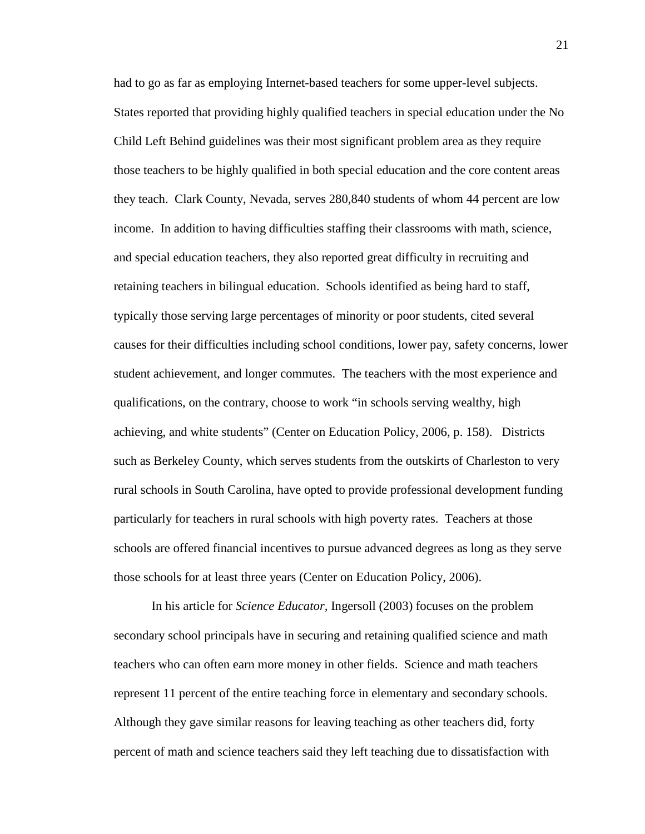had to go as far as employing Internet-based teachers for some upper-level subjects. States reported that providing highly qualified teachers in special education under the No Child Left Behind guidelines was their most significant problem area as they require those teachers to be highly qualified in both special education and the core content areas they teach. Clark County, Nevada, serves 280,840 students of whom 44 percent are low income. In addition to having difficulties staffing their classrooms with math, science, and special education teachers, they also reported great difficulty in recruiting and retaining teachers in bilingual education. Schools identified as being hard to staff, typically those serving large percentages of minority or poor students, cited several causes for their difficulties including school conditions, lower pay, safety concerns, lower student achievement, and longer commutes. The teachers with the most experience and qualifications, on the contrary, choose to work "in schools serving wealthy, high achieving, and white students" (Center on Education Policy, 2006, p. 158). Districts such as Berkeley County, which serves students from the outskirts of Charleston to very rural schools in South Carolina, have opted to provide professional development funding particularly for teachers in rural schools with high poverty rates. Teachers at those schools are offered financial incentives to pursue advanced degrees as long as they serve those schools for at least three years (Center on Education Policy, 2006).

In his article for *Science Educator,* Ingersoll (2003) focuses on the problem secondary school principals have in securing and retaining qualified science and math teachers who can often earn more money in other fields. Science and math teachers represent 11 percent of the entire teaching force in elementary and secondary schools. Although they gave similar reasons for leaving teaching as other teachers did, forty percent of math and science teachers said they left teaching due to dissatisfaction with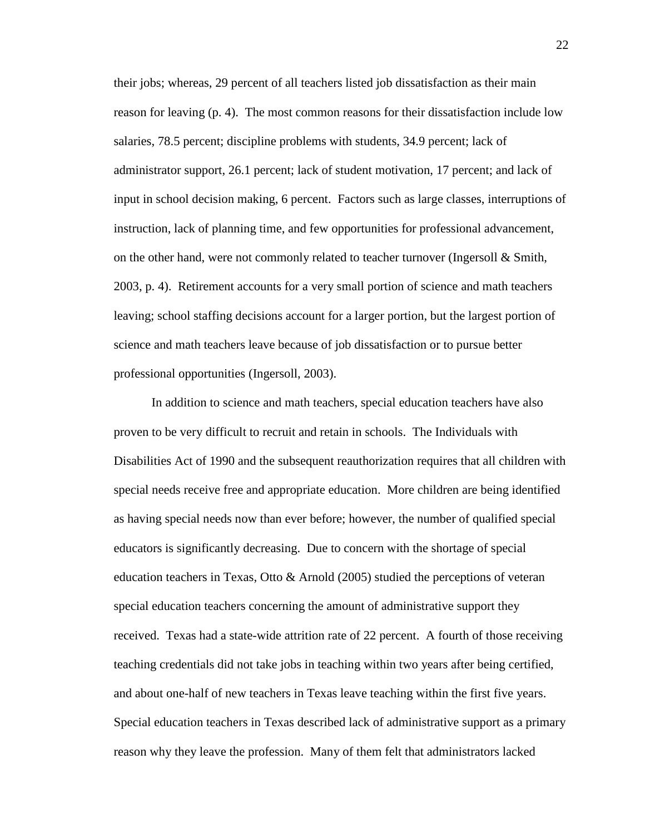their jobs; whereas, 29 percent of all teachers listed job dissatisfaction as their main reason for leaving (p. 4). The most common reasons for their dissatisfaction include low salaries, 78.5 percent; discipline problems with students, 34.9 percent; lack of administrator support, 26.1 percent; lack of student motivation, 17 percent; and lack of input in school decision making, 6 percent. Factors such as large classes, interruptions of instruction, lack of planning time, and few opportunities for professional advancement, on the other hand, were not commonly related to teacher turnover (Ingersoll & Smith, 2003, p. 4). Retirement accounts for a very small portion of science and math teachers leaving; school staffing decisions account for a larger portion, but the largest portion of science and math teachers leave because of job dissatisfaction or to pursue better professional opportunities (Ingersoll, 2003).

In addition to science and math teachers, special education teachers have also proven to be very difficult to recruit and retain in schools. The Individuals with Disabilities Act of 1990 and the subsequent reauthorization requires that all children with special needs receive free and appropriate education. More children are being identified as having special needs now than ever before; however, the number of qualified special educators is significantly decreasing. Due to concern with the shortage of special education teachers in Texas, Otto & Arnold (2005) studied the perceptions of veteran special education teachers concerning the amount of administrative support they received. Texas had a state-wide attrition rate of 22 percent. A fourth of those receiving teaching credentials did not take jobs in teaching within two years after being certified, and about one-half of new teachers in Texas leave teaching within the first five years. Special education teachers in Texas described lack of administrative support as a primary reason why they leave the profession. Many of them felt that administrators lacked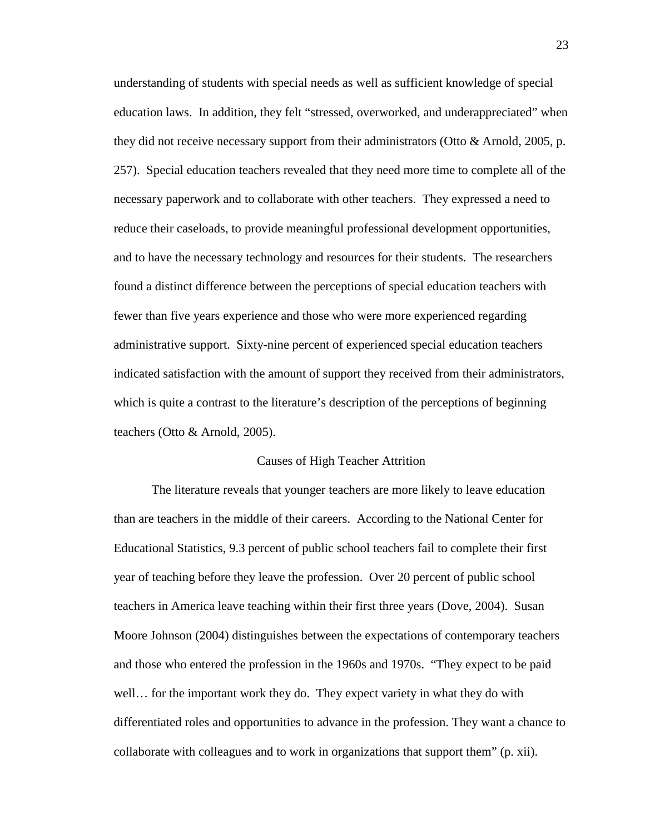understanding of students with special needs as well as sufficient knowledge of special education laws. In addition, they felt "stressed, overworked, and underappreciated" when they did not receive necessary support from their administrators (Otto & Arnold, 2005, p. 257). Special education teachers revealed that they need more time to complete all of the necessary paperwork and to collaborate with other teachers. They expressed a need to reduce their caseloads, to provide meaningful professional development opportunities, and to have the necessary technology and resources for their students. The researchers found a distinct difference between the perceptions of special education teachers with fewer than five years experience and those who were more experienced regarding administrative support. Sixty-nine percent of experienced special education teachers indicated satisfaction with the amount of support they received from their administrators, which is quite a contrast to the literature's description of the perceptions of beginning teachers (Otto & Arnold, 2005).

# Causes of High Teacher Attrition

The literature reveals that younger teachers are more likely to leave education than are teachers in the middle of their careers. According to the National Center for Educational Statistics, 9.3 percent of public school teachers fail to complete their first year of teaching before they leave the profession. Over 20 percent of public school teachers in America leave teaching within their first three years (Dove, 2004). Susan Moore Johnson (2004) distinguishes between the expectations of contemporary teachers and those who entered the profession in the 1960s and 1970s. "They expect to be paid well… for the important work they do. They expect variety in what they do with differentiated roles and opportunities to advance in the profession. They want a chance to collaborate with colleagues and to work in organizations that support them" (p. xii).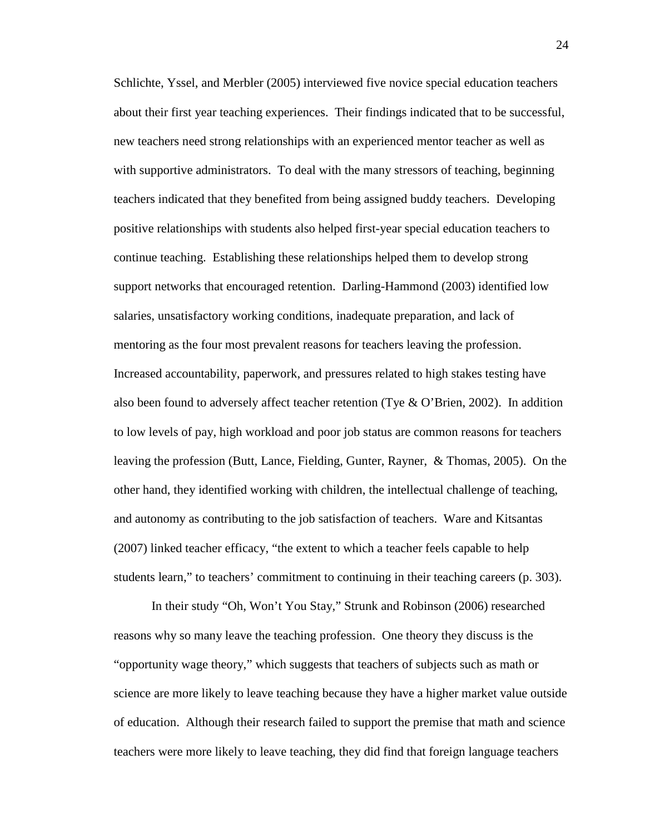Schlichte, Yssel, and Merbler (2005) interviewed five novice special education teachers about their first year teaching experiences. Their findings indicated that to be successful, new teachers need strong relationships with an experienced mentor teacher as well as with supportive administrators. To deal with the many stressors of teaching, beginning teachers indicated that they benefited from being assigned buddy teachers. Developing positive relationships with students also helped first-year special education teachers to continue teaching. Establishing these relationships helped them to develop strong support networks that encouraged retention. Darling-Hammond (2003) identified low salaries, unsatisfactory working conditions, inadequate preparation, and lack of mentoring as the four most prevalent reasons for teachers leaving the profession. Increased accountability, paperwork, and pressures related to high stakes testing have also been found to adversely affect teacher retention (Tye & O'Brien, 2002). In addition to low levels of pay, high workload and poor job status are common reasons for teachers leaving the profession (Butt, Lance, Fielding, Gunter, Rayner, & Thomas, 2005). On the other hand, they identified working with children, the intellectual challenge of teaching, and autonomy as contributing to the job satisfaction of teachers. Ware and Kitsantas (2007) linked teacher efficacy, "the extent to which a teacher feels capable to help students learn," to teachers' commitment to continuing in their teaching careers (p. 303).

In their study "Oh, Won't You Stay," Strunk and Robinson (2006) researched reasons why so many leave the teaching profession. One theory they discuss is the "opportunity wage theory," which suggests that teachers of subjects such as math or science are more likely to leave teaching because they have a higher market value outside of education. Although their research failed to support the premise that math and science teachers were more likely to leave teaching, they did find that foreign language teachers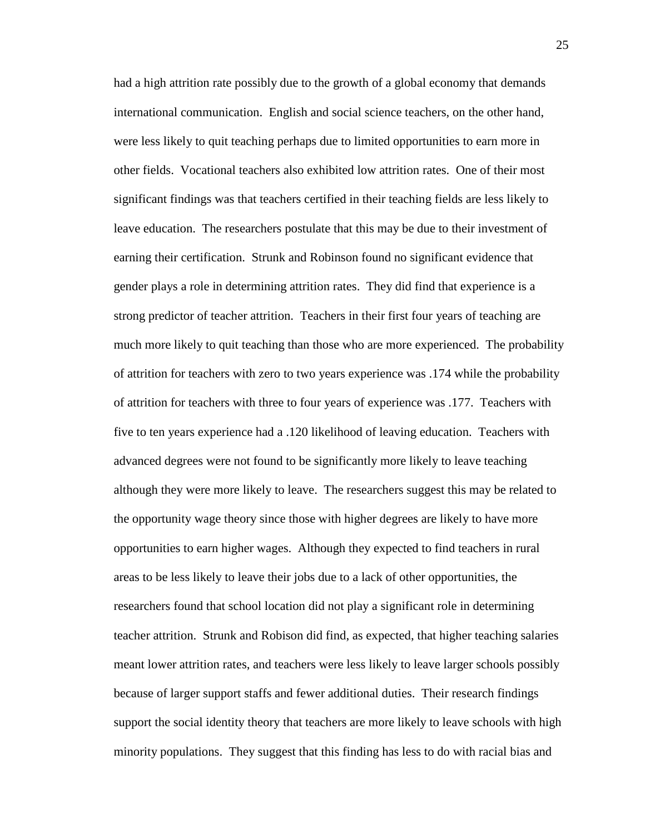had a high attrition rate possibly due to the growth of a global economy that demands international communication. English and social science teachers, on the other hand, were less likely to quit teaching perhaps due to limited opportunities to earn more in other fields. Vocational teachers also exhibited low attrition rates. One of their most significant findings was that teachers certified in their teaching fields are less likely to leave education. The researchers postulate that this may be due to their investment of earning their certification. Strunk and Robinson found no significant evidence that gender plays a role in determining attrition rates. They did find that experience is a strong predictor of teacher attrition. Teachers in their first four years of teaching are much more likely to quit teaching than those who are more experienced. The probability of attrition for teachers with zero to two years experience was .174 while the probability of attrition for teachers with three to four years of experience was .177. Teachers with five to ten years experience had a .120 likelihood of leaving education. Teachers with advanced degrees were not found to be significantly more likely to leave teaching although they were more likely to leave. The researchers suggest this may be related to the opportunity wage theory since those with higher degrees are likely to have more opportunities to earn higher wages. Although they expected to find teachers in rural areas to be less likely to leave their jobs due to a lack of other opportunities, the researchers found that school location did not play a significant role in determining teacher attrition. Strunk and Robison did find, as expected, that higher teaching salaries meant lower attrition rates, and teachers were less likely to leave larger schools possibly because of larger support staffs and fewer additional duties. Their research findings support the social identity theory that teachers are more likely to leave schools with high minority populations. They suggest that this finding has less to do with racial bias and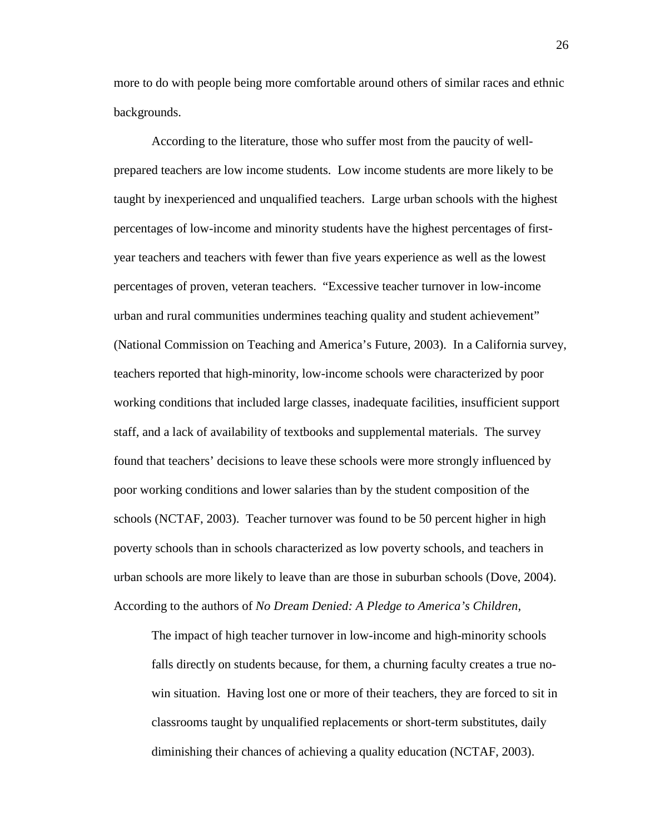more to do with people being more comfortable around others of similar races and ethnic backgrounds.

According to the literature, those who suffer most from the paucity of wellprepared teachers are low income students. Low income students are more likely to be taught by inexperienced and unqualified teachers. Large urban schools with the highest percentages of low-income and minority students have the highest percentages of firstyear teachers and teachers with fewer than five years experience as well as the lowest percentages of proven, veteran teachers. "Excessive teacher turnover in low-income urban and rural communities undermines teaching quality and student achievement" (National Commission on Teaching and America's Future, 2003). In a California survey, teachers reported that high-minority, low-income schools were characterized by poor working conditions that included large classes, inadequate facilities, insufficient support staff, and a lack of availability of textbooks and supplemental materials. The survey found that teachers' decisions to leave these schools were more strongly influenced by poor working conditions and lower salaries than by the student composition of the schools (NCTAF, 2003). Teacher turnover was found to be 50 percent higher in high poverty schools than in schools characterized as low poverty schools, and teachers in urban schools are more likely to leave than are those in suburban schools (Dove, 2004). According to the authors of *No Dream Denied: A Pledge to America's Children*,

The impact of high teacher turnover in low-income and high-minority schools falls directly on students because, for them, a churning faculty creates a true nowin situation. Having lost one or more of their teachers, they are forced to sit in classrooms taught by unqualified replacements or short-term substitutes, daily diminishing their chances of achieving a quality education (NCTAF, 2003).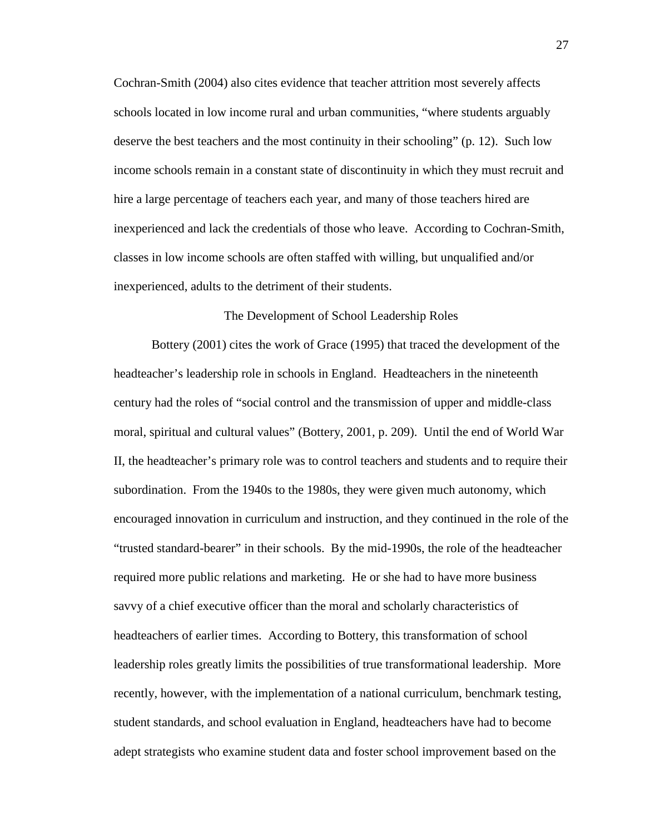Cochran-Smith (2004) also cites evidence that teacher attrition most severely affects schools located in low income rural and urban communities, "where students arguably deserve the best teachers and the most continuity in their schooling" (p. 12). Such low income schools remain in a constant state of discontinuity in which they must recruit and hire a large percentage of teachers each year, and many of those teachers hired are inexperienced and lack the credentials of those who leave. According to Cochran-Smith, classes in low income schools are often staffed with willing, but unqualified and/or inexperienced, adults to the detriment of their students.

# The Development of School Leadership Roles

Bottery (2001) cites the work of Grace (1995) that traced the development of the headteacher's leadership role in schools in England. Headteachers in the nineteenth century had the roles of "social control and the transmission of upper and middle-class moral, spiritual and cultural values" (Bottery, 2001, p. 209). Until the end of World War II, the headteacher's primary role was to control teachers and students and to require their subordination. From the 1940s to the 1980s, they were given much autonomy, which encouraged innovation in curriculum and instruction, and they continued in the role of the "trusted standard-bearer" in their schools. By the mid-1990s, the role of the headteacher required more public relations and marketing. He or she had to have more business savvy of a chief executive officer than the moral and scholarly characteristics of headteachers of earlier times. According to Bottery, this transformation of school leadership roles greatly limits the possibilities of true transformational leadership. More recently, however, with the implementation of a national curriculum, benchmark testing, student standards, and school evaluation in England, headteachers have had to become adept strategists who examine student data and foster school improvement based on the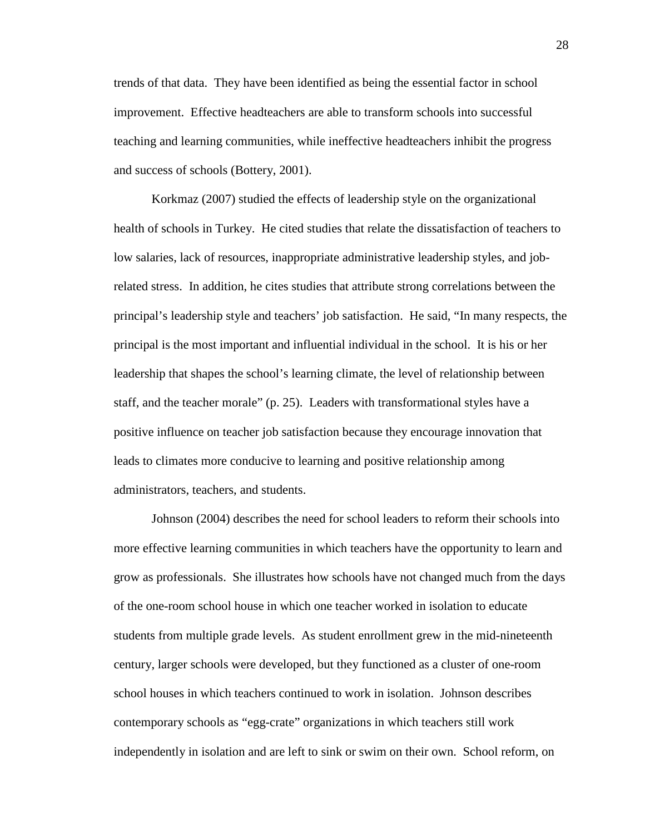trends of that data. They have been identified as being the essential factor in school improvement. Effective headteachers are able to transform schools into successful teaching and learning communities, while ineffective headteachers inhibit the progress and success of schools (Bottery, 2001).

Korkmaz (2007) studied the effects of leadership style on the organizational health of schools in Turkey. He cited studies that relate the dissatisfaction of teachers to low salaries, lack of resources, inappropriate administrative leadership styles, and jobrelated stress. In addition, he cites studies that attribute strong correlations between the principal's leadership style and teachers' job satisfaction. He said, "In many respects, the principal is the most important and influential individual in the school. It is his or her leadership that shapes the school's learning climate, the level of relationship between staff, and the teacher morale" (p. 25). Leaders with transformational styles have a positive influence on teacher job satisfaction because they encourage innovation that leads to climates more conducive to learning and positive relationship among administrators, teachers, and students.

Johnson (2004) describes the need for school leaders to reform their schools into more effective learning communities in which teachers have the opportunity to learn and grow as professionals. She illustrates how schools have not changed much from the days of the one-room school house in which one teacher worked in isolation to educate students from multiple grade levels. As student enrollment grew in the mid-nineteenth century, larger schools were developed, but they functioned as a cluster of one-room school houses in which teachers continued to work in isolation. Johnson describes contemporary schools as "egg-crate" organizations in which teachers still work independently in isolation and are left to sink or swim on their own. School reform, on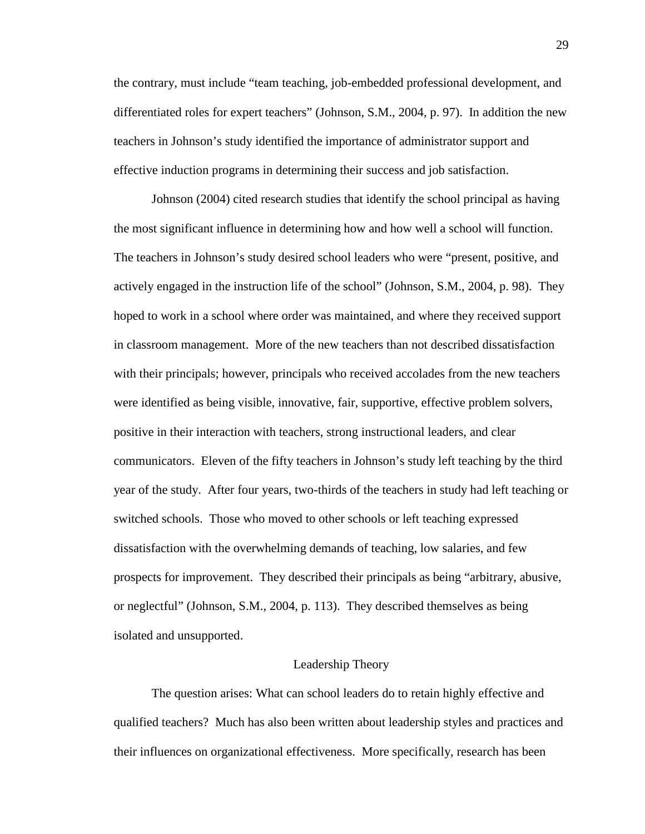the contrary, must include "team teaching, job-embedded professional development, and differentiated roles for expert teachers" (Johnson, S.M., 2004, p. 97). In addition the new teachers in Johnson's study identified the importance of administrator support and effective induction programs in determining their success and job satisfaction.

Johnson (2004) cited research studies that identify the school principal as having the most significant influence in determining how and how well a school will function. The teachers in Johnson's study desired school leaders who were "present, positive, and actively engaged in the instruction life of the school" (Johnson, S.M., 2004, p. 98). They hoped to work in a school where order was maintained, and where they received support in classroom management. More of the new teachers than not described dissatisfaction with their principals; however, principals who received accolades from the new teachers were identified as being visible, innovative, fair, supportive, effective problem solvers, positive in their interaction with teachers, strong instructional leaders, and clear communicators. Eleven of the fifty teachers in Johnson's study left teaching by the third year of the study. After four years, two-thirds of the teachers in study had left teaching or switched schools. Those who moved to other schools or left teaching expressed dissatisfaction with the overwhelming demands of teaching, low salaries, and few prospects for improvement. They described their principals as being "arbitrary, abusive, or neglectful" (Johnson, S.M., 2004, p. 113). They described themselves as being isolated and unsupported.

# Leadership Theory

The question arises: What can school leaders do to retain highly effective and qualified teachers? Much has also been written about leadership styles and practices and their influences on organizational effectiveness. More specifically, research has been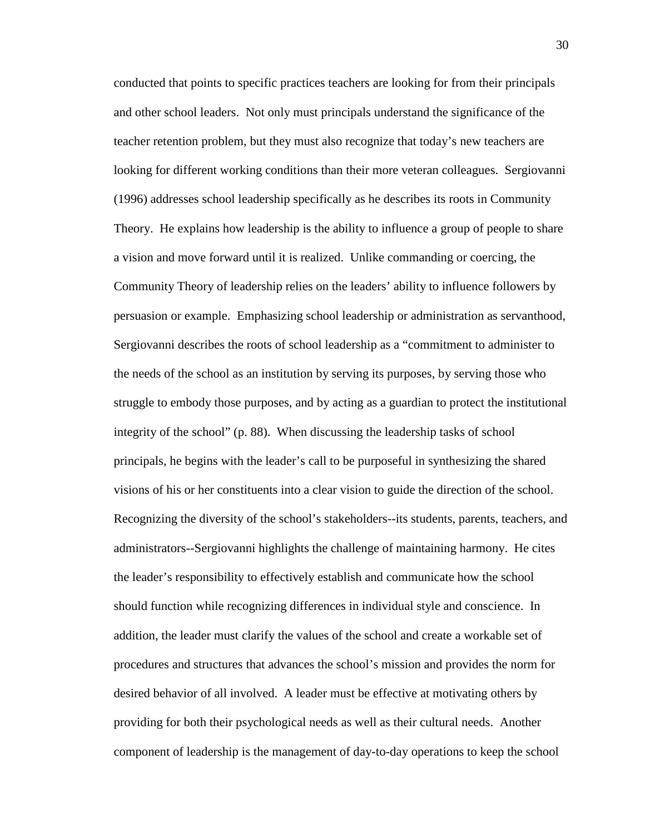conducted that points to specific practices teachers are looking for from their principals and other school leaders. Not only must principals understand the significance of the teacher retention problem, but they must also recognize that today's new teachers are looking for different working conditions than their more veteran colleagues. Sergiovanni (1996) addresses school leadership specifically as he describes its roots in Community Theory. He explains how leadership is the ability to influence a group of people to share a vision and move forward until it is realized. Unlike commanding or coercing, the Community Theory of leadership relies on the leaders' ability to influence followers by persuasion or example. Emphasizing school leadership or administration as servanthood, Sergiovanni describes the roots of school leadership as a "commitment to administer to the needs of the school as an institution by serving its purposes, by serving those who struggle to embody those purposes, and by acting as a guardian to protect the institutional integrity of the school" (p. 88). When discussing the leadership tasks of school principals, he begins with the leader's call to be purposeful in synthesizing the shared visions of his or her constituents into a clear vision to guide the direction of the school. Recognizing the diversity of the school's stakeholders--its students, parents, teachers, and administrators--Sergiovanni highlights the challenge of maintaining harmony. He cites the leader's responsibility to effectively establish and communicate how the school should function while recognizing differences in individual style and conscience. In addition, the leader must clarify the values of the school and create a workable set of procedures and structures that advances the school's mission and provides the norm for desired behavior of all involved. A leader must be effective at motivating others by providing for both their psychological needs as well as their cultural needs. Another component of leadership is the management of day-to-day operations to keep the school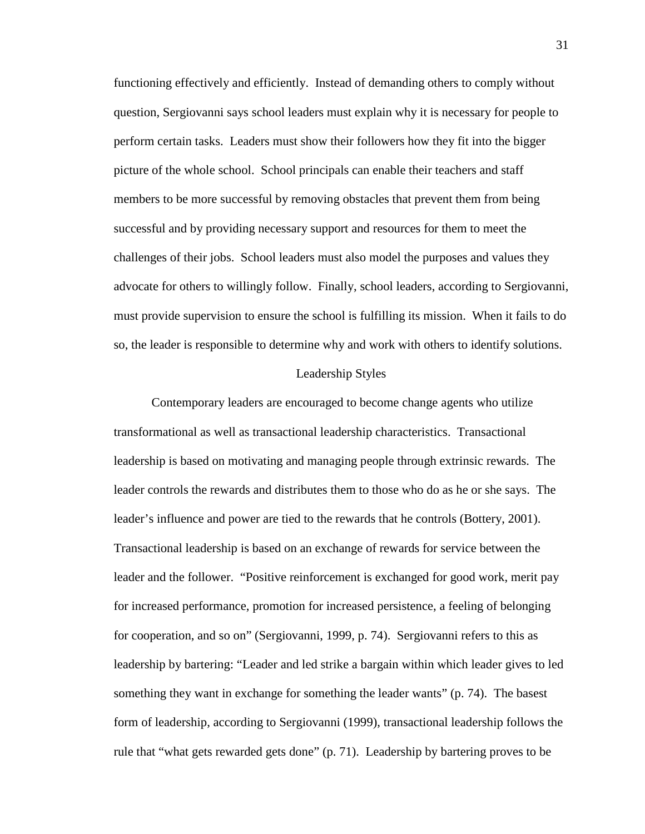functioning effectively and efficiently. Instead of demanding others to comply without question, Sergiovanni says school leaders must explain why it is necessary for people to perform certain tasks. Leaders must show their followers how they fit into the bigger picture of the whole school. School principals can enable their teachers and staff members to be more successful by removing obstacles that prevent them from being successful and by providing necessary support and resources for them to meet the challenges of their jobs. School leaders must also model the purposes and values they advocate for others to willingly follow. Finally, school leaders, according to Sergiovanni, must provide supervision to ensure the school is fulfilling its mission. When it fails to do so, the leader is responsible to determine why and work with others to identify solutions.

### Leadership Styles

Contemporary leaders are encouraged to become change agents who utilize transformational as well as transactional leadership characteristics. Transactional leadership is based on motivating and managing people through extrinsic rewards. The leader controls the rewards and distributes them to those who do as he or she says. The leader's influence and power are tied to the rewards that he controls (Bottery, 2001). Transactional leadership is based on an exchange of rewards for service between the leader and the follower. "Positive reinforcement is exchanged for good work, merit pay for increased performance, promotion for increased persistence, a feeling of belonging for cooperation, and so on" (Sergiovanni, 1999, p. 74). Sergiovanni refers to this as leadership by bartering: "Leader and led strike a bargain within which leader gives to led something they want in exchange for something the leader wants" (p. 74). The basest form of leadership, according to Sergiovanni (1999), transactional leadership follows the rule that "what gets rewarded gets done" (p. 71). Leadership by bartering proves to be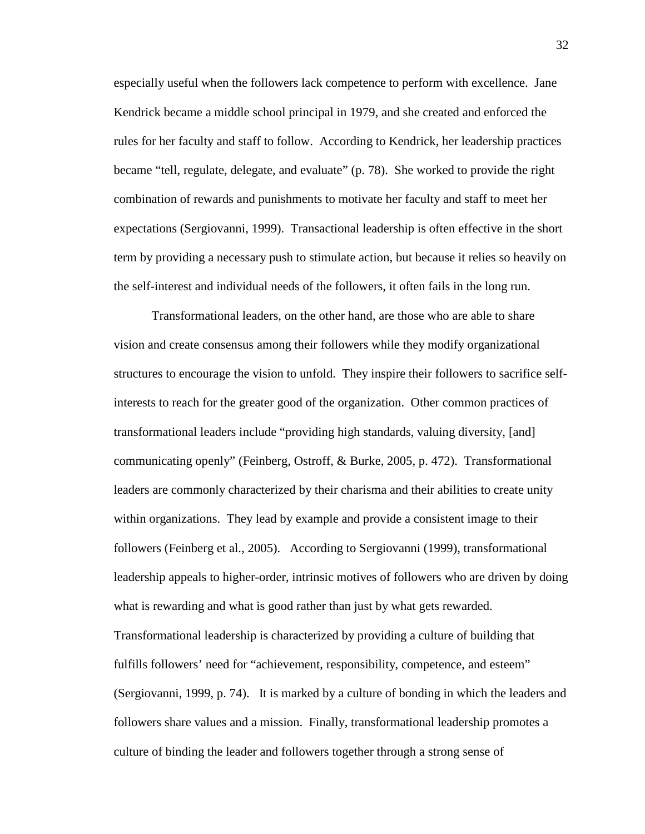especially useful when the followers lack competence to perform with excellence. Jane Kendrick became a middle school principal in 1979, and she created and enforced the rules for her faculty and staff to follow. According to Kendrick, her leadership practices became "tell, regulate, delegate, and evaluate" (p. 78). She worked to provide the right combination of rewards and punishments to motivate her faculty and staff to meet her expectations (Sergiovanni, 1999). Transactional leadership is often effective in the short term by providing a necessary push to stimulate action, but because it relies so heavily on the self-interest and individual needs of the followers, it often fails in the long run.

Transformational leaders, on the other hand, are those who are able to share vision and create consensus among their followers while they modify organizational structures to encourage the vision to unfold. They inspire their followers to sacrifice selfinterests to reach for the greater good of the organization. Other common practices of transformational leaders include "providing high standards, valuing diversity, [and] communicating openly" (Feinberg, Ostroff, & Burke, 2005, p. 472). Transformational leaders are commonly characterized by their charisma and their abilities to create unity within organizations. They lead by example and provide a consistent image to their followers (Feinberg et al., 2005). According to Sergiovanni (1999), transformational leadership appeals to higher-order, intrinsic motives of followers who are driven by doing what is rewarding and what is good rather than just by what gets rewarded. Transformational leadership is characterized by providing a culture of building that fulfills followers' need for "achievement, responsibility, competence, and esteem" (Sergiovanni, 1999, p. 74). It is marked by a culture of bonding in which the leaders and followers share values and a mission. Finally, transformational leadership promotes a culture of binding the leader and followers together through a strong sense of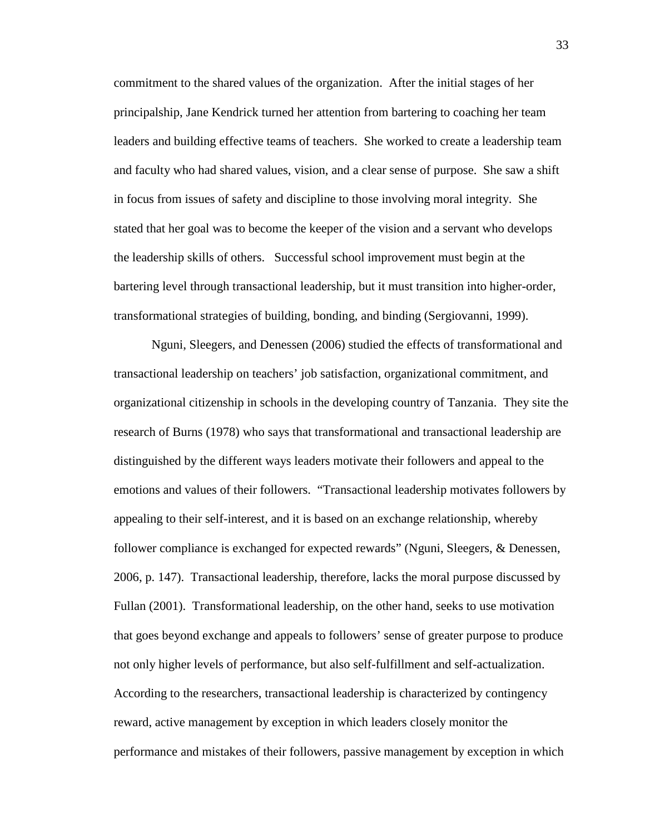commitment to the shared values of the organization. After the initial stages of her principalship, Jane Kendrick turned her attention from bartering to coaching her team leaders and building effective teams of teachers. She worked to create a leadership team and faculty who had shared values, vision, and a clear sense of purpose. She saw a shift in focus from issues of safety and discipline to those involving moral integrity. She stated that her goal was to become the keeper of the vision and a servant who develops the leadership skills of others. Successful school improvement must begin at the bartering level through transactional leadership, but it must transition into higher-order, transformational strategies of building, bonding, and binding (Sergiovanni, 1999).

Nguni, Sleegers, and Denessen (2006) studied the effects of transformational and transactional leadership on teachers' job satisfaction, organizational commitment, and organizational citizenship in schools in the developing country of Tanzania. They site the research of Burns (1978) who says that transformational and transactional leadership are distinguished by the different ways leaders motivate their followers and appeal to the emotions and values of their followers. "Transactional leadership motivates followers by appealing to their self-interest, and it is based on an exchange relationship, whereby follower compliance is exchanged for expected rewards" (Nguni, Sleegers, & Denessen, 2006, p. 147). Transactional leadership, therefore, lacks the moral purpose discussed by Fullan (2001). Transformational leadership, on the other hand, seeks to use motivation that goes beyond exchange and appeals to followers' sense of greater purpose to produce not only higher levels of performance, but also self-fulfillment and self-actualization. According to the researchers, transactional leadership is characterized by contingency reward, active management by exception in which leaders closely monitor the performance and mistakes of their followers, passive management by exception in which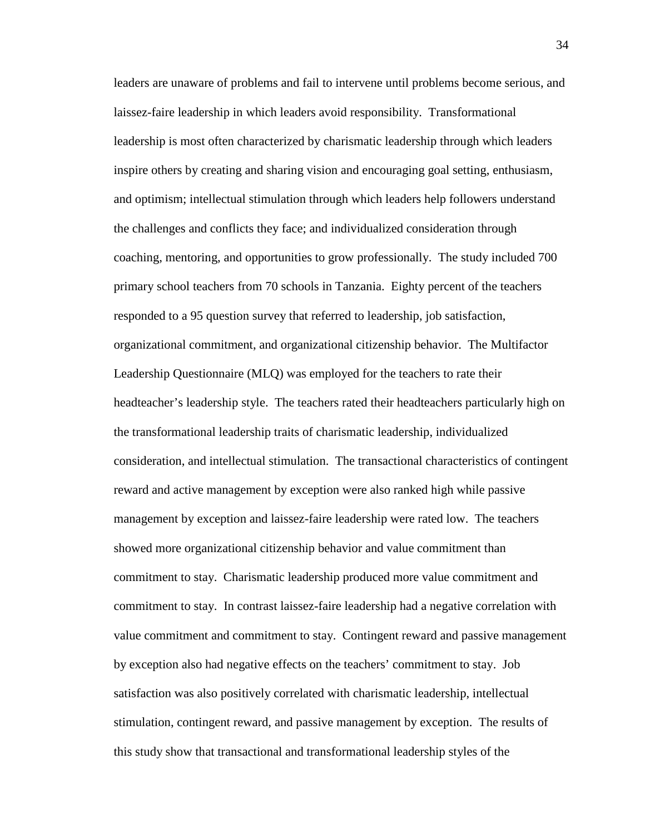leaders are unaware of problems and fail to intervene until problems become serious, and laissez-faire leadership in which leaders avoid responsibility. Transformational leadership is most often characterized by charismatic leadership through which leaders inspire others by creating and sharing vision and encouraging goal setting, enthusiasm, and optimism; intellectual stimulation through which leaders help followers understand the challenges and conflicts they face; and individualized consideration through coaching, mentoring, and opportunities to grow professionally. The study included 700 primary school teachers from 70 schools in Tanzania. Eighty percent of the teachers responded to a 95 question survey that referred to leadership, job satisfaction, organizational commitment, and organizational citizenship behavior. The Multifactor Leadership Questionnaire (MLQ) was employed for the teachers to rate their headteacher's leadership style. The teachers rated their headteachers particularly high on the transformational leadership traits of charismatic leadership, individualized consideration, and intellectual stimulation. The transactional characteristics of contingent reward and active management by exception were also ranked high while passive management by exception and laissez-faire leadership were rated low. The teachers showed more organizational citizenship behavior and value commitment than commitment to stay. Charismatic leadership produced more value commitment and commitment to stay. In contrast laissez-faire leadership had a negative correlation with value commitment and commitment to stay. Contingent reward and passive management by exception also had negative effects on the teachers' commitment to stay. Job satisfaction was also positively correlated with charismatic leadership, intellectual stimulation, contingent reward, and passive management by exception. The results of this study show that transactional and transformational leadership styles of the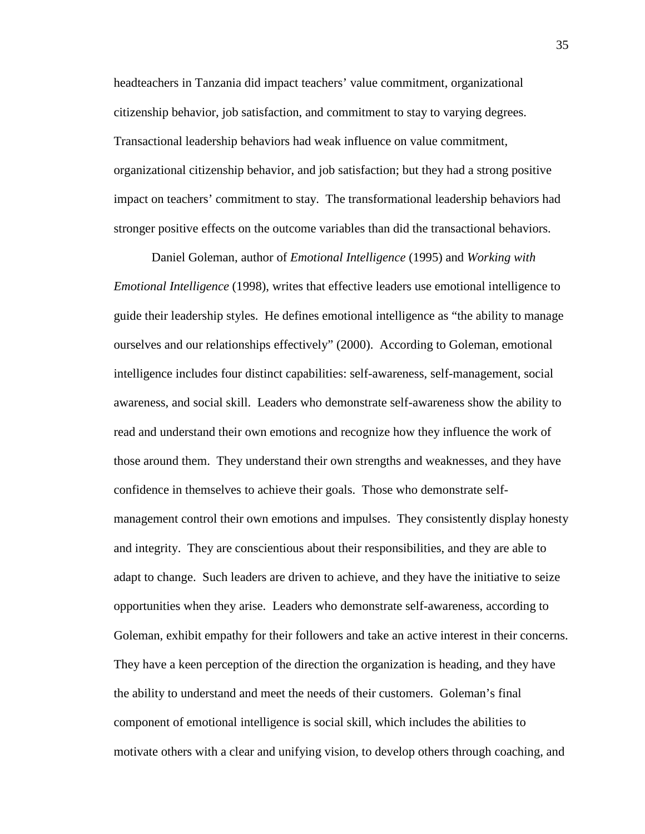headteachers in Tanzania did impact teachers' value commitment, organizational citizenship behavior, job satisfaction, and commitment to stay to varying degrees. Transactional leadership behaviors had weak influence on value commitment, organizational citizenship behavior, and job satisfaction; but they had a strong positive impact on teachers' commitment to stay. The transformational leadership behaviors had stronger positive effects on the outcome variables than did the transactional behaviors.

 Daniel Goleman, author of *Emotional Intelligence* (1995) and *Working with Emotional Intelligence* (1998), writes that effective leaders use emotional intelligence to guide their leadership styles. He defines emotional intelligence as "the ability to manage ourselves and our relationships effectively" (2000). According to Goleman, emotional intelligence includes four distinct capabilities: self-awareness, self-management, social awareness, and social skill. Leaders who demonstrate self-awareness show the ability to read and understand their own emotions and recognize how they influence the work of those around them. They understand their own strengths and weaknesses, and they have confidence in themselves to achieve their goals. Those who demonstrate selfmanagement control their own emotions and impulses. They consistently display honesty and integrity. They are conscientious about their responsibilities, and they are able to adapt to change. Such leaders are driven to achieve, and they have the initiative to seize opportunities when they arise. Leaders who demonstrate self-awareness, according to Goleman, exhibit empathy for their followers and take an active interest in their concerns. They have a keen perception of the direction the organization is heading, and they have the ability to understand and meet the needs of their customers. Goleman's final component of emotional intelligence is social skill, which includes the abilities to motivate others with a clear and unifying vision, to develop others through coaching, and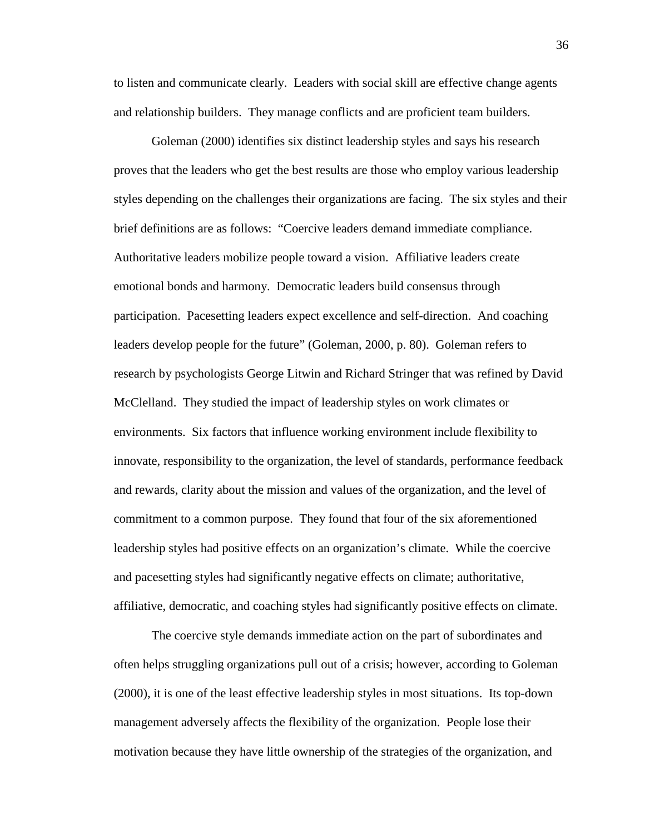to listen and communicate clearly. Leaders with social skill are effective change agents and relationship builders. They manage conflicts and are proficient team builders.

 Goleman (2000) identifies six distinct leadership styles and says his research proves that the leaders who get the best results are those who employ various leadership styles depending on the challenges their organizations are facing. The six styles and their brief definitions are as follows: "Coercive leaders demand immediate compliance. Authoritative leaders mobilize people toward a vision. Affiliative leaders create emotional bonds and harmony. Democratic leaders build consensus through participation. Pacesetting leaders expect excellence and self-direction. And coaching leaders develop people for the future" (Goleman, 2000, p. 80). Goleman refers to research by psychologists George Litwin and Richard Stringer that was refined by David McClelland. They studied the impact of leadership styles on work climates or environments. Six factors that influence working environment include flexibility to innovate, responsibility to the organization, the level of standards, performance feedback and rewards, clarity about the mission and values of the organization, and the level of commitment to a common purpose. They found that four of the six aforementioned leadership styles had positive effects on an organization's climate. While the coercive and pacesetting styles had significantly negative effects on climate; authoritative, affiliative, democratic, and coaching styles had significantly positive effects on climate.

The coercive style demands immediate action on the part of subordinates and often helps struggling organizations pull out of a crisis; however, according to Goleman (2000), it is one of the least effective leadership styles in most situations. Its top-down management adversely affects the flexibility of the organization. People lose their motivation because they have little ownership of the strategies of the organization, and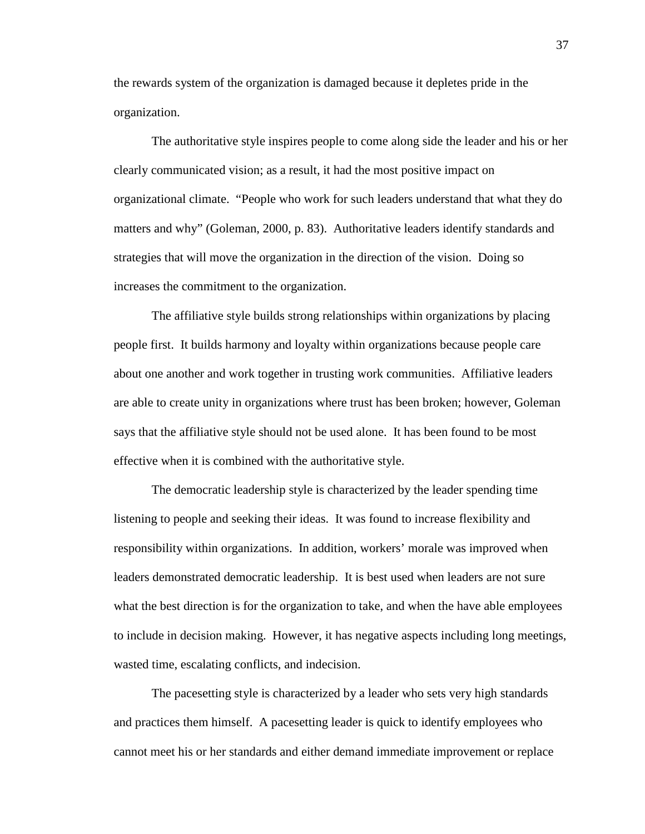the rewards system of the organization is damaged because it depletes pride in the organization.

The authoritative style inspires people to come along side the leader and his or her clearly communicated vision; as a result, it had the most positive impact on organizational climate. "People who work for such leaders understand that what they do matters and why" (Goleman, 2000, p. 83). Authoritative leaders identify standards and strategies that will move the organization in the direction of the vision. Doing so increases the commitment to the organization.

The affiliative style builds strong relationships within organizations by placing people first. It builds harmony and loyalty within organizations because people care about one another and work together in trusting work communities. Affiliative leaders are able to create unity in organizations where trust has been broken; however, Goleman says that the affiliative style should not be used alone. It has been found to be most effective when it is combined with the authoritative style.

The democratic leadership style is characterized by the leader spending time listening to people and seeking their ideas. It was found to increase flexibility and responsibility within organizations. In addition, workers' morale was improved when leaders demonstrated democratic leadership. It is best used when leaders are not sure what the best direction is for the organization to take, and when the have able employees to include in decision making. However, it has negative aspects including long meetings, wasted time, escalating conflicts, and indecision.

The pacesetting style is characterized by a leader who sets very high standards and practices them himself. A pacesetting leader is quick to identify employees who cannot meet his or her standards and either demand immediate improvement or replace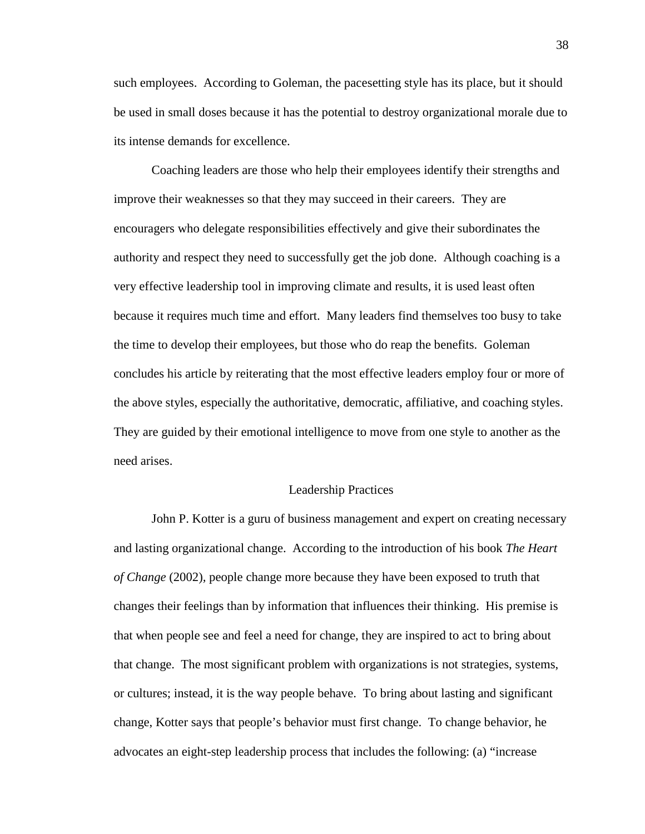such employees. According to Goleman, the pacesetting style has its place, but it should be used in small doses because it has the potential to destroy organizational morale due to its intense demands for excellence.

Coaching leaders are those who help their employees identify their strengths and improve their weaknesses so that they may succeed in their careers. They are encouragers who delegate responsibilities effectively and give their subordinates the authority and respect they need to successfully get the job done. Although coaching is a very effective leadership tool in improving climate and results, it is used least often because it requires much time and effort. Many leaders find themselves too busy to take the time to develop their employees, but those who do reap the benefits. Goleman concludes his article by reiterating that the most effective leaders employ four or more of the above styles, especially the authoritative, democratic, affiliative, and coaching styles. They are guided by their emotional intelligence to move from one style to another as the need arises.

## Leadership Practices

John P. Kotter is a guru of business management and expert on creating necessary and lasting organizational change. According to the introduction of his book *The Heart of Change* (2002)*,* people change more because they have been exposed to truth that changes their feelings than by information that influences their thinking. His premise is that when people see and feel a need for change, they are inspired to act to bring about that change. The most significant problem with organizations is not strategies, systems, or cultures; instead, it is the way people behave. To bring about lasting and significant change, Kotter says that people's behavior must first change. To change behavior, he advocates an eight-step leadership process that includes the following: (a) "increase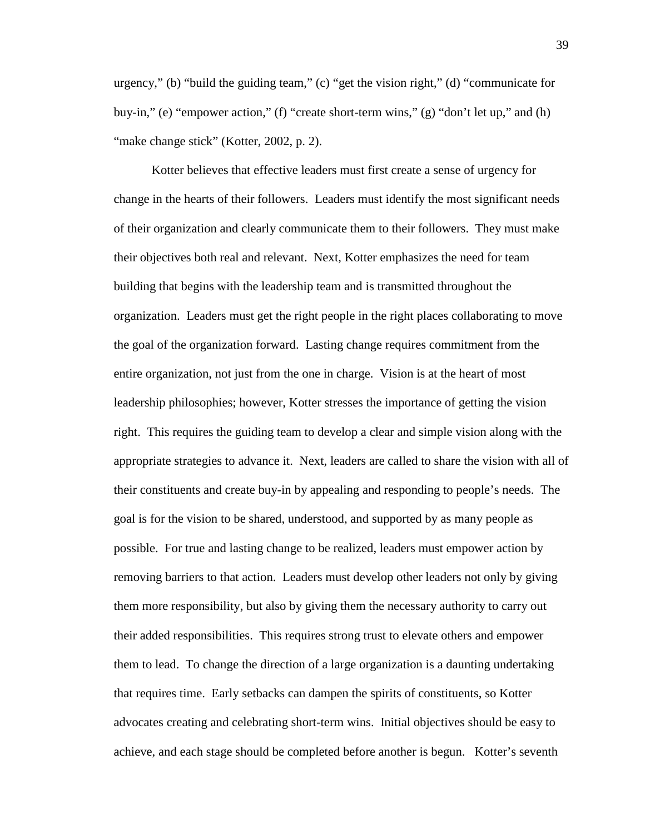urgency," (b) "build the guiding team," (c) "get the vision right," (d) "communicate for buy-in," (e) "empower action," (f) "create short-term wins," (g) "don't let up," and (h) "make change stick" (Kotter, 2002, p. 2).

Kotter believes that effective leaders must first create a sense of urgency for change in the hearts of their followers. Leaders must identify the most significant needs of their organization and clearly communicate them to their followers. They must make their objectives both real and relevant. Next, Kotter emphasizes the need for team building that begins with the leadership team and is transmitted throughout the organization. Leaders must get the right people in the right places collaborating to move the goal of the organization forward. Lasting change requires commitment from the entire organization, not just from the one in charge. Vision is at the heart of most leadership philosophies; however, Kotter stresses the importance of getting the vision right. This requires the guiding team to develop a clear and simple vision along with the appropriate strategies to advance it. Next, leaders are called to share the vision with all of their constituents and create buy-in by appealing and responding to people's needs. The goal is for the vision to be shared, understood, and supported by as many people as possible. For true and lasting change to be realized, leaders must empower action by removing barriers to that action. Leaders must develop other leaders not only by giving them more responsibility, but also by giving them the necessary authority to carry out their added responsibilities. This requires strong trust to elevate others and empower them to lead. To change the direction of a large organization is a daunting undertaking that requires time. Early setbacks can dampen the spirits of constituents, so Kotter advocates creating and celebrating short-term wins. Initial objectives should be easy to achieve, and each stage should be completed before another is begun. Kotter's seventh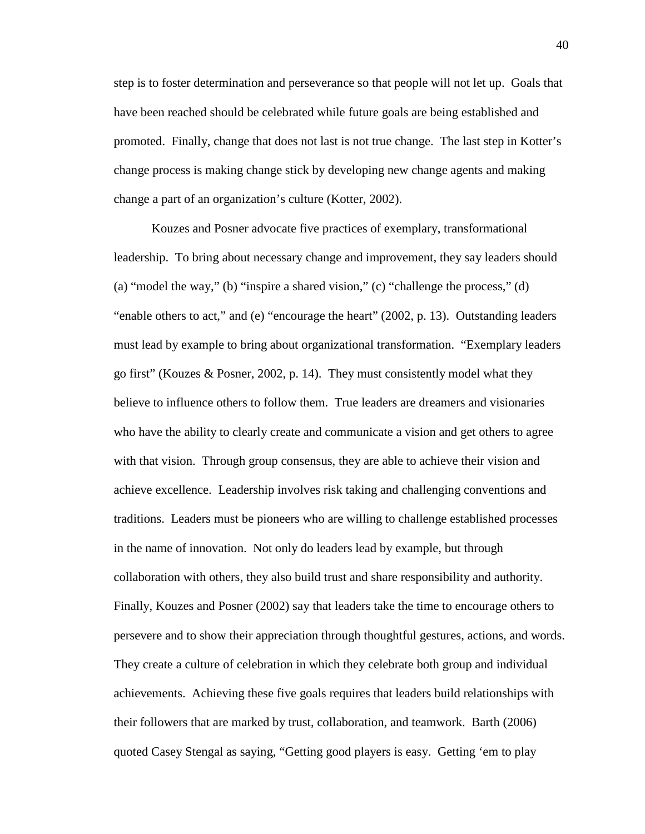step is to foster determination and perseverance so that people will not let up. Goals that have been reached should be celebrated while future goals are being established and promoted. Finally, change that does not last is not true change. The last step in Kotter's change process is making change stick by developing new change agents and making change a part of an organization's culture (Kotter, 2002).

Kouzes and Posner advocate five practices of exemplary, transformational leadership. To bring about necessary change and improvement, they say leaders should (a) "model the way," (b) "inspire a shared vision," (c) "challenge the process," (d) "enable others to act," and (e) "encourage the heart" (2002, p. 13). Outstanding leaders must lead by example to bring about organizational transformation. "Exemplary leaders go first" (Kouzes & Posner, 2002, p. 14). They must consistently model what they believe to influence others to follow them. True leaders are dreamers and visionaries who have the ability to clearly create and communicate a vision and get others to agree with that vision. Through group consensus, they are able to achieve their vision and achieve excellence. Leadership involves risk taking and challenging conventions and traditions. Leaders must be pioneers who are willing to challenge established processes in the name of innovation. Not only do leaders lead by example, but through collaboration with others, they also build trust and share responsibility and authority. Finally, Kouzes and Posner (2002) say that leaders take the time to encourage others to persevere and to show their appreciation through thoughtful gestures, actions, and words. They create a culture of celebration in which they celebrate both group and individual achievements. Achieving these five goals requires that leaders build relationships with their followers that are marked by trust, collaboration, and teamwork. Barth (2006) quoted Casey Stengal as saying, "Getting good players is easy. Getting 'em to play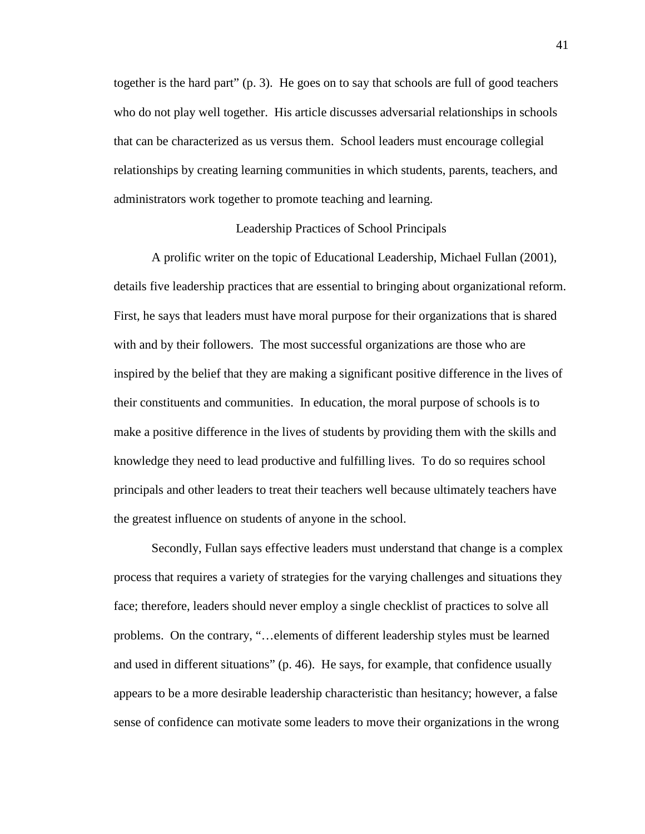together is the hard part" (p. 3). He goes on to say that schools are full of good teachers who do not play well together. His article discusses adversarial relationships in schools that can be characterized as us versus them. School leaders must encourage collegial relationships by creating learning communities in which students, parents, teachers, and administrators work together to promote teaching and learning.

## Leadership Practices of School Principals

A prolific writer on the topic of Educational Leadership, Michael Fullan (2001), details five leadership practices that are essential to bringing about organizational reform. First, he says that leaders must have moral purpose for their organizations that is shared with and by their followers. The most successful organizations are those who are inspired by the belief that they are making a significant positive difference in the lives of their constituents and communities. In education, the moral purpose of schools is to make a positive difference in the lives of students by providing them with the skills and knowledge they need to lead productive and fulfilling lives. To do so requires school principals and other leaders to treat their teachers well because ultimately teachers have the greatest influence on students of anyone in the school.

Secondly, Fullan says effective leaders must understand that change is a complex process that requires a variety of strategies for the varying challenges and situations they face; therefore, leaders should never employ a single checklist of practices to solve all problems. On the contrary, "…elements of different leadership styles must be learned and used in different situations" (p. 46). He says, for example, that confidence usually appears to be a more desirable leadership characteristic than hesitancy; however, a false sense of confidence can motivate some leaders to move their organizations in the wrong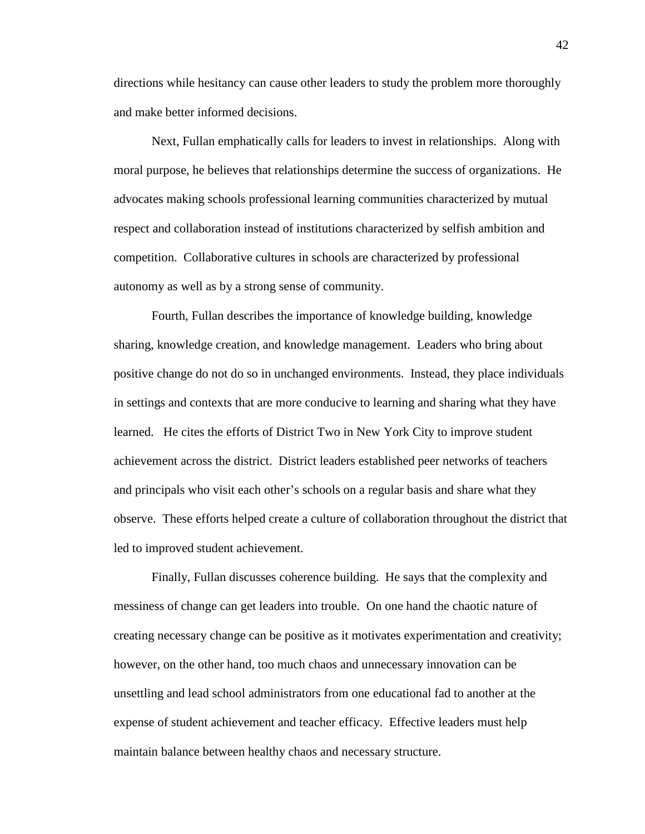directions while hesitancy can cause other leaders to study the problem more thoroughly and make better informed decisions.

Next, Fullan emphatically calls for leaders to invest in relationships. Along with moral purpose, he believes that relationships determine the success of organizations. He advocates making schools professional learning communities characterized by mutual respect and collaboration instead of institutions characterized by selfish ambition and competition. Collaborative cultures in schools are characterized by professional autonomy as well as by a strong sense of community.

Fourth, Fullan describes the importance of knowledge building, knowledge sharing, knowledge creation, and knowledge management. Leaders who bring about positive change do not do so in unchanged environments. Instead, they place individuals in settings and contexts that are more conducive to learning and sharing what they have learned. He cites the efforts of District Two in New York City to improve student achievement across the district. District leaders established peer networks of teachers and principals who visit each other's schools on a regular basis and share what they observe. These efforts helped create a culture of collaboration throughout the district that led to improved student achievement.

Finally, Fullan discusses coherence building. He says that the complexity and messiness of change can get leaders into trouble. On one hand the chaotic nature of creating necessary change can be positive as it motivates experimentation and creativity; however, on the other hand, too much chaos and unnecessary innovation can be unsettling and lead school administrators from one educational fad to another at the expense of student achievement and teacher efficacy. Effective leaders must help maintain balance between healthy chaos and necessary structure.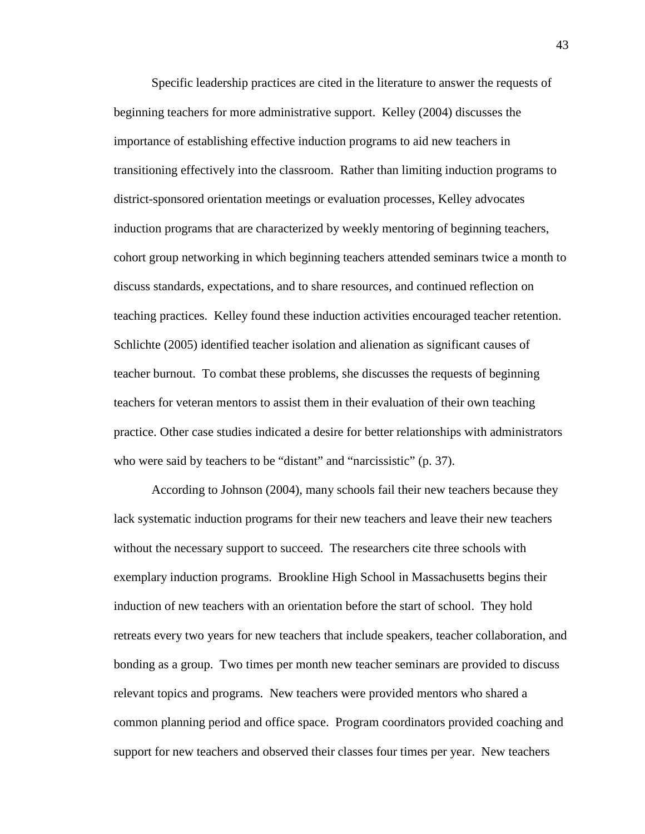Specific leadership practices are cited in the literature to answer the requests of beginning teachers for more administrative support. Kelley (2004) discusses the importance of establishing effective induction programs to aid new teachers in transitioning effectively into the classroom. Rather than limiting induction programs to district-sponsored orientation meetings or evaluation processes, Kelley advocates induction programs that are characterized by weekly mentoring of beginning teachers, cohort group networking in which beginning teachers attended seminars twice a month to discuss standards, expectations, and to share resources, and continued reflection on teaching practices. Kelley found these induction activities encouraged teacher retention. Schlichte (2005) identified teacher isolation and alienation as significant causes of teacher burnout. To combat these problems, she discusses the requests of beginning teachers for veteran mentors to assist them in their evaluation of their own teaching practice. Other case studies indicated a desire for better relationships with administrators who were said by teachers to be "distant" and "narcissistic" (p. 37).

According to Johnson (2004), many schools fail their new teachers because they lack systematic induction programs for their new teachers and leave their new teachers without the necessary support to succeed. The researchers cite three schools with exemplary induction programs. Brookline High School in Massachusetts begins their induction of new teachers with an orientation before the start of school. They hold retreats every two years for new teachers that include speakers, teacher collaboration, and bonding as a group. Two times per month new teacher seminars are provided to discuss relevant topics and programs. New teachers were provided mentors who shared a common planning period and office space. Program coordinators provided coaching and support for new teachers and observed their classes four times per year. New teachers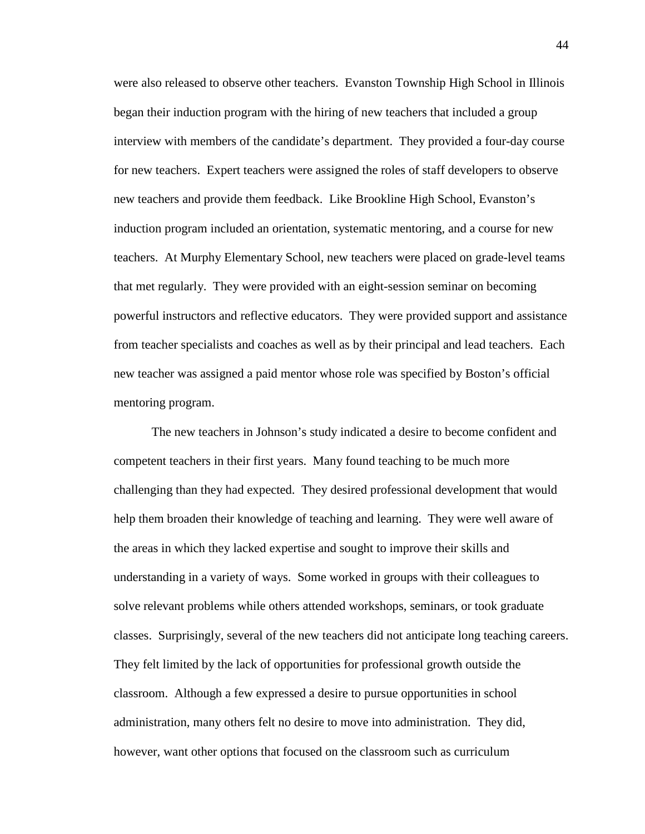were also released to observe other teachers. Evanston Township High School in Illinois began their induction program with the hiring of new teachers that included a group interview with members of the candidate's department. They provided a four-day course for new teachers. Expert teachers were assigned the roles of staff developers to observe new teachers and provide them feedback. Like Brookline High School, Evanston's induction program included an orientation, systematic mentoring, and a course for new teachers. At Murphy Elementary School, new teachers were placed on grade-level teams that met regularly. They were provided with an eight-session seminar on becoming powerful instructors and reflective educators. They were provided support and assistance from teacher specialists and coaches as well as by their principal and lead teachers. Each new teacher was assigned a paid mentor whose role was specified by Boston's official mentoring program.

The new teachers in Johnson's study indicated a desire to become confident and competent teachers in their first years. Many found teaching to be much more challenging than they had expected. They desired professional development that would help them broaden their knowledge of teaching and learning. They were well aware of the areas in which they lacked expertise and sought to improve their skills and understanding in a variety of ways. Some worked in groups with their colleagues to solve relevant problems while others attended workshops, seminars, or took graduate classes. Surprisingly, several of the new teachers did not anticipate long teaching careers. They felt limited by the lack of opportunities for professional growth outside the classroom. Although a few expressed a desire to pursue opportunities in school administration, many others felt no desire to move into administration. They did, however, want other options that focused on the classroom such as curriculum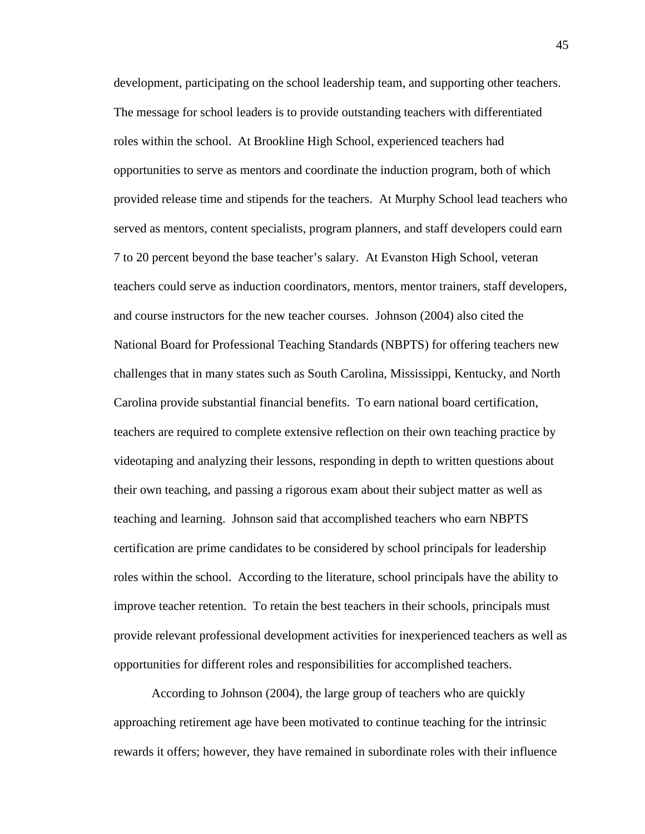development, participating on the school leadership team, and supporting other teachers. The message for school leaders is to provide outstanding teachers with differentiated roles within the school. At Brookline High School, experienced teachers had opportunities to serve as mentors and coordinate the induction program, both of which provided release time and stipends for the teachers. At Murphy School lead teachers who served as mentors, content specialists, program planners, and staff developers could earn 7 to 20 percent beyond the base teacher's salary. At Evanston High School, veteran teachers could serve as induction coordinators, mentors, mentor trainers, staff developers, and course instructors for the new teacher courses. Johnson (2004) also cited the National Board for Professional Teaching Standards (NBPTS) for offering teachers new challenges that in many states such as South Carolina, Mississippi, Kentucky, and North Carolina provide substantial financial benefits. To earn national board certification, teachers are required to complete extensive reflection on their own teaching practice by videotaping and analyzing their lessons, responding in depth to written questions about their own teaching, and passing a rigorous exam about their subject matter as well as teaching and learning. Johnson said that accomplished teachers who earn NBPTS certification are prime candidates to be considered by school principals for leadership roles within the school. According to the literature, school principals have the ability to improve teacher retention. To retain the best teachers in their schools, principals must provide relevant professional development activities for inexperienced teachers as well as opportunities for different roles and responsibilities for accomplished teachers.

According to Johnson (2004), the large group of teachers who are quickly approaching retirement age have been motivated to continue teaching for the intrinsic rewards it offers; however, they have remained in subordinate roles with their influence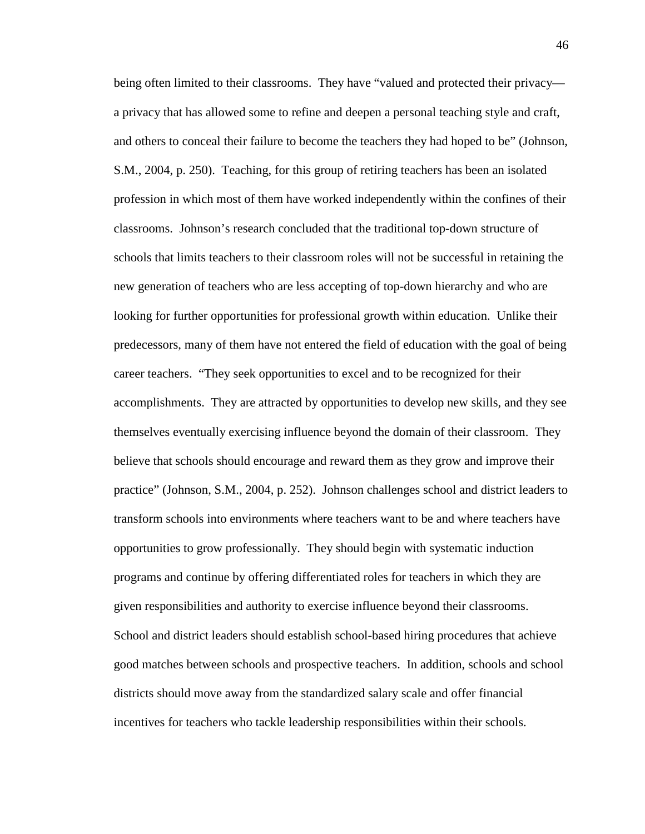being often limited to their classrooms. They have "valued and protected their privacy a privacy that has allowed some to refine and deepen a personal teaching style and craft, and others to conceal their failure to become the teachers they had hoped to be" (Johnson, S.M., 2004, p. 250). Teaching, for this group of retiring teachers has been an isolated profession in which most of them have worked independently within the confines of their classrooms. Johnson's research concluded that the traditional top-down structure of schools that limits teachers to their classroom roles will not be successful in retaining the new generation of teachers who are less accepting of top-down hierarchy and who are looking for further opportunities for professional growth within education. Unlike their predecessors, many of them have not entered the field of education with the goal of being career teachers. "They seek opportunities to excel and to be recognized for their accomplishments. They are attracted by opportunities to develop new skills, and they see themselves eventually exercising influence beyond the domain of their classroom. They believe that schools should encourage and reward them as they grow and improve their practice" (Johnson, S.M., 2004, p. 252). Johnson challenges school and district leaders to transform schools into environments where teachers want to be and where teachers have opportunities to grow professionally. They should begin with systematic induction programs and continue by offering differentiated roles for teachers in which they are given responsibilities and authority to exercise influence beyond their classrooms. School and district leaders should establish school-based hiring procedures that achieve good matches between schools and prospective teachers. In addition, schools and school districts should move away from the standardized salary scale and offer financial incentives for teachers who tackle leadership responsibilities within their schools.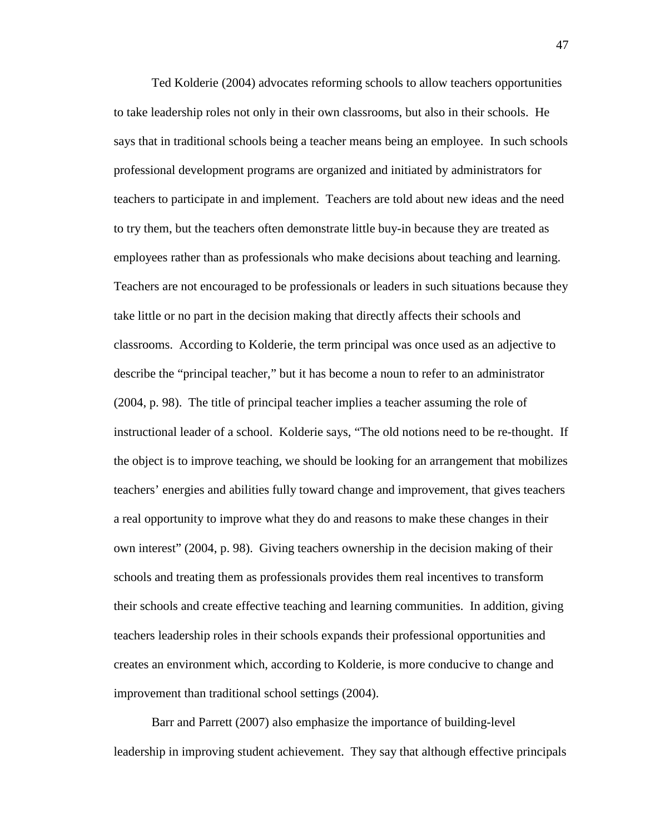Ted Kolderie (2004) advocates reforming schools to allow teachers opportunities to take leadership roles not only in their own classrooms, but also in their schools. He says that in traditional schools being a teacher means being an employee. In such schools professional development programs are organized and initiated by administrators for teachers to participate in and implement. Teachers are told about new ideas and the need to try them, but the teachers often demonstrate little buy-in because they are treated as employees rather than as professionals who make decisions about teaching and learning. Teachers are not encouraged to be professionals or leaders in such situations because they take little or no part in the decision making that directly affects their schools and classrooms. According to Kolderie, the term principal was once used as an adjective to describe the "principal teacher," but it has become a noun to refer to an administrator (2004, p. 98). The title of principal teacher implies a teacher assuming the role of instructional leader of a school. Kolderie says, "The old notions need to be re-thought. If the object is to improve teaching, we should be looking for an arrangement that mobilizes teachers' energies and abilities fully toward change and improvement, that gives teachers a real opportunity to improve what they do and reasons to make these changes in their own interest" (2004, p. 98). Giving teachers ownership in the decision making of their schools and treating them as professionals provides them real incentives to transform their schools and create effective teaching and learning communities. In addition, giving teachers leadership roles in their schools expands their professional opportunities and creates an environment which, according to Kolderie, is more conducive to change and improvement than traditional school settings (2004).

Barr and Parrett (2007) also emphasize the importance of building-level leadership in improving student achievement. They say that although effective principals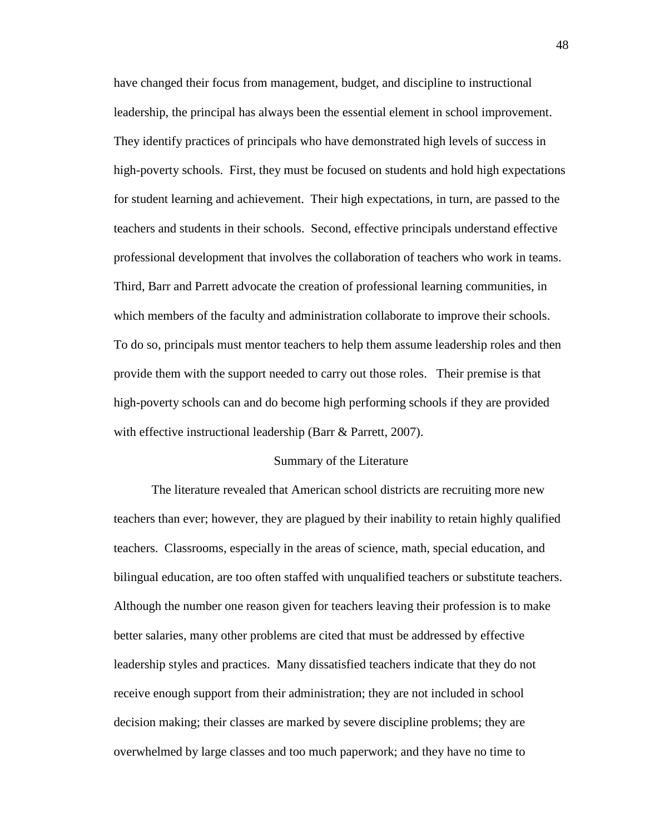have changed their focus from management, budget, and discipline to instructional leadership, the principal has always been the essential element in school improvement. They identify practices of principals who have demonstrated high levels of success in high-poverty schools. First, they must be focused on students and hold high expectations for student learning and achievement. Their high expectations, in turn, are passed to the teachers and students in their schools. Second, effective principals understand effective professional development that involves the collaboration of teachers who work in teams. Third, Barr and Parrett advocate the creation of professional learning communities, in which members of the faculty and administration collaborate to improve their schools. To do so, principals must mentor teachers to help them assume leadership roles and then provide them with the support needed to carry out those roles. Their premise is that high-poverty schools can and do become high performing schools if they are provided with effective instructional leadership (Barr & Parrett, 2007).

## Summary of the Literature

The literature revealed that American school districts are recruiting more new teachers than ever; however, they are plagued by their inability to retain highly qualified teachers. Classrooms, especially in the areas of science, math, special education, and bilingual education, are too often staffed with unqualified teachers or substitute teachers. Although the number one reason given for teachers leaving their profession is to make better salaries, many other problems are cited that must be addressed by effective leadership styles and practices. Many dissatisfied teachers indicate that they do not receive enough support from their administration; they are not included in school decision making; their classes are marked by severe discipline problems; they are overwhelmed by large classes and too much paperwork; and they have no time to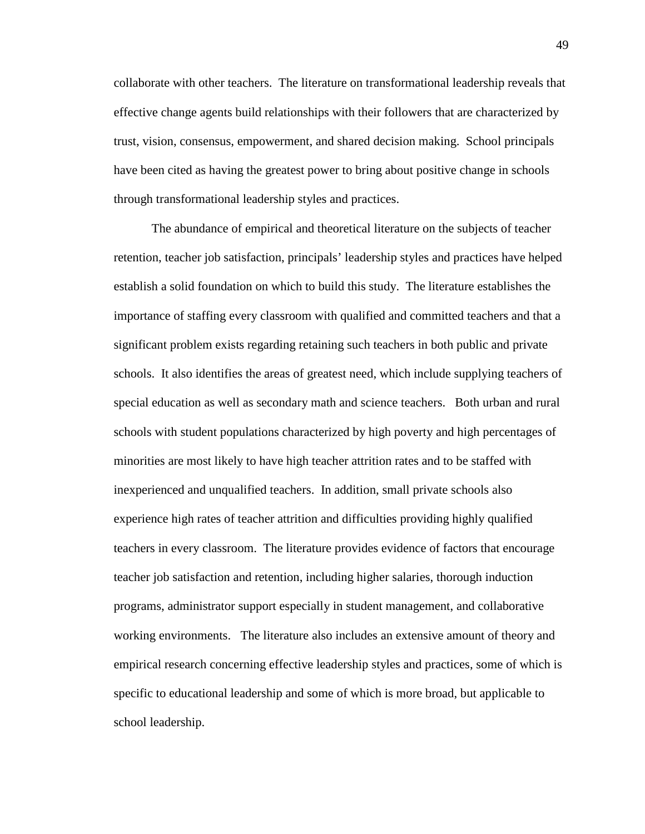collaborate with other teachers. The literature on transformational leadership reveals that effective change agents build relationships with their followers that are characterized by trust, vision, consensus, empowerment, and shared decision making. School principals have been cited as having the greatest power to bring about positive change in schools through transformational leadership styles and practices.

The abundance of empirical and theoretical literature on the subjects of teacher retention, teacher job satisfaction, principals' leadership styles and practices have helped establish a solid foundation on which to build this study. The literature establishes the importance of staffing every classroom with qualified and committed teachers and that a significant problem exists regarding retaining such teachers in both public and private schools. It also identifies the areas of greatest need, which include supplying teachers of special education as well as secondary math and science teachers. Both urban and rural schools with student populations characterized by high poverty and high percentages of minorities are most likely to have high teacher attrition rates and to be staffed with inexperienced and unqualified teachers. In addition, small private schools also experience high rates of teacher attrition and difficulties providing highly qualified teachers in every classroom. The literature provides evidence of factors that encourage teacher job satisfaction and retention, including higher salaries, thorough induction programs, administrator support especially in student management, and collaborative working environments. The literature also includes an extensive amount of theory and empirical research concerning effective leadership styles and practices, some of which is specific to educational leadership and some of which is more broad, but applicable to school leadership.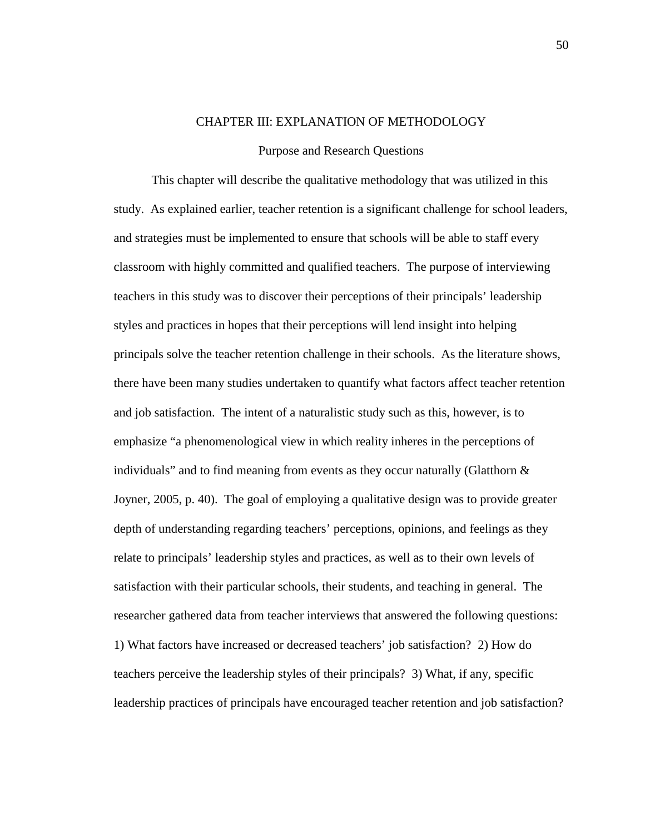# CHAPTER III: EXPLANATION OF METHODOLOGY

## Purpose and Research Questions

This chapter will describe the qualitative methodology that was utilized in this study. As explained earlier, teacher retention is a significant challenge for school leaders, and strategies must be implemented to ensure that schools will be able to staff every classroom with highly committed and qualified teachers. The purpose of interviewing teachers in this study was to discover their perceptions of their principals' leadership styles and practices in hopes that their perceptions will lend insight into helping principals solve the teacher retention challenge in their schools. As the literature shows, there have been many studies undertaken to quantify what factors affect teacher retention and job satisfaction. The intent of a naturalistic study such as this, however, is to emphasize "a phenomenological view in which reality inheres in the perceptions of individuals" and to find meaning from events as they occur naturally (Glatthorn  $\&$ Joyner, 2005, p. 40). The goal of employing a qualitative design was to provide greater depth of understanding regarding teachers' perceptions, opinions, and feelings as they relate to principals' leadership styles and practices, as well as to their own levels of satisfaction with their particular schools, their students, and teaching in general. The researcher gathered data from teacher interviews that answered the following questions: 1) What factors have increased or decreased teachers' job satisfaction? 2) How do teachers perceive the leadership styles of their principals? 3) What, if any, specific leadership practices of principals have encouraged teacher retention and job satisfaction?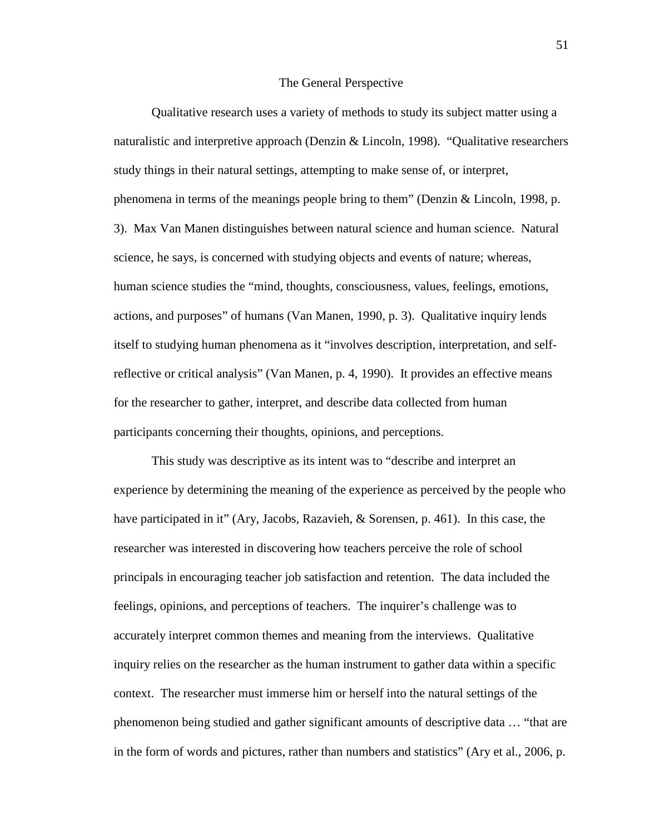#### The General Perspective

 Qualitative research uses a variety of methods to study its subject matter using a naturalistic and interpretive approach (Denzin & Lincoln, 1998). "Qualitative researchers study things in their natural settings, attempting to make sense of, or interpret, phenomena in terms of the meanings people bring to them" (Denzin & Lincoln, 1998, p. 3). Max Van Manen distinguishes between natural science and human science. Natural science, he says, is concerned with studying objects and events of nature; whereas, human science studies the "mind, thoughts, consciousness, values, feelings, emotions, actions, and purposes" of humans (Van Manen, 1990, p. 3). Qualitative inquiry lends itself to studying human phenomena as it "involves description, interpretation, and selfreflective or critical analysis" (Van Manen, p. 4, 1990). It provides an effective means for the researcher to gather, interpret, and describe data collected from human participants concerning their thoughts, opinions, and perceptions.

This study was descriptive as its intent was to "describe and interpret an experience by determining the meaning of the experience as perceived by the people who have participated in it" (Ary, Jacobs, Razavieh, & Sorensen, p. 461). In this case, the researcher was interested in discovering how teachers perceive the role of school principals in encouraging teacher job satisfaction and retention. The data included the feelings, opinions, and perceptions of teachers. The inquirer's challenge was to accurately interpret common themes and meaning from the interviews. Qualitative inquiry relies on the researcher as the human instrument to gather data within a specific context. The researcher must immerse him or herself into the natural settings of the phenomenon being studied and gather significant amounts of descriptive data … "that are in the form of words and pictures, rather than numbers and statistics" (Ary et al., 2006, p.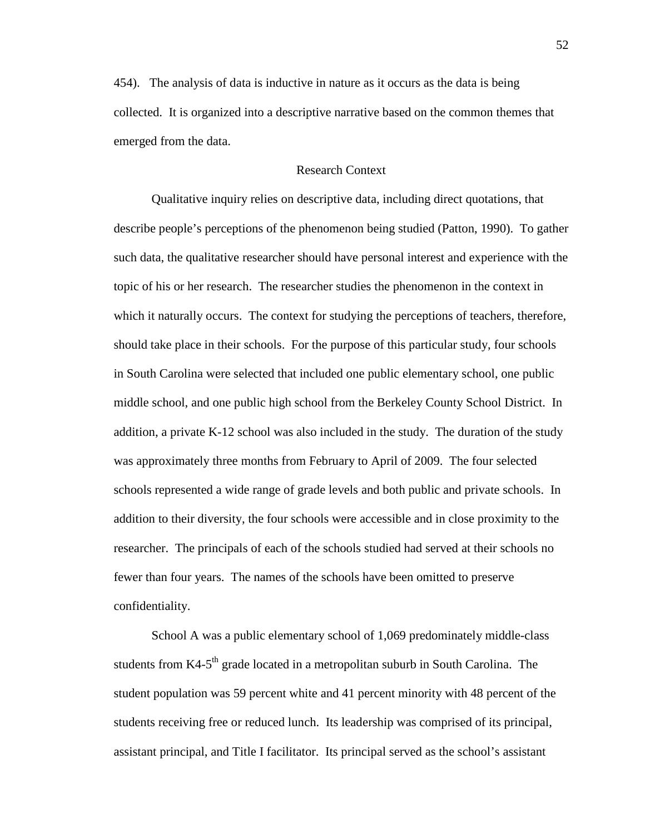454). The analysis of data is inductive in nature as it occurs as the data is being collected. It is organized into a descriptive narrative based on the common themes that emerged from the data.

# Research Context

 Qualitative inquiry relies on descriptive data, including direct quotations, that describe people's perceptions of the phenomenon being studied (Patton, 1990). To gather such data, the qualitative researcher should have personal interest and experience with the topic of his or her research. The researcher studies the phenomenon in the context in which it naturally occurs. The context for studying the perceptions of teachers, therefore, should take place in their schools. For the purpose of this particular study, four schools in South Carolina were selected that included one public elementary school, one public middle school, and one public high school from the Berkeley County School District. In addition, a private K-12 school was also included in the study. The duration of the study was approximately three months from February to April of 2009. The four selected schools represented a wide range of grade levels and both public and private schools. In addition to their diversity, the four schools were accessible and in close proximity to the researcher. The principals of each of the schools studied had served at their schools no fewer than four years. The names of the schools have been omitted to preserve confidentiality.

School A was a public elementary school of 1,069 predominately middle-class students from K4-5<sup>th</sup> grade located in a metropolitan suburb in South Carolina. The student population was 59 percent white and 41 percent minority with 48 percent of the students receiving free or reduced lunch. Its leadership was comprised of its principal, assistant principal, and Title I facilitator. Its principal served as the school's assistant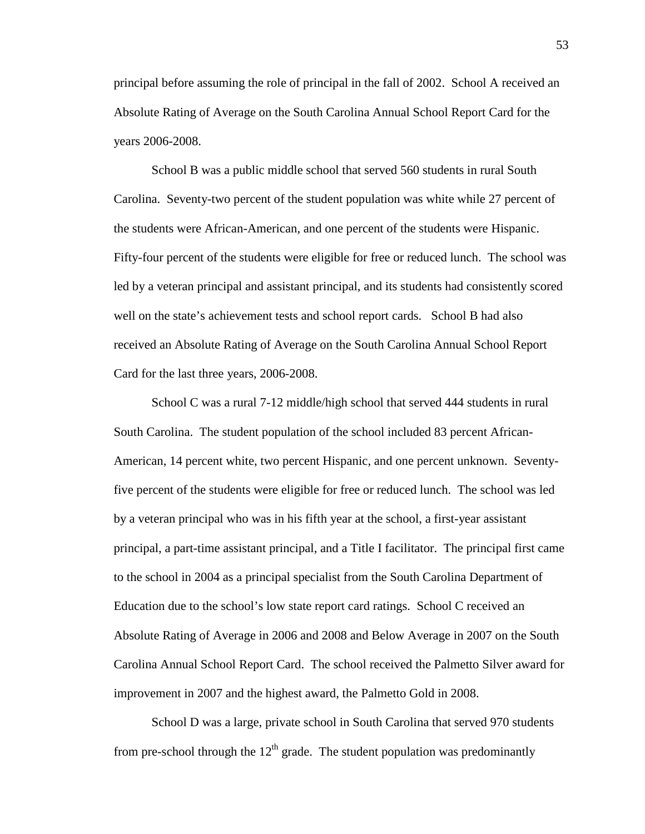principal before assuming the role of principal in the fall of 2002. School A received an Absolute Rating of Average on the South Carolina Annual School Report Card for the years 2006-2008.

School B was a public middle school that served 560 students in rural South Carolina. Seventy-two percent of the student population was white while 27 percent of the students were African-American, and one percent of the students were Hispanic. Fifty-four percent of the students were eligible for free or reduced lunch. The school was led by a veteran principal and assistant principal, and its students had consistently scored well on the state's achievement tests and school report cards. School B had also received an Absolute Rating of Average on the South Carolina Annual School Report Card for the last three years, 2006-2008.

School C was a rural 7-12 middle/high school that served 444 students in rural South Carolina. The student population of the school included 83 percent African-American, 14 percent white, two percent Hispanic, and one percent unknown. Seventyfive percent of the students were eligible for free or reduced lunch. The school was led by a veteran principal who was in his fifth year at the school, a first-year assistant principal, a part-time assistant principal, and a Title I facilitator. The principal first came to the school in 2004 as a principal specialist from the South Carolina Department of Education due to the school's low state report card ratings. School C received an Absolute Rating of Average in 2006 and 2008 and Below Average in 2007 on the South Carolina Annual School Report Card. The school received the Palmetto Silver award for improvement in 2007 and the highest award, the Palmetto Gold in 2008.

School D was a large, private school in South Carolina that served 970 students from pre-school through the  $12<sup>th</sup>$  grade. The student population was predominantly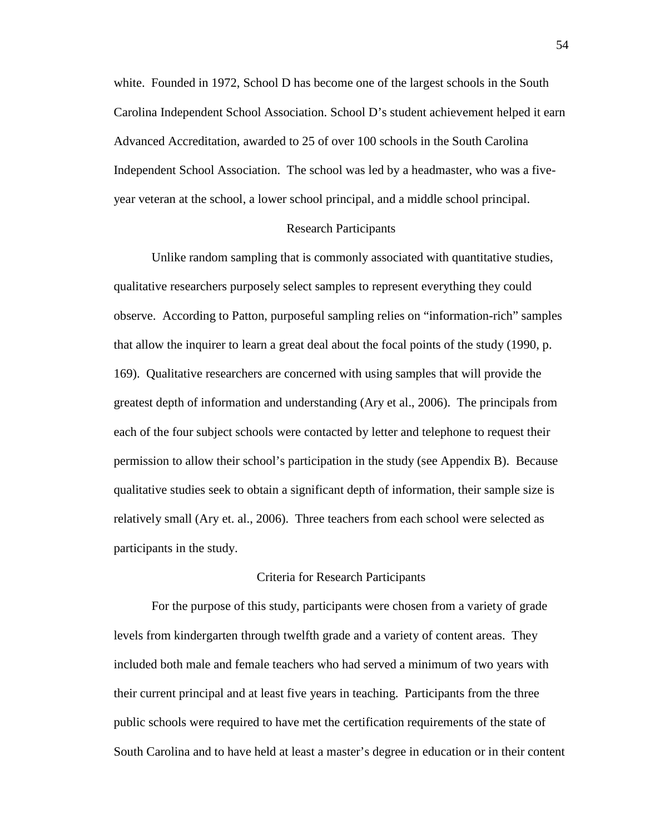white. Founded in 1972, School D has become one of the largest schools in the South Carolina Independent School Association. School D's student achievement helped it earn Advanced Accreditation, awarded to 25 of over 100 schools in the South Carolina Independent School Association. The school was led by a headmaster, who was a fiveyear veteran at the school, a lower school principal, and a middle school principal.

## Research Participants

Unlike random sampling that is commonly associated with quantitative studies, qualitative researchers purposely select samples to represent everything they could observe. According to Patton, purposeful sampling relies on "information-rich" samples that allow the inquirer to learn a great deal about the focal points of the study (1990, p. 169). Qualitative researchers are concerned with using samples that will provide the greatest depth of information and understanding (Ary et al., 2006). The principals from each of the four subject schools were contacted by letter and telephone to request their permission to allow their school's participation in the study (see Appendix B). Because qualitative studies seek to obtain a significant depth of information, their sample size is relatively small (Ary et. al., 2006). Three teachers from each school were selected as participants in the study.

## Criteria for Research Participants

For the purpose of this study, participants were chosen from a variety of grade levels from kindergarten through twelfth grade and a variety of content areas. They included both male and female teachers who had served a minimum of two years with their current principal and at least five years in teaching. Participants from the three public schools were required to have met the certification requirements of the state of South Carolina and to have held at least a master's degree in education or in their content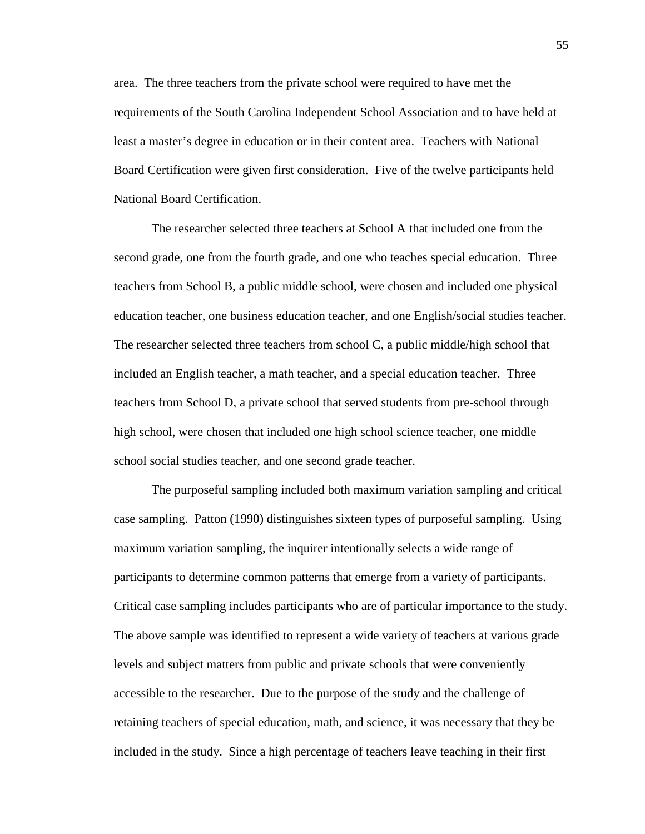area. The three teachers from the private school were required to have met the requirements of the South Carolina Independent School Association and to have held at least a master's degree in education or in their content area. Teachers with National Board Certification were given first consideration. Five of the twelve participants held National Board Certification.

The researcher selected three teachers at School A that included one from the second grade, one from the fourth grade, and one who teaches special education. Three teachers from School B, a public middle school, were chosen and included one physical education teacher, one business education teacher, and one English/social studies teacher. The researcher selected three teachers from school C, a public middle/high school that included an English teacher, a math teacher, and a special education teacher. Three teachers from School D, a private school that served students from pre-school through high school, were chosen that included one high school science teacher, one middle school social studies teacher, and one second grade teacher.

The purposeful sampling included both maximum variation sampling and critical case sampling. Patton (1990) distinguishes sixteen types of purposeful sampling. Using maximum variation sampling, the inquirer intentionally selects a wide range of participants to determine common patterns that emerge from a variety of participants. Critical case sampling includes participants who are of particular importance to the study. The above sample was identified to represent a wide variety of teachers at various grade levels and subject matters from public and private schools that were conveniently accessible to the researcher. Due to the purpose of the study and the challenge of retaining teachers of special education, math, and science, it was necessary that they be included in the study. Since a high percentage of teachers leave teaching in their first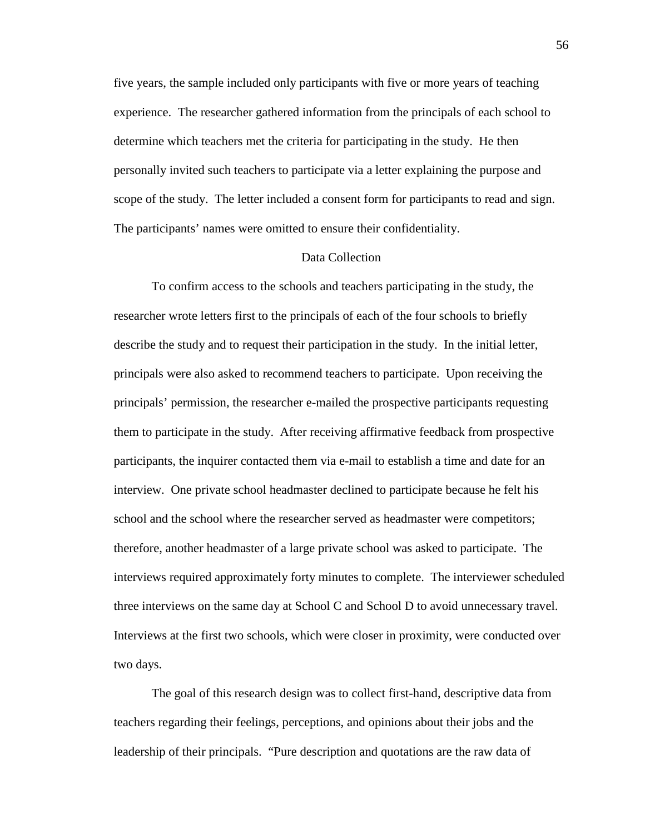five years, the sample included only participants with five or more years of teaching experience. The researcher gathered information from the principals of each school to determine which teachers met the criteria for participating in the study. He then personally invited such teachers to participate via a letter explaining the purpose and scope of the study. The letter included a consent form for participants to read and sign. The participants' names were omitted to ensure their confidentiality.

## Data Collection

To confirm access to the schools and teachers participating in the study, the researcher wrote letters first to the principals of each of the four schools to briefly describe the study and to request their participation in the study. In the initial letter, principals were also asked to recommend teachers to participate. Upon receiving the principals' permission, the researcher e-mailed the prospective participants requesting them to participate in the study. After receiving affirmative feedback from prospective participants, the inquirer contacted them via e-mail to establish a time and date for an interview. One private school headmaster declined to participate because he felt his school and the school where the researcher served as headmaster were competitors; therefore, another headmaster of a large private school was asked to participate. The interviews required approximately forty minutes to complete. The interviewer scheduled three interviews on the same day at School C and School D to avoid unnecessary travel. Interviews at the first two schools, which were closer in proximity, were conducted over two days.

The goal of this research design was to collect first-hand, descriptive data from teachers regarding their feelings, perceptions, and opinions about their jobs and the leadership of their principals. "Pure description and quotations are the raw data of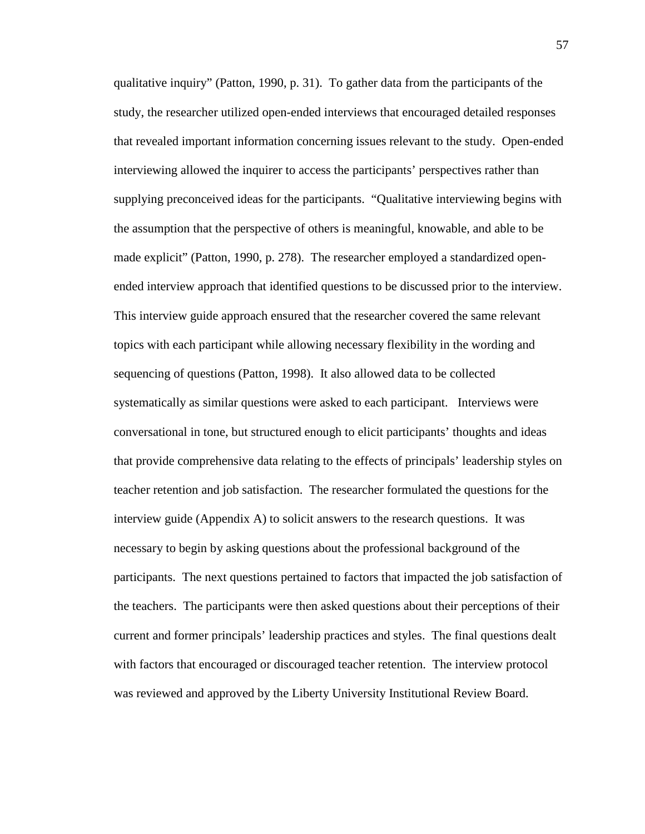qualitative inquiry" (Patton, 1990, p. 31). To gather data from the participants of the study, the researcher utilized open-ended interviews that encouraged detailed responses that revealed important information concerning issues relevant to the study. Open-ended interviewing allowed the inquirer to access the participants' perspectives rather than supplying preconceived ideas for the participants. "Qualitative interviewing begins with the assumption that the perspective of others is meaningful, knowable, and able to be made explicit" (Patton, 1990, p. 278). The researcher employed a standardized openended interview approach that identified questions to be discussed prior to the interview. This interview guide approach ensured that the researcher covered the same relevant topics with each participant while allowing necessary flexibility in the wording and sequencing of questions (Patton, 1998). It also allowed data to be collected systematically as similar questions were asked to each participant. Interviews were conversational in tone, but structured enough to elicit participants' thoughts and ideas that provide comprehensive data relating to the effects of principals' leadership styles on teacher retention and job satisfaction. The researcher formulated the questions for the interview guide (Appendix A) to solicit answers to the research questions. It was necessary to begin by asking questions about the professional background of the participants. The next questions pertained to factors that impacted the job satisfaction of the teachers. The participants were then asked questions about their perceptions of their current and former principals' leadership practices and styles. The final questions dealt with factors that encouraged or discouraged teacher retention. The interview protocol was reviewed and approved by the Liberty University Institutional Review Board.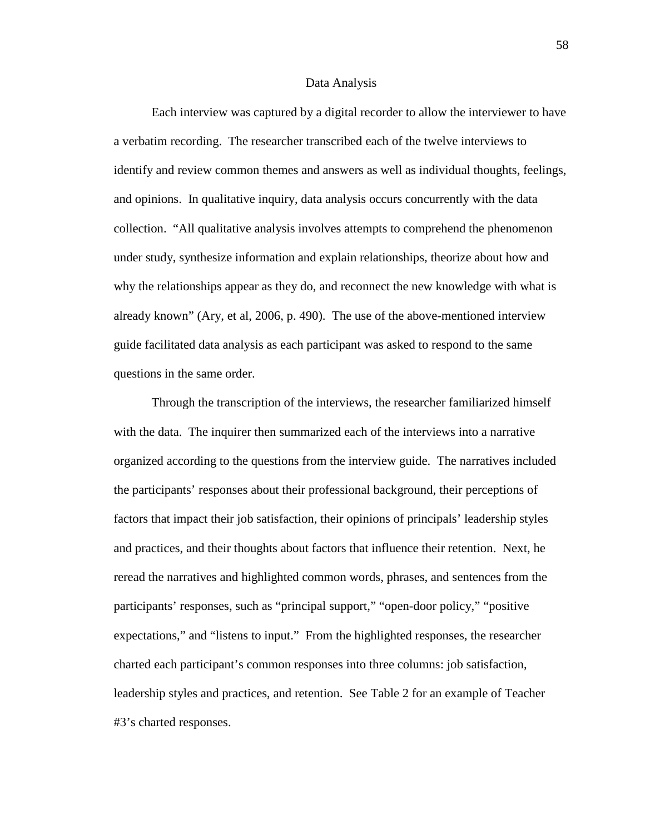#### Data Analysis

 Each interview was captured by a digital recorder to allow the interviewer to have a verbatim recording. The researcher transcribed each of the twelve interviews to identify and review common themes and answers as well as individual thoughts, feelings, and opinions. In qualitative inquiry, data analysis occurs concurrently with the data collection. "All qualitative analysis involves attempts to comprehend the phenomenon under study, synthesize information and explain relationships, theorize about how and why the relationships appear as they do, and reconnect the new knowledge with what is already known" (Ary, et al, 2006, p. 490). The use of the above-mentioned interview guide facilitated data analysis as each participant was asked to respond to the same questions in the same order.

Through the transcription of the interviews, the researcher familiarized himself with the data. The inquirer then summarized each of the interviews into a narrative organized according to the questions from the interview guide. The narratives included the participants' responses about their professional background, their perceptions of factors that impact their job satisfaction, their opinions of principals' leadership styles and practices, and their thoughts about factors that influence their retention. Next, he reread the narratives and highlighted common words, phrases, and sentences from the participants' responses, such as "principal support," "open-door policy," "positive expectations," and "listens to input." From the highlighted responses, the researcher charted each participant's common responses into three columns: job satisfaction, leadership styles and practices, and retention. See Table 2 for an example of Teacher #3's charted responses.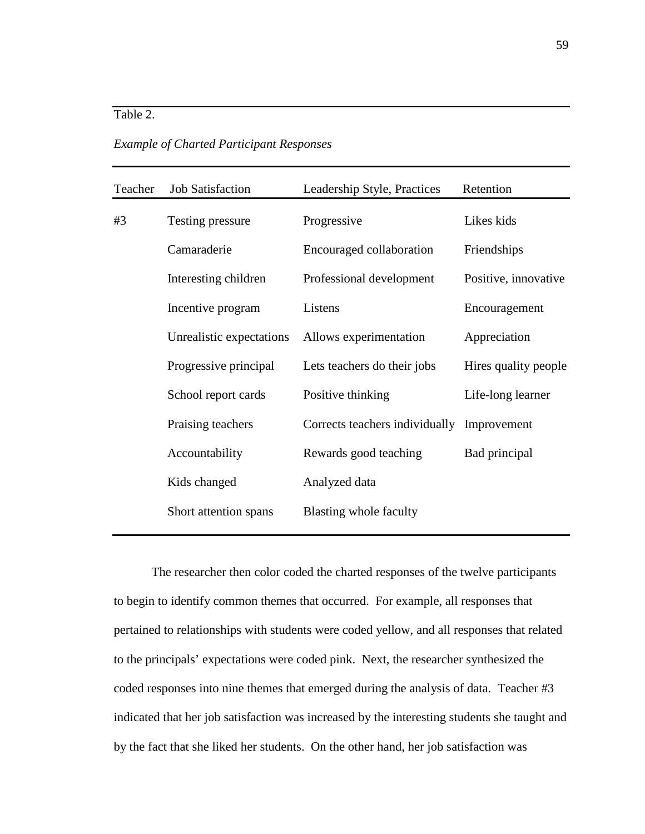*Example of Charted Participant Responses* 

| <b>Job Satisfaction</b>  | Leadership Style, Practices     | Retention                      |
|--------------------------|---------------------------------|--------------------------------|
| Testing pressure         | Progressive                     | Likes kids                     |
| Camaraderie              | <b>Encouraged collaboration</b> | Friendships                    |
| Interesting children     | Professional development        | Positive, innovative           |
| Incentive program        | Listens                         | Encouragement                  |
| Unrealistic expectations | Allows experimentation          | Appreciation                   |
| Progressive principal    | Lets teachers do their jobs     | Hires quality people           |
| School report cards      | Positive thinking               | Life-long learner              |
| Praising teachers        |                                 | Improvement                    |
| Accountability           | Rewards good teaching           | Bad principal                  |
| Kids changed             | Analyzed data                   |                                |
| Short attention spans    | Blasting whole faculty          |                                |
|                          |                                 | Corrects teachers individually |

The researcher then color coded the charted responses of the twelve participants to begin to identify common themes that occurred. For example, all responses that pertained to relationships with students were coded yellow, and all responses that related to the principals' expectations were coded pink. Next, the researcher synthesized the coded responses into nine themes that emerged during the analysis of data. Teacher #3 indicated that her job satisfaction was increased by the interesting students she taught and by the fact that she liked her students. On the other hand, her job satisfaction was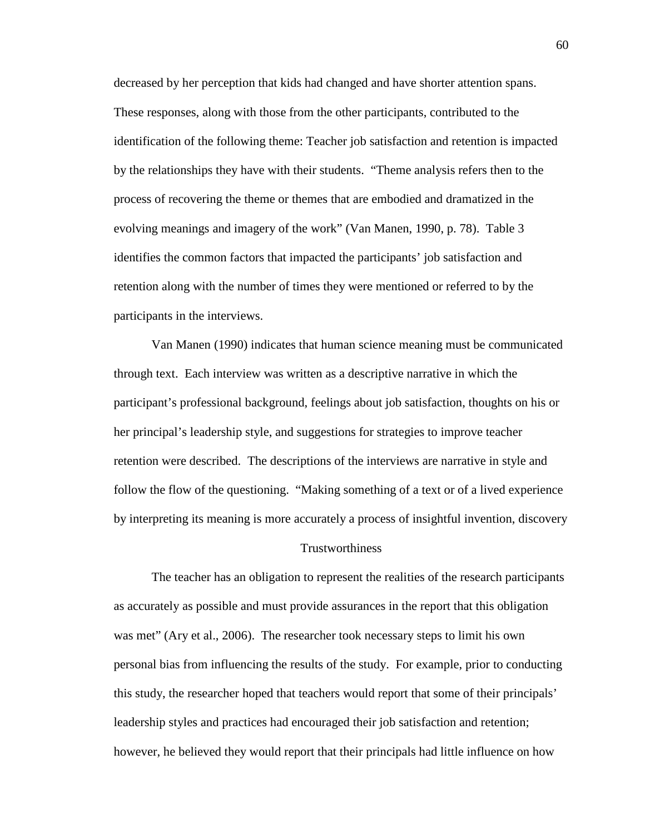decreased by her perception that kids had changed and have shorter attention spans. These responses, along with those from the other participants, contributed to the identification of the following theme: Teacher job satisfaction and retention is impacted by the relationships they have with their students. "Theme analysis refers then to the process of recovering the theme or themes that are embodied and dramatized in the evolving meanings and imagery of the work" (Van Manen, 1990, p. 78). Table 3 identifies the common factors that impacted the participants' job satisfaction and retention along with the number of times they were mentioned or referred to by the participants in the interviews.

 Van Manen (1990) indicates that human science meaning must be communicated through text. Each interview was written as a descriptive narrative in which the participant's professional background, feelings about job satisfaction, thoughts on his or her principal's leadership style, and suggestions for strategies to improve teacher retention were described. The descriptions of the interviews are narrative in style and follow the flow of the questioning. "Making something of a text or of a lived experience by interpreting its meaning is more accurately a process of insightful invention, discovery

#### Trustworthiness

The teacher has an obligation to represent the realities of the research participants as accurately as possible and must provide assurances in the report that this obligation was met" (Ary et al., 2006). The researcher took necessary steps to limit his own personal bias from influencing the results of the study. For example, prior to conducting this study, the researcher hoped that teachers would report that some of their principals' leadership styles and practices had encouraged their job satisfaction and retention; however, he believed they would report that their principals had little influence on how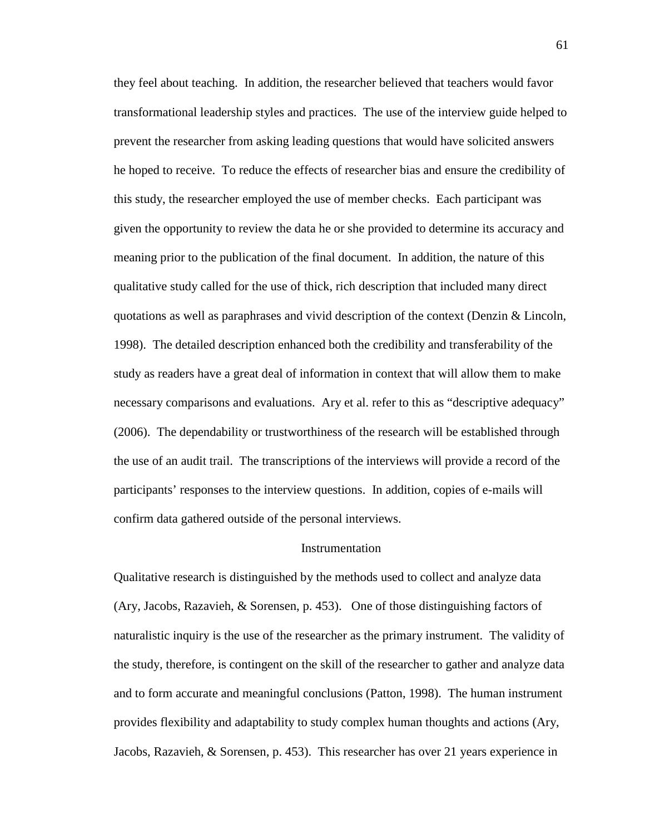they feel about teaching. In addition, the researcher believed that teachers would favor transformational leadership styles and practices. The use of the interview guide helped to prevent the researcher from asking leading questions that would have solicited answers he hoped to receive. To reduce the effects of researcher bias and ensure the credibility of this study, the researcher employed the use of member checks. Each participant was given the opportunity to review the data he or she provided to determine its accuracy and meaning prior to the publication of the final document. In addition, the nature of this qualitative study called for the use of thick, rich description that included many direct quotations as well as paraphrases and vivid description of the context (Denzin & Lincoln, 1998). The detailed description enhanced both the credibility and transferability of the study as readers have a great deal of information in context that will allow them to make necessary comparisons and evaluations. Ary et al. refer to this as "descriptive adequacy" (2006). The dependability or trustworthiness of the research will be established through the use of an audit trail. The transcriptions of the interviews will provide a record of the participants' responses to the interview questions. In addition, copies of e-mails will confirm data gathered outside of the personal interviews.

## Instrumentation

Qualitative research is distinguished by the methods used to collect and analyze data (Ary, Jacobs, Razavieh, & Sorensen, p. 453). One of those distinguishing factors of naturalistic inquiry is the use of the researcher as the primary instrument. The validity of the study, therefore, is contingent on the skill of the researcher to gather and analyze data and to form accurate and meaningful conclusions (Patton, 1998). The human instrument provides flexibility and adaptability to study complex human thoughts and actions (Ary, Jacobs, Razavieh, & Sorensen, p. 453). This researcher has over 21 years experience in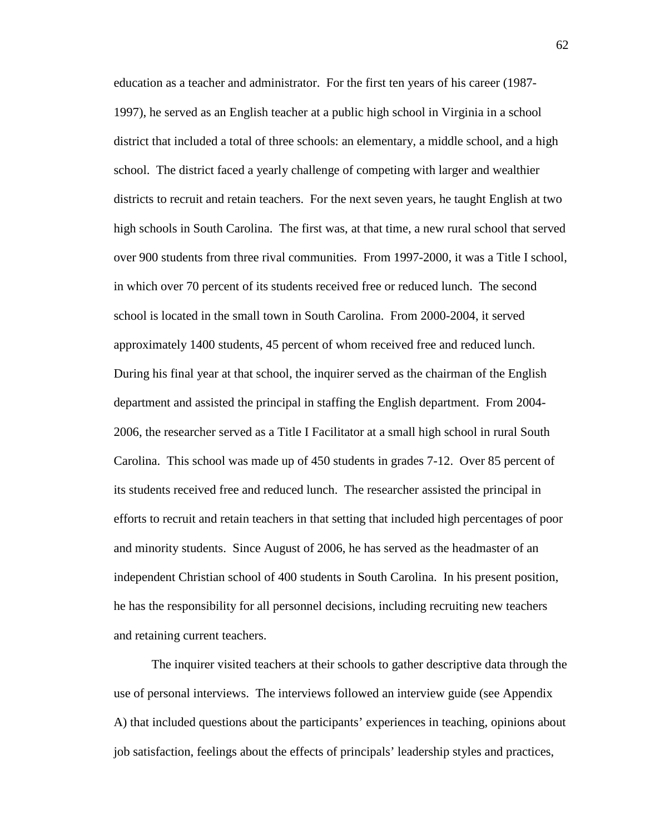education as a teacher and administrator. For the first ten years of his career (1987- 1997), he served as an English teacher at a public high school in Virginia in a school district that included a total of three schools: an elementary, a middle school, and a high school. The district faced a yearly challenge of competing with larger and wealthier districts to recruit and retain teachers. For the next seven years, he taught English at two high schools in South Carolina. The first was, at that time, a new rural school that served over 900 students from three rival communities. From 1997-2000, it was a Title I school, in which over 70 percent of its students received free or reduced lunch. The second school is located in the small town in South Carolina. From 2000-2004, it served approximately 1400 students, 45 percent of whom received free and reduced lunch. During his final year at that school, the inquirer served as the chairman of the English department and assisted the principal in staffing the English department. From 2004- 2006, the researcher served as a Title I Facilitator at a small high school in rural South Carolina. This school was made up of 450 students in grades 7-12. Over 85 percent of its students received free and reduced lunch. The researcher assisted the principal in efforts to recruit and retain teachers in that setting that included high percentages of poor and minority students. Since August of 2006, he has served as the headmaster of an independent Christian school of 400 students in South Carolina. In his present position, he has the responsibility for all personnel decisions, including recruiting new teachers and retaining current teachers.

 The inquirer visited teachers at their schools to gather descriptive data through the use of personal interviews. The interviews followed an interview guide (see Appendix A) that included questions about the participants' experiences in teaching, opinions about job satisfaction, feelings about the effects of principals' leadership styles and practices,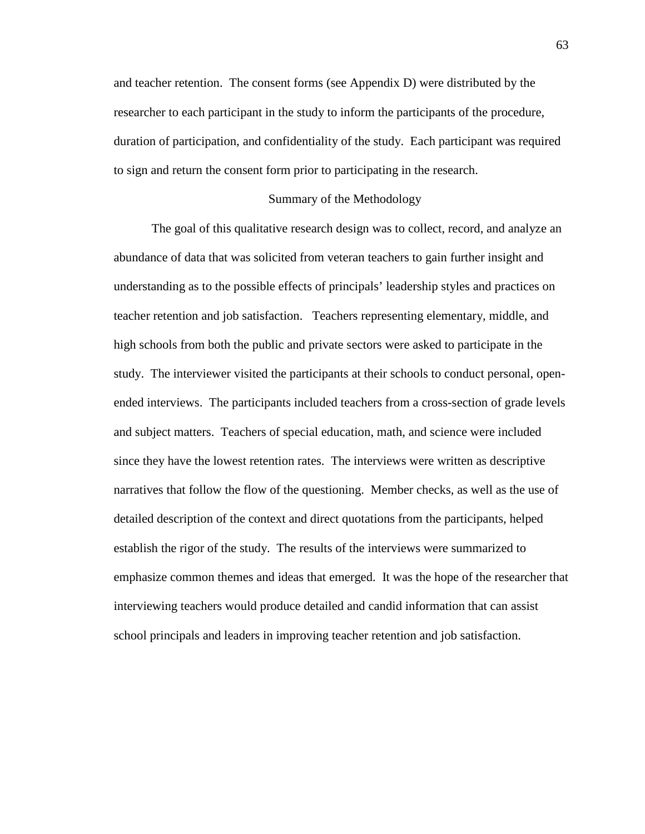and teacher retention. The consent forms (see Appendix D) were distributed by the researcher to each participant in the study to inform the participants of the procedure, duration of participation, and confidentiality of the study. Each participant was required to sign and return the consent form prior to participating in the research.

## Summary of the Methodology

 The goal of this qualitative research design was to collect, record, and analyze an abundance of data that was solicited from veteran teachers to gain further insight and understanding as to the possible effects of principals' leadership styles and practices on teacher retention and job satisfaction. Teachers representing elementary, middle, and high schools from both the public and private sectors were asked to participate in the study. The interviewer visited the participants at their schools to conduct personal, openended interviews. The participants included teachers from a cross-section of grade levels and subject matters. Teachers of special education, math, and science were included since they have the lowest retention rates. The interviews were written as descriptive narratives that follow the flow of the questioning. Member checks, as well as the use of detailed description of the context and direct quotations from the participants, helped establish the rigor of the study. The results of the interviews were summarized to emphasize common themes and ideas that emerged. It was the hope of the researcher that interviewing teachers would produce detailed and candid information that can assist school principals and leaders in improving teacher retention and job satisfaction.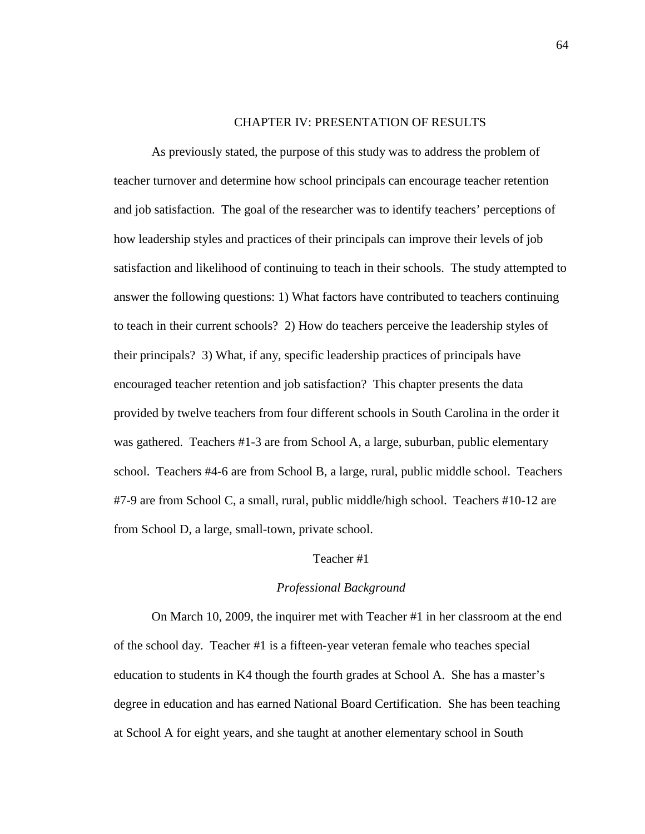# CHAPTER IV: PRESENTATION OF RESULTS

As previously stated, the purpose of this study was to address the problem of teacher turnover and determine how school principals can encourage teacher retention and job satisfaction. The goal of the researcher was to identify teachers' perceptions of how leadership styles and practices of their principals can improve their levels of job satisfaction and likelihood of continuing to teach in their schools. The study attempted to answer the following questions: 1) What factors have contributed to teachers continuing to teach in their current schools? 2) How do teachers perceive the leadership styles of their principals? 3) What, if any, specific leadership practices of principals have encouraged teacher retention and job satisfaction? This chapter presents the data provided by twelve teachers from four different schools in South Carolina in the order it was gathered. Teachers #1-3 are from School A, a large, suburban, public elementary school. Teachers #4-6 are from School B, a large, rural, public middle school. Teachers #7-9 are from School C, a small, rural, public middle/high school. Teachers #10-12 are from School D, a large, small-town, private school.

# Teacher #1

# *Professional Background*

 On March 10, 2009, the inquirer met with Teacher #1 in her classroom at the end of the school day. Teacher #1 is a fifteen-year veteran female who teaches special education to students in K4 though the fourth grades at School A. She has a master's degree in education and has earned National Board Certification. She has been teaching at School A for eight years, and she taught at another elementary school in South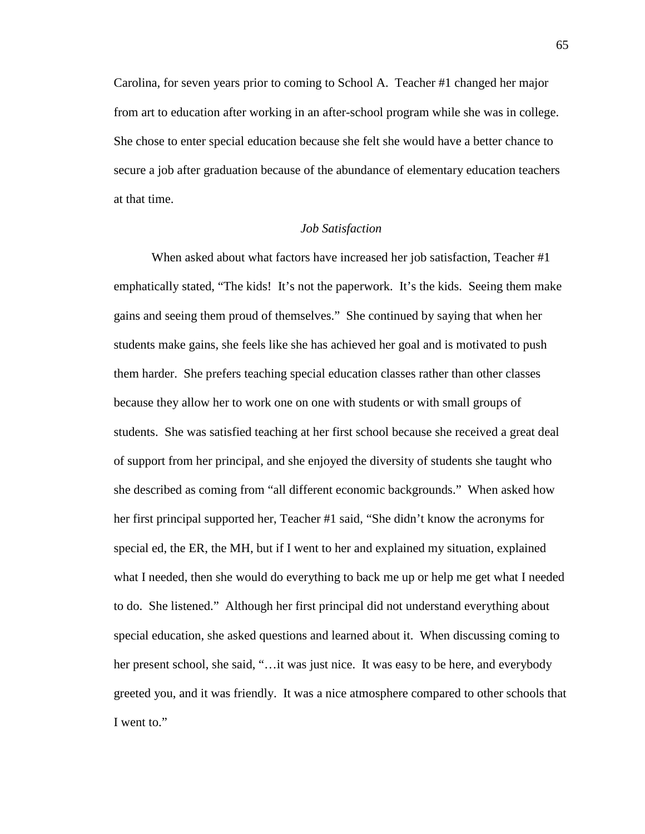Carolina, for seven years prior to coming to School A. Teacher #1 changed her major from art to education after working in an after-school program while she was in college. She chose to enter special education because she felt she would have a better chance to secure a job after graduation because of the abundance of elementary education teachers at that time.

## *Job Satisfaction*

When asked about what factors have increased her job satisfaction, Teacher #1 emphatically stated, "The kids! It's not the paperwork. It's the kids. Seeing them make gains and seeing them proud of themselves." She continued by saying that when her students make gains, she feels like she has achieved her goal and is motivated to push them harder. She prefers teaching special education classes rather than other classes because they allow her to work one on one with students or with small groups of students. She was satisfied teaching at her first school because she received a great deal of support from her principal, and she enjoyed the diversity of students she taught who she described as coming from "all different economic backgrounds." When asked how her first principal supported her, Teacher #1 said, "She didn't know the acronyms for special ed, the ER, the MH, but if I went to her and explained my situation, explained what I needed, then she would do everything to back me up or help me get what I needed to do. She listened." Although her first principal did not understand everything about special education, she asked questions and learned about it. When discussing coming to her present school, she said, "... it was just nice. It was easy to be here, and everybody greeted you, and it was friendly. It was a nice atmosphere compared to other schools that I went to."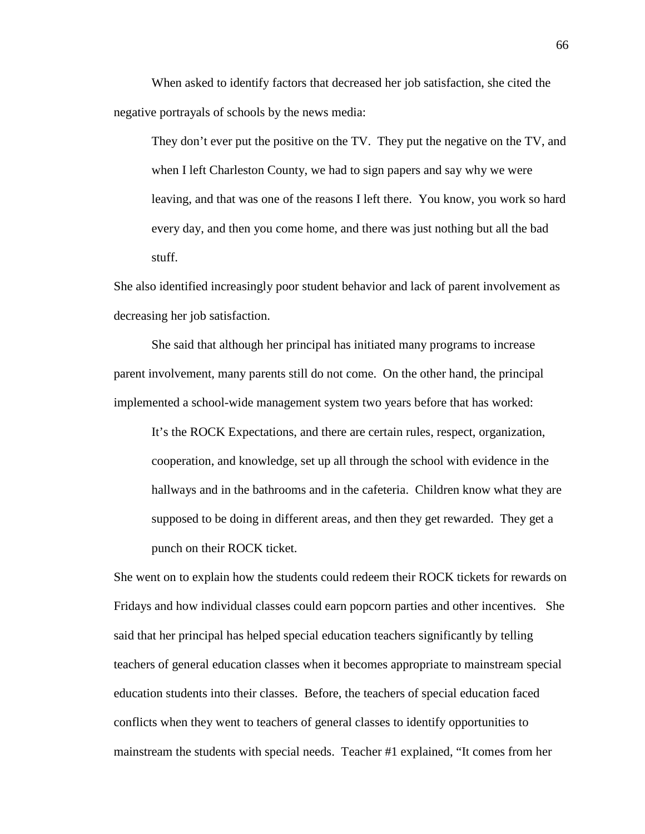When asked to identify factors that decreased her job satisfaction, she cited the negative portrayals of schools by the news media:

They don't ever put the positive on the TV. They put the negative on the TV, and when I left Charleston County, we had to sign papers and say why we were leaving, and that was one of the reasons I left there. You know, you work so hard every day, and then you come home, and there was just nothing but all the bad stuff.

She also identified increasingly poor student behavior and lack of parent involvement as decreasing her job satisfaction.

 She said that although her principal has initiated many programs to increase parent involvement, many parents still do not come. On the other hand, the principal implemented a school-wide management system two years before that has worked:

It's the ROCK Expectations, and there are certain rules, respect, organization, cooperation, and knowledge, set up all through the school with evidence in the hallways and in the bathrooms and in the cafeteria. Children know what they are supposed to be doing in different areas, and then they get rewarded. They get a punch on their ROCK ticket.

She went on to explain how the students could redeem their ROCK tickets for rewards on Fridays and how individual classes could earn popcorn parties and other incentives. She said that her principal has helped special education teachers significantly by telling teachers of general education classes when it becomes appropriate to mainstream special education students into their classes. Before, the teachers of special education faced conflicts when they went to teachers of general classes to identify opportunities to mainstream the students with special needs. Teacher #1 explained, "It comes from her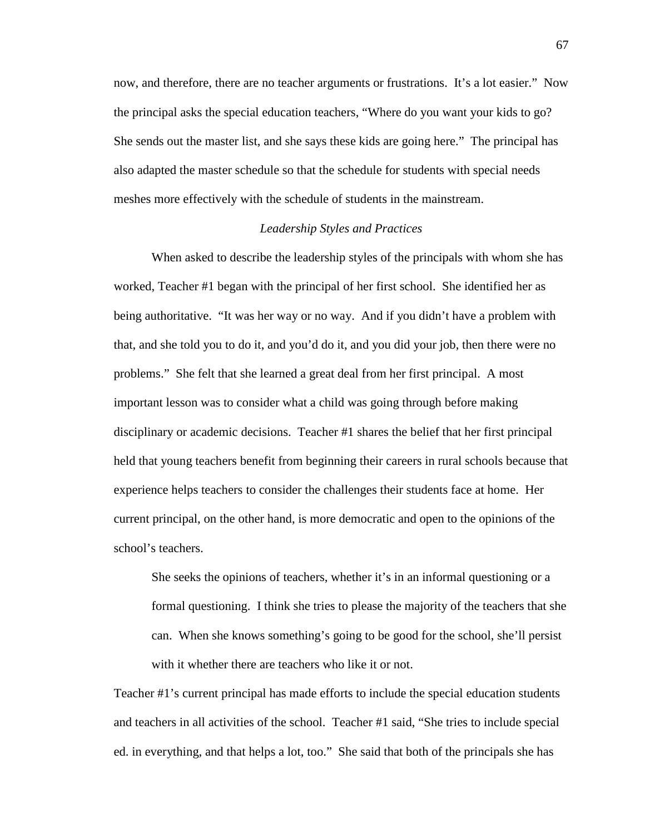now, and therefore, there are no teacher arguments or frustrations. It's a lot easier." Now the principal asks the special education teachers, "Where do you want your kids to go? She sends out the master list, and she says these kids are going here." The principal has also adapted the master schedule so that the schedule for students with special needs meshes more effectively with the schedule of students in the mainstream.

# *Leadership Styles and Practices*

 When asked to describe the leadership styles of the principals with whom she has worked, Teacher #1 began with the principal of her first school. She identified her as being authoritative. "It was her way or no way. And if you didn't have a problem with that, and she told you to do it, and you'd do it, and you did your job, then there were no problems." She felt that she learned a great deal from her first principal. A most important lesson was to consider what a child was going through before making disciplinary or academic decisions. Teacher #1 shares the belief that her first principal held that young teachers benefit from beginning their careers in rural schools because that experience helps teachers to consider the challenges their students face at home. Her current principal, on the other hand, is more democratic and open to the opinions of the school's teachers.

She seeks the opinions of teachers, whether it's in an informal questioning or a formal questioning. I think she tries to please the majority of the teachers that she can. When she knows something's going to be good for the school, she'll persist with it whether there are teachers who like it or not.

Teacher #1's current principal has made efforts to include the special education students and teachers in all activities of the school. Teacher #1 said, "She tries to include special ed. in everything, and that helps a lot, too." She said that both of the principals she has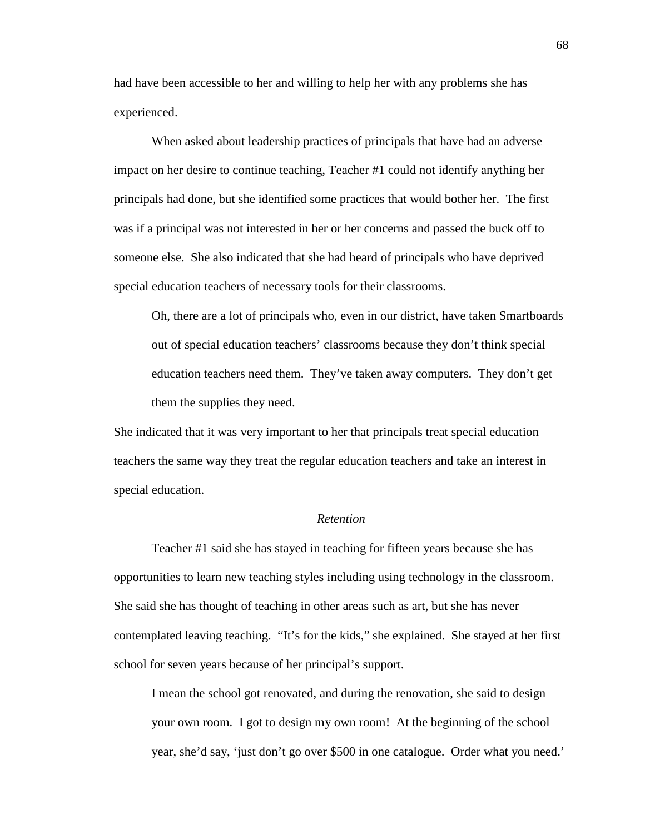had have been accessible to her and willing to help her with any problems she has experienced.

 When asked about leadership practices of principals that have had an adverse impact on her desire to continue teaching, Teacher #1 could not identify anything her principals had done, but she identified some practices that would bother her. The first was if a principal was not interested in her or her concerns and passed the buck off to someone else. She also indicated that she had heard of principals who have deprived special education teachers of necessary tools for their classrooms.

Oh, there are a lot of principals who, even in our district, have taken Smartboards out of special education teachers' classrooms because they don't think special education teachers need them. They've taken away computers. They don't get them the supplies they need.

She indicated that it was very important to her that principals treat special education teachers the same way they treat the regular education teachers and take an interest in special education.

# *Retention*

 Teacher #1 said she has stayed in teaching for fifteen years because she has opportunities to learn new teaching styles including using technology in the classroom. She said she has thought of teaching in other areas such as art, but she has never contemplated leaving teaching. "It's for the kids," she explained. She stayed at her first school for seven years because of her principal's support.

I mean the school got renovated, and during the renovation, she said to design your own room. I got to design my own room! At the beginning of the school year, she'd say, 'just don't go over \$500 in one catalogue. Order what you need.'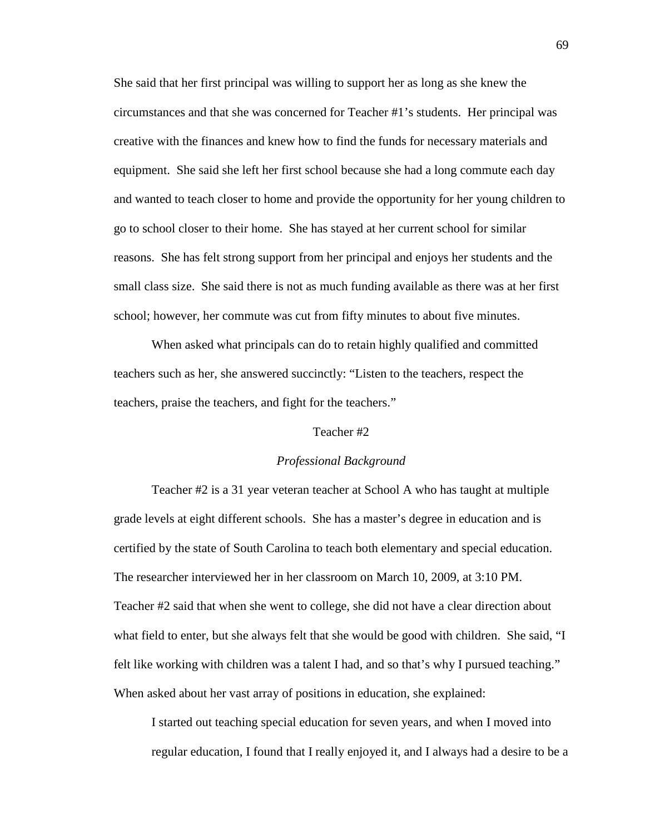She said that her first principal was willing to support her as long as she knew the circumstances and that she was concerned for Teacher #1's students. Her principal was creative with the finances and knew how to find the funds for necessary materials and equipment. She said she left her first school because she had a long commute each day and wanted to teach closer to home and provide the opportunity for her young children to go to school closer to their home. She has stayed at her current school for similar reasons. She has felt strong support from her principal and enjoys her students and the small class size. She said there is not as much funding available as there was at her first school; however, her commute was cut from fifty minutes to about five minutes.

When asked what principals can do to retain highly qualified and committed teachers such as her, she answered succinctly: "Listen to the teachers, respect the teachers, praise the teachers, and fight for the teachers."

# Teacher #2

#### *Professional Background*

 Teacher #2 is a 31 year veteran teacher at School A who has taught at multiple grade levels at eight different schools. She has a master's degree in education and is certified by the state of South Carolina to teach both elementary and special education. The researcher interviewed her in her classroom on March 10, 2009, at 3:10 PM. Teacher #2 said that when she went to college, she did not have a clear direction about what field to enter, but she always felt that she would be good with children. She said, "I felt like working with children was a talent I had, and so that's why I pursued teaching." When asked about her vast array of positions in education, she explained:

I started out teaching special education for seven years, and when I moved into regular education, I found that I really enjoyed it, and I always had a desire to be a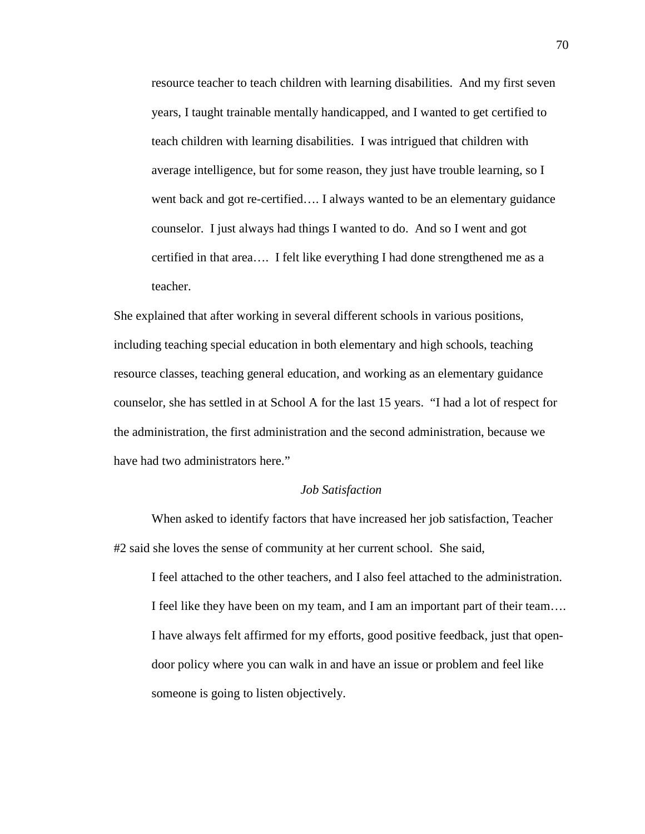resource teacher to teach children with learning disabilities. And my first seven years, I taught trainable mentally handicapped, and I wanted to get certified to teach children with learning disabilities. I was intrigued that children with average intelligence, but for some reason, they just have trouble learning, so I went back and got re-certified…. I always wanted to be an elementary guidance counselor. I just always had things I wanted to do. And so I went and got certified in that area…. I felt like everything I had done strengthened me as a teacher.

She explained that after working in several different schools in various positions, including teaching special education in both elementary and high schools, teaching resource classes, teaching general education, and working as an elementary guidance counselor, she has settled in at School A for the last 15 years. "I had a lot of respect for the administration, the first administration and the second administration, because we have had two administrators here."

# *Job Satisfaction*

 When asked to identify factors that have increased her job satisfaction, Teacher #2 said she loves the sense of community at her current school. She said,

I feel attached to the other teachers, and I also feel attached to the administration. I feel like they have been on my team, and I am an important part of their team…. I have always felt affirmed for my efforts, good positive feedback, just that opendoor policy where you can walk in and have an issue or problem and feel like someone is going to listen objectively.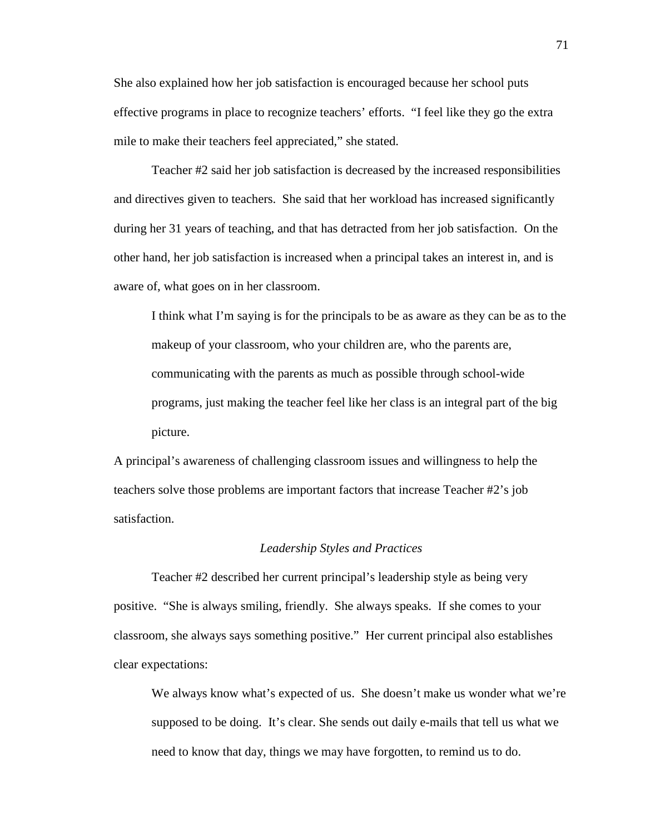She also explained how her job satisfaction is encouraged because her school puts effective programs in place to recognize teachers' efforts. "I feel like they go the extra mile to make their teachers feel appreciated," she stated.

 Teacher #2 said her job satisfaction is decreased by the increased responsibilities and directives given to teachers. She said that her workload has increased significantly during her 31 years of teaching, and that has detracted from her job satisfaction. On the other hand, her job satisfaction is increased when a principal takes an interest in, and is aware of, what goes on in her classroom.

I think what I'm saying is for the principals to be as aware as they can be as to the makeup of your classroom, who your children are, who the parents are, communicating with the parents as much as possible through school-wide programs, just making the teacher feel like her class is an integral part of the big picture.

A principal's awareness of challenging classroom issues and willingness to help the teachers solve those problems are important factors that increase Teacher #2's job satisfaction.

### *Leadership Styles and Practices*

 Teacher #2 described her current principal's leadership style as being very positive. "She is always smiling, friendly. She always speaks. If she comes to your classroom, she always says something positive." Her current principal also establishes clear expectations:

We always know what's expected of us. She doesn't make us wonder what we're supposed to be doing. It's clear. She sends out daily e-mails that tell us what we need to know that day, things we may have forgotten, to remind us to do.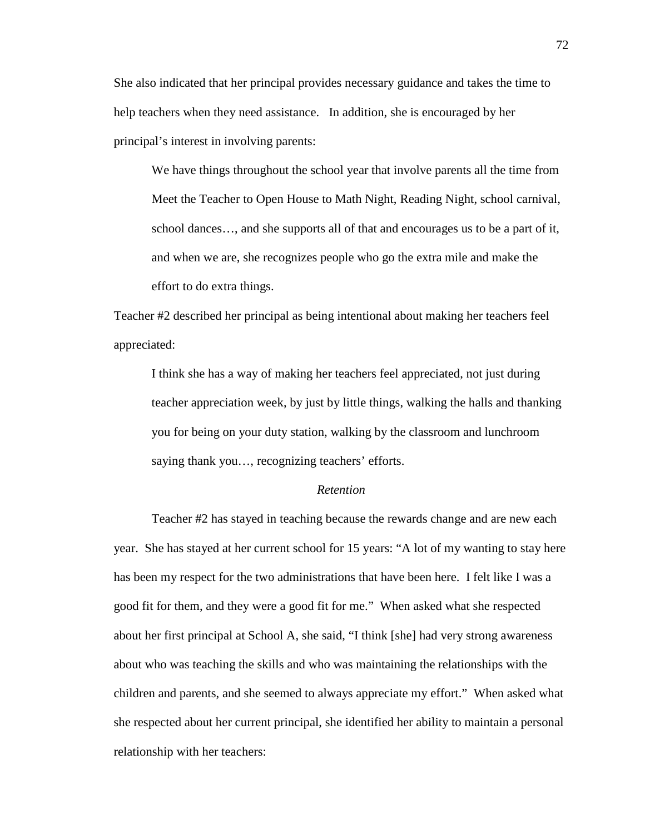She also indicated that her principal provides necessary guidance and takes the time to help teachers when they need assistance. In addition, she is encouraged by her principal's interest in involving parents:

We have things throughout the school year that involve parents all the time from Meet the Teacher to Open House to Math Night, Reading Night, school carnival, school dances…, and she supports all of that and encourages us to be a part of it, and when we are, she recognizes people who go the extra mile and make the effort to do extra things.

Teacher #2 described her principal as being intentional about making her teachers feel appreciated:

I think she has a way of making her teachers feel appreciated, not just during teacher appreciation week, by just by little things, walking the halls and thanking you for being on your duty station, walking by the classroom and lunchroom saying thank you…, recognizing teachers' efforts.

# *Retention*

 Teacher #2 has stayed in teaching because the rewards change and are new each year. She has stayed at her current school for 15 years: "A lot of my wanting to stay here has been my respect for the two administrations that have been here. I felt like I was a good fit for them, and they were a good fit for me." When asked what she respected about her first principal at School A, she said, "I think [she] had very strong awareness about who was teaching the skills and who was maintaining the relationships with the children and parents, and she seemed to always appreciate my effort." When asked what she respected about her current principal, she identified her ability to maintain a personal relationship with her teachers: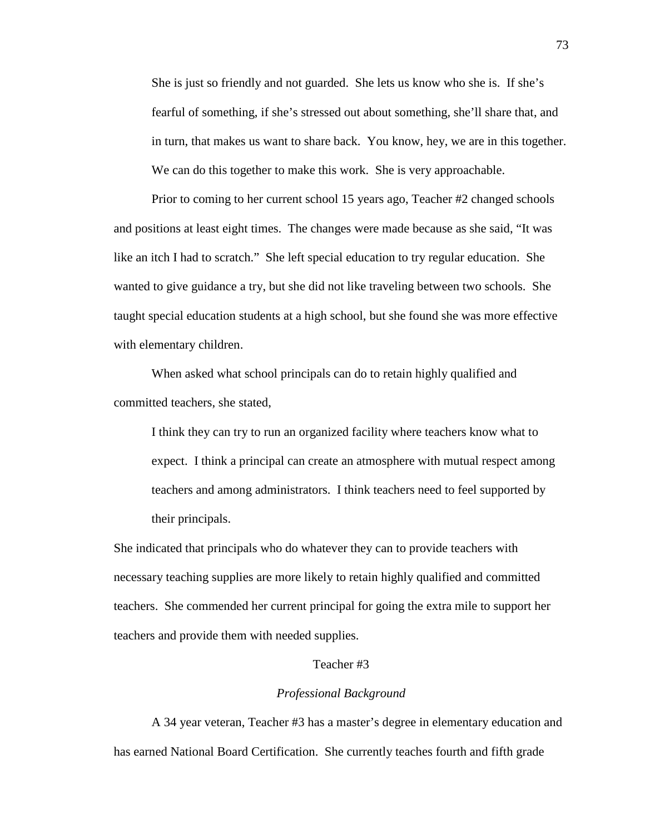She is just so friendly and not guarded. She lets us know who she is. If she's fearful of something, if she's stressed out about something, she'll share that, and in turn, that makes us want to share back. You know, hey, we are in this together. We can do this together to make this work. She is very approachable.

 Prior to coming to her current school 15 years ago, Teacher #2 changed schools and positions at least eight times. The changes were made because as she said, "It was like an itch I had to scratch." She left special education to try regular education. She wanted to give guidance a try, but she did not like traveling between two schools. She taught special education students at a high school, but she found she was more effective with elementary children.

 When asked what school principals can do to retain highly qualified and committed teachers, she stated,

I think they can try to run an organized facility where teachers know what to expect. I think a principal can create an atmosphere with mutual respect among teachers and among administrators. I think teachers need to feel supported by their principals.

She indicated that principals who do whatever they can to provide teachers with necessary teaching supplies are more likely to retain highly qualified and committed teachers. She commended her current principal for going the extra mile to support her teachers and provide them with needed supplies.

#### Teacher #3

#### *Professional Background*

 A 34 year veteran, Teacher #3 has a master's degree in elementary education and has earned National Board Certification. She currently teaches fourth and fifth grade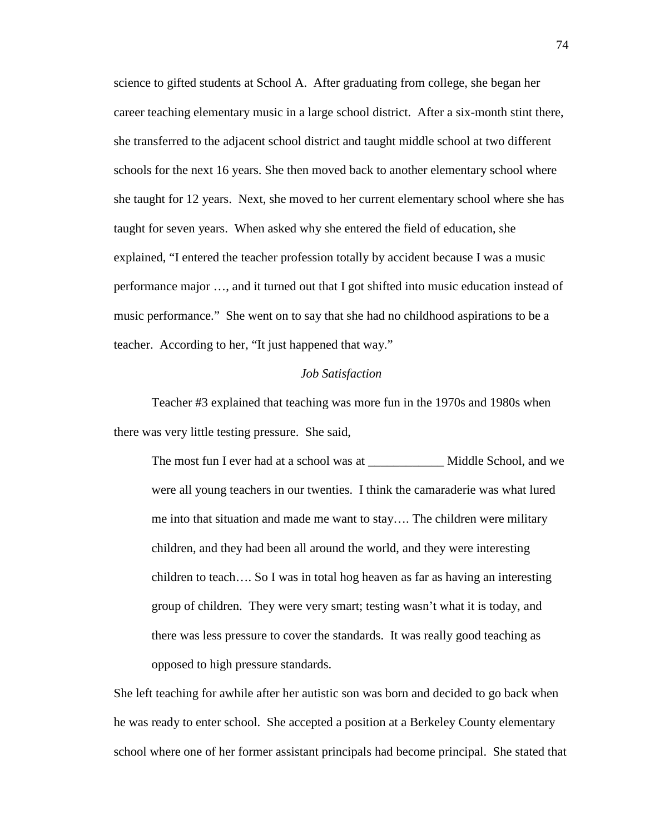science to gifted students at School A. After graduating from college, she began her career teaching elementary music in a large school district. After a six-month stint there, she transferred to the adjacent school district and taught middle school at two different schools for the next 16 years. She then moved back to another elementary school where she taught for 12 years. Next, she moved to her current elementary school where she has taught for seven years. When asked why she entered the field of education, she explained, "I entered the teacher profession totally by accident because I was a music performance major …, and it turned out that I got shifted into music education instead of music performance." She went on to say that she had no childhood aspirations to be a teacher. According to her, "It just happened that way."

# *Job Satisfaction*

 Teacher #3 explained that teaching was more fun in the 1970s and 1980s when there was very little testing pressure. She said,

The most fun I ever had at a school was at \_\_\_\_\_\_\_\_\_\_\_\_\_\_\_ Middle School, and we were all young teachers in our twenties. I think the camaraderie was what lured me into that situation and made me want to stay…. The children were military children, and they had been all around the world, and they were interesting children to teach…. So I was in total hog heaven as far as having an interesting group of children. They were very smart; testing wasn't what it is today, and there was less pressure to cover the standards. It was really good teaching as opposed to high pressure standards.

She left teaching for awhile after her autistic son was born and decided to go back when he was ready to enter school. She accepted a position at a Berkeley County elementary school where one of her former assistant principals had become principal. She stated that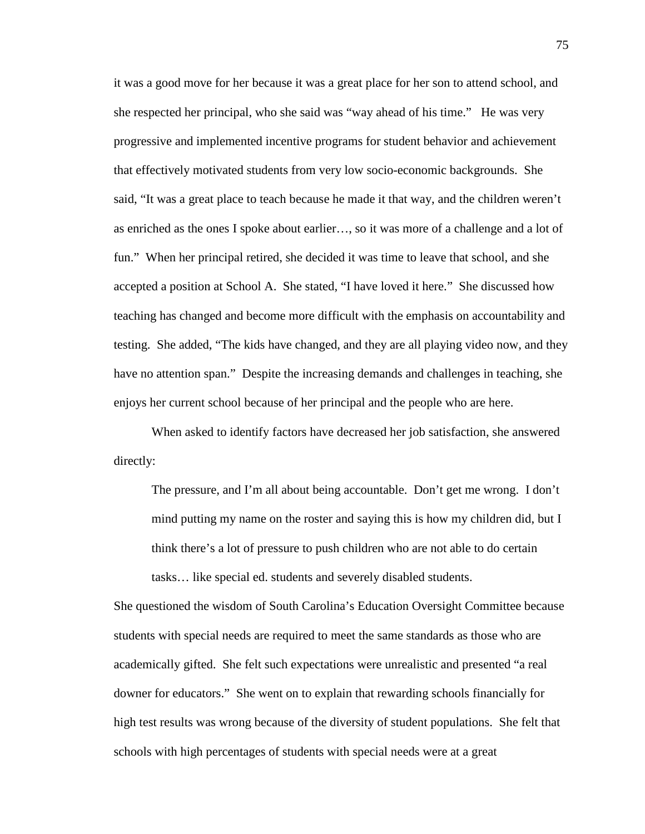it was a good move for her because it was a great place for her son to attend school, and she respected her principal, who she said was "way ahead of his time." He was very progressive and implemented incentive programs for student behavior and achievement that effectively motivated students from very low socio-economic backgrounds. She said, "It was a great place to teach because he made it that way, and the children weren't as enriched as the ones I spoke about earlier…, so it was more of a challenge and a lot of fun." When her principal retired, she decided it was time to leave that school, and she accepted a position at School A. She stated, "I have loved it here." She discussed how teaching has changed and become more difficult with the emphasis on accountability and testing. She added, "The kids have changed, and they are all playing video now, and they have no attention span." Despite the increasing demands and challenges in teaching, she enjoys her current school because of her principal and the people who are here.

 When asked to identify factors have decreased her job satisfaction, she answered directly:

The pressure, and I'm all about being accountable. Don't get me wrong. I don't mind putting my name on the roster and saying this is how my children did, but I think there's a lot of pressure to push children who are not able to do certain tasks… like special ed. students and severely disabled students.

She questioned the wisdom of South Carolina's Education Oversight Committee because students with special needs are required to meet the same standards as those who are academically gifted. She felt such expectations were unrealistic and presented "a real downer for educators." She went on to explain that rewarding schools financially for high test results was wrong because of the diversity of student populations. She felt that schools with high percentages of students with special needs were at a great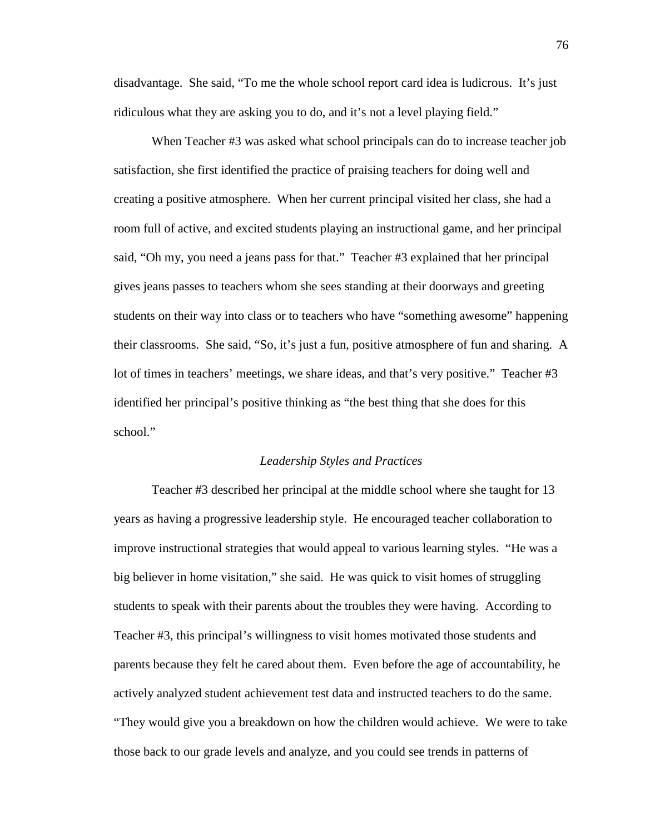disadvantage. She said, "To me the whole school report card idea is ludicrous. It's just ridiculous what they are asking you to do, and it's not a level playing field."

When Teacher #3 was asked what school principals can do to increase teacher job satisfaction, she first identified the practice of praising teachers for doing well and creating a positive atmosphere. When her current principal visited her class, she had a room full of active, and excited students playing an instructional game, and her principal said, "Oh my, you need a jeans pass for that." Teacher #3 explained that her principal gives jeans passes to teachers whom she sees standing at their doorways and greeting students on their way into class or to teachers who have "something awesome" happening their classrooms. She said, "So, it's just a fun, positive atmosphere of fun and sharing. A lot of times in teachers' meetings, we share ideas, and that's very positive." Teacher #3 identified her principal's positive thinking as "the best thing that she does for this school."

#### *Leadership Styles and Practices*

 Teacher #3 described her principal at the middle school where she taught for 13 years as having a progressive leadership style. He encouraged teacher collaboration to improve instructional strategies that would appeal to various learning styles. "He was a big believer in home visitation," she said. He was quick to visit homes of struggling students to speak with their parents about the troubles they were having. According to Teacher #3, this principal's willingness to visit homes motivated those students and parents because they felt he cared about them. Even before the age of accountability, he actively analyzed student achievement test data and instructed teachers to do the same. "They would give you a breakdown on how the children would achieve. We were to take those back to our grade levels and analyze, and you could see trends in patterns of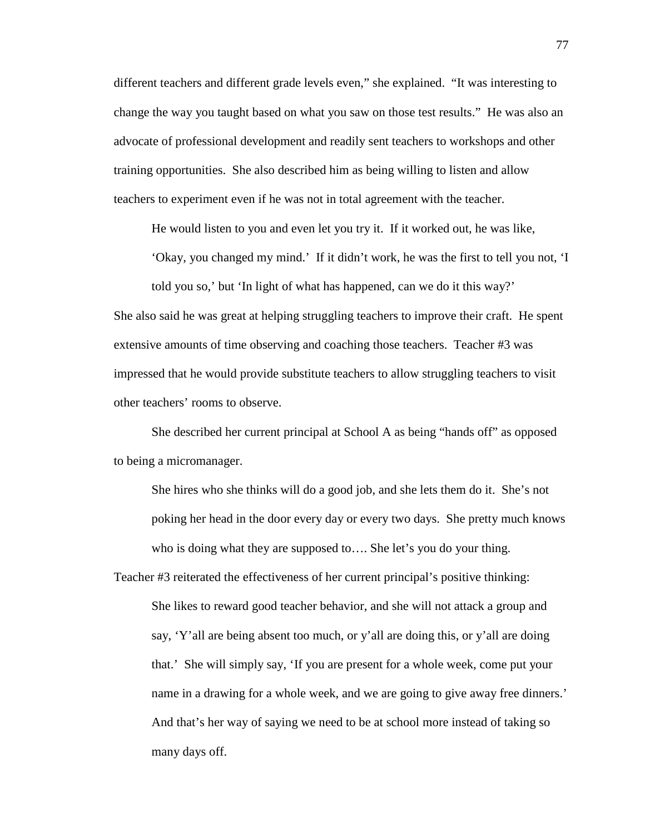different teachers and different grade levels even," she explained. "It was interesting to change the way you taught based on what you saw on those test results." He was also an advocate of professional development and readily sent teachers to workshops and other training opportunities. She also described him as being willing to listen and allow teachers to experiment even if he was not in total agreement with the teacher.

He would listen to you and even let you try it. If it worked out, he was like,

'Okay, you changed my mind.' If it didn't work, he was the first to tell you not, 'I

told you so,' but 'In light of what has happened, can we do it this way?' She also said he was great at helping struggling teachers to improve their craft. He spent extensive amounts of time observing and coaching those teachers. Teacher #3 was impressed that he would provide substitute teachers to allow struggling teachers to visit other teachers' rooms to observe.

 She described her current principal at School A as being "hands off" as opposed to being a micromanager.

She hires who she thinks will do a good job, and she lets them do it. She's not poking her head in the door every day or every two days. She pretty much knows who is doing what they are supposed to…. She let's you do your thing.

Teacher #3 reiterated the effectiveness of her current principal's positive thinking: She likes to reward good teacher behavior, and she will not attack a group and say, 'Y'all are being absent too much, or y'all are doing this, or y'all are doing that.' She will simply say, 'If you are present for a whole week, come put your name in a drawing for a whole week, and we are going to give away free dinners.' And that's her way of saying we need to be at school more instead of taking so many days off.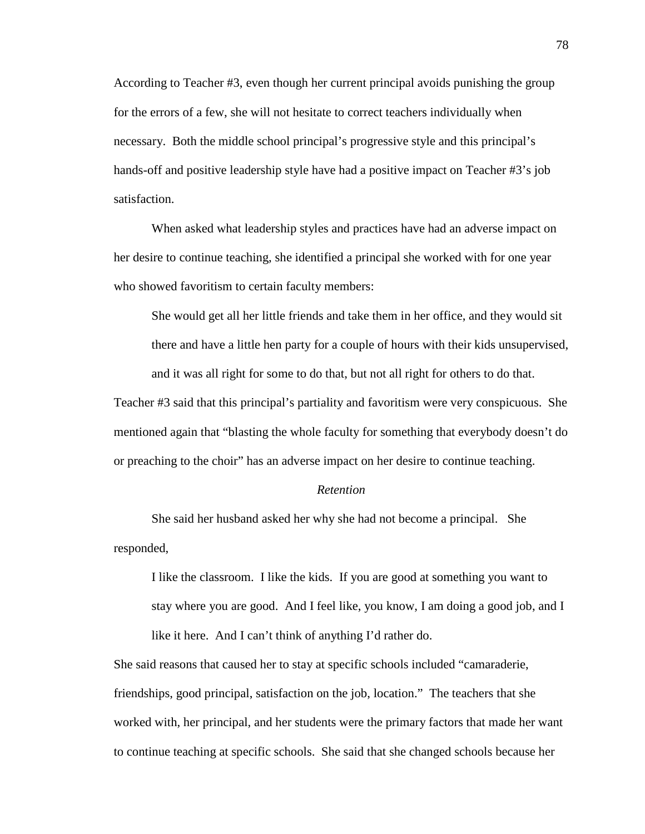According to Teacher #3, even though her current principal avoids punishing the group for the errors of a few, she will not hesitate to correct teachers individually when necessary. Both the middle school principal's progressive style and this principal's hands-off and positive leadership style have had a positive impact on Teacher #3's job satisfaction.

 When asked what leadership styles and practices have had an adverse impact on her desire to continue teaching, she identified a principal she worked with for one year who showed favoritism to certain faculty members:

She would get all her little friends and take them in her office, and they would sit there and have a little hen party for a couple of hours with their kids unsupervised, and it was all right for some to do that, but not all right for others to do that.

Teacher #3 said that this principal's partiality and favoritism were very conspicuous. She mentioned again that "blasting the whole faculty for something that everybody doesn't do or preaching to the choir" has an adverse impact on her desire to continue teaching.

# *Retention*

 She said her husband asked her why she had not become a principal. She responded,

I like the classroom. I like the kids. If you are good at something you want to stay where you are good. And I feel like, you know, I am doing a good job, and I like it here. And I can't think of anything I'd rather do.

She said reasons that caused her to stay at specific schools included "camaraderie, friendships, good principal, satisfaction on the job, location." The teachers that she worked with, her principal, and her students were the primary factors that made her want to continue teaching at specific schools. She said that she changed schools because her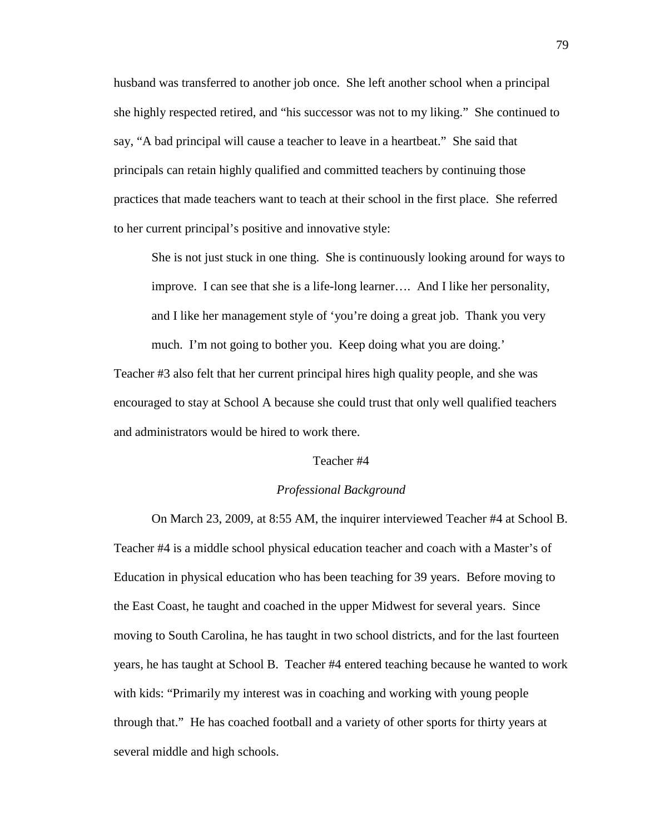husband was transferred to another job once. She left another school when a principal she highly respected retired, and "his successor was not to my liking." She continued to say, "A bad principal will cause a teacher to leave in a heartbeat." She said that principals can retain highly qualified and committed teachers by continuing those practices that made teachers want to teach at their school in the first place. She referred to her current principal's positive and innovative style:

She is not just stuck in one thing. She is continuously looking around for ways to improve. I can see that she is a life-long learner…. And I like her personality, and I like her management style of 'you're doing a great job. Thank you very much. I'm not going to bother you. Keep doing what you are doing.' Teacher #3 also felt that her current principal hires high quality people, and she was encouraged to stay at School A because she could trust that only well qualified teachers

and administrators would be hired to work there.

# Teacher #4

# *Professional Background*

 On March 23, 2009, at 8:55 AM, the inquirer interviewed Teacher #4 at School B. Teacher #4 is a middle school physical education teacher and coach with a Master's of Education in physical education who has been teaching for 39 years. Before moving to the East Coast, he taught and coached in the upper Midwest for several years. Since moving to South Carolina, he has taught in two school districts, and for the last fourteen years, he has taught at School B. Teacher #4 entered teaching because he wanted to work with kids: "Primarily my interest was in coaching and working with young people through that." He has coached football and a variety of other sports for thirty years at several middle and high schools.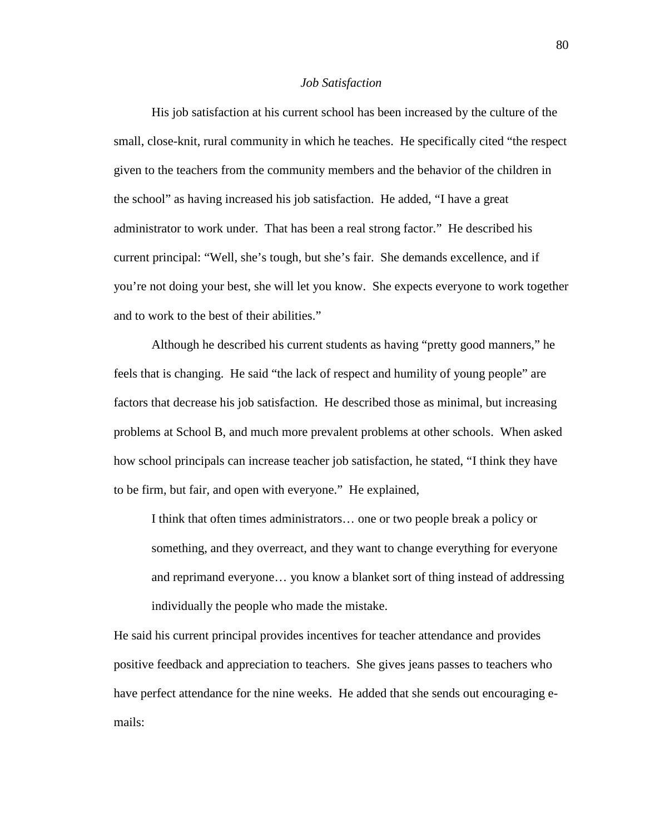#### *Job Satisfaction*

 His job satisfaction at his current school has been increased by the culture of the small, close-knit, rural community in which he teaches. He specifically cited "the respect given to the teachers from the community members and the behavior of the children in the school" as having increased his job satisfaction. He added, "I have a great administrator to work under. That has been a real strong factor." He described his current principal: "Well, she's tough, but she's fair. She demands excellence, and if you're not doing your best, she will let you know. She expects everyone to work together and to work to the best of their abilities."

 Although he described his current students as having "pretty good manners," he feels that is changing. He said "the lack of respect and humility of young people" are factors that decrease his job satisfaction. He described those as minimal, but increasing problems at School B, and much more prevalent problems at other schools. When asked how school principals can increase teacher job satisfaction, he stated, "I think they have to be firm, but fair, and open with everyone." He explained,

I think that often times administrators… one or two people break a policy or something, and they overreact, and they want to change everything for everyone and reprimand everyone… you know a blanket sort of thing instead of addressing individually the people who made the mistake.

He said his current principal provides incentives for teacher attendance and provides positive feedback and appreciation to teachers. She gives jeans passes to teachers who have perfect attendance for the nine weeks. He added that she sends out encouraging emails: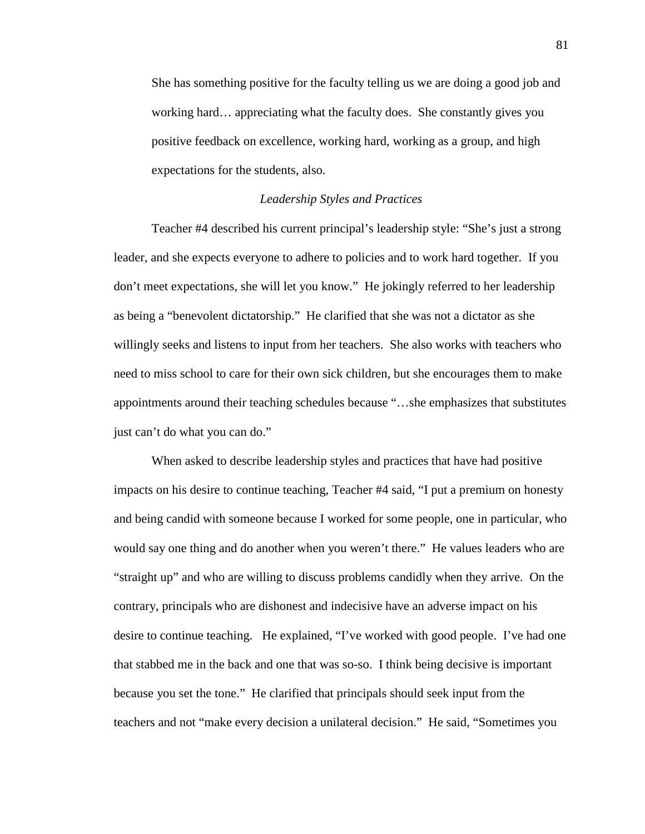She has something positive for the faculty telling us we are doing a good job and working hard… appreciating what the faculty does. She constantly gives you positive feedback on excellence, working hard, working as a group, and high expectations for the students, also.

# *Leadership Styles and Practices*

 Teacher #4 described his current principal's leadership style: "She's just a strong leader, and she expects everyone to adhere to policies and to work hard together. If you don't meet expectations, she will let you know." He jokingly referred to her leadership as being a "benevolent dictatorship." He clarified that she was not a dictator as she willingly seeks and listens to input from her teachers. She also works with teachers who need to miss school to care for their own sick children, but she encourages them to make appointments around their teaching schedules because "…she emphasizes that substitutes just can't do what you can do."

 When asked to describe leadership styles and practices that have had positive impacts on his desire to continue teaching, Teacher #4 said, "I put a premium on honesty and being candid with someone because I worked for some people, one in particular, who would say one thing and do another when you weren't there." He values leaders who are "straight up" and who are willing to discuss problems candidly when they arrive. On the contrary, principals who are dishonest and indecisive have an adverse impact on his desire to continue teaching. He explained, "I've worked with good people. I've had one that stabbed me in the back and one that was so-so. I think being decisive is important because you set the tone." He clarified that principals should seek input from the teachers and not "make every decision a unilateral decision." He said, "Sometimes you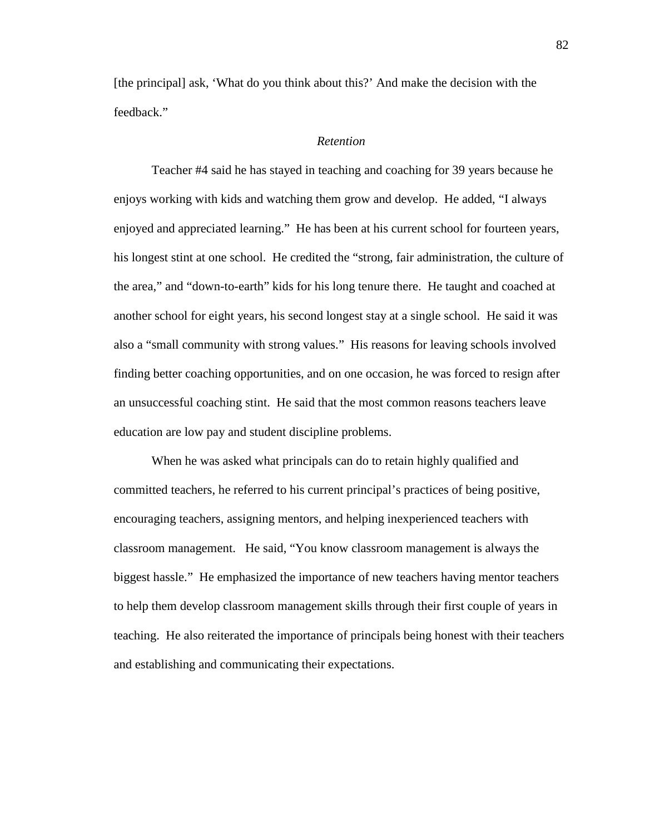[the principal] ask, 'What do you think about this?' And make the decision with the feedback."

# *Retention*

 Teacher #4 said he has stayed in teaching and coaching for 39 years because he enjoys working with kids and watching them grow and develop. He added, "I always enjoyed and appreciated learning." He has been at his current school for fourteen years, his longest stint at one school. He credited the "strong, fair administration, the culture of the area," and "down-to-earth" kids for his long tenure there. He taught and coached at another school for eight years, his second longest stay at a single school. He said it was also a "small community with strong values." His reasons for leaving schools involved finding better coaching opportunities, and on one occasion, he was forced to resign after an unsuccessful coaching stint. He said that the most common reasons teachers leave education are low pay and student discipline problems.

 When he was asked what principals can do to retain highly qualified and committed teachers, he referred to his current principal's practices of being positive, encouraging teachers, assigning mentors, and helping inexperienced teachers with classroom management. He said, "You know classroom management is always the biggest hassle." He emphasized the importance of new teachers having mentor teachers to help them develop classroom management skills through their first couple of years in teaching. He also reiterated the importance of principals being honest with their teachers and establishing and communicating their expectations.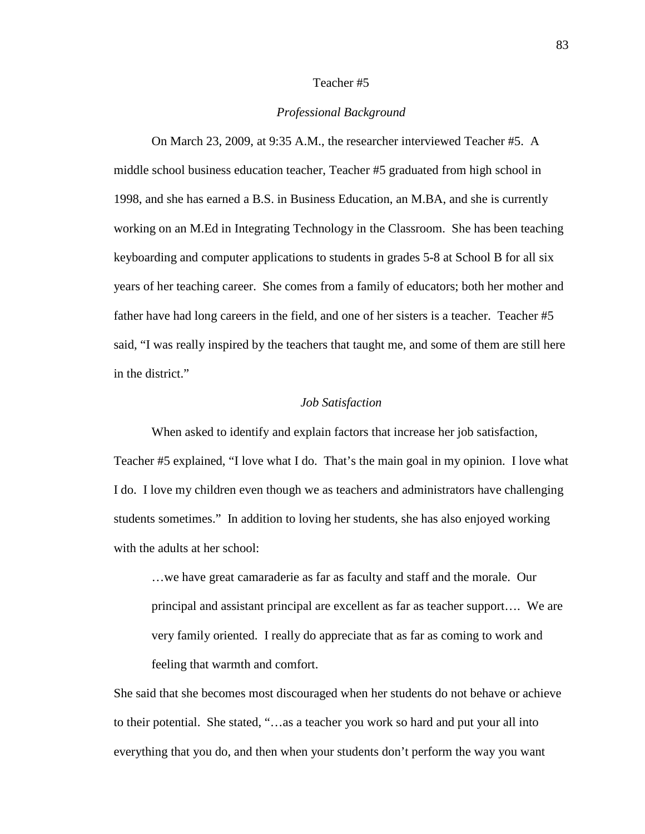### Teacher #5

# *Professional Background*

 On March 23, 2009, at 9:35 A.M., the researcher interviewed Teacher #5. A middle school business education teacher, Teacher #5 graduated from high school in 1998, and she has earned a B.S. in Business Education, an M.BA, and she is currently working on an M.Ed in Integrating Technology in the Classroom. She has been teaching keyboarding and computer applications to students in grades 5-8 at School B for all six years of her teaching career. She comes from a family of educators; both her mother and father have had long careers in the field, and one of her sisters is a teacher. Teacher #5 said, "I was really inspired by the teachers that taught me, and some of them are still here in the district."

## *Job Satisfaction*

 When asked to identify and explain factors that increase her job satisfaction, Teacher #5 explained, "I love what I do. That's the main goal in my opinion. I love what I do. I love my children even though we as teachers and administrators have challenging students sometimes." In addition to loving her students, she has also enjoyed working with the adults at her school:

…we have great camaraderie as far as faculty and staff and the morale. Our principal and assistant principal are excellent as far as teacher support…. We are very family oriented. I really do appreciate that as far as coming to work and feeling that warmth and comfort.

She said that she becomes most discouraged when her students do not behave or achieve to their potential. She stated, "…as a teacher you work so hard and put your all into everything that you do, and then when your students don't perform the way you want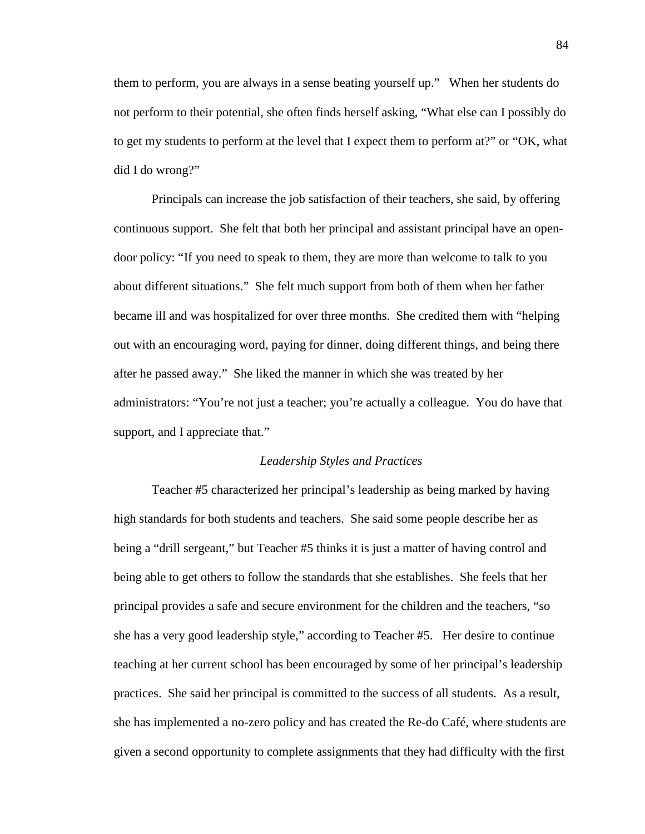them to perform, you are always in a sense beating yourself up." When her students do not perform to their potential, she often finds herself asking, "What else can I possibly do to get my students to perform at the level that I expect them to perform at?" or "OK, what did I do wrong?"

 Principals can increase the job satisfaction of their teachers, she said, by offering continuous support. She felt that both her principal and assistant principal have an opendoor policy: "If you need to speak to them, they are more than welcome to talk to you about different situations." She felt much support from both of them when her father became ill and was hospitalized for over three months. She credited them with "helping out with an encouraging word, paying for dinner, doing different things, and being there after he passed away." She liked the manner in which she was treated by her administrators: "You're not just a teacher; you're actually a colleague. You do have that support, and I appreciate that."

#### *Leadership Styles and Practices*

 Teacher #5 characterized her principal's leadership as being marked by having high standards for both students and teachers. She said some people describe her as being a "drill sergeant," but Teacher #5 thinks it is just a matter of having control and being able to get others to follow the standards that she establishes. She feels that her principal provides a safe and secure environment for the children and the teachers, "so she has a very good leadership style," according to Teacher #5. Her desire to continue teaching at her current school has been encouraged by some of her principal's leadership practices. She said her principal is committed to the success of all students. As a result, she has implemented a no-zero policy and has created the Re-do Café, where students are given a second opportunity to complete assignments that they had difficulty with the first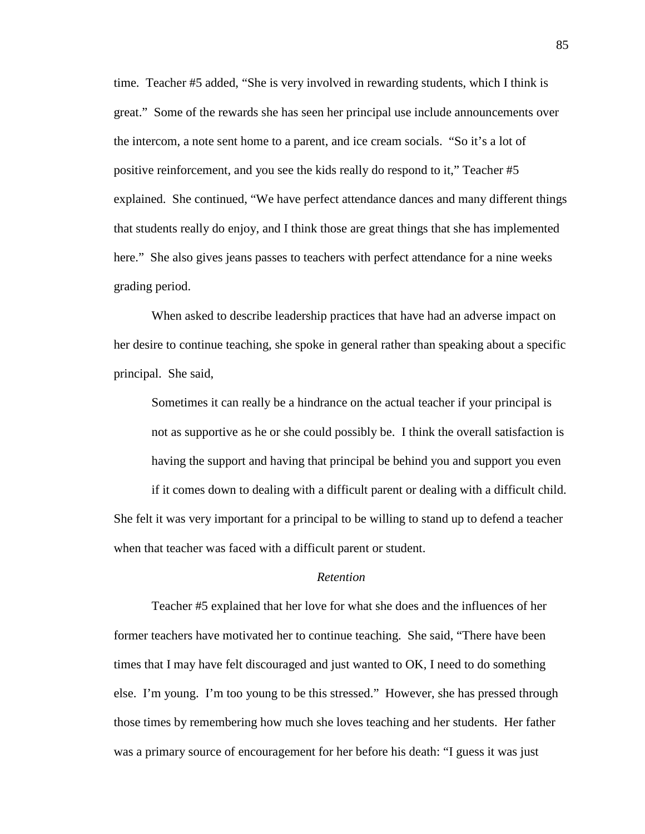time. Teacher #5 added, "She is very involved in rewarding students, which I think is great." Some of the rewards she has seen her principal use include announcements over the intercom, a note sent home to a parent, and ice cream socials. "So it's a lot of positive reinforcement, and you see the kids really do respond to it," Teacher #5 explained. She continued, "We have perfect attendance dances and many different things that students really do enjoy, and I think those are great things that she has implemented here." She also gives jeans passes to teachers with perfect attendance for a nine weeks grading period.

 When asked to describe leadership practices that have had an adverse impact on her desire to continue teaching, she spoke in general rather than speaking about a specific principal. She said,

Sometimes it can really be a hindrance on the actual teacher if your principal is not as supportive as he or she could possibly be. I think the overall satisfaction is having the support and having that principal be behind you and support you even

if it comes down to dealing with a difficult parent or dealing with a difficult child. She felt it was very important for a principal to be willing to stand up to defend a teacher when that teacher was faced with a difficult parent or student.

## *Retention*

 Teacher #5 explained that her love for what she does and the influences of her former teachers have motivated her to continue teaching. She said, "There have been times that I may have felt discouraged and just wanted to OK, I need to do something else. I'm young. I'm too young to be this stressed." However, she has pressed through those times by remembering how much she loves teaching and her students. Her father was a primary source of encouragement for her before his death: "I guess it was just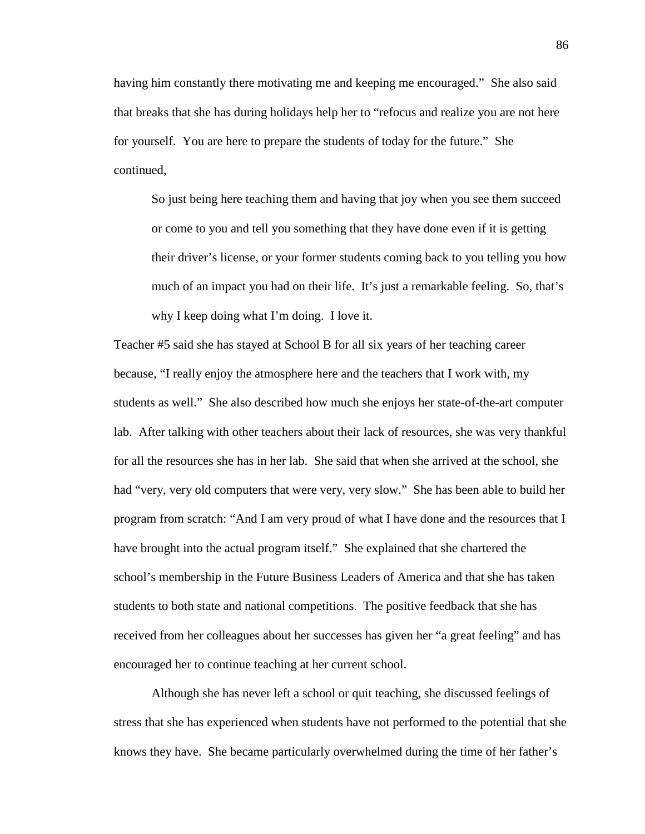having him constantly there motivating me and keeping me encouraged." She also said that breaks that she has during holidays help her to "refocus and realize you are not here for yourself. You are here to prepare the students of today for the future." She continued,

So just being here teaching them and having that joy when you see them succeed or come to you and tell you something that they have done even if it is getting their driver's license, or your former students coming back to you telling you how much of an impact you had on their life. It's just a remarkable feeling. So, that's why I keep doing what I'm doing. I love it.

Teacher #5 said she has stayed at School B for all six years of her teaching career because, "I really enjoy the atmosphere here and the teachers that I work with, my students as well." She also described how much she enjoys her state-of-the-art computer lab. After talking with other teachers about their lack of resources, she was very thankful for all the resources she has in her lab. She said that when she arrived at the school, she had "very, very old computers that were very, very slow." She has been able to build her program from scratch: "And I am very proud of what I have done and the resources that I have brought into the actual program itself." She explained that she chartered the school's membership in the Future Business Leaders of America and that she has taken students to both state and national competitions. The positive feedback that she has received from her colleagues about her successes has given her "a great feeling" and has encouraged her to continue teaching at her current school.

 Although she has never left a school or quit teaching, she discussed feelings of stress that she has experienced when students have not performed to the potential that she knows they have. She became particularly overwhelmed during the time of her father's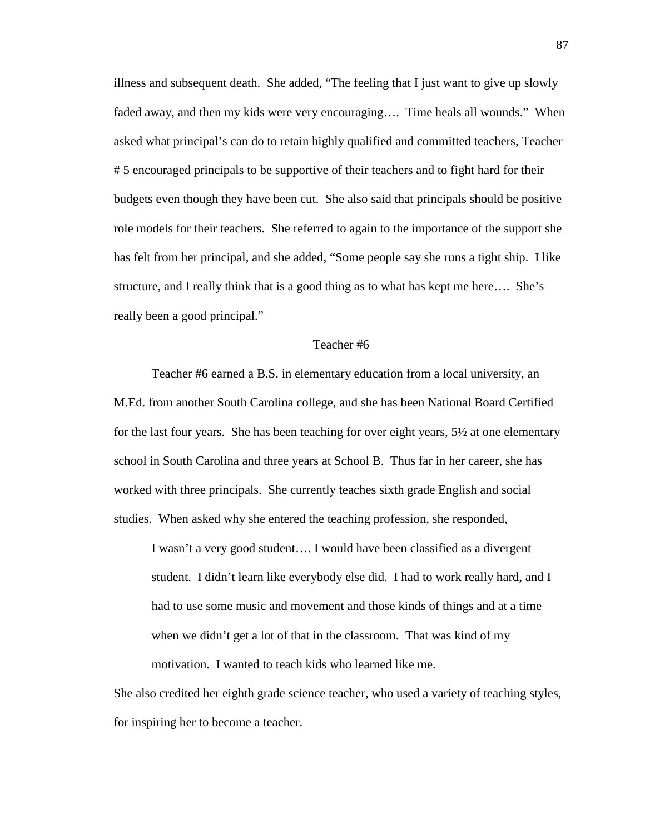illness and subsequent death. She added, "The feeling that I just want to give up slowly faded away, and then my kids were very encouraging…. Time heals all wounds." When asked what principal's can do to retain highly qualified and committed teachers, Teacher # 5 encouraged principals to be supportive of their teachers and to fight hard for their budgets even though they have been cut. She also said that principals should be positive role models for their teachers. She referred to again to the importance of the support she has felt from her principal, and she added, "Some people say she runs a tight ship. I like structure, and I really think that is a good thing as to what has kept me here…. She's really been a good principal."

# Teacher #6

 Teacher #6 earned a B.S. in elementary education from a local university, an M.Ed. from another South Carolina college, and she has been National Board Certified for the last four years. She has been teaching for over eight years, 5½ at one elementary school in South Carolina and three years at School B. Thus far in her career, she has worked with three principals. She currently teaches sixth grade English and social studies. When asked why she entered the teaching profession, she responded,

I wasn't a very good student…. I would have been classified as a divergent student. I didn't learn like everybody else did. I had to work really hard, and I had to use some music and movement and those kinds of things and at a time when we didn't get a lot of that in the classroom. That was kind of my motivation. I wanted to teach kids who learned like me.

She also credited her eighth grade science teacher, who used a variety of teaching styles, for inspiring her to become a teacher.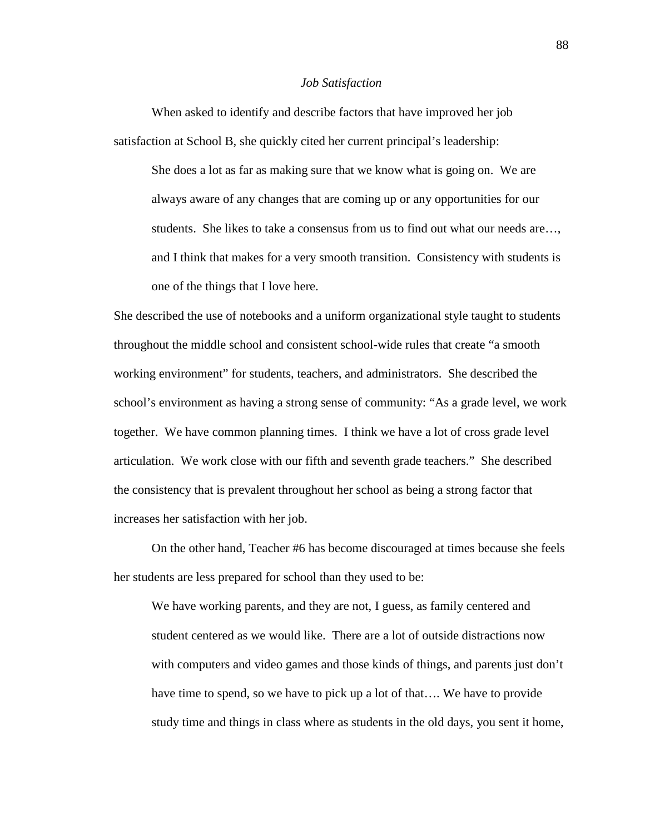#### *Job Satisfaction*

 When asked to identify and describe factors that have improved her job satisfaction at School B, she quickly cited her current principal's leadership: She does a lot as far as making sure that we know what is going on. We are always aware of any changes that are coming up or any opportunities for our students. She likes to take a consensus from us to find out what our needs are…, and I think that makes for a very smooth transition. Consistency with students is one of the things that I love here.

She described the use of notebooks and a uniform organizational style taught to students throughout the middle school and consistent school-wide rules that create "a smooth working environment" for students, teachers, and administrators. She described the school's environment as having a strong sense of community: "As a grade level, we work together. We have common planning times. I think we have a lot of cross grade level articulation. We work close with our fifth and seventh grade teachers." She described the consistency that is prevalent throughout her school as being a strong factor that increases her satisfaction with her job.

 On the other hand, Teacher #6 has become discouraged at times because she feels her students are less prepared for school than they used to be:

We have working parents, and they are not, I guess, as family centered and student centered as we would like. There are a lot of outside distractions now with computers and video games and those kinds of things, and parents just don't have time to spend, so we have to pick up a lot of that…. We have to provide study time and things in class where as students in the old days, you sent it home,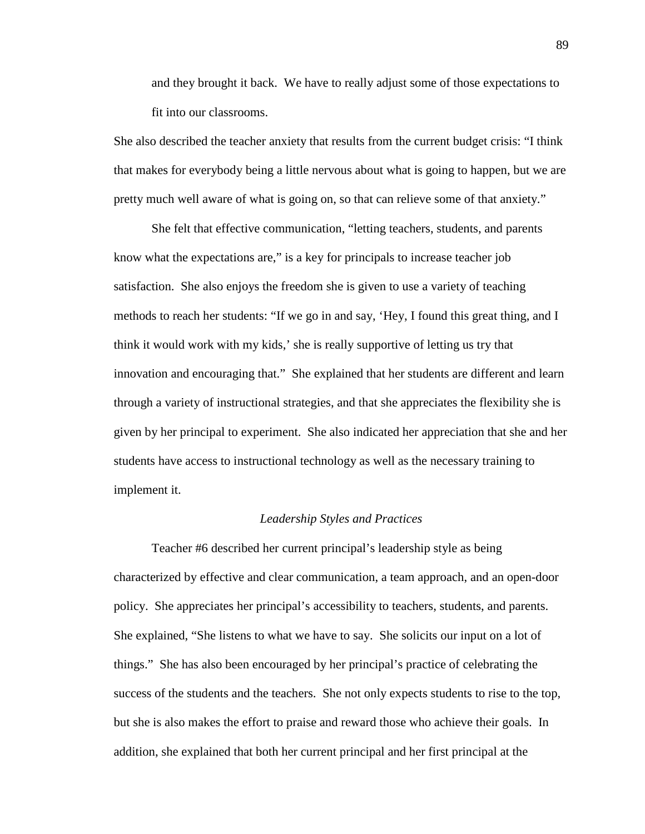and they brought it back. We have to really adjust some of those expectations to fit into our classrooms.

She also described the teacher anxiety that results from the current budget crisis: "I think that makes for everybody being a little nervous about what is going to happen, but we are pretty much well aware of what is going on, so that can relieve some of that anxiety."

 She felt that effective communication, "letting teachers, students, and parents know what the expectations are," is a key for principals to increase teacher job satisfaction. She also enjoys the freedom she is given to use a variety of teaching methods to reach her students: "If we go in and say, 'Hey, I found this great thing, and I think it would work with my kids,' she is really supportive of letting us try that innovation and encouraging that." She explained that her students are different and learn through a variety of instructional strategies, and that she appreciates the flexibility she is given by her principal to experiment. She also indicated her appreciation that she and her students have access to instructional technology as well as the necessary training to implement it.

# *Leadership Styles and Practices*

 Teacher #6 described her current principal's leadership style as being characterized by effective and clear communication, a team approach, and an open-door policy. She appreciates her principal's accessibility to teachers, students, and parents. She explained, "She listens to what we have to say. She solicits our input on a lot of things." She has also been encouraged by her principal's practice of celebrating the success of the students and the teachers. She not only expects students to rise to the top, but she is also makes the effort to praise and reward those who achieve their goals. In addition, she explained that both her current principal and her first principal at the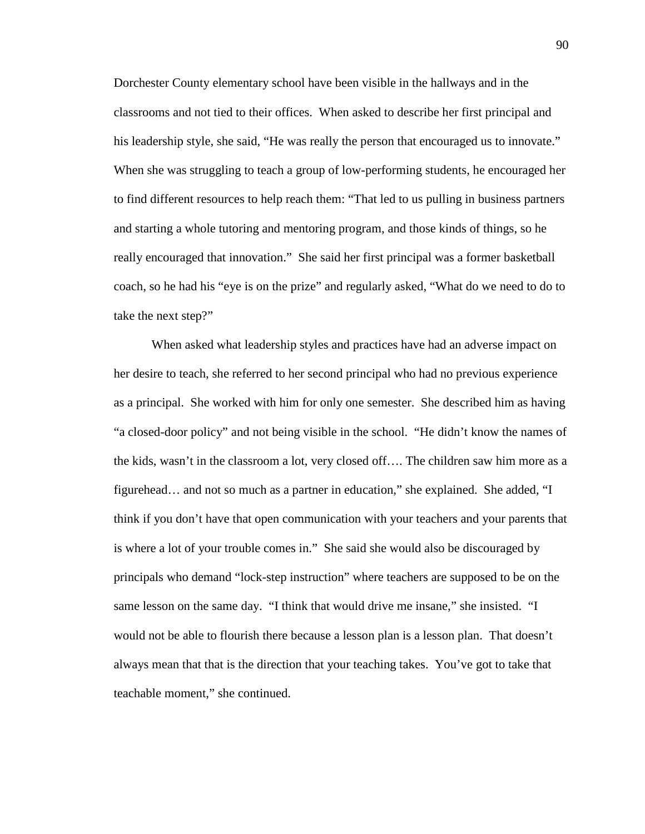Dorchester County elementary school have been visible in the hallways and in the classrooms and not tied to their offices. When asked to describe her first principal and his leadership style, she said, "He was really the person that encouraged us to innovate." When she was struggling to teach a group of low-performing students, he encouraged her to find different resources to help reach them: "That led to us pulling in business partners and starting a whole tutoring and mentoring program, and those kinds of things, so he really encouraged that innovation." She said her first principal was a former basketball coach, so he had his "eye is on the prize" and regularly asked, "What do we need to do to take the next step?"

 When asked what leadership styles and practices have had an adverse impact on her desire to teach, she referred to her second principal who had no previous experience as a principal. She worked with him for only one semester. She described him as having "a closed-door policy" and not being visible in the school. "He didn't know the names of the kids, wasn't in the classroom a lot, very closed off…. The children saw him more as a figurehead… and not so much as a partner in education," she explained. She added, "I think if you don't have that open communication with your teachers and your parents that is where a lot of your trouble comes in." She said she would also be discouraged by principals who demand "lock-step instruction" where teachers are supposed to be on the same lesson on the same day. "I think that would drive me insane," she insisted. "I would not be able to flourish there because a lesson plan is a lesson plan. That doesn't always mean that that is the direction that your teaching takes. You've got to take that teachable moment," she continued.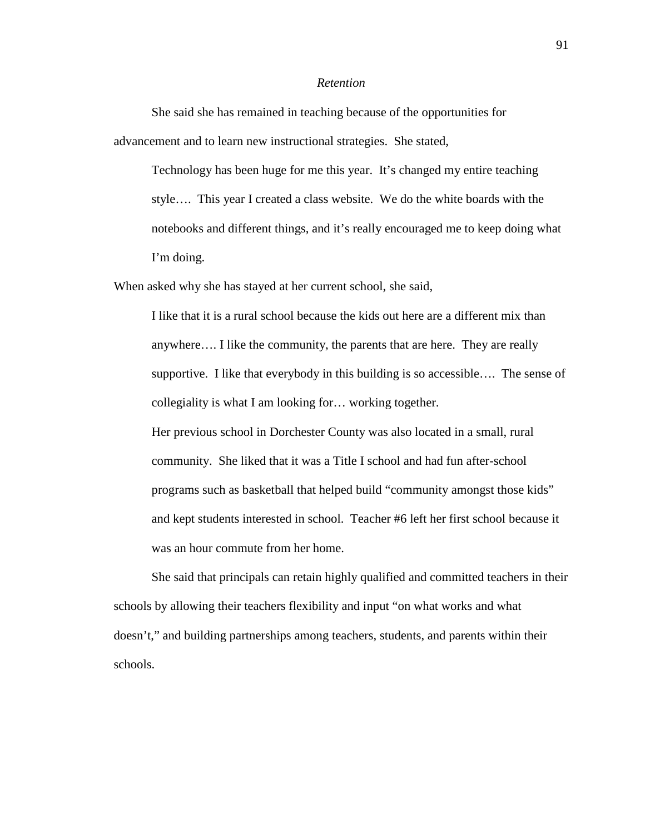### *Retention*

 She said she has remained in teaching because of the opportunities for advancement and to learn new instructional strategies. She stated,

Technology has been huge for me this year. It's changed my entire teaching style…. This year I created a class website. We do the white boards with the notebooks and different things, and it's really encouraged me to keep doing what I'm doing.

When asked why she has stayed at her current school, she said,

I like that it is a rural school because the kids out here are a different mix than anywhere…. I like the community, the parents that are here. They are really supportive. I like that everybody in this building is so accessible…. The sense of collegiality is what I am looking for… working together.

Her previous school in Dorchester County was also located in a small, rural community. She liked that it was a Title I school and had fun after-school programs such as basketball that helped build "community amongst those kids" and kept students interested in school. Teacher #6 left her first school because it was an hour commute from her home.

 She said that principals can retain highly qualified and committed teachers in their schools by allowing their teachers flexibility and input "on what works and what doesn't," and building partnerships among teachers, students, and parents within their schools.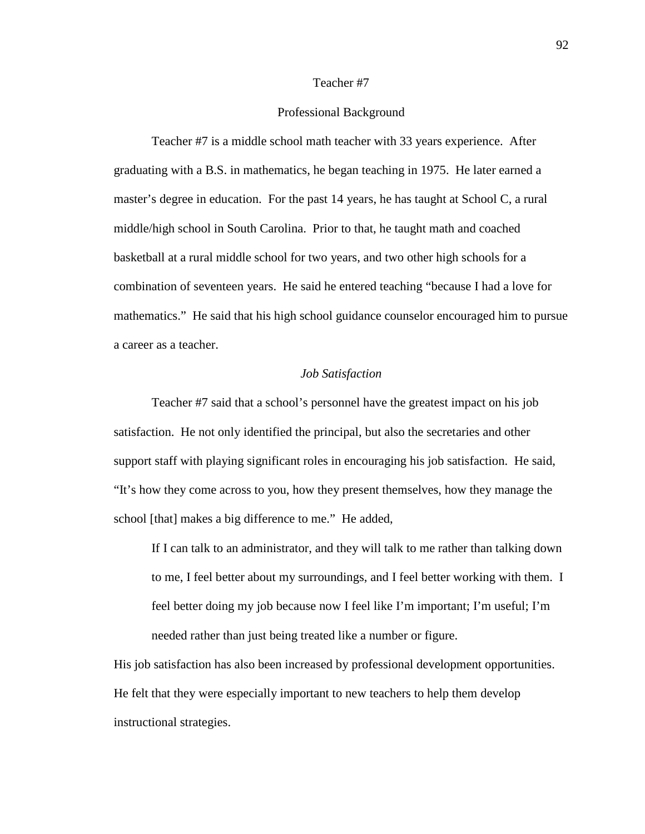## Teacher #7

# Professional Background

 Teacher #7 is a middle school math teacher with 33 years experience. After graduating with a B.S. in mathematics, he began teaching in 1975. He later earned a master's degree in education. For the past 14 years, he has taught at School C, a rural middle/high school in South Carolina. Prior to that, he taught math and coached basketball at a rural middle school for two years, and two other high schools for a combination of seventeen years. He said he entered teaching "because I had a love for mathematics." He said that his high school guidance counselor encouraged him to pursue a career as a teacher.

# *Job Satisfaction*

 Teacher #7 said that a school's personnel have the greatest impact on his job satisfaction. He not only identified the principal, but also the secretaries and other support staff with playing significant roles in encouraging his job satisfaction. He said, "It's how they come across to you, how they present themselves, how they manage the school [that] makes a big difference to me." He added,

If I can talk to an administrator, and they will talk to me rather than talking down to me, I feel better about my surroundings, and I feel better working with them. I feel better doing my job because now I feel like I'm important; I'm useful; I'm needed rather than just being treated like a number or figure.

His job satisfaction has also been increased by professional development opportunities. He felt that they were especially important to new teachers to help them develop instructional strategies.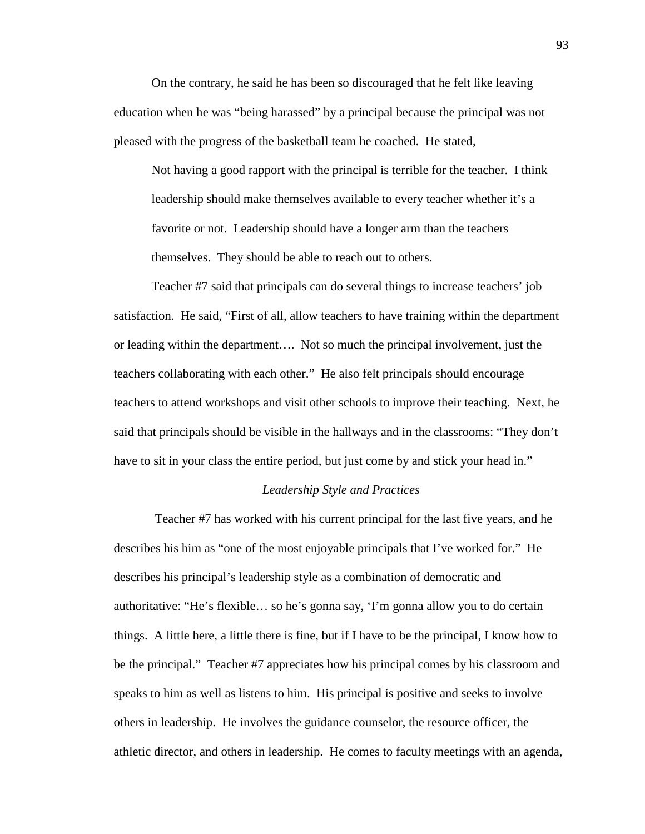On the contrary, he said he has been so discouraged that he felt like leaving education when he was "being harassed" by a principal because the principal was not pleased with the progress of the basketball team he coached. He stated,

Not having a good rapport with the principal is terrible for the teacher. I think leadership should make themselves available to every teacher whether it's a favorite or not. Leadership should have a longer arm than the teachers themselves. They should be able to reach out to others.

Teacher #7 said that principals can do several things to increase teachers' job satisfaction. He said, "First of all, allow teachers to have training within the department or leading within the department…. Not so much the principal involvement, just the teachers collaborating with each other." He also felt principals should encourage teachers to attend workshops and visit other schools to improve their teaching. Next, he said that principals should be visible in the hallways and in the classrooms: "They don't have to sit in your class the entire period, but just come by and stick your head in."

# *Leadership Style and Practices*

 Teacher #7 has worked with his current principal for the last five years, and he describes his him as "one of the most enjoyable principals that I've worked for." He describes his principal's leadership style as a combination of democratic and authoritative: "He's flexible… so he's gonna say, 'I'm gonna allow you to do certain things. A little here, a little there is fine, but if I have to be the principal, I know how to be the principal." Teacher #7 appreciates how his principal comes by his classroom and speaks to him as well as listens to him. His principal is positive and seeks to involve others in leadership. He involves the guidance counselor, the resource officer, the athletic director, and others in leadership. He comes to faculty meetings with an agenda,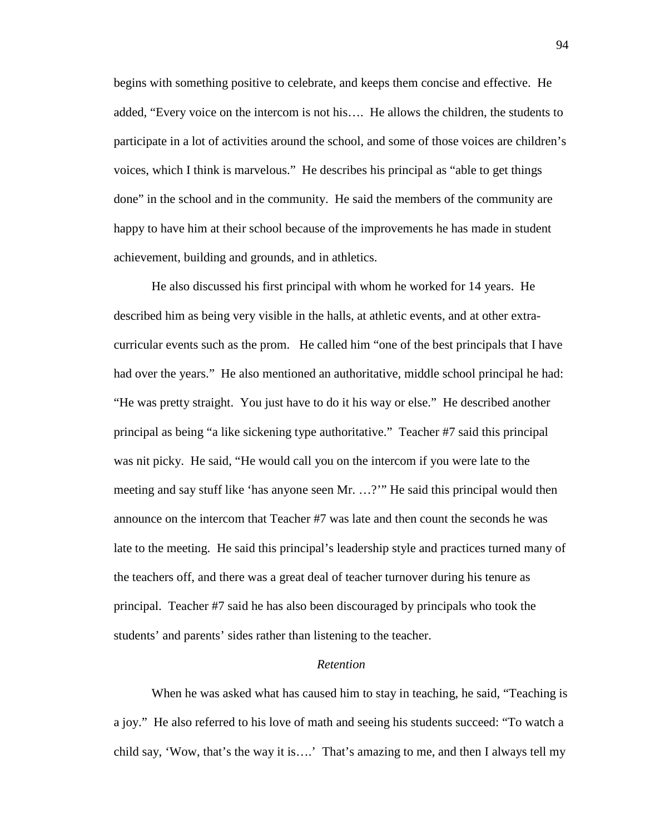begins with something positive to celebrate, and keeps them concise and effective. He added, "Every voice on the intercom is not his…. He allows the children, the students to participate in a lot of activities around the school, and some of those voices are children's voices, which I think is marvelous." He describes his principal as "able to get things done" in the school and in the community. He said the members of the community are happy to have him at their school because of the improvements he has made in student achievement, building and grounds, and in athletics.

 He also discussed his first principal with whom he worked for 14 years. He described him as being very visible in the halls, at athletic events, and at other extracurricular events such as the prom. He called him "one of the best principals that I have had over the years." He also mentioned an authoritative, middle school principal he had: "He was pretty straight. You just have to do it his way or else." He described another principal as being "a like sickening type authoritative." Teacher #7 said this principal was nit picky. He said, "He would call you on the intercom if you were late to the meeting and say stuff like 'has anyone seen Mr. …?'" He said this principal would then announce on the intercom that Teacher #7 was late and then count the seconds he was late to the meeting. He said this principal's leadership style and practices turned many of the teachers off, and there was a great deal of teacher turnover during his tenure as principal. Teacher #7 said he has also been discouraged by principals who took the students' and parents' sides rather than listening to the teacher.

### *Retention*

 When he was asked what has caused him to stay in teaching, he said, "Teaching is a joy." He also referred to his love of math and seeing his students succeed: "To watch a child say, 'Wow, that's the way it is….' That's amazing to me, and then I always tell my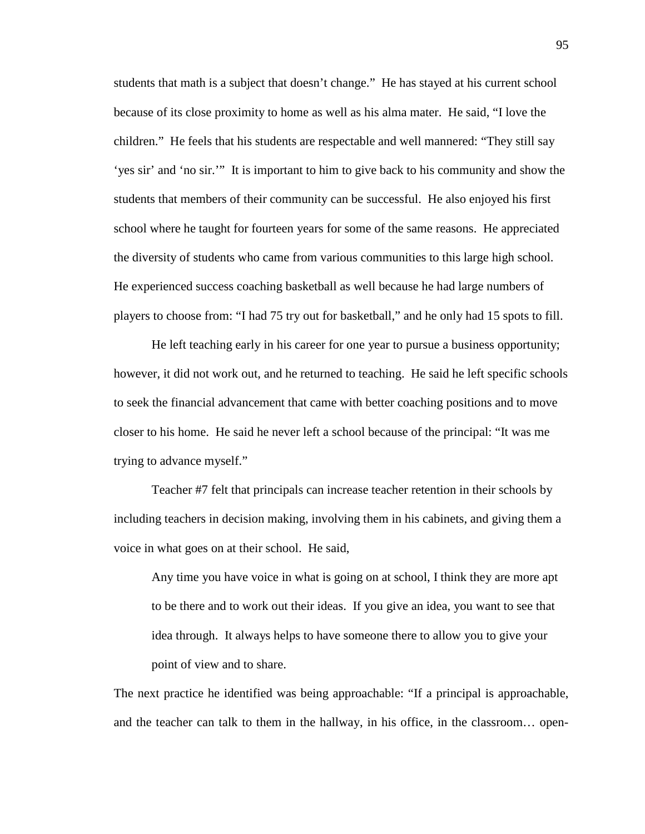students that math is a subject that doesn't change." He has stayed at his current school because of its close proximity to home as well as his alma mater. He said, "I love the children." He feels that his students are respectable and well mannered: "They still say 'yes sir' and 'no sir.'" It is important to him to give back to his community and show the students that members of their community can be successful. He also enjoyed his first school where he taught for fourteen years for some of the same reasons. He appreciated the diversity of students who came from various communities to this large high school. He experienced success coaching basketball as well because he had large numbers of players to choose from: "I had 75 try out for basketball," and he only had 15 spots to fill.

 He left teaching early in his career for one year to pursue a business opportunity; however, it did not work out, and he returned to teaching. He said he left specific schools to seek the financial advancement that came with better coaching positions and to move closer to his home. He said he never left a school because of the principal: "It was me trying to advance myself."

 Teacher #7 felt that principals can increase teacher retention in their schools by including teachers in decision making, involving them in his cabinets, and giving them a voice in what goes on at their school. He said,

Any time you have voice in what is going on at school, I think they are more apt to be there and to work out their ideas. If you give an idea, you want to see that idea through. It always helps to have someone there to allow you to give your point of view and to share.

The next practice he identified was being approachable: "If a principal is approachable, and the teacher can talk to them in the hallway, in his office, in the classroom… open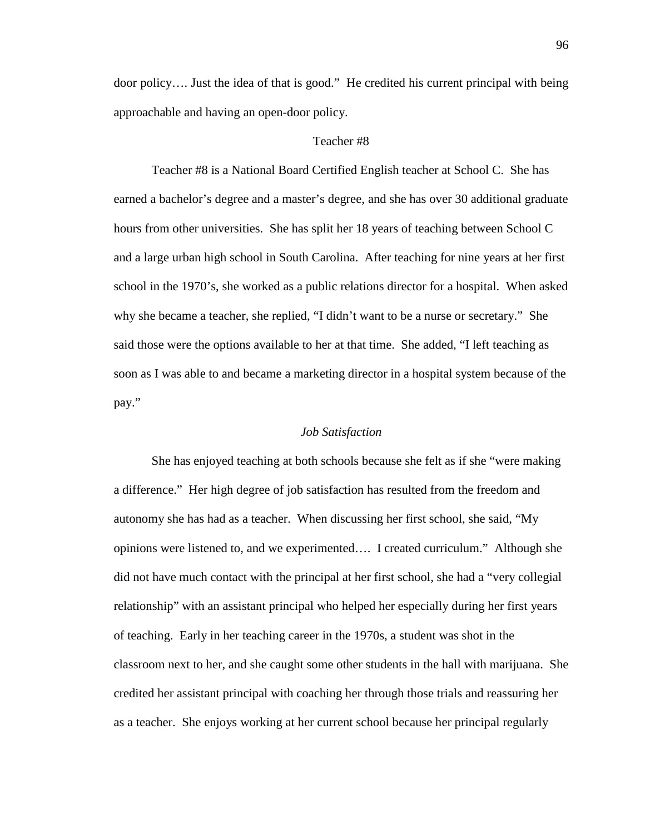door policy…. Just the idea of that is good." He credited his current principal with being approachable and having an open-door policy.

# Teacher #8

 Teacher #8 is a National Board Certified English teacher at School C. She has earned a bachelor's degree and a master's degree, and she has over 30 additional graduate hours from other universities. She has split her 18 years of teaching between School C and a large urban high school in South Carolina. After teaching for nine years at her first school in the 1970's, she worked as a public relations director for a hospital. When asked why she became a teacher, she replied, "I didn't want to be a nurse or secretary." She said those were the options available to her at that time. She added, "I left teaching as soon as I was able to and became a marketing director in a hospital system because of the pay."

### *Job Satisfaction*

 She has enjoyed teaching at both schools because she felt as if she "were making a difference." Her high degree of job satisfaction has resulted from the freedom and autonomy she has had as a teacher. When discussing her first school, she said, "My opinions were listened to, and we experimented…. I created curriculum." Although she did not have much contact with the principal at her first school, she had a "very collegial relationship" with an assistant principal who helped her especially during her first years of teaching. Early in her teaching career in the 1970s, a student was shot in the classroom next to her, and she caught some other students in the hall with marijuana. She credited her assistant principal with coaching her through those trials and reassuring her as a teacher. She enjoys working at her current school because her principal regularly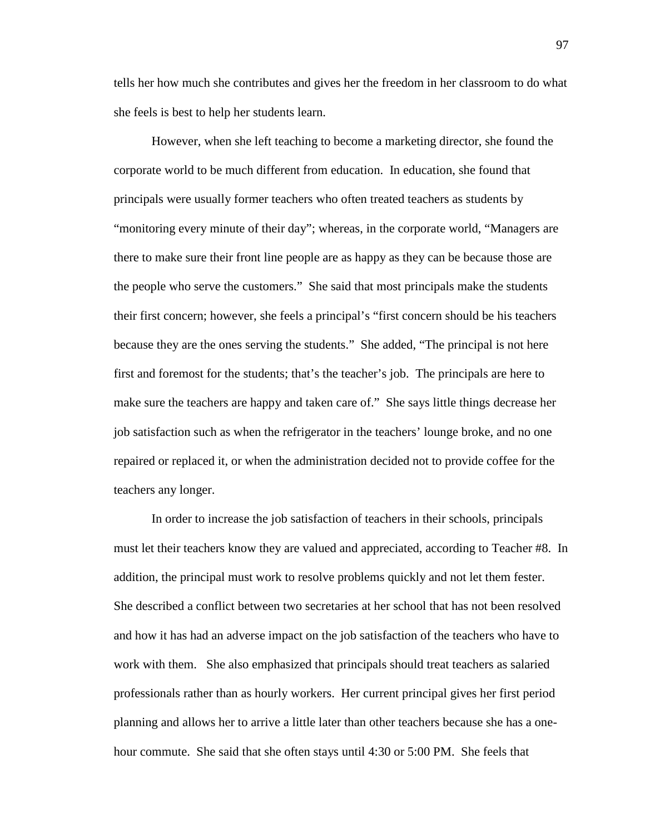tells her how much she contributes and gives her the freedom in her classroom to do what she feels is best to help her students learn.

However, when she left teaching to become a marketing director, she found the corporate world to be much different from education. In education, she found that principals were usually former teachers who often treated teachers as students by "monitoring every minute of their day"; whereas, in the corporate world, "Managers are there to make sure their front line people are as happy as they can be because those are the people who serve the customers." She said that most principals make the students their first concern; however, she feels a principal's "first concern should be his teachers because they are the ones serving the students." She added, "The principal is not here first and foremost for the students; that's the teacher's job. The principals are here to make sure the teachers are happy and taken care of." She says little things decrease her job satisfaction such as when the refrigerator in the teachers' lounge broke, and no one repaired or replaced it, or when the administration decided not to provide coffee for the teachers any longer.

In order to increase the job satisfaction of teachers in their schools, principals must let their teachers know they are valued and appreciated, according to Teacher #8. In addition, the principal must work to resolve problems quickly and not let them fester. She described a conflict between two secretaries at her school that has not been resolved and how it has had an adverse impact on the job satisfaction of the teachers who have to work with them. She also emphasized that principals should treat teachers as salaried professionals rather than as hourly workers. Her current principal gives her first period planning and allows her to arrive a little later than other teachers because she has a onehour commute. She said that she often stays until 4:30 or 5:00 PM. She feels that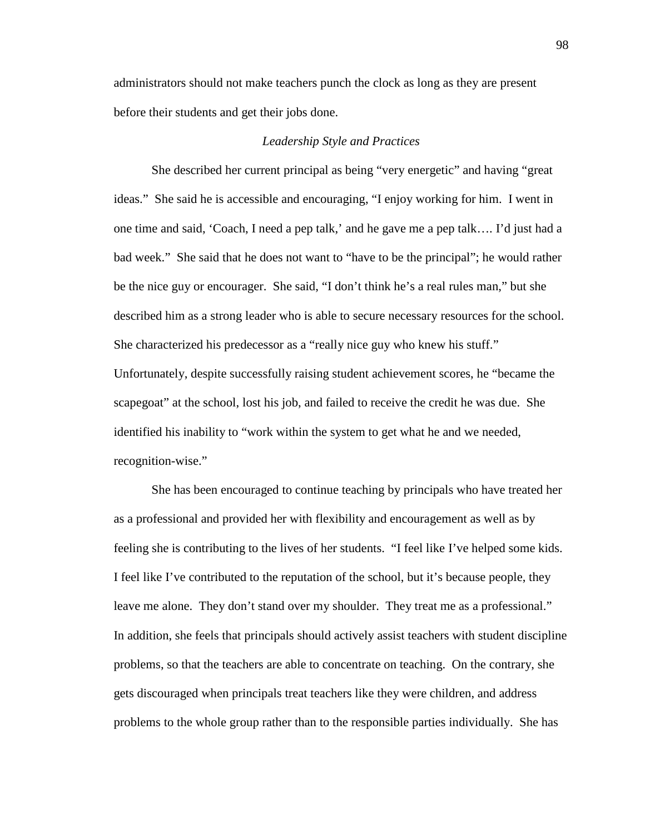administrators should not make teachers punch the clock as long as they are present before their students and get their jobs done.

# *Leadership Style and Practices*

 She described her current principal as being "very energetic" and having "great ideas." She said he is accessible and encouraging, "I enjoy working for him. I went in one time and said, 'Coach, I need a pep talk,' and he gave me a pep talk…. I'd just had a bad week." She said that he does not want to "have to be the principal"; he would rather be the nice guy or encourager. She said, "I don't think he's a real rules man," but she described him as a strong leader who is able to secure necessary resources for the school. She characterized his predecessor as a "really nice guy who knew his stuff." Unfortunately, despite successfully raising student achievement scores, he "became the scapegoat" at the school, lost his job, and failed to receive the credit he was due. She identified his inability to "work within the system to get what he and we needed, recognition-wise."

 She has been encouraged to continue teaching by principals who have treated her as a professional and provided her with flexibility and encouragement as well as by feeling she is contributing to the lives of her students. "I feel like I've helped some kids. I feel like I've contributed to the reputation of the school, but it's because people, they leave me alone. They don't stand over my shoulder. They treat me as a professional." In addition, she feels that principals should actively assist teachers with student discipline problems, so that the teachers are able to concentrate on teaching. On the contrary, she gets discouraged when principals treat teachers like they were children, and address problems to the whole group rather than to the responsible parties individually. She has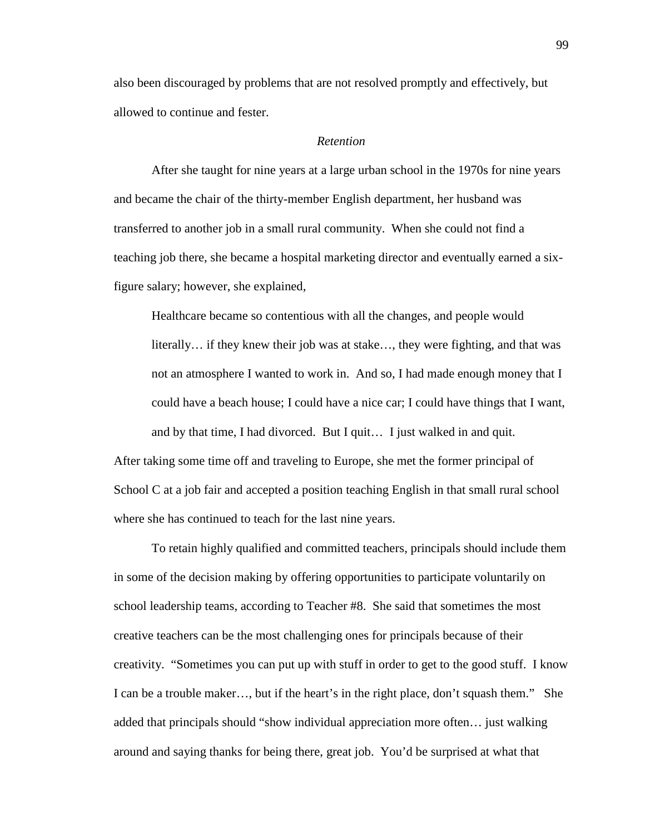also been discouraged by problems that are not resolved promptly and effectively, but allowed to continue and fester.

# *Retention*

 After she taught for nine years at a large urban school in the 1970s for nine years and became the chair of the thirty-member English department, her husband was transferred to another job in a small rural community. When she could not find a teaching job there, she became a hospital marketing director and eventually earned a sixfigure salary; however, she explained,

Healthcare became so contentious with all the changes, and people would literally… if they knew their job was at stake…, they were fighting, and that was not an atmosphere I wanted to work in. And so, I had made enough money that I could have a beach house; I could have a nice car; I could have things that I want, and by that time, I had divorced. But I quit… I just walked in and quit.

After taking some time off and traveling to Europe, she met the former principal of School C at a job fair and accepted a position teaching English in that small rural school where she has continued to teach for the last nine years.

 To retain highly qualified and committed teachers, principals should include them in some of the decision making by offering opportunities to participate voluntarily on school leadership teams, according to Teacher #8. She said that sometimes the most creative teachers can be the most challenging ones for principals because of their creativity. "Sometimes you can put up with stuff in order to get to the good stuff. I know I can be a trouble maker…, but if the heart's in the right place, don't squash them." She added that principals should "show individual appreciation more often… just walking around and saying thanks for being there, great job. You'd be surprised at what that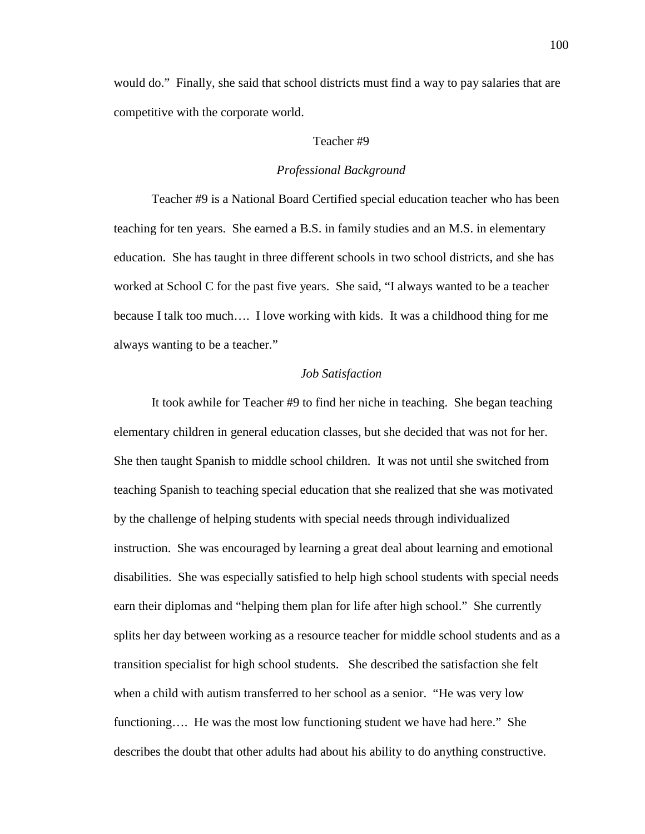would do." Finally, she said that school districts must find a way to pay salaries that are competitive with the corporate world.

# Teacher #9

# *Professional Background*

 Teacher #9 is a National Board Certified special education teacher who has been teaching for ten years. She earned a B.S. in family studies and an M.S. in elementary education. She has taught in three different schools in two school districts, and she has worked at School C for the past five years. She said, "I always wanted to be a teacher because I talk too much…. I love working with kids. It was a childhood thing for me always wanting to be a teacher."

# *Job Satisfaction*

 It took awhile for Teacher #9 to find her niche in teaching. She began teaching elementary children in general education classes, but she decided that was not for her. She then taught Spanish to middle school children. It was not until she switched from teaching Spanish to teaching special education that she realized that she was motivated by the challenge of helping students with special needs through individualized instruction. She was encouraged by learning a great deal about learning and emotional disabilities. She was especially satisfied to help high school students with special needs earn their diplomas and "helping them plan for life after high school." She currently splits her day between working as a resource teacher for middle school students and as a transition specialist for high school students. She described the satisfaction she felt when a child with autism transferred to her school as a senior. "He was very low functioning…. He was the most low functioning student we have had here." She describes the doubt that other adults had about his ability to do anything constructive.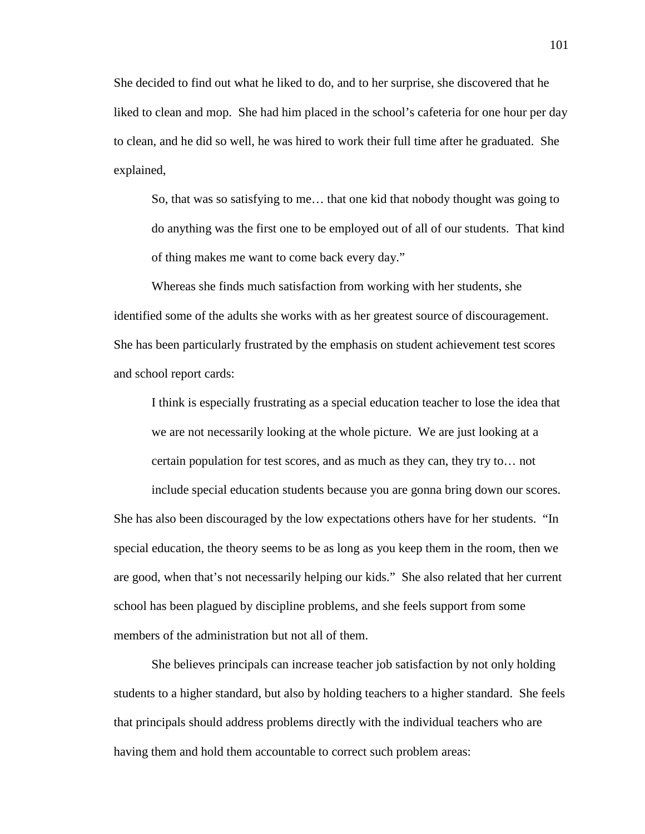She decided to find out what he liked to do, and to her surprise, she discovered that he liked to clean and mop. She had him placed in the school's cafeteria for one hour per day to clean, and he did so well, he was hired to work their full time after he graduated. She explained,

So, that was so satisfying to me… that one kid that nobody thought was going to do anything was the first one to be employed out of all of our students. That kind of thing makes me want to come back every day."

Whereas she finds much satisfaction from working with her students, she identified some of the adults she works with as her greatest source of discouragement. She has been particularly frustrated by the emphasis on student achievement test scores and school report cards:

I think is especially frustrating as a special education teacher to lose the idea that we are not necessarily looking at the whole picture. We are just looking at a certain population for test scores, and as much as they can, they try to… not

include special education students because you are gonna bring down our scores. She has also been discouraged by the low expectations others have for her students. "In special education, the theory seems to be as long as you keep them in the room, then we are good, when that's not necessarily helping our kids." She also related that her current school has been plagued by discipline problems, and she feels support from some members of the administration but not all of them.

 She believes principals can increase teacher job satisfaction by not only holding students to a higher standard, but also by holding teachers to a higher standard. She feels that principals should address problems directly with the individual teachers who are having them and hold them accountable to correct such problem areas: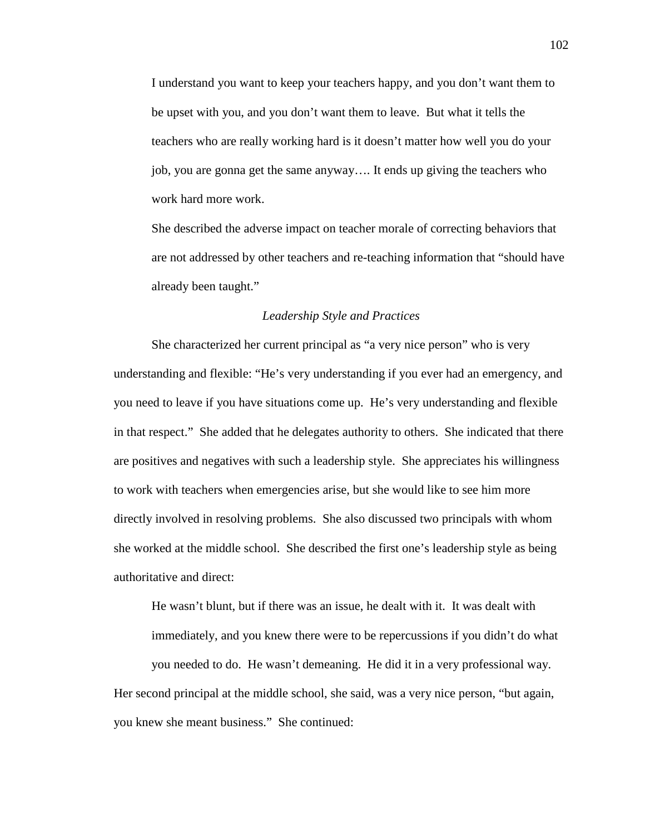I understand you want to keep your teachers happy, and you don't want them to be upset with you, and you don't want them to leave. But what it tells the teachers who are really working hard is it doesn't matter how well you do your job, you are gonna get the same anyway…. It ends up giving the teachers who work hard more work.

She described the adverse impact on teacher morale of correcting behaviors that are not addressed by other teachers and re-teaching information that "should have already been taught."

# *Leadership Style and Practices*

 She characterized her current principal as "a very nice person" who is very understanding and flexible: "He's very understanding if you ever had an emergency, and you need to leave if you have situations come up. He's very understanding and flexible in that respect." She added that he delegates authority to others. She indicated that there are positives and negatives with such a leadership style. She appreciates his willingness to work with teachers when emergencies arise, but she would like to see him more directly involved in resolving problems. She also discussed two principals with whom she worked at the middle school. She described the first one's leadership style as being authoritative and direct:

He wasn't blunt, but if there was an issue, he dealt with it. It was dealt with immediately, and you knew there were to be repercussions if you didn't do what you needed to do. He wasn't demeaning. He did it in a very professional way. Her second principal at the middle school, she said, was a very nice person, "but again, you knew she meant business." She continued: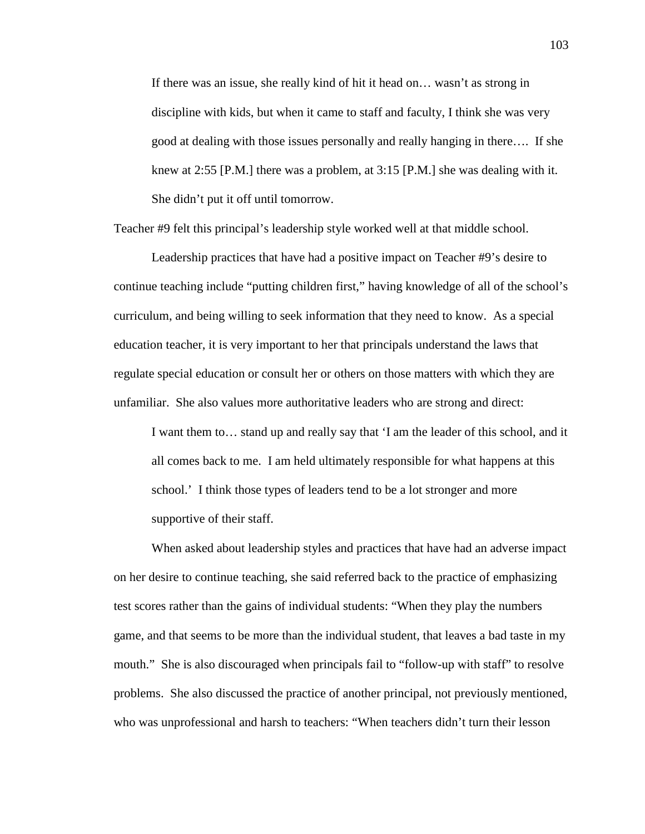If there was an issue, she really kind of hit it head on… wasn't as strong in discipline with kids, but when it came to staff and faculty, I think she was very good at dealing with those issues personally and really hanging in there…. If she knew at 2:55 [P.M.] there was a problem, at 3:15 [P.M.] she was dealing with it. She didn't put it off until tomorrow.

Teacher #9 felt this principal's leadership style worked well at that middle school.

 Leadership practices that have had a positive impact on Teacher #9's desire to continue teaching include "putting children first," having knowledge of all of the school's curriculum, and being willing to seek information that they need to know. As a special education teacher, it is very important to her that principals understand the laws that regulate special education or consult her or others on those matters with which they are unfamiliar. She also values more authoritative leaders who are strong and direct:

I want them to… stand up and really say that 'I am the leader of this school, and it all comes back to me. I am held ultimately responsible for what happens at this school.' I think those types of leaders tend to be a lot stronger and more supportive of their staff.

When asked about leadership styles and practices that have had an adverse impact on her desire to continue teaching, she said referred back to the practice of emphasizing test scores rather than the gains of individual students: "When they play the numbers game, and that seems to be more than the individual student, that leaves a bad taste in my mouth." She is also discouraged when principals fail to "follow-up with staff" to resolve problems. She also discussed the practice of another principal, not previously mentioned, who was unprofessional and harsh to teachers: "When teachers didn't turn their lesson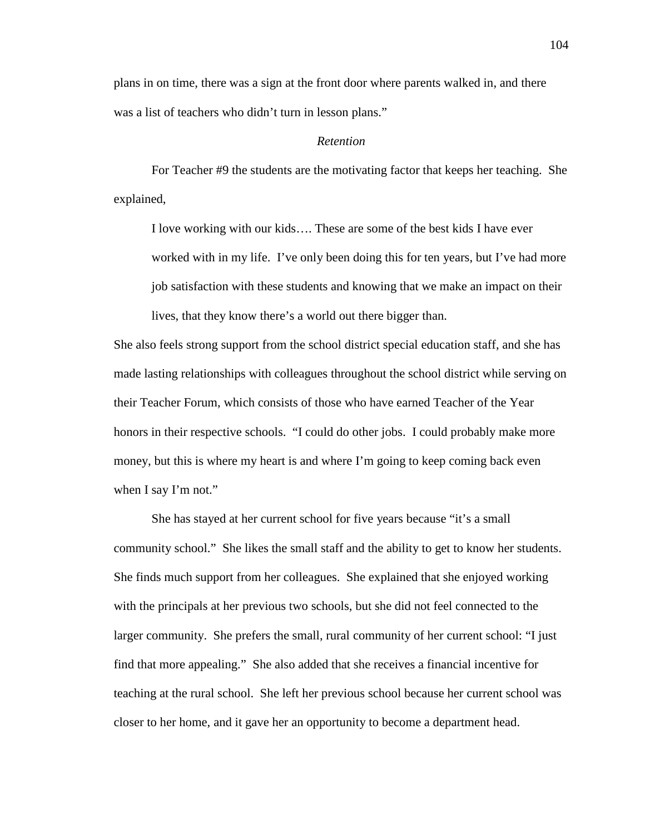plans in on time, there was a sign at the front door where parents walked in, and there was a list of teachers who didn't turn in lesson plans."

## *Retention*

 For Teacher #9 the students are the motivating factor that keeps her teaching. She explained,

I love working with our kids…. These are some of the best kids I have ever worked with in my life. I've only been doing this for ten years, but I've had more job satisfaction with these students and knowing that we make an impact on their lives, that they know there's a world out there bigger than.

She also feels strong support from the school district special education staff, and she has made lasting relationships with colleagues throughout the school district while serving on their Teacher Forum, which consists of those who have earned Teacher of the Year honors in their respective schools. "I could do other jobs. I could probably make more money, but this is where my heart is and where I'm going to keep coming back even when I say I'm not."

 She has stayed at her current school for five years because "it's a small community school." She likes the small staff and the ability to get to know her students. She finds much support from her colleagues. She explained that she enjoyed working with the principals at her previous two schools, but she did not feel connected to the larger community. She prefers the small, rural community of her current school: "I just find that more appealing." She also added that she receives a financial incentive for teaching at the rural school. She left her previous school because her current school was closer to her home, and it gave her an opportunity to become a department head.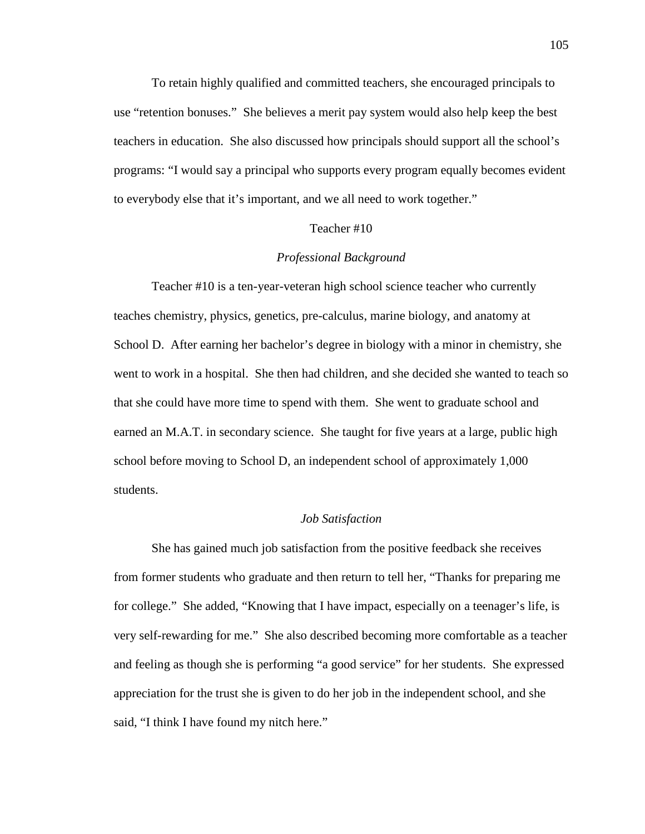To retain highly qualified and committed teachers, she encouraged principals to use "retention bonuses." She believes a merit pay system would also help keep the best teachers in education. She also discussed how principals should support all the school's programs: "I would say a principal who supports every program equally becomes evident to everybody else that it's important, and we all need to work together."

#### Teacher #10

# *Professional Background*

 Teacher #10 is a ten-year-veteran high school science teacher who currently teaches chemistry, physics, genetics, pre-calculus, marine biology, and anatomy at School D. After earning her bachelor's degree in biology with a minor in chemistry, she went to work in a hospital. She then had children, and she decided she wanted to teach so that she could have more time to spend with them. She went to graduate school and earned an M.A.T. in secondary science. She taught for five years at a large, public high school before moving to School D, an independent school of approximately 1,000 students.

# *Job Satisfaction*

 She has gained much job satisfaction from the positive feedback she receives from former students who graduate and then return to tell her, "Thanks for preparing me for college." She added, "Knowing that I have impact, especially on a teenager's life, is very self-rewarding for me." She also described becoming more comfortable as a teacher and feeling as though she is performing "a good service" for her students. She expressed appreciation for the trust she is given to do her job in the independent school, and she said, "I think I have found my nitch here."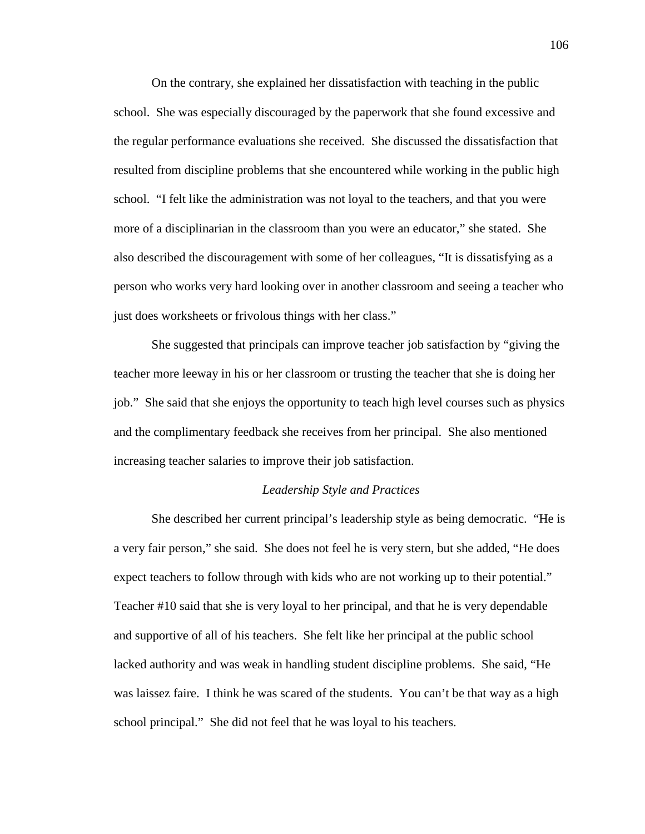On the contrary, she explained her dissatisfaction with teaching in the public school. She was especially discouraged by the paperwork that she found excessive and the regular performance evaluations she received. She discussed the dissatisfaction that resulted from discipline problems that she encountered while working in the public high school. "I felt like the administration was not loyal to the teachers, and that you were more of a disciplinarian in the classroom than you were an educator," she stated. She also described the discouragement with some of her colleagues, "It is dissatisfying as a person who works very hard looking over in another classroom and seeing a teacher who just does worksheets or frivolous things with her class."

 She suggested that principals can improve teacher job satisfaction by "giving the teacher more leeway in his or her classroom or trusting the teacher that she is doing her job." She said that she enjoys the opportunity to teach high level courses such as physics and the complimentary feedback she receives from her principal. She also mentioned increasing teacher salaries to improve their job satisfaction.

### *Leadership Style and Practices*

 She described her current principal's leadership style as being democratic. "He is a very fair person," she said. She does not feel he is very stern, but she added, "He does expect teachers to follow through with kids who are not working up to their potential." Teacher #10 said that she is very loyal to her principal, and that he is very dependable and supportive of all of his teachers. She felt like her principal at the public school lacked authority and was weak in handling student discipline problems. She said, "He was laissez faire. I think he was scared of the students. You can't be that way as a high school principal." She did not feel that he was loyal to his teachers.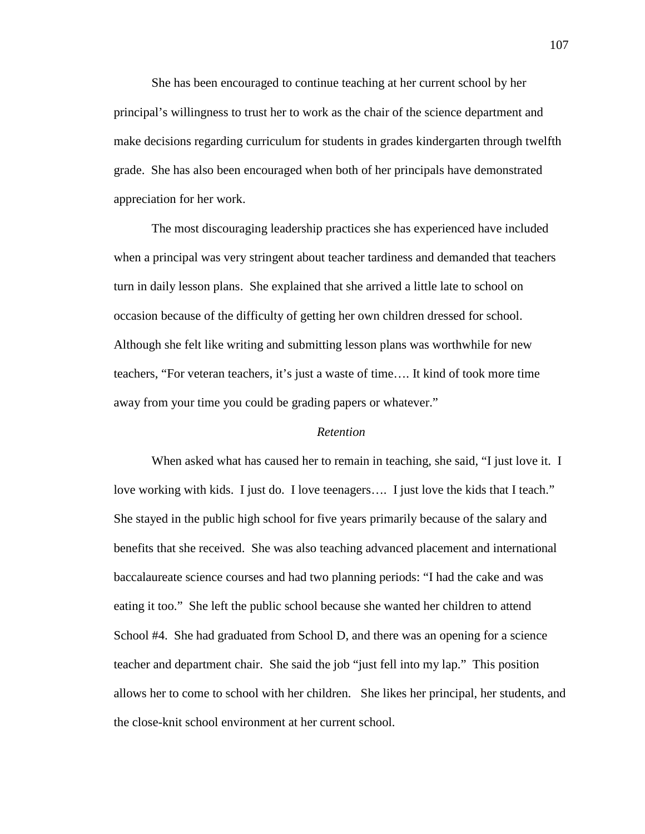She has been encouraged to continue teaching at her current school by her principal's willingness to trust her to work as the chair of the science department and make decisions regarding curriculum for students in grades kindergarten through twelfth grade. She has also been encouraged when both of her principals have demonstrated appreciation for her work.

 The most discouraging leadership practices she has experienced have included when a principal was very stringent about teacher tardiness and demanded that teachers turn in daily lesson plans. She explained that she arrived a little late to school on occasion because of the difficulty of getting her own children dressed for school. Although she felt like writing and submitting lesson plans was worthwhile for new teachers, "For veteran teachers, it's just a waste of time…. It kind of took more time away from your time you could be grading papers or whatever."

### *Retention*

When asked what has caused her to remain in teaching, she said, "I just love it. I love working with kids. I just do. I love teenagers…. I just love the kids that I teach." She stayed in the public high school for five years primarily because of the salary and benefits that she received. She was also teaching advanced placement and international baccalaureate science courses and had two planning periods: "I had the cake and was eating it too." She left the public school because she wanted her children to attend School #4. She had graduated from School D, and there was an opening for a science teacher and department chair. She said the job "just fell into my lap." This position allows her to come to school with her children. She likes her principal, her students, and the close-knit school environment at her current school.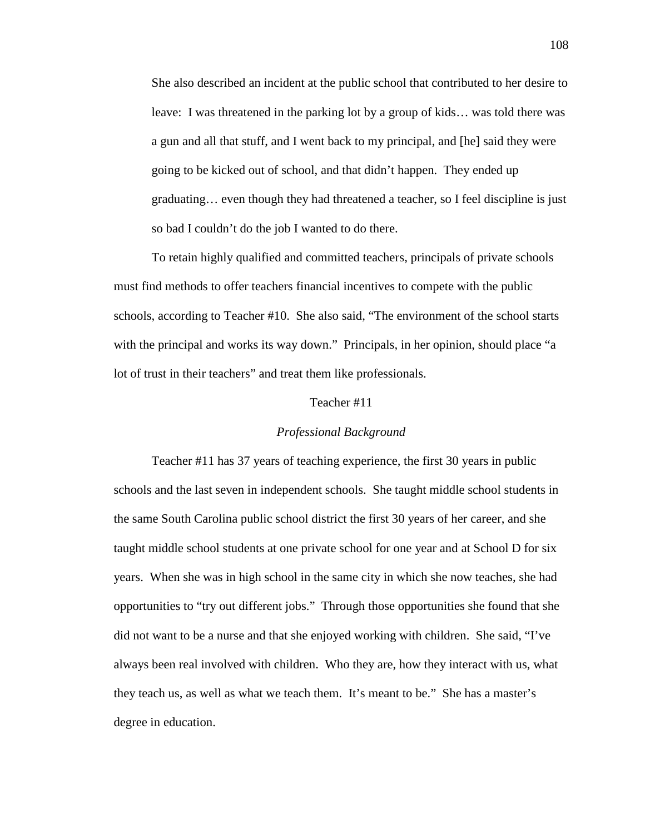She also described an incident at the public school that contributed to her desire to leave: I was threatened in the parking lot by a group of kids… was told there was a gun and all that stuff, and I went back to my principal, and [he] said they were going to be kicked out of school, and that didn't happen. They ended up graduating… even though they had threatened a teacher, so I feel discipline is just so bad I couldn't do the job I wanted to do there.

To retain highly qualified and committed teachers, principals of private schools must find methods to offer teachers financial incentives to compete with the public schools, according to Teacher #10. She also said, "The environment of the school starts with the principal and works its way down." Principals, in her opinion, should place "a lot of trust in their teachers" and treat them like professionals.

# Teacher #11

### *Professional Background*

 Teacher #11 has 37 years of teaching experience, the first 30 years in public schools and the last seven in independent schools. She taught middle school students in the same South Carolina public school district the first 30 years of her career, and she taught middle school students at one private school for one year and at School D for six years. When she was in high school in the same city in which she now teaches, she had opportunities to "try out different jobs." Through those opportunities she found that she did not want to be a nurse and that she enjoyed working with children. She said, "I've always been real involved with children. Who they are, how they interact with us, what they teach us, as well as what we teach them. It's meant to be." She has a master's degree in education.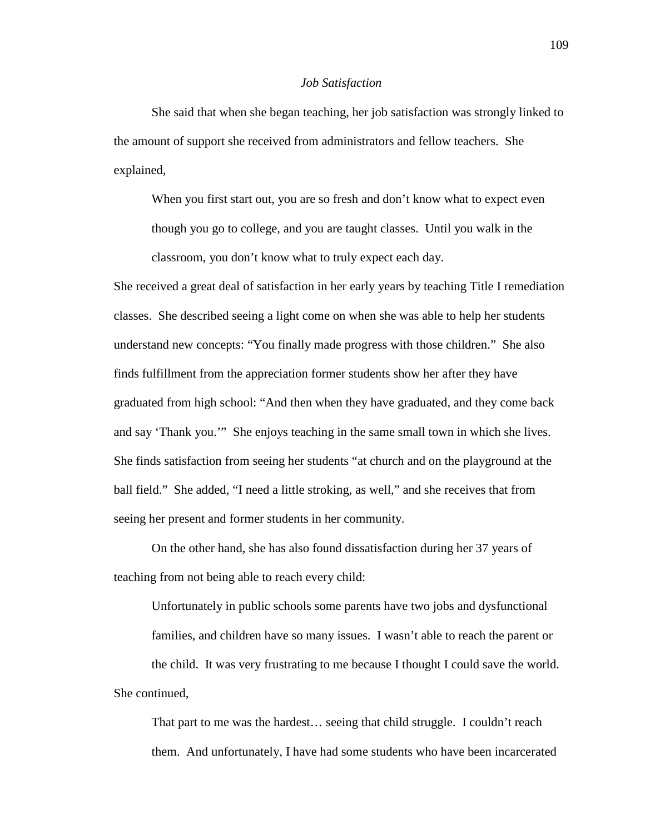#### *Job Satisfaction*

She said that when she began teaching, her job satisfaction was strongly linked to the amount of support she received from administrators and fellow teachers. She explained,

When you first start out, you are so fresh and don't know what to expect even though you go to college, and you are taught classes. Until you walk in the classroom, you don't know what to truly expect each day.

She received a great deal of satisfaction in her early years by teaching Title I remediation classes. She described seeing a light come on when she was able to help her students understand new concepts: "You finally made progress with those children." She also finds fulfillment from the appreciation former students show her after they have graduated from high school: "And then when they have graduated, and they come back and say 'Thank you.'" She enjoys teaching in the same small town in which she lives. She finds satisfaction from seeing her students "at church and on the playground at the ball field." She added, "I need a little stroking, as well," and she receives that from seeing her present and former students in her community.

 On the other hand, she has also found dissatisfaction during her 37 years of teaching from not being able to reach every child:

Unfortunately in public schools some parents have two jobs and dysfunctional families, and children have so many issues. I wasn't able to reach the parent or the child. It was very frustrating to me because I thought I could save the world. She continued,

That part to me was the hardest… seeing that child struggle. I couldn't reach them. And unfortunately, I have had some students who have been incarcerated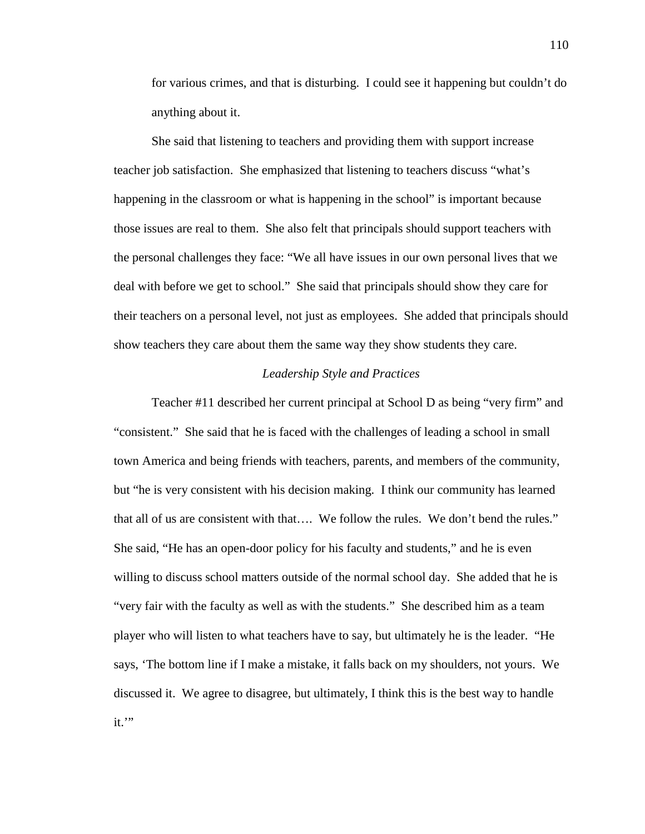for various crimes, and that is disturbing. I could see it happening but couldn't do anything about it.

 She said that listening to teachers and providing them with support increase teacher job satisfaction. She emphasized that listening to teachers discuss "what's happening in the classroom or what is happening in the school" is important because those issues are real to them. She also felt that principals should support teachers with the personal challenges they face: "We all have issues in our own personal lives that we deal with before we get to school." She said that principals should show they care for their teachers on a personal level, not just as employees. She added that principals should show teachers they care about them the same way they show students they care.

## *Leadership Style and Practices*

Teacher #11 described her current principal at School D as being "very firm" and "consistent." She said that he is faced with the challenges of leading a school in small town America and being friends with teachers, parents, and members of the community, but "he is very consistent with his decision making. I think our community has learned that all of us are consistent with that…. We follow the rules. We don't bend the rules." She said, "He has an open-door policy for his faculty and students," and he is even willing to discuss school matters outside of the normal school day. She added that he is "very fair with the faculty as well as with the students." She described him as a team player who will listen to what teachers have to say, but ultimately he is the leader. "He says, 'The bottom line if I make a mistake, it falls back on my shoulders, not yours. We discussed it. We agree to disagree, but ultimately, I think this is the best way to handle it.'"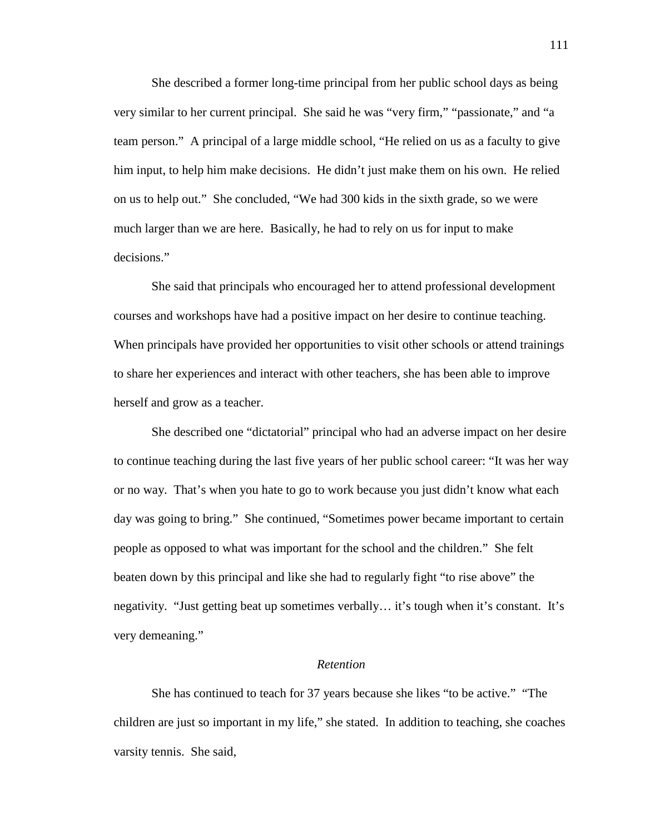She described a former long-time principal from her public school days as being very similar to her current principal. She said he was "very firm," "passionate," and "a team person." A principal of a large middle school, "He relied on us as a faculty to give him input, to help him make decisions. He didn't just make them on his own. He relied on us to help out." She concluded, "We had 300 kids in the sixth grade, so we were much larger than we are here. Basically, he had to rely on us for input to make decisions."

She said that principals who encouraged her to attend professional development courses and workshops have had a positive impact on her desire to continue teaching. When principals have provided her opportunities to visit other schools or attend trainings to share her experiences and interact with other teachers, she has been able to improve herself and grow as a teacher.

She described one "dictatorial" principal who had an adverse impact on her desire to continue teaching during the last five years of her public school career: "It was her way or no way. That's when you hate to go to work because you just didn't know what each day was going to bring." She continued, "Sometimes power became important to certain people as opposed to what was important for the school and the children." She felt beaten down by this principal and like she had to regularly fight "to rise above" the negativity. "Just getting beat up sometimes verbally… it's tough when it's constant. It's very demeaning."

#### *Retention*

 She has continued to teach for 37 years because she likes "to be active." "The children are just so important in my life," she stated. In addition to teaching, she coaches varsity tennis. She said,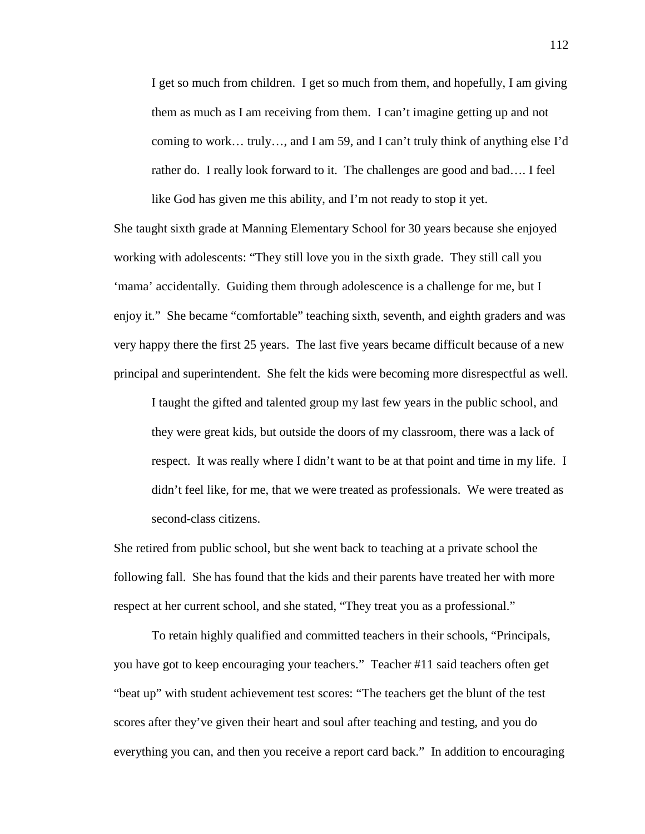I get so much from children. I get so much from them, and hopefully, I am giving them as much as I am receiving from them. I can't imagine getting up and not coming to work… truly…, and I am 59, and I can't truly think of anything else I'd rather do. I really look forward to it. The challenges are good and bad…. I feel like God has given me this ability, and I'm not ready to stop it yet.

She taught sixth grade at Manning Elementary School for 30 years because she enjoyed working with adolescents: "They still love you in the sixth grade. They still call you 'mama' accidentally. Guiding them through adolescence is a challenge for me, but I enjoy it." She became "comfortable" teaching sixth, seventh, and eighth graders and was very happy there the first 25 years. The last five years became difficult because of a new principal and superintendent. She felt the kids were becoming more disrespectful as well.

I taught the gifted and talented group my last few years in the public school, and they were great kids, but outside the doors of my classroom, there was a lack of respect. It was really where I didn't want to be at that point and time in my life. I didn't feel like, for me, that we were treated as professionals. We were treated as second-class citizens.

She retired from public school, but she went back to teaching at a private school the following fall. She has found that the kids and their parents have treated her with more respect at her current school, and she stated, "They treat you as a professional."

 To retain highly qualified and committed teachers in their schools, "Principals, you have got to keep encouraging your teachers." Teacher #11 said teachers often get "beat up" with student achievement test scores: "The teachers get the blunt of the test scores after they've given their heart and soul after teaching and testing, and you do everything you can, and then you receive a report card back." In addition to encouraging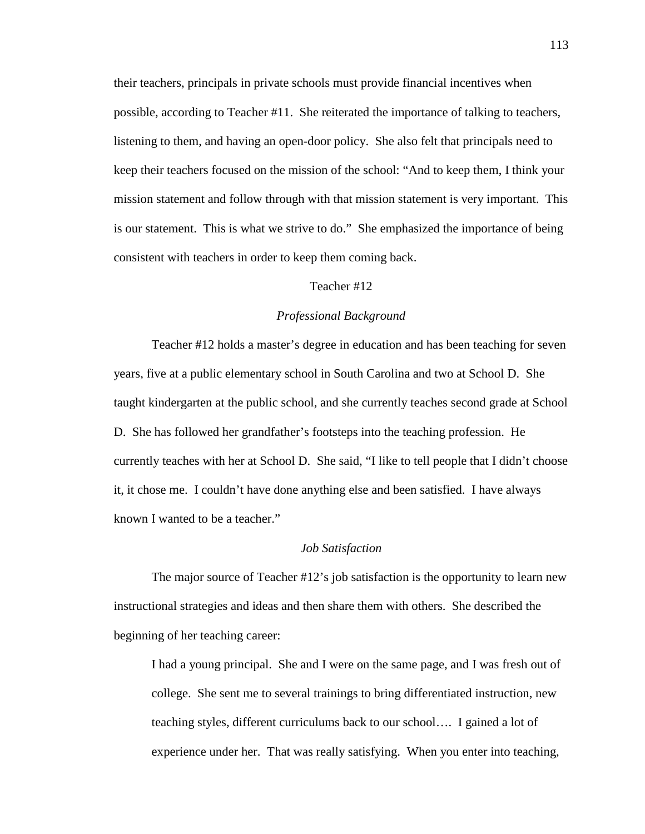their teachers, principals in private schools must provide financial incentives when possible, according to Teacher #11. She reiterated the importance of talking to teachers, listening to them, and having an open-door policy. She also felt that principals need to keep their teachers focused on the mission of the school: "And to keep them, I think your mission statement and follow through with that mission statement is very important. This is our statement. This is what we strive to do." She emphasized the importance of being consistent with teachers in order to keep them coming back.

#### Teacher #12

## *Professional Background*

 Teacher #12 holds a master's degree in education and has been teaching for seven years, five at a public elementary school in South Carolina and two at School D. She taught kindergarten at the public school, and she currently teaches second grade at School D. She has followed her grandfather's footsteps into the teaching profession. He currently teaches with her at School D. She said, "I like to tell people that I didn't choose it, it chose me. I couldn't have done anything else and been satisfied. I have always known I wanted to be a teacher."

### *Job Satisfaction*

 The major source of Teacher #12's job satisfaction is the opportunity to learn new instructional strategies and ideas and then share them with others. She described the beginning of her teaching career:

I had a young principal. She and I were on the same page, and I was fresh out of college. She sent me to several trainings to bring differentiated instruction, new teaching styles, different curriculums back to our school…. I gained a lot of experience under her. That was really satisfying. When you enter into teaching,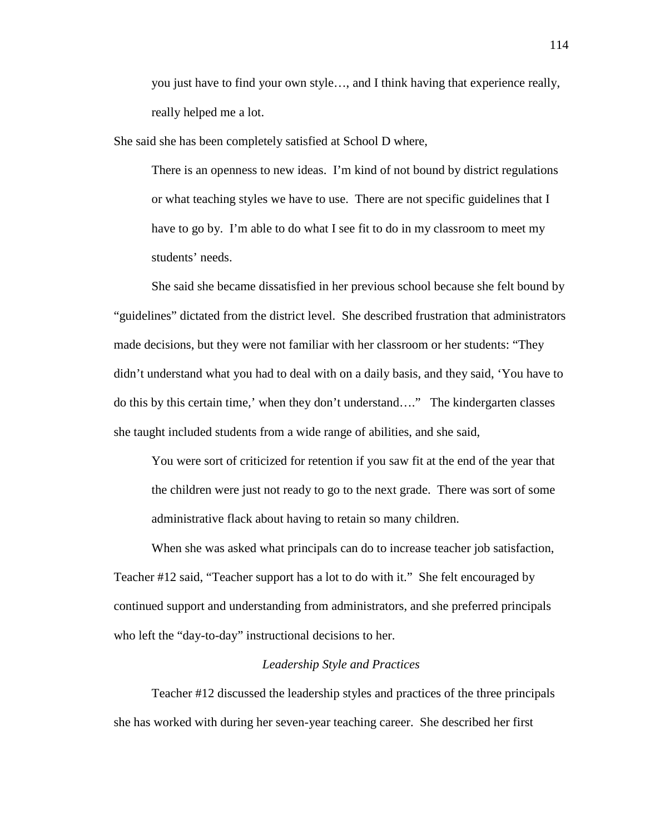you just have to find your own style…, and I think having that experience really, really helped me a lot.

She said she has been completely satisfied at School D where,

There is an openness to new ideas. I'm kind of not bound by district regulations or what teaching styles we have to use. There are not specific guidelines that I have to go by. I'm able to do what I see fit to do in my classroom to meet my students' needs.

She said she became dissatisfied in her previous school because she felt bound by "guidelines" dictated from the district level. She described frustration that administrators made decisions, but they were not familiar with her classroom or her students: "They didn't understand what you had to deal with on a daily basis, and they said, 'You have to do this by this certain time,' when they don't understand…." The kindergarten classes she taught included students from a wide range of abilities, and she said,

You were sort of criticized for retention if you saw fit at the end of the year that the children were just not ready to go to the next grade. There was sort of some administrative flack about having to retain so many children.

 When she was asked what principals can do to increase teacher job satisfaction, Teacher #12 said, "Teacher support has a lot to do with it." She felt encouraged by continued support and understanding from administrators, and she preferred principals who left the "day-to-day" instructional decisions to her.

## *Leadership Style and Practices*

 Teacher #12 discussed the leadership styles and practices of the three principals she has worked with during her seven-year teaching career. She described her first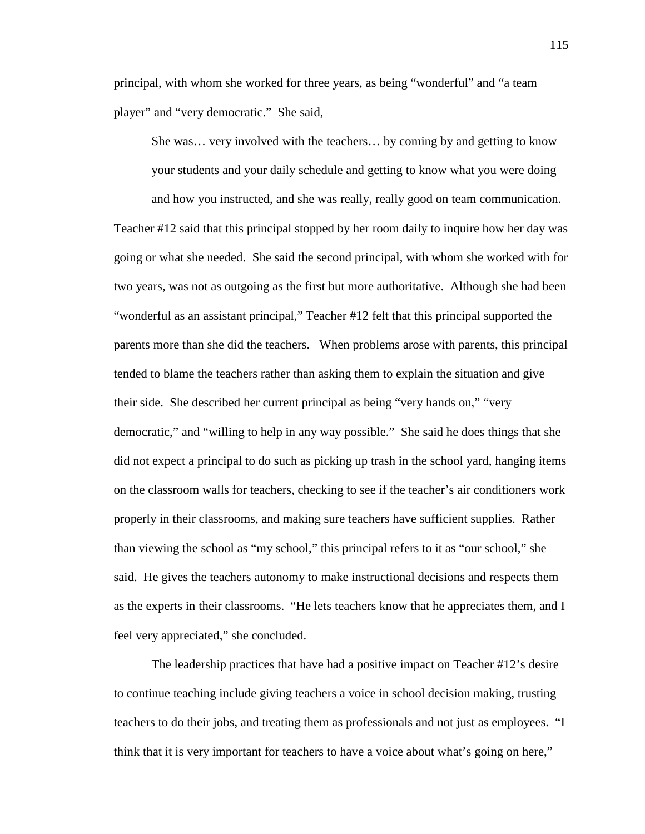principal, with whom she worked for three years, as being "wonderful" and "a team player" and "very democratic." She said,

She was… very involved with the teachers… by coming by and getting to know your students and your daily schedule and getting to know what you were doing and how you instructed, and she was really, really good on team communication. Teacher #12 said that this principal stopped by her room daily to inquire how her day was going or what she needed. She said the second principal, with whom she worked with for two years, was not as outgoing as the first but more authoritative. Although she had been "wonderful as an assistant principal," Teacher #12 felt that this principal supported the parents more than she did the teachers. When problems arose with parents, this principal tended to blame the teachers rather than asking them to explain the situation and give their side. She described her current principal as being "very hands on," "very democratic," and "willing to help in any way possible." She said he does things that she did not expect a principal to do such as picking up trash in the school yard, hanging items on the classroom walls for teachers, checking to see if the teacher's air conditioners work properly in their classrooms, and making sure teachers have sufficient supplies. Rather than viewing the school as "my school," this principal refers to it as "our school," she said. He gives the teachers autonomy to make instructional decisions and respects them as the experts in their classrooms. "He lets teachers know that he appreciates them, and I feel very appreciated," she concluded.

 The leadership practices that have had a positive impact on Teacher #12's desire to continue teaching include giving teachers a voice in school decision making, trusting teachers to do their jobs, and treating them as professionals and not just as employees. "I think that it is very important for teachers to have a voice about what's going on here,"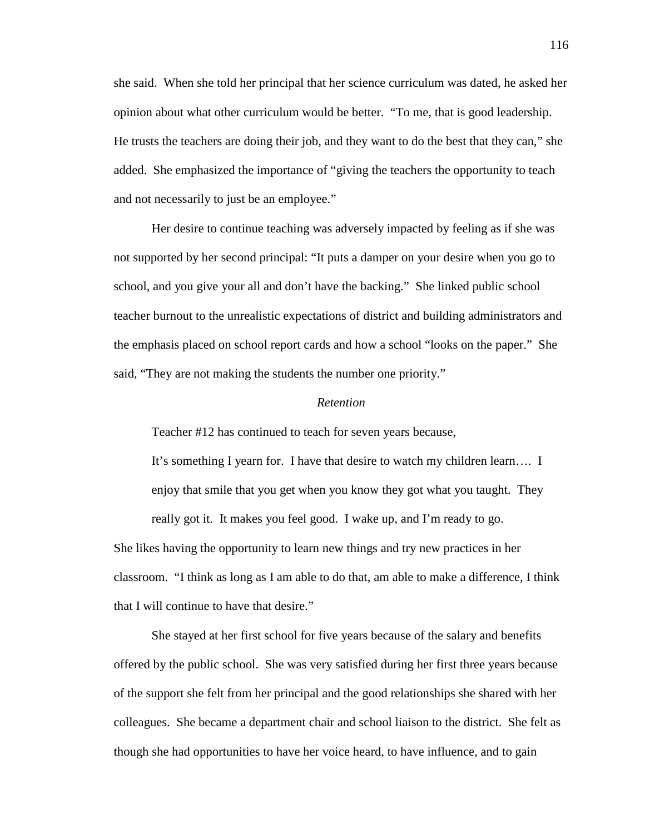she said. When she told her principal that her science curriculum was dated, he asked her opinion about what other curriculum would be better. "To me, that is good leadership. He trusts the teachers are doing their job, and they want to do the best that they can," she added. She emphasized the importance of "giving the teachers the opportunity to teach and not necessarily to just be an employee."

 Her desire to continue teaching was adversely impacted by feeling as if she was not supported by her second principal: "It puts a damper on your desire when you go to school, and you give your all and don't have the backing." She linked public school teacher burnout to the unrealistic expectations of district and building administrators and the emphasis placed on school report cards and how a school "looks on the paper." She said, "They are not making the students the number one priority."

#### *Retention*

Teacher #12 has continued to teach for seven years because,

that I will continue to have that desire."

It's something I yearn for. I have that desire to watch my children learn…. I enjoy that smile that you get when you know they got what you taught. They really got it. It makes you feel good. I wake up, and I'm ready to go. She likes having the opportunity to learn new things and try new practices in her classroom. "I think as long as I am able to do that, am able to make a difference, I think

 She stayed at her first school for five years because of the salary and benefits offered by the public school. She was very satisfied during her first three years because of the support she felt from her principal and the good relationships she shared with her colleagues. She became a department chair and school liaison to the district. She felt as though she had opportunities to have her voice heard, to have influence, and to gain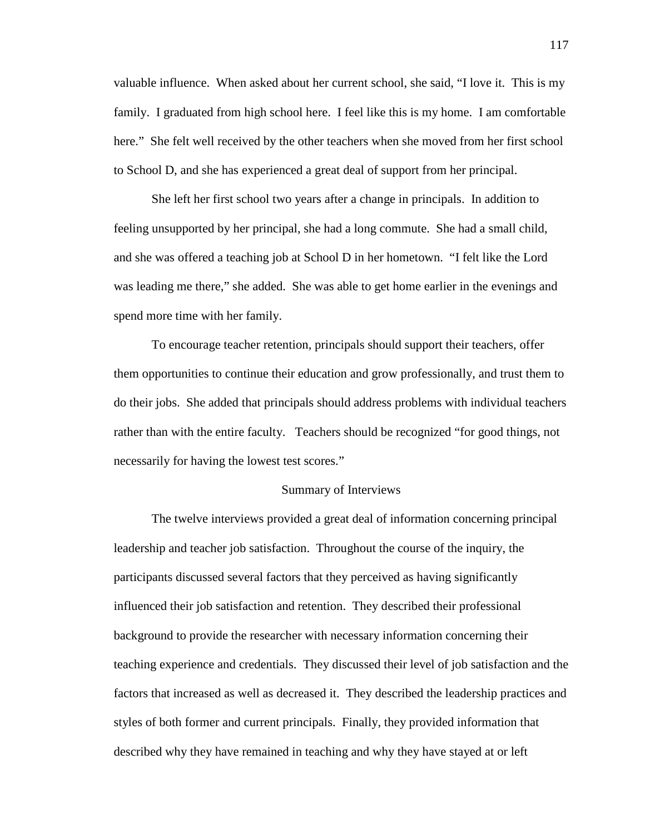valuable influence. When asked about her current school, she said, "I love it. This is my family. I graduated from high school here. I feel like this is my home. I am comfortable here." She felt well received by the other teachers when she moved from her first school to School D, and she has experienced a great deal of support from her principal.

 She left her first school two years after a change in principals. In addition to feeling unsupported by her principal, she had a long commute. She had a small child, and she was offered a teaching job at School D in her hometown. "I felt like the Lord was leading me there," she added. She was able to get home earlier in the evenings and spend more time with her family.

 To encourage teacher retention, principals should support their teachers, offer them opportunities to continue their education and grow professionally, and trust them to do their jobs. She added that principals should address problems with individual teachers rather than with the entire faculty. Teachers should be recognized "for good things, not necessarily for having the lowest test scores."

### Summary of Interviews

The twelve interviews provided a great deal of information concerning principal leadership and teacher job satisfaction. Throughout the course of the inquiry, the participants discussed several factors that they perceived as having significantly influenced their job satisfaction and retention. They described their professional background to provide the researcher with necessary information concerning their teaching experience and credentials. They discussed their level of job satisfaction and the factors that increased as well as decreased it. They described the leadership practices and styles of both former and current principals. Finally, they provided information that described why they have remained in teaching and why they have stayed at or left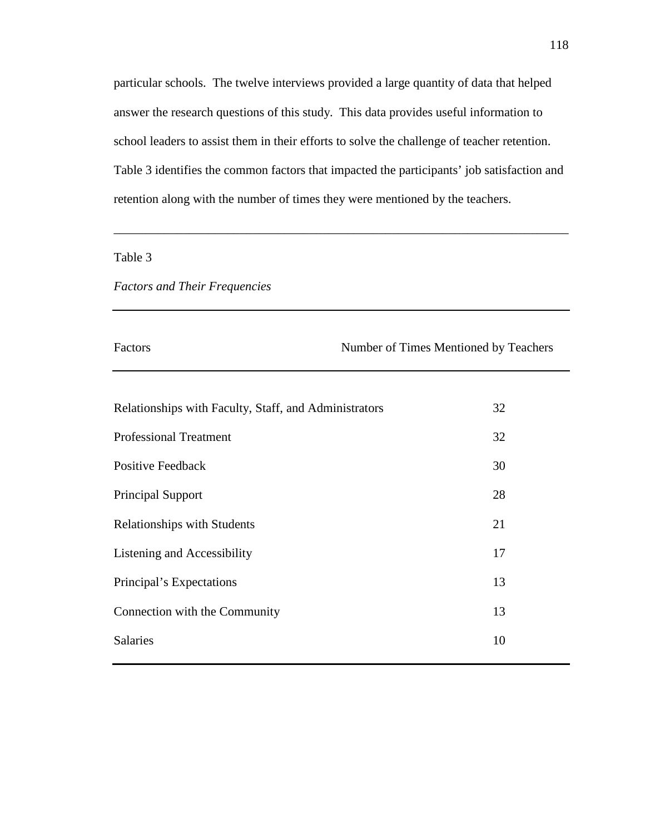particular schools. The twelve interviews provided a large quantity of data that helped answer the research questions of this study. This data provides useful information to school leaders to assist them in their efforts to solve the challenge of teacher retention. Table 3 identifies the common factors that impacted the participants' job satisfaction and retention along with the number of times they were mentioned by the teachers.

\_\_\_\_\_\_\_\_\_\_\_\_\_\_\_\_\_\_\_\_\_\_\_\_\_\_\_\_\_\_\_\_\_\_\_\_\_\_\_\_\_\_\_\_\_\_\_\_\_\_\_\_\_\_\_\_\_\_\_\_\_\_\_\_\_\_\_\_\_\_\_\_

# Table 3

## *Factors and Their Frequencies*

Factors Number of Times Mentioned by Teachers

| Relationships with Faculty, Staff, and Administrators | 32 |
|-------------------------------------------------------|----|
| <b>Professional Treatment</b>                         | 32 |
| Positive Feedback                                     | 30 |
| Principal Support                                     | 28 |
| <b>Relationships with Students</b>                    | 21 |
| Listening and Accessibility                           | 17 |
| Principal's Expectations                              | 13 |
| Connection with the Community                         | 13 |
| <b>Salaries</b>                                       | 10 |
|                                                       |    |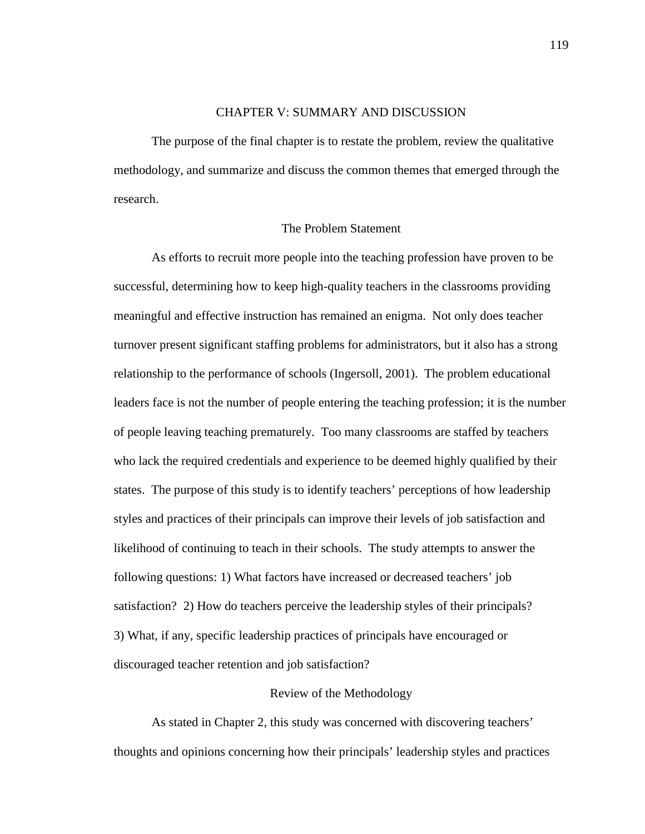## CHAPTER V: SUMMARY AND DISCUSSION

 The purpose of the final chapter is to restate the problem, review the qualitative methodology, and summarize and discuss the common themes that emerged through the research.

# The Problem Statement

As efforts to recruit more people into the teaching profession have proven to be successful, determining how to keep high-quality teachers in the classrooms providing meaningful and effective instruction has remained an enigma. Not only does teacher turnover present significant staffing problems for administrators, but it also has a strong relationship to the performance of schools (Ingersoll, 2001). The problem educational leaders face is not the number of people entering the teaching profession; it is the number of people leaving teaching prematurely. Too many classrooms are staffed by teachers who lack the required credentials and experience to be deemed highly qualified by their states. The purpose of this study is to identify teachers' perceptions of how leadership styles and practices of their principals can improve their levels of job satisfaction and likelihood of continuing to teach in their schools. The study attempts to answer the following questions: 1) What factors have increased or decreased teachers' job satisfaction? 2) How do teachers perceive the leadership styles of their principals? 3) What, if any, specific leadership practices of principals have encouraged or discouraged teacher retention and job satisfaction?

## Review of the Methodology

 As stated in Chapter 2, this study was concerned with discovering teachers' thoughts and opinions concerning how their principals' leadership styles and practices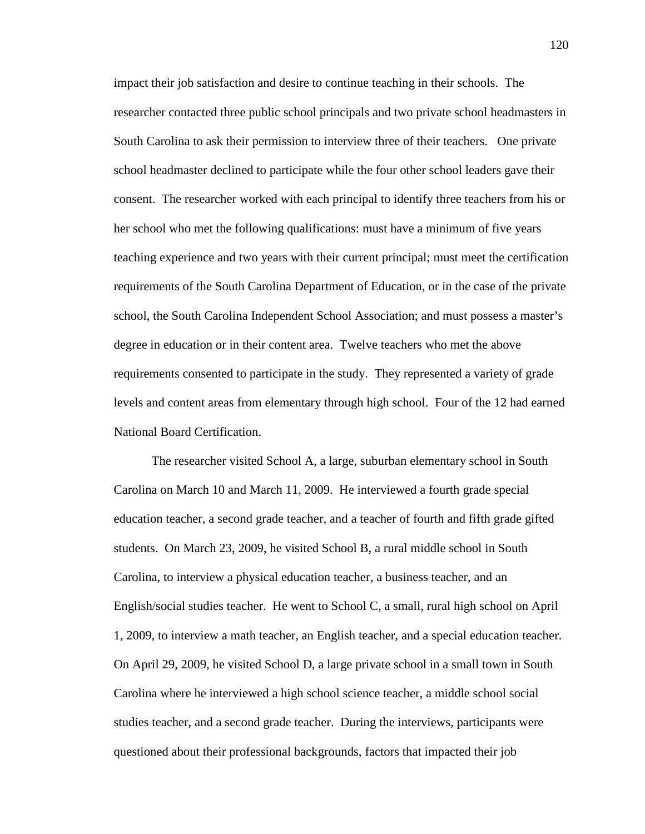impact their job satisfaction and desire to continue teaching in their schools. The researcher contacted three public school principals and two private school headmasters in South Carolina to ask their permission to interview three of their teachers. One private school headmaster declined to participate while the four other school leaders gave their consent. The researcher worked with each principal to identify three teachers from his or her school who met the following qualifications: must have a minimum of five years teaching experience and two years with their current principal; must meet the certification requirements of the South Carolina Department of Education, or in the case of the private school, the South Carolina Independent School Association; and must possess a master's degree in education or in their content area. Twelve teachers who met the above requirements consented to participate in the study. They represented a variety of grade levels and content areas from elementary through high school. Four of the 12 had earned National Board Certification.

 The researcher visited School A, a large, suburban elementary school in South Carolina on March 10 and March 11, 2009. He interviewed a fourth grade special education teacher, a second grade teacher, and a teacher of fourth and fifth grade gifted students. On March 23, 2009, he visited School B, a rural middle school in South Carolina, to interview a physical education teacher, a business teacher, and an English/social studies teacher. He went to School C, a small, rural high school on April 1, 2009, to interview a math teacher, an English teacher, and a special education teacher. On April 29, 2009, he visited School D, a large private school in a small town in South Carolina where he interviewed a high school science teacher, a middle school social studies teacher, and a second grade teacher. During the interviews, participants were questioned about their professional backgrounds, factors that impacted their job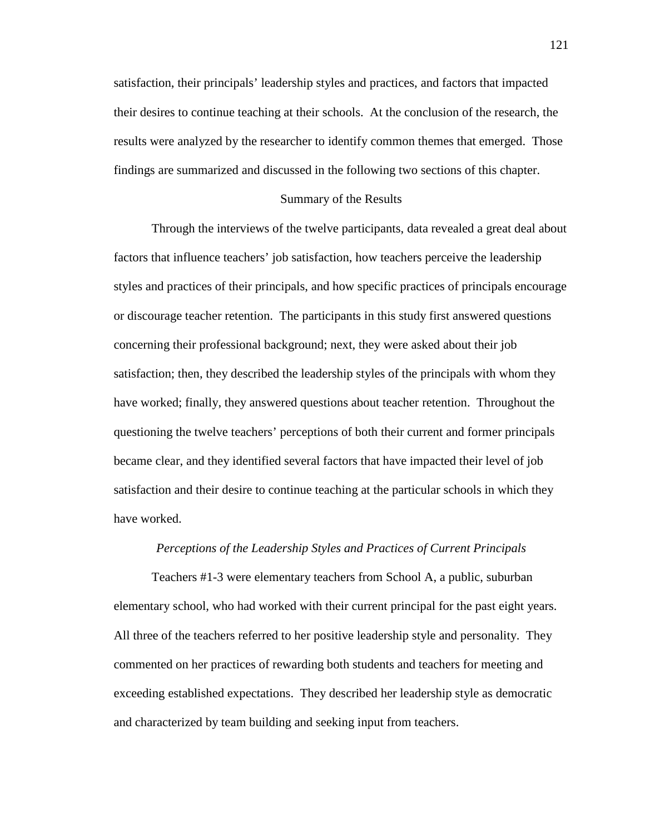satisfaction, their principals' leadership styles and practices, and factors that impacted their desires to continue teaching at their schools. At the conclusion of the research, the results were analyzed by the researcher to identify common themes that emerged. Those findings are summarized and discussed in the following two sections of this chapter.

### Summary of the Results

 Through the interviews of the twelve participants, data revealed a great deal about factors that influence teachers' job satisfaction, how teachers perceive the leadership styles and practices of their principals, and how specific practices of principals encourage or discourage teacher retention. The participants in this study first answered questions concerning their professional background; next, they were asked about their job satisfaction; then, they described the leadership styles of the principals with whom they have worked; finally, they answered questions about teacher retention. Throughout the questioning the twelve teachers' perceptions of both their current and former principals became clear, and they identified several factors that have impacted their level of job satisfaction and their desire to continue teaching at the particular schools in which they have worked.

### *Perceptions of the Leadership Styles and Practices of Current Principals*

 Teachers #1-3 were elementary teachers from School A, a public, suburban elementary school, who had worked with their current principal for the past eight years. All three of the teachers referred to her positive leadership style and personality. They commented on her practices of rewarding both students and teachers for meeting and exceeding established expectations. They described her leadership style as democratic and characterized by team building and seeking input from teachers.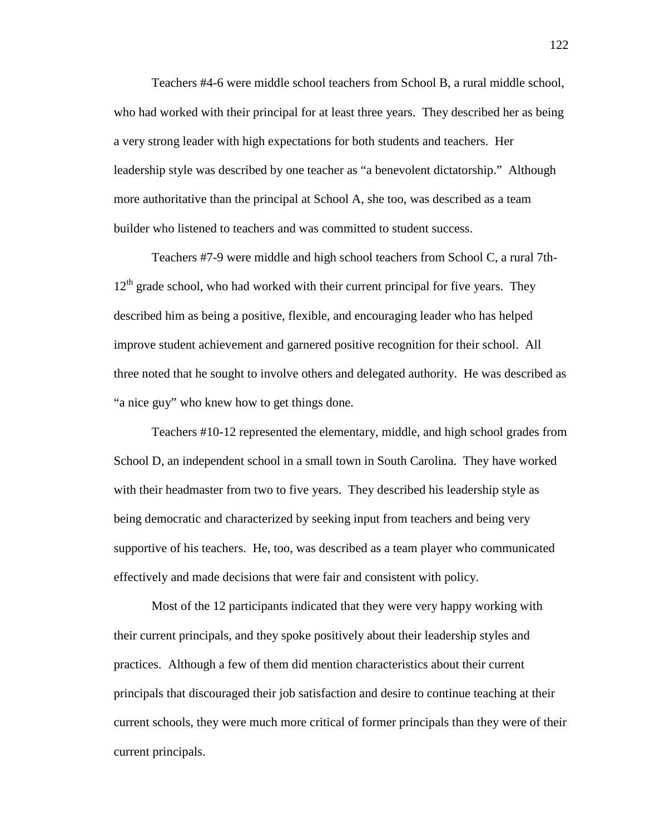Teachers #4-6 were middle school teachers from School B, a rural middle school, who had worked with their principal for at least three years. They described her as being a very strong leader with high expectations for both students and teachers. Her leadership style was described by one teacher as "a benevolent dictatorship." Although more authoritative than the principal at School A, she too, was described as a team builder who listened to teachers and was committed to student success.

 Teachers #7-9 were middle and high school teachers from School C, a rural 7th- $12<sup>th</sup>$  grade school, who had worked with their current principal for five years. They described him as being a positive, flexible, and encouraging leader who has helped improve student achievement and garnered positive recognition for their school. All three noted that he sought to involve others and delegated authority. He was described as "a nice guy" who knew how to get things done.

 Teachers #10-12 represented the elementary, middle, and high school grades from School D, an independent school in a small town in South Carolina. They have worked with their headmaster from two to five years. They described his leadership style as being democratic and characterized by seeking input from teachers and being very supportive of his teachers. He, too, was described as a team player who communicated effectively and made decisions that were fair and consistent with policy.

 Most of the 12 participants indicated that they were very happy working with their current principals, and they spoke positively about their leadership styles and practices. Although a few of them did mention characteristics about their current principals that discouraged their job satisfaction and desire to continue teaching at their current schools, they were much more critical of former principals than they were of their current principals.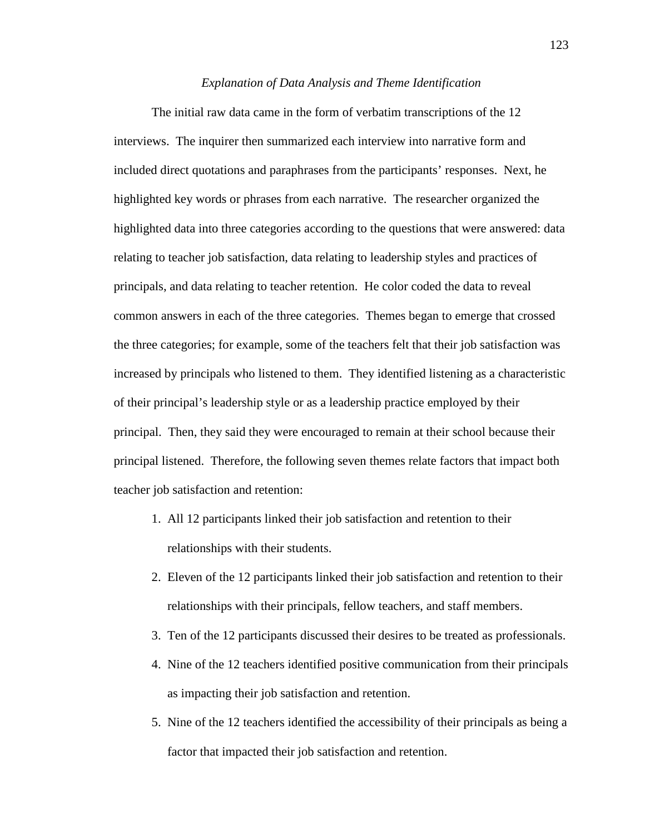#### *Explanation of Data Analysis and Theme Identification*

 The initial raw data came in the form of verbatim transcriptions of the 12 interviews. The inquirer then summarized each interview into narrative form and included direct quotations and paraphrases from the participants' responses. Next, he highlighted key words or phrases from each narrative. The researcher organized the highlighted data into three categories according to the questions that were answered: data relating to teacher job satisfaction, data relating to leadership styles and practices of principals, and data relating to teacher retention. He color coded the data to reveal common answers in each of the three categories. Themes began to emerge that crossed the three categories; for example, some of the teachers felt that their job satisfaction was increased by principals who listened to them. They identified listening as a characteristic of their principal's leadership style or as a leadership practice employed by their principal. Then, they said they were encouraged to remain at their school because their principal listened. Therefore, the following seven themes relate factors that impact both teacher job satisfaction and retention:

- 1. All 12 participants linked their job satisfaction and retention to their relationships with their students.
- 2. Eleven of the 12 participants linked their job satisfaction and retention to their relationships with their principals, fellow teachers, and staff members.
- 3. Ten of the 12 participants discussed their desires to be treated as professionals.
- 4. Nine of the 12 teachers identified positive communication from their principals as impacting their job satisfaction and retention.
- 5. Nine of the 12 teachers identified the accessibility of their principals as being a factor that impacted their job satisfaction and retention.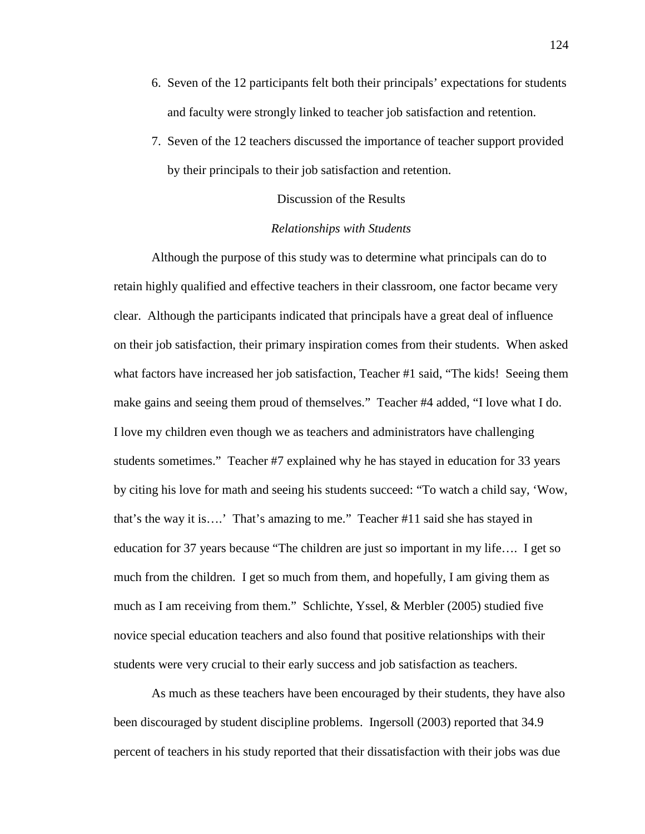- 6. Seven of the 12 participants felt both their principals' expectations for students and faculty were strongly linked to teacher job satisfaction and retention.
- 7. Seven of the 12 teachers discussed the importance of teacher support provided by their principals to their job satisfaction and retention.

### Discussion of the Results

## *Relationships with Students*

 Although the purpose of this study was to determine what principals can do to retain highly qualified and effective teachers in their classroom, one factor became very clear. Although the participants indicated that principals have a great deal of influence on their job satisfaction, their primary inspiration comes from their students. When asked what factors have increased her job satisfaction, Teacher #1 said, "The kids! Seeing them make gains and seeing them proud of themselves." Teacher #4 added, "I love what I do. I love my children even though we as teachers and administrators have challenging students sometimes." Teacher #7 explained why he has stayed in education for 33 years by citing his love for math and seeing his students succeed: "To watch a child say, 'Wow, that's the way it is….' That's amazing to me." Teacher #11 said she has stayed in education for 37 years because "The children are just so important in my life…. I get so much from the children. I get so much from them, and hopefully, I am giving them as much as I am receiving from them." Schlichte, Yssel, & Merbler (2005) studied five novice special education teachers and also found that positive relationships with their students were very crucial to their early success and job satisfaction as teachers.

 As much as these teachers have been encouraged by their students, they have also been discouraged by student discipline problems. Ingersoll (2003) reported that 34.9 percent of teachers in his study reported that their dissatisfaction with their jobs was due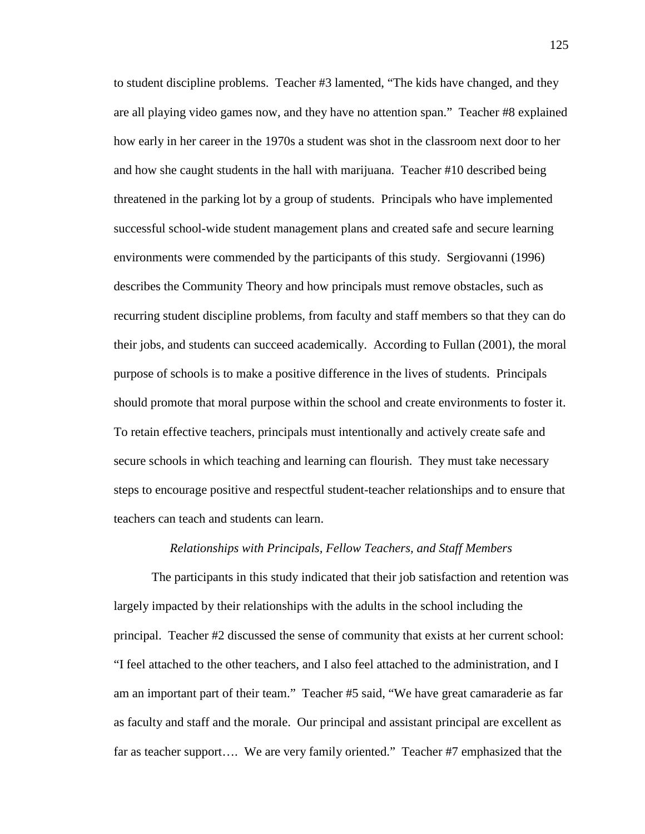to student discipline problems. Teacher #3 lamented, "The kids have changed, and they are all playing video games now, and they have no attention span." Teacher #8 explained how early in her career in the 1970s a student was shot in the classroom next door to her and how she caught students in the hall with marijuana. Teacher #10 described being threatened in the parking lot by a group of students. Principals who have implemented successful school-wide student management plans and created safe and secure learning environments were commended by the participants of this study. Sergiovanni (1996) describes the Community Theory and how principals must remove obstacles, such as recurring student discipline problems, from faculty and staff members so that they can do their jobs, and students can succeed academically. According to Fullan (2001), the moral purpose of schools is to make a positive difference in the lives of students. Principals should promote that moral purpose within the school and create environments to foster it. To retain effective teachers, principals must intentionally and actively create safe and secure schools in which teaching and learning can flourish. They must take necessary steps to encourage positive and respectful student-teacher relationships and to ensure that teachers can teach and students can learn.

### *Relationships with Principals, Fellow Teachers, and Staff Members*

 The participants in this study indicated that their job satisfaction and retention was largely impacted by their relationships with the adults in the school including the principal. Teacher #2 discussed the sense of community that exists at her current school: "I feel attached to the other teachers, and I also feel attached to the administration, and I am an important part of their team." Teacher #5 said, "We have great camaraderie as far as faculty and staff and the morale. Our principal and assistant principal are excellent as far as teacher support…. We are very family oriented." Teacher #7 emphasized that the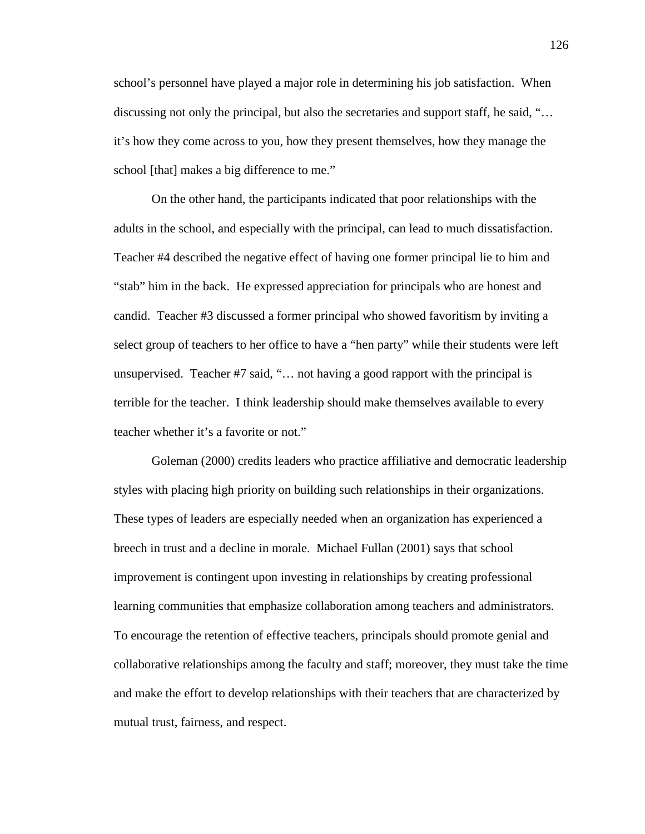school's personnel have played a major role in determining his job satisfaction. When discussing not only the principal, but also the secretaries and support staff, he said, "… it's how they come across to you, how they present themselves, how they manage the school [that] makes a big difference to me."

 On the other hand, the participants indicated that poor relationships with the adults in the school, and especially with the principal, can lead to much dissatisfaction. Teacher #4 described the negative effect of having one former principal lie to him and "stab" him in the back. He expressed appreciation for principals who are honest and candid. Teacher #3 discussed a former principal who showed favoritism by inviting a select group of teachers to her office to have a "hen party" while their students were left unsupervised. Teacher #7 said, "... not having a good rapport with the principal is terrible for the teacher. I think leadership should make themselves available to every teacher whether it's a favorite or not."

Goleman (2000) credits leaders who practice affiliative and democratic leadership styles with placing high priority on building such relationships in their organizations. These types of leaders are especially needed when an organization has experienced a breech in trust and a decline in morale. Michael Fullan (2001) says that school improvement is contingent upon investing in relationships by creating professional learning communities that emphasize collaboration among teachers and administrators. To encourage the retention of effective teachers, principals should promote genial and collaborative relationships among the faculty and staff; moreover, they must take the time and make the effort to develop relationships with their teachers that are characterized by mutual trust, fairness, and respect.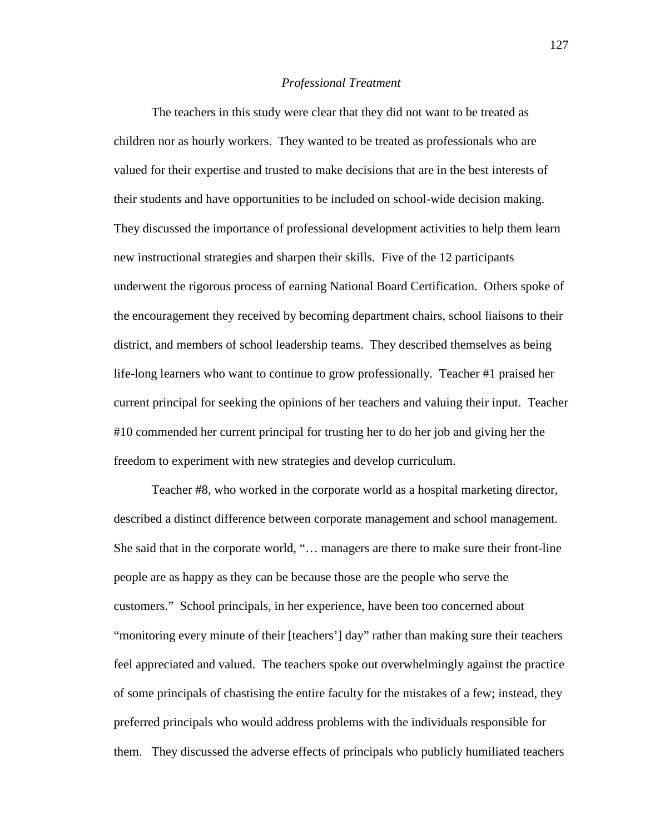#### *Professional Treatment*

 The teachers in this study were clear that they did not want to be treated as children nor as hourly workers. They wanted to be treated as professionals who are valued for their expertise and trusted to make decisions that are in the best interests of their students and have opportunities to be included on school-wide decision making. They discussed the importance of professional development activities to help them learn new instructional strategies and sharpen their skills. Five of the 12 participants underwent the rigorous process of earning National Board Certification. Others spoke of the encouragement they received by becoming department chairs, school liaisons to their district, and members of school leadership teams. They described themselves as being life-long learners who want to continue to grow professionally. Teacher #1 praised her current principal for seeking the opinions of her teachers and valuing their input. Teacher #10 commended her current principal for trusting her to do her job and giving her the freedom to experiment with new strategies and develop curriculum.

Teacher #8, who worked in the corporate world as a hospital marketing director, described a distinct difference between corporate management and school management. She said that in the corporate world, "… managers are there to make sure their front-line people are as happy as they can be because those are the people who serve the customers." School principals, in her experience, have been too concerned about "monitoring every minute of their [teachers'] day" rather than making sure their teachers feel appreciated and valued. The teachers spoke out overwhelmingly against the practice of some principals of chastising the entire faculty for the mistakes of a few; instead, they preferred principals who would address problems with the individuals responsible for them. They discussed the adverse effects of principals who publicly humiliated teachers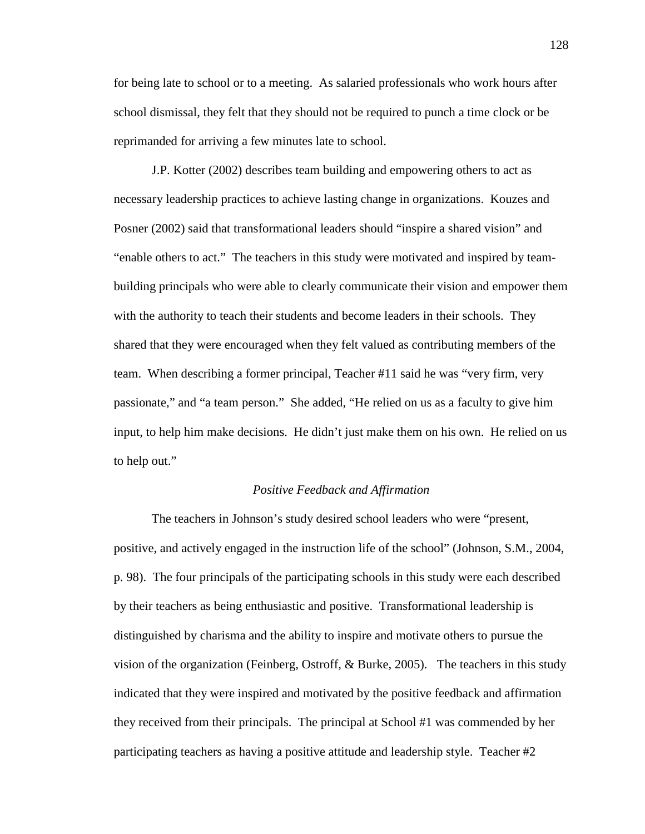for being late to school or to a meeting. As salaried professionals who work hours after school dismissal, they felt that they should not be required to punch a time clock or be reprimanded for arriving a few minutes late to school.

J.P. Kotter (2002) describes team building and empowering others to act as necessary leadership practices to achieve lasting change in organizations. Kouzes and Posner (2002) said that transformational leaders should "inspire a shared vision" and "enable others to act." The teachers in this study were motivated and inspired by teambuilding principals who were able to clearly communicate their vision and empower them with the authority to teach their students and become leaders in their schools. They shared that they were encouraged when they felt valued as contributing members of the team. When describing a former principal, Teacher #11 said he was "very firm, very passionate," and "a team person." She added, "He relied on us as a faculty to give him input, to help him make decisions. He didn't just make them on his own. He relied on us to help out."

### *Positive Feedback and Affirmation*

 The teachers in Johnson's study desired school leaders who were "present, positive, and actively engaged in the instruction life of the school" (Johnson, S.M., 2004, p. 98). The four principals of the participating schools in this study were each described by their teachers as being enthusiastic and positive. Transformational leadership is distinguished by charisma and the ability to inspire and motivate others to pursue the vision of the organization (Feinberg, Ostroff,  $\&$  Burke, 2005). The teachers in this study indicated that they were inspired and motivated by the positive feedback and affirmation they received from their principals. The principal at School #1 was commended by her participating teachers as having a positive attitude and leadership style. Teacher #2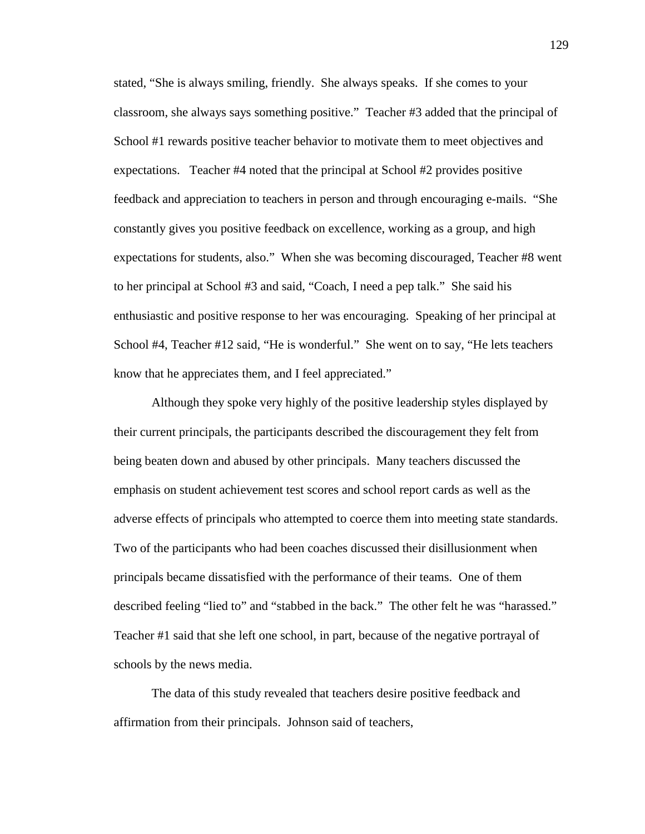stated, "She is always smiling, friendly. She always speaks. If she comes to your classroom, she always says something positive." Teacher #3 added that the principal of School #1 rewards positive teacher behavior to motivate them to meet objectives and expectations. Teacher #4 noted that the principal at School #2 provides positive feedback and appreciation to teachers in person and through encouraging e-mails. "She constantly gives you positive feedback on excellence, working as a group, and high expectations for students, also." When she was becoming discouraged, Teacher #8 went to her principal at School #3 and said, "Coach, I need a pep talk." She said his enthusiastic and positive response to her was encouraging. Speaking of her principal at School #4, Teacher #12 said, "He is wonderful." She went on to say, "He lets teachers know that he appreciates them, and I feel appreciated."

 Although they spoke very highly of the positive leadership styles displayed by their current principals, the participants described the discouragement they felt from being beaten down and abused by other principals. Many teachers discussed the emphasis on student achievement test scores and school report cards as well as the adverse effects of principals who attempted to coerce them into meeting state standards. Two of the participants who had been coaches discussed their disillusionment when principals became dissatisfied with the performance of their teams. One of them described feeling "lied to" and "stabbed in the back." The other felt he was "harassed." Teacher #1 said that she left one school, in part, because of the negative portrayal of schools by the news media.

 The data of this study revealed that teachers desire positive feedback and affirmation from their principals. Johnson said of teachers,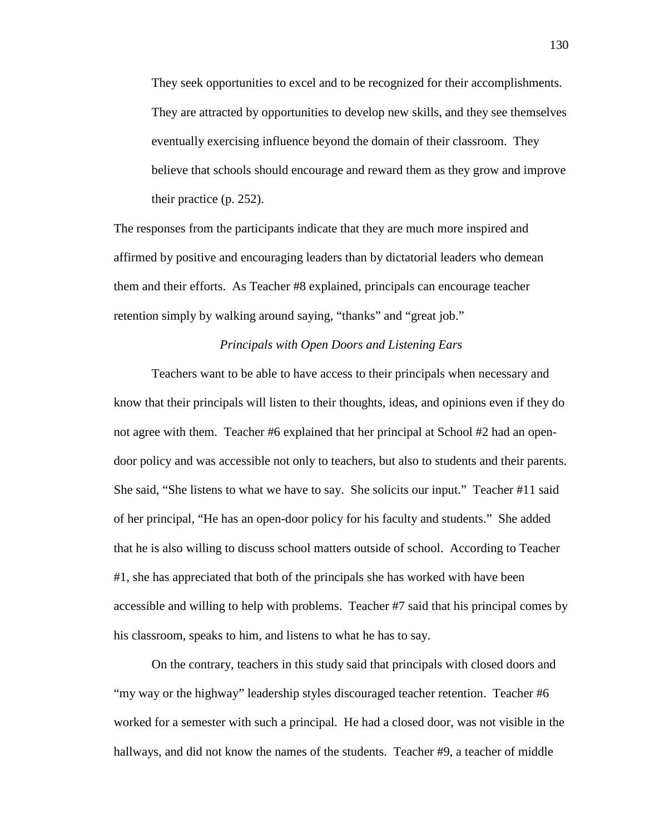They seek opportunities to excel and to be recognized for their accomplishments. They are attracted by opportunities to develop new skills, and they see themselves eventually exercising influence beyond the domain of their classroom. They believe that schools should encourage and reward them as they grow and improve their practice (p. 252).

The responses from the participants indicate that they are much more inspired and affirmed by positive and encouraging leaders than by dictatorial leaders who demean them and their efforts. As Teacher #8 explained, principals can encourage teacher retention simply by walking around saying, "thanks" and "great job."

# *Principals with Open Doors and Listening Ears*

 Teachers want to be able to have access to their principals when necessary and know that their principals will listen to their thoughts, ideas, and opinions even if they do not agree with them. Teacher #6 explained that her principal at School #2 had an opendoor policy and was accessible not only to teachers, but also to students and their parents. She said, "She listens to what we have to say. She solicits our input." Teacher #11 said of her principal, "He has an open-door policy for his faculty and students." She added that he is also willing to discuss school matters outside of school. According to Teacher #1, she has appreciated that both of the principals she has worked with have been accessible and willing to help with problems. Teacher #7 said that his principal comes by his classroom, speaks to him, and listens to what he has to say.

 On the contrary, teachers in this study said that principals with closed doors and "my way or the highway" leadership styles discouraged teacher retention. Teacher #6 worked for a semester with such a principal. He had a closed door, was not visible in the hallways, and did not know the names of the students. Teacher #9, a teacher of middle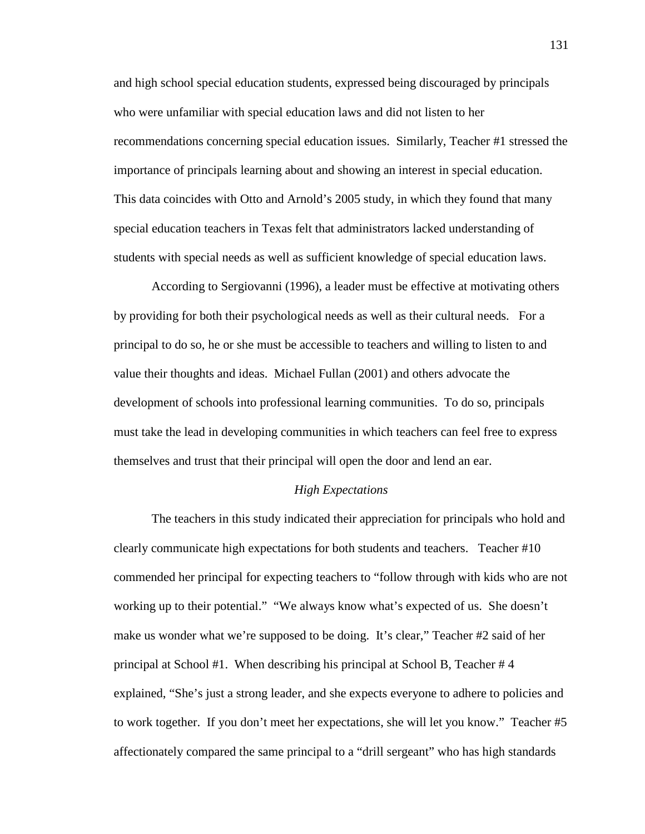and high school special education students, expressed being discouraged by principals who were unfamiliar with special education laws and did not listen to her recommendations concerning special education issues. Similarly, Teacher #1 stressed the importance of principals learning about and showing an interest in special education. This data coincides with Otto and Arnold's 2005 study, in which they found that many special education teachers in Texas felt that administrators lacked understanding of students with special needs as well as sufficient knowledge of special education laws.

 According to Sergiovanni (1996), a leader must be effective at motivating others by providing for both their psychological needs as well as their cultural needs. For a principal to do so, he or she must be accessible to teachers and willing to listen to and value their thoughts and ideas. Michael Fullan (2001) and others advocate the development of schools into professional learning communities. To do so, principals must take the lead in developing communities in which teachers can feel free to express themselves and trust that their principal will open the door and lend an ear.

### *High Expectations*

 The teachers in this study indicated their appreciation for principals who hold and clearly communicate high expectations for both students and teachers. Teacher #10 commended her principal for expecting teachers to "follow through with kids who are not working up to their potential." "We always know what's expected of us. She doesn't make us wonder what we're supposed to be doing. It's clear," Teacher #2 said of her principal at School #1. When describing his principal at School B, Teacher # 4 explained, "She's just a strong leader, and she expects everyone to adhere to policies and to work together. If you don't meet her expectations, she will let you know." Teacher #5 affectionately compared the same principal to a "drill sergeant" who has high standards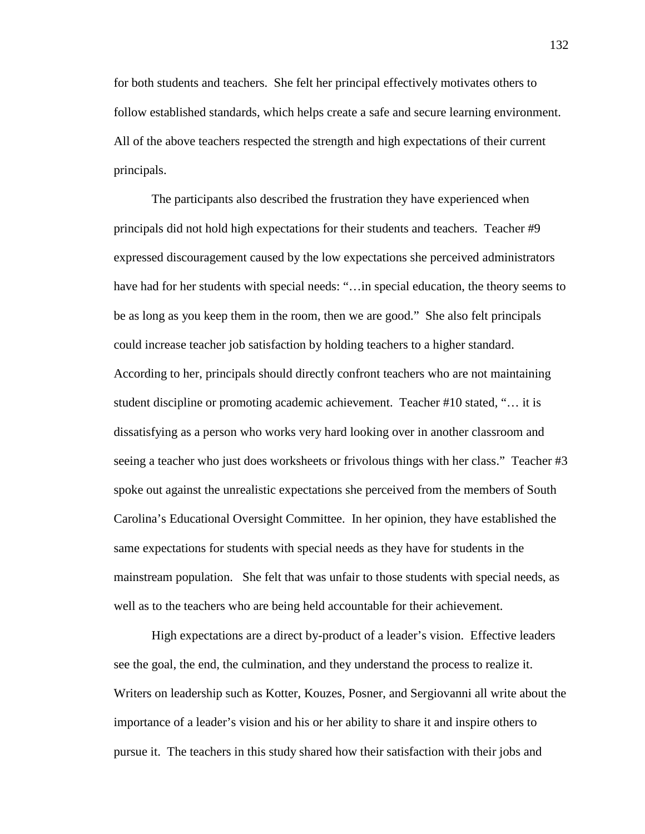for both students and teachers. She felt her principal effectively motivates others to follow established standards, which helps create a safe and secure learning environment. All of the above teachers respected the strength and high expectations of their current principals.

 The participants also described the frustration they have experienced when principals did not hold high expectations for their students and teachers. Teacher #9 expressed discouragement caused by the low expectations she perceived administrators have had for her students with special needs: "... in special education, the theory seems to be as long as you keep them in the room, then we are good." She also felt principals could increase teacher job satisfaction by holding teachers to a higher standard. According to her, principals should directly confront teachers who are not maintaining student discipline or promoting academic achievement. Teacher #10 stated, "… it is dissatisfying as a person who works very hard looking over in another classroom and seeing a teacher who just does worksheets or frivolous things with her class." Teacher #3 spoke out against the unrealistic expectations she perceived from the members of South Carolina's Educational Oversight Committee. In her opinion, they have established the same expectations for students with special needs as they have for students in the mainstream population. She felt that was unfair to those students with special needs, as well as to the teachers who are being held accountable for their achievement.

 High expectations are a direct by-product of a leader's vision. Effective leaders see the goal, the end, the culmination, and they understand the process to realize it. Writers on leadership such as Kotter, Kouzes, Posner, and Sergiovanni all write about the importance of a leader's vision and his or her ability to share it and inspire others to pursue it. The teachers in this study shared how their satisfaction with their jobs and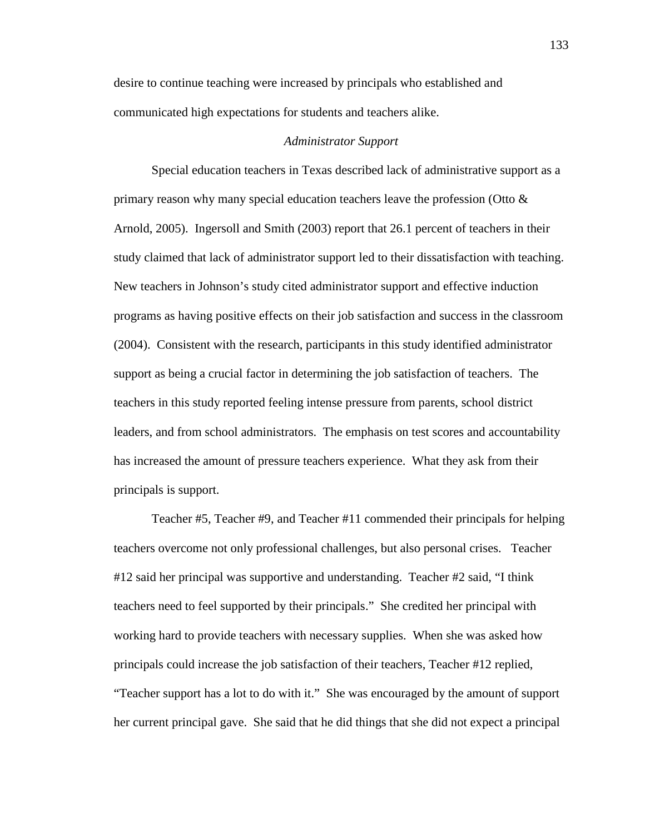desire to continue teaching were increased by principals who established and communicated high expectations for students and teachers alike.

### *Administrator Support*

Special education teachers in Texas described lack of administrative support as a primary reason why many special education teachers leave the profession (Otto & Arnold, 2005). Ingersoll and Smith (2003) report that 26.1 percent of teachers in their study claimed that lack of administrator support led to their dissatisfaction with teaching. New teachers in Johnson's study cited administrator support and effective induction programs as having positive effects on their job satisfaction and success in the classroom (2004). Consistent with the research, participants in this study identified administrator support as being a crucial factor in determining the job satisfaction of teachers. The teachers in this study reported feeling intense pressure from parents, school district leaders, and from school administrators. The emphasis on test scores and accountability has increased the amount of pressure teachers experience. What they ask from their principals is support.

Teacher #5, Teacher #9, and Teacher #11 commended their principals for helping teachers overcome not only professional challenges, but also personal crises. Teacher #12 said her principal was supportive and understanding. Teacher #2 said, "I think teachers need to feel supported by their principals." She credited her principal with working hard to provide teachers with necessary supplies. When she was asked how principals could increase the job satisfaction of their teachers, Teacher #12 replied, "Teacher support has a lot to do with it." She was encouraged by the amount of support her current principal gave. She said that he did things that she did not expect a principal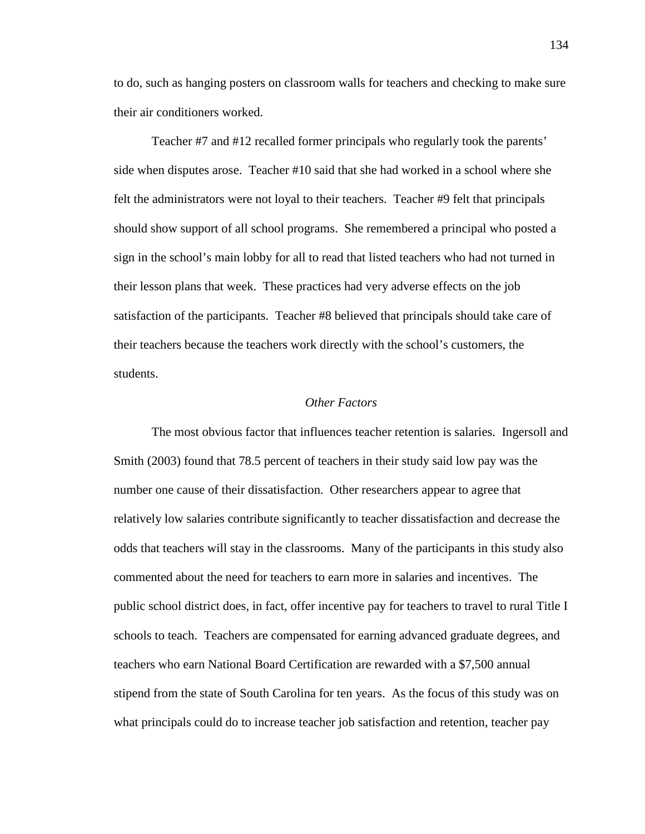to do, such as hanging posters on classroom walls for teachers and checking to make sure their air conditioners worked.

 Teacher #7 and #12 recalled former principals who regularly took the parents' side when disputes arose. Teacher #10 said that she had worked in a school where she felt the administrators were not loyal to their teachers. Teacher #9 felt that principals should show support of all school programs. She remembered a principal who posted a sign in the school's main lobby for all to read that listed teachers who had not turned in their lesson plans that week. These practices had very adverse effects on the job satisfaction of the participants. Teacher #8 believed that principals should take care of their teachers because the teachers work directly with the school's customers, the students.

# *Other Factors*

The most obvious factor that influences teacher retention is salaries. Ingersoll and Smith (2003) found that 78.5 percent of teachers in their study said low pay was the number one cause of their dissatisfaction. Other researchers appear to agree that relatively low salaries contribute significantly to teacher dissatisfaction and decrease the odds that teachers will stay in the classrooms. Many of the participants in this study also commented about the need for teachers to earn more in salaries and incentives. The public school district does, in fact, offer incentive pay for teachers to travel to rural Title I schools to teach. Teachers are compensated for earning advanced graduate degrees, and teachers who earn National Board Certification are rewarded with a \$7,500 annual stipend from the state of South Carolina for ten years. As the focus of this study was on what principals could do to increase teacher job satisfaction and retention, teacher pay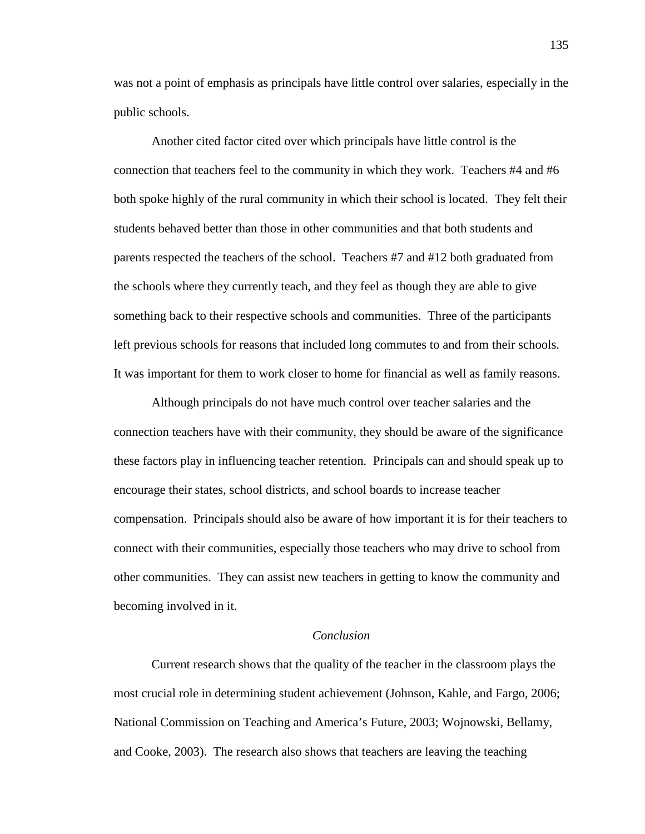was not a point of emphasis as principals have little control over salaries, especially in the public schools.

Another cited factor cited over which principals have little control is the connection that teachers feel to the community in which they work. Teachers #4 and #6 both spoke highly of the rural community in which their school is located. They felt their students behaved better than those in other communities and that both students and parents respected the teachers of the school. Teachers #7 and #12 both graduated from the schools where they currently teach, and they feel as though they are able to give something back to their respective schools and communities. Three of the participants left previous schools for reasons that included long commutes to and from their schools. It was important for them to work closer to home for financial as well as family reasons.

Although principals do not have much control over teacher salaries and the connection teachers have with their community, they should be aware of the significance these factors play in influencing teacher retention. Principals can and should speak up to encourage their states, school districts, and school boards to increase teacher compensation. Principals should also be aware of how important it is for their teachers to connect with their communities, especially those teachers who may drive to school from other communities. They can assist new teachers in getting to know the community and becoming involved in it.

# *Conclusion*

Current research shows that the quality of the teacher in the classroom plays the most crucial role in determining student achievement (Johnson, Kahle, and Fargo, 2006; National Commission on Teaching and America's Future, 2003; Wojnowski, Bellamy, and Cooke, 2003). The research also shows that teachers are leaving the teaching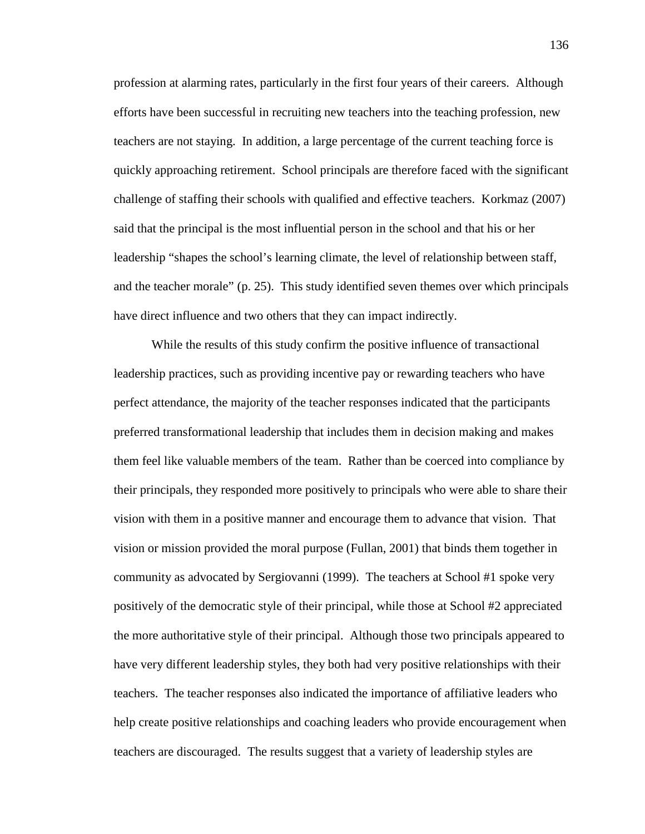profession at alarming rates, particularly in the first four years of their careers. Although efforts have been successful in recruiting new teachers into the teaching profession, new teachers are not staying. In addition, a large percentage of the current teaching force is quickly approaching retirement. School principals are therefore faced with the significant challenge of staffing their schools with qualified and effective teachers. Korkmaz (2007) said that the principal is the most influential person in the school and that his or her leadership "shapes the school's learning climate, the level of relationship between staff, and the teacher morale" (p. 25). This study identified seven themes over which principals have direct influence and two others that they can impact indirectly.

While the results of this study confirm the positive influence of transactional leadership practices, such as providing incentive pay or rewarding teachers who have perfect attendance, the majority of the teacher responses indicated that the participants preferred transformational leadership that includes them in decision making and makes them feel like valuable members of the team. Rather than be coerced into compliance by their principals, they responded more positively to principals who were able to share their vision with them in a positive manner and encourage them to advance that vision. That vision or mission provided the moral purpose (Fullan, 2001) that binds them together in community as advocated by Sergiovanni (1999). The teachers at School #1 spoke very positively of the democratic style of their principal, while those at School #2 appreciated the more authoritative style of their principal. Although those two principals appeared to have very different leadership styles, they both had very positive relationships with their teachers. The teacher responses also indicated the importance of affiliative leaders who help create positive relationships and coaching leaders who provide encouragement when teachers are discouraged. The results suggest that a variety of leadership styles are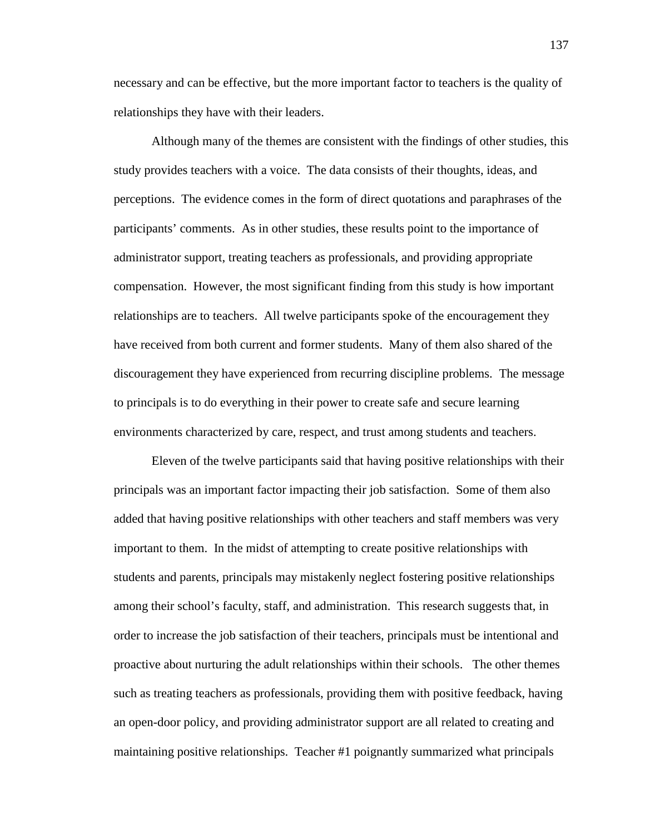necessary and can be effective, but the more important factor to teachers is the quality of relationships they have with their leaders.

Although many of the themes are consistent with the findings of other studies, this study provides teachers with a voice. The data consists of their thoughts, ideas, and perceptions. The evidence comes in the form of direct quotations and paraphrases of the participants' comments. As in other studies, these results point to the importance of administrator support, treating teachers as professionals, and providing appropriate compensation. However, the most significant finding from this study is how important relationships are to teachers. All twelve participants spoke of the encouragement they have received from both current and former students. Many of them also shared of the discouragement they have experienced from recurring discipline problems. The message to principals is to do everything in their power to create safe and secure learning environments characterized by care, respect, and trust among students and teachers.

Eleven of the twelve participants said that having positive relationships with their principals was an important factor impacting their job satisfaction. Some of them also added that having positive relationships with other teachers and staff members was very important to them. In the midst of attempting to create positive relationships with students and parents, principals may mistakenly neglect fostering positive relationships among their school's faculty, staff, and administration. This research suggests that, in order to increase the job satisfaction of their teachers, principals must be intentional and proactive about nurturing the adult relationships within their schools. The other themes such as treating teachers as professionals, providing them with positive feedback, having an open-door policy, and providing administrator support are all related to creating and maintaining positive relationships. Teacher #1 poignantly summarized what principals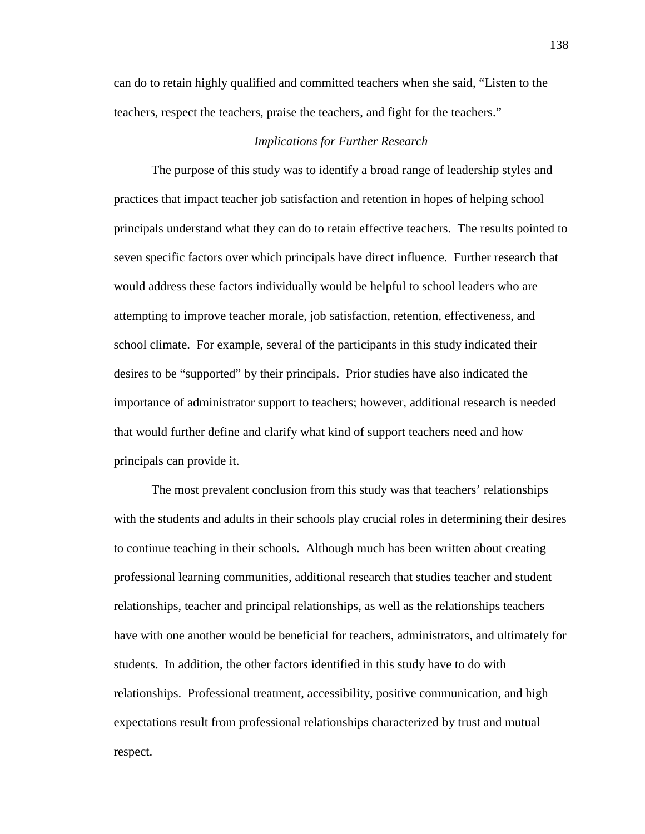can do to retain highly qualified and committed teachers when she said, "Listen to the teachers, respect the teachers, praise the teachers, and fight for the teachers."

#### *Implications for Further Research*

 The purpose of this study was to identify a broad range of leadership styles and practices that impact teacher job satisfaction and retention in hopes of helping school principals understand what they can do to retain effective teachers. The results pointed to seven specific factors over which principals have direct influence. Further research that would address these factors individually would be helpful to school leaders who are attempting to improve teacher morale, job satisfaction, retention, effectiveness, and school climate. For example, several of the participants in this study indicated their desires to be "supported" by their principals. Prior studies have also indicated the importance of administrator support to teachers; however, additional research is needed that would further define and clarify what kind of support teachers need and how principals can provide it.

The most prevalent conclusion from this study was that teachers' relationships with the students and adults in their schools play crucial roles in determining their desires to continue teaching in their schools. Although much has been written about creating professional learning communities, additional research that studies teacher and student relationships, teacher and principal relationships, as well as the relationships teachers have with one another would be beneficial for teachers, administrators, and ultimately for students. In addition, the other factors identified in this study have to do with relationships. Professional treatment, accessibility, positive communication, and high expectations result from professional relationships characterized by trust and mutual respect.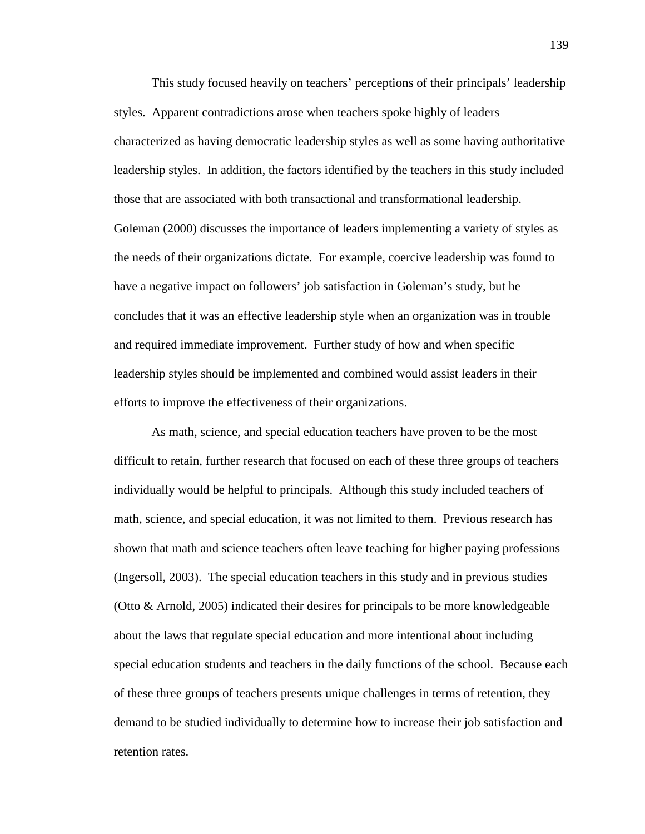This study focused heavily on teachers' perceptions of their principals' leadership styles. Apparent contradictions arose when teachers spoke highly of leaders characterized as having democratic leadership styles as well as some having authoritative leadership styles. In addition, the factors identified by the teachers in this study included those that are associated with both transactional and transformational leadership. Goleman (2000) discusses the importance of leaders implementing a variety of styles as the needs of their organizations dictate. For example, coercive leadership was found to have a negative impact on followers' job satisfaction in Goleman's study, but he concludes that it was an effective leadership style when an organization was in trouble and required immediate improvement. Further study of how and when specific leadership styles should be implemented and combined would assist leaders in their efforts to improve the effectiveness of their organizations.

As math, science, and special education teachers have proven to be the most difficult to retain, further research that focused on each of these three groups of teachers individually would be helpful to principals. Although this study included teachers of math, science, and special education, it was not limited to them. Previous research has shown that math and science teachers often leave teaching for higher paying professions (Ingersoll, 2003). The special education teachers in this study and in previous studies (Otto & Arnold, 2005) indicated their desires for principals to be more knowledgeable about the laws that regulate special education and more intentional about including special education students and teachers in the daily functions of the school. Because each of these three groups of teachers presents unique challenges in terms of retention, they demand to be studied individually to determine how to increase their job satisfaction and retention rates.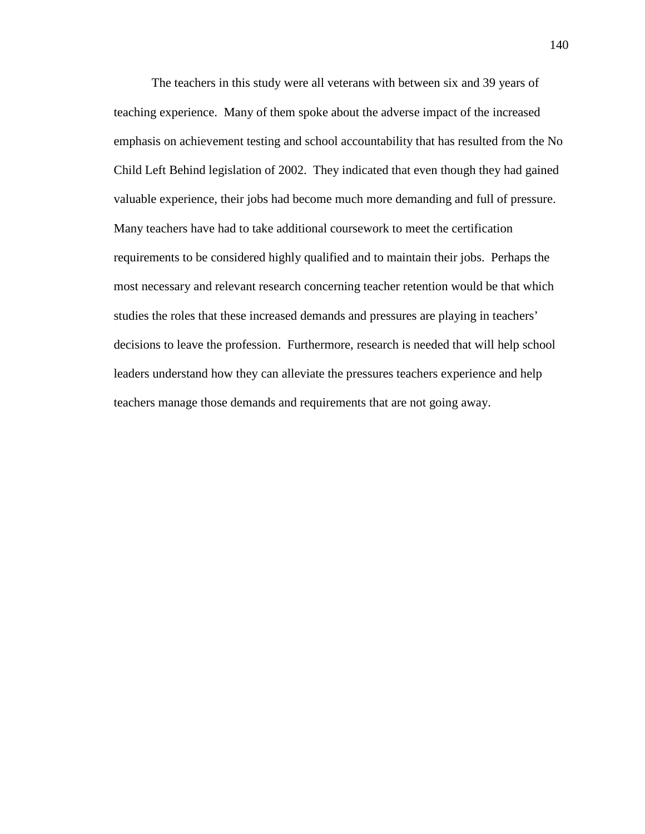The teachers in this study were all veterans with between six and 39 years of teaching experience. Many of them spoke about the adverse impact of the increased emphasis on achievement testing and school accountability that has resulted from the No Child Left Behind legislation of 2002. They indicated that even though they had gained valuable experience, their jobs had become much more demanding and full of pressure. Many teachers have had to take additional coursework to meet the certification requirements to be considered highly qualified and to maintain their jobs. Perhaps the most necessary and relevant research concerning teacher retention would be that which studies the roles that these increased demands and pressures are playing in teachers' decisions to leave the profession. Furthermore, research is needed that will help school leaders understand how they can alleviate the pressures teachers experience and help teachers manage those demands and requirements that are not going away.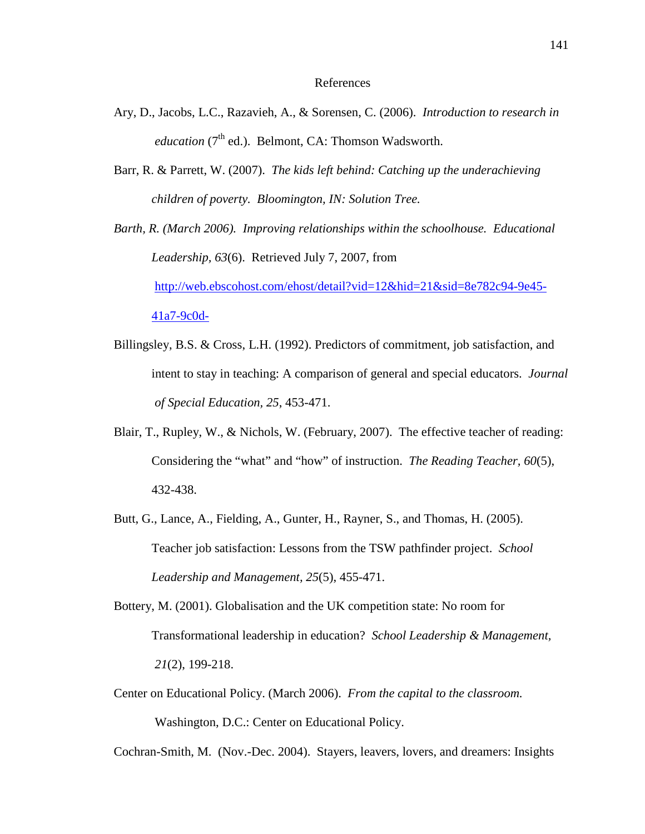#### References

- Ary, D., Jacobs, L.C., Razavieh, A., & Sorensen, C. (2006). *Introduction to research in education*  $(7<sup>th</sup>$  ed.). Belmont, CA: Thomson Wadsworth.
- Barr, R. & Parrett, W. (2007). *The kids left behind: Catching up the underachieving children of poverty. Bloomington, IN: Solution Tree.*

*Barth, R. (March 2006). Improving relationships within the schoolhouse. Educational Leadership, 63*(6). Retrieved July 7, 2007, from http://web.ebscohost.com/ehost/detail?vid=12&hid=21&sid=8e782c94-9e45- 41a7-9c0d-

- Billingsley, B.S. & Cross, L.H. (1992). Predictors of commitment, job satisfaction, and intent to stay in teaching: A comparison of general and special educators. *Journal of Special Education, 25*, 453-471.
- Blair, T., Rupley, W., & Nichols, W. (February, 2007). The effective teacher of reading: Considering the "what" and "how" of instruction. *The Reading Teacher, 60*(5), 432-438.
- Butt, G., Lance, A., Fielding, A., Gunter, H., Rayner, S., and Thomas, H. (2005). Teacher job satisfaction: Lessons from the TSW pathfinder project. *School Leadership and Management, 25*(5), 455-471.
- Bottery, M. (2001). Globalisation and the UK competition state: No room for Transformational leadership in education? *School Leadership & Management, 21*(2), 199-218.
- Center on Educational Policy. (March 2006). *From the capital to the classroom.*  Washington, D.C.: Center on Educational Policy.

Cochran-Smith, M. (Nov.-Dec. 2004). Stayers, leavers, lovers, and dreamers: Insights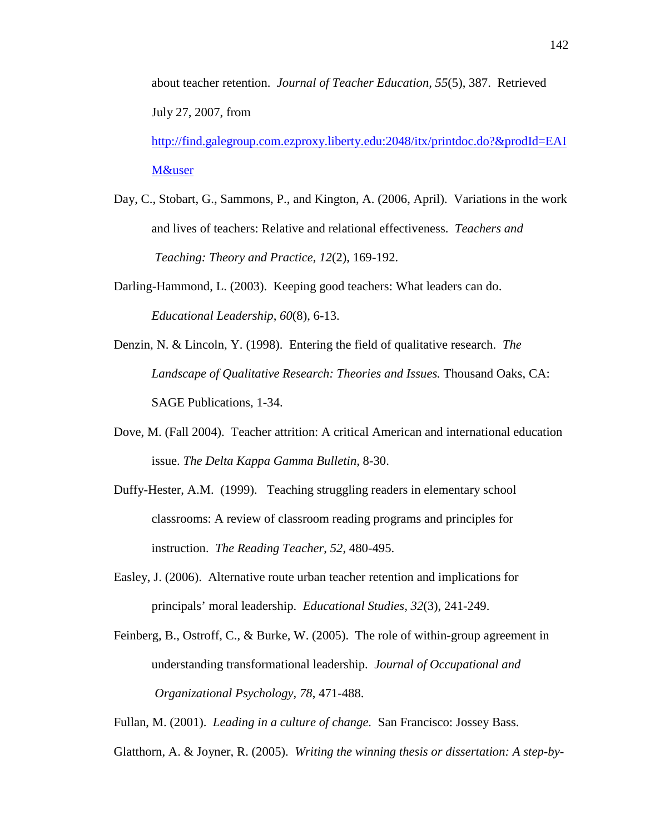about teacher retention. *Journal of Teacher Education, 55*(5), 387. Retrieved July 27, 2007, from

http://find.galegroup.com.ezproxy.liberty.edu:2048/itx/printdoc.do?&prodId=EAI M&user

- Day, C., Stobart, G., Sammons, P., and Kington, A. (2006, April). Variations in the work and lives of teachers: Relative and relational effectiveness. *Teachers and Teaching: Theory and Practice, 12*(2), 169-192.
- Darling-Hammond, L. (2003). Keeping good teachers: What leaders can do. *Educational Leadership*, *60*(8), 6-13.
- Denzin, N. & Lincoln, Y. (1998). Entering the field of qualitative research. *The Landscape of Qualitative Research: Theories and Issues.* Thousand Oaks, CA: SAGE Publications, 1-34.
- Dove, M. (Fall 2004). Teacher attrition: A critical American and international education issue. *The Delta Kappa Gamma Bulletin,* 8-30.
- Duffy-Hester, A.M. (1999). Teaching struggling readers in elementary school classrooms: A review of classroom reading programs and principles for instruction. *The Reading Teacher*, *52*, 480-495.
- Easley, J. (2006). Alternative route urban teacher retention and implications for principals' moral leadership. *Educational Studies, 32*(3), 241-249.
- Feinberg, B., Ostroff, C., & Burke, W. (2005). The role of within-group agreement in understanding transformational leadership. *Journal of Occupational and Organizational Psychology*, *78*, 471-488.

Fullan, M. (2001). *Leading in a culture of change.* San Francisco: Jossey Bass.

Glatthorn, A. & Joyner, R. (2005). *Writing the winning thesis or dissertation: A step-by-*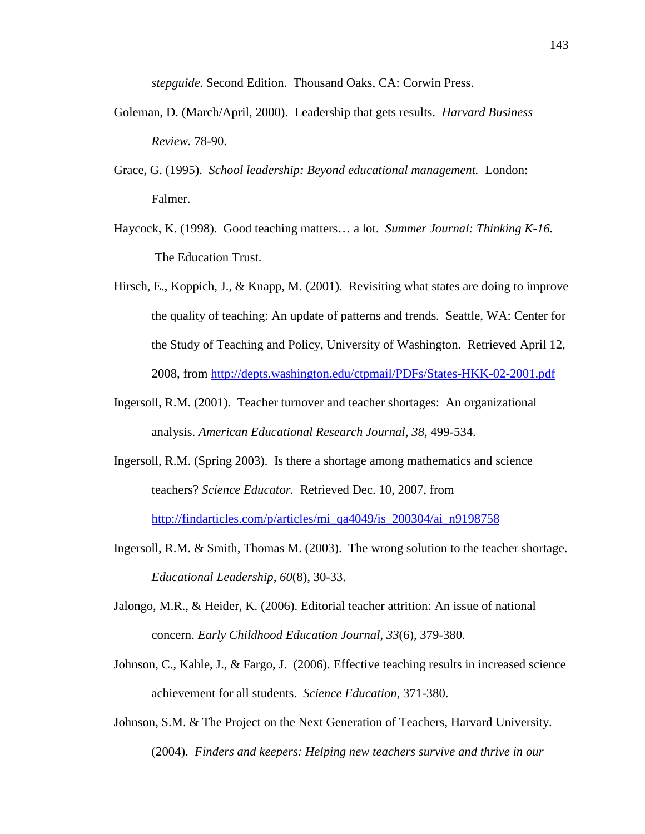*stepguide.* Second Edition. Thousand Oaks, CA: Corwin Press.

- Goleman, D. (March/April, 2000). Leadership that gets results. *Harvard Business Review.* 78-90.
- Grace, G. (1995). *School leadership: Beyond educational management.* London: Falmer.
- Haycock, K. (1998). Good teaching matters… a lot. *Summer Journal: Thinking K-16.*  The Education Trust.
- Hirsch, E., Koppich, J., & Knapp, M. (2001). Revisiting what states are doing to improve the quality of teaching: An update of patterns and trends*.* Seattle, WA: Center for the Study of Teaching and Policy, University of Washington. Retrieved April 12, 2008, from http://depts.washington.edu/ctpmail/PDFs/States-HKK-02-2001.pdf
- Ingersoll, R.M. (2001). Teacher turnover and teacher shortages: An organizational analysis. *American Educational Research Journal, 38*, 499-534.
- Ingersoll, R.M. (Spring 2003). Is there a shortage among mathematics and science teachers? *Science Educator.* Retrieved Dec. 10, 2007, from http://findarticles.com/p/articles/mi\_qa4049/is\_200304/ai\_n9198758
- Ingersoll, R.M. & Smith, Thomas M. (2003). The wrong solution to the teacher shortage. *Educational Leadership*, *60*(8), 30-33.
- Jalongo, M.R., & Heider, K. (2006). Editorial teacher attrition: An issue of national concern. *Early Childhood Education Journal, 33*(6), 379-380.
- Johnson, C., Kahle, J., & Fargo, J. (2006). Effective teaching results in increased science achievement for all students. *Science Education,* 371-380.
- Johnson, S.M. & The Project on the Next Generation of Teachers, Harvard University. (2004). *Finders and keepers: Helping new teachers survive and thrive in our*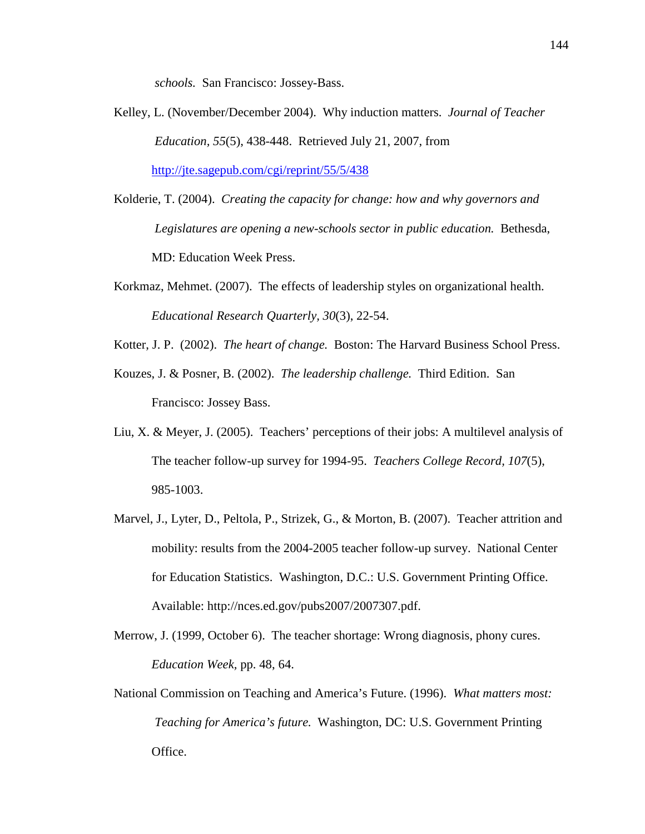*schools.* San Francisco: Jossey-Bass.

Kelley, L. (November/December 2004). Why induction matters. *Journal of Teacher Education, 55*(5), 438-448. Retrieved July 21, 2007, from

http://jte.sagepub.com/cgi/reprint/55/5/438

- Kolderie, T. (2004). *Creating the capacity for change: how and why governors and Legislatures are opening a new-schools sector in public education.* Bethesda, MD: Education Week Press.
- Korkmaz, Mehmet. (2007). The effects of leadership styles on organizational health. *Educational Research Quarterly, 30*(3), 22-54.
- Kotter, J. P. (2002). *The heart of change.* Boston: The Harvard Business School Press.
- Kouzes, J. & Posner, B. (2002). *The leadership challenge.* Third Edition. San Francisco: Jossey Bass.
- Liu, X. & Meyer, J. (2005). Teachers' perceptions of their jobs: A multilevel analysis of The teacher follow-up survey for 1994-95. *Teachers College Record, 107*(5), 985-1003.
- Marvel, J., Lyter, D., Peltola, P., Strizek, G., & Morton, B. (2007). Teacher attrition and mobility: results from the 2004-2005 teacher follow-up survey. National Center for Education Statistics. Washington, D.C.: U.S. Government Printing Office. Available: http://nces.ed.gov/pubs2007/2007307.pdf.
- Merrow, J. (1999, October 6). The teacher shortage: Wrong diagnosis, phony cures. *Education Week,* pp. 48, 64.
- National Commission on Teaching and America's Future. (1996). *What matters most: Teaching for America's future.* Washington, DC: U.S. Government Printing Office.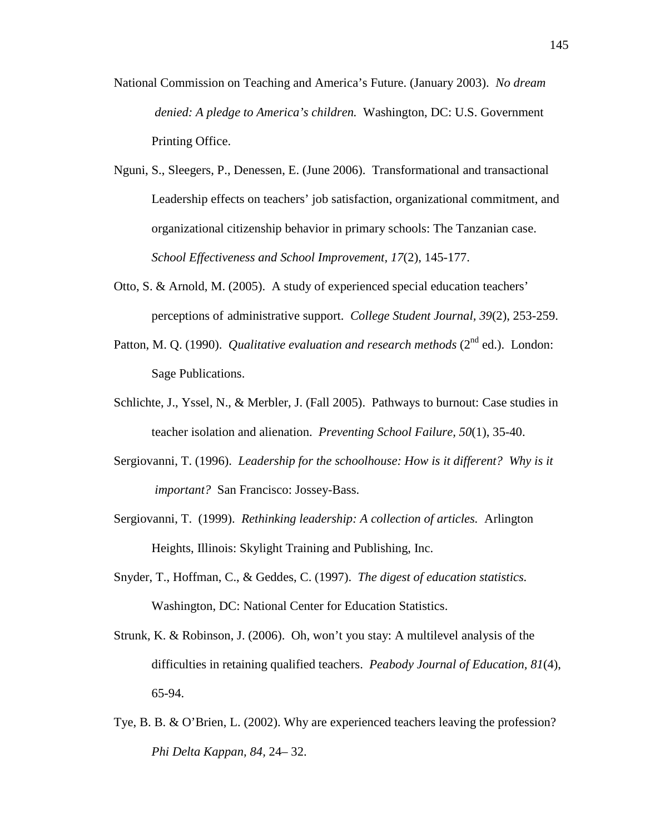- National Commission on Teaching and America's Future. (January 2003). *No dream denied: A pledge to America's children.* Washington, DC: U.S. Government Printing Office.
- Nguni, S., Sleegers, P., Denessen, E. (June 2006). Transformational and transactional Leadership effects on teachers' job satisfaction, organizational commitment, and organizational citizenship behavior in primary schools: The Tanzanian case. *School Effectiveness and School Improvement, 17*(2), 145-177.
- Otto, S. & Arnold, M. (2005). A study of experienced special education teachers' perceptions of administrative support. *College Student Journal, 39*(2), 253-259.
- Patton, M. Q. (1990). *Qualitative evaluation and research methods* (2<sup>nd</sup> ed.). London: Sage Publications.
- Schlichte, J., Yssel, N., & Merbler, J. (Fall 2005). Pathways to burnout: Case studies in teacher isolation and alienation. *Preventing School Failure, 50*(1), 35-40.
- Sergiovanni, T. (1996). *Leadership for the schoolhouse: How is it different? Why is it important?* San Francisco: Jossey-Bass.
- Sergiovanni, T. (1999). *Rethinking leadership: A collection of articles.* Arlington Heights, Illinois: Skylight Training and Publishing, Inc.
- Snyder, T., Hoffman, C., & Geddes, C. (1997). *The digest of education statistics.*  Washington, DC: National Center for Education Statistics.
- Strunk, K. & Robinson, J. (2006). Oh, won't you stay: A multilevel analysis of the difficulties in retaining qualified teachers. *Peabody Journal of Education, 81*(4), 65-94.
- Tye, B. B. & O'Brien, L. (2002). Why are experienced teachers leaving the profession? *Phi Delta Kappan, 84,* 24– 32.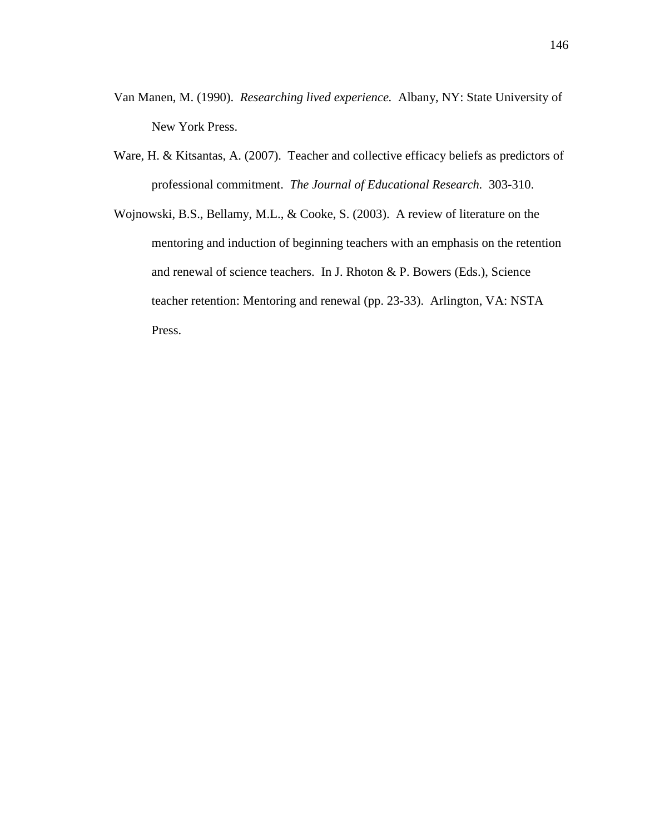- Van Manen, M. (1990). *Researching lived experience.* Albany, NY: State University of New York Press.
- Ware, H. & Kitsantas, A. (2007). Teacher and collective efficacy beliefs as predictors of professional commitment. *The Journal of Educational Research.* 303-310.
- Wojnowski, B.S., Bellamy, M.L., & Cooke, S. (2003). A review of literature on the mentoring and induction of beginning teachers with an emphasis on the retention and renewal of science teachers. In J. Rhoton & P. Bowers (Eds.), Science teacher retention: Mentoring and renewal (pp. 23-33). Arlington, VA: NSTA Press.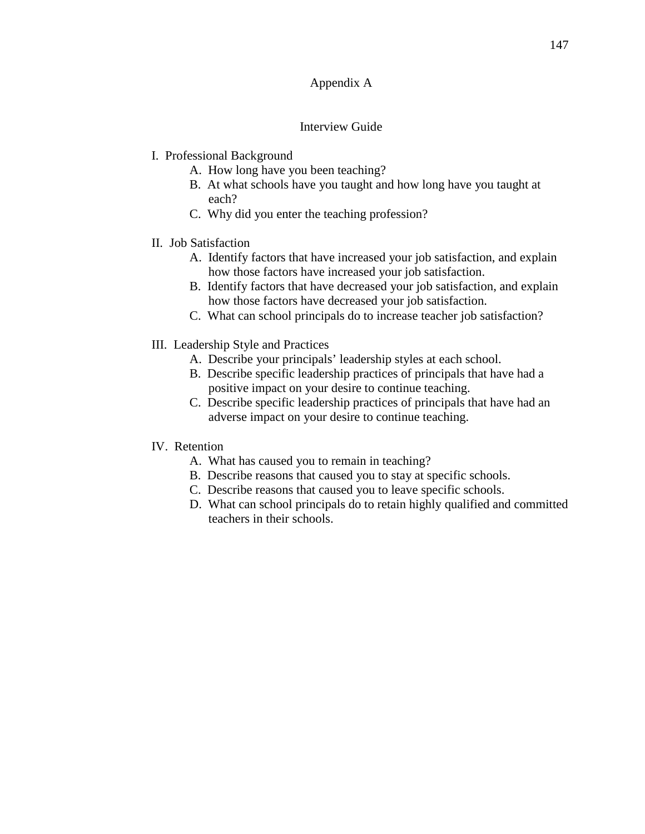# Appendix A

# Interview Guide

- I. Professional Background
	- A. How long have you been teaching?
	- B. At what schools have you taught and how long have you taught at each?
	- C. Why did you enter the teaching profession?
- II. Job Satisfaction
	- A. Identify factors that have increased your job satisfaction, and explain how those factors have increased your job satisfaction.
	- B. Identify factors that have decreased your job satisfaction, and explain how those factors have decreased your job satisfaction.
	- C. What can school principals do to increase teacher job satisfaction?
- III. Leadership Style and Practices
	- A. Describe your principals' leadership styles at each school.
	- B. Describe specific leadership practices of principals that have had a positive impact on your desire to continue teaching.
	- C. Describe specific leadership practices of principals that have had an adverse impact on your desire to continue teaching.
- IV. Retention
	- A. What has caused you to remain in teaching?
	- B. Describe reasons that caused you to stay at specific schools.
	- C. Describe reasons that caused you to leave specific schools.
	- D. What can school principals do to retain highly qualified and committed teachers in their schools.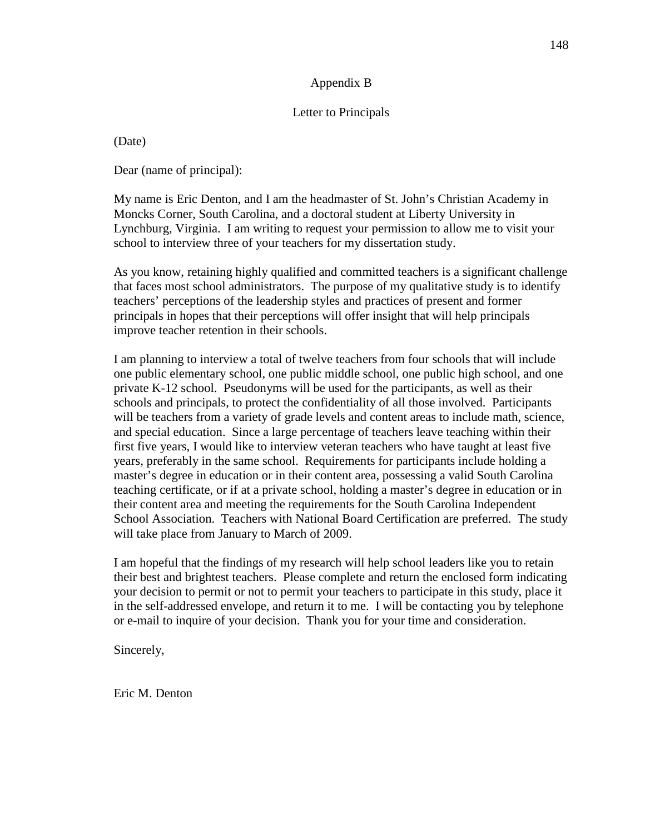# Appendix B

# Letter to Principals

(Date)

Dear (name of principal):

My name is Eric Denton, and I am the headmaster of St. John's Christian Academy in Moncks Corner, South Carolina, and a doctoral student at Liberty University in Lynchburg, Virginia. I am writing to request your permission to allow me to visit your school to interview three of your teachers for my dissertation study.

As you know, retaining highly qualified and committed teachers is a significant challenge that faces most school administrators. The purpose of my qualitative study is to identify teachers' perceptions of the leadership styles and practices of present and former principals in hopes that their perceptions will offer insight that will help principals improve teacher retention in their schools.

I am planning to interview a total of twelve teachers from four schools that will include one public elementary school, one public middle school, one public high school, and one private K-12 school. Pseudonyms will be used for the participants, as well as their schools and principals, to protect the confidentiality of all those involved. Participants will be teachers from a variety of grade levels and content areas to include math, science, and special education. Since a large percentage of teachers leave teaching within their first five years, I would like to interview veteran teachers who have taught at least five years, preferably in the same school. Requirements for participants include holding a master's degree in education or in their content area, possessing a valid South Carolina teaching certificate, or if at a private school, holding a master's degree in education or in their content area and meeting the requirements for the South Carolina Independent School Association. Teachers with National Board Certification are preferred. The study will take place from January to March of 2009.

I am hopeful that the findings of my research will help school leaders like you to retain their best and brightest teachers. Please complete and return the enclosed form indicating your decision to permit or not to permit your teachers to participate in this study, place it in the self-addressed envelope, and return it to me. I will be contacting you by telephone or e-mail to inquire of your decision. Thank you for your time and consideration.

Sincerely,

Eric M. Denton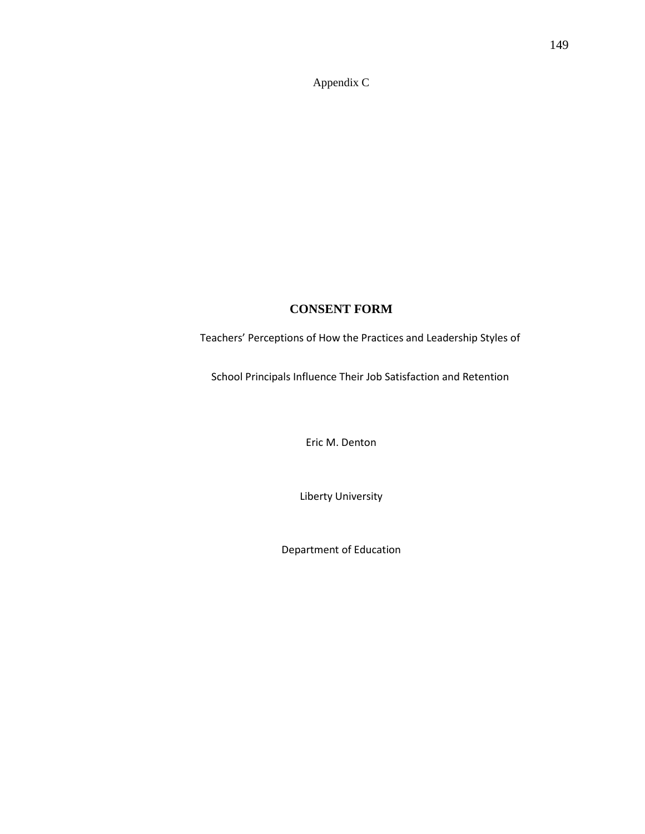Appendix C

# **CONSENT FORM**

Teachers' Perceptions of How the Practices and Leadership Styles of

School Principals Influence Their Job Satisfaction and Retention

Eric M. Denton

Liberty University

Department of Education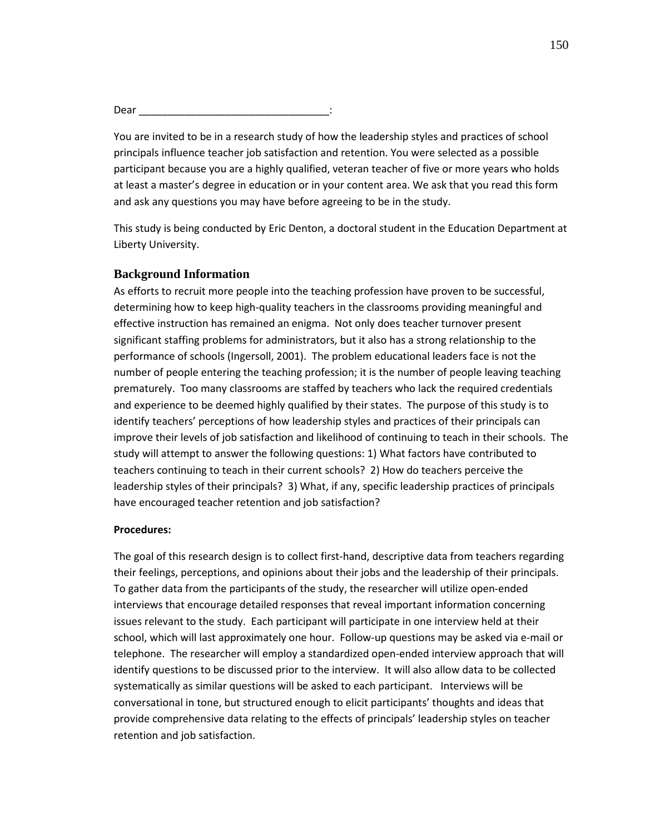Dear \_\_\_\_\_\_\_\_\_\_\_\_\_\_\_\_\_\_\_\_\_\_\_\_\_\_\_\_\_\_\_\_\_:

You are invited to be in a research study of how the leadership styles and practices of school principals influence teacher job satisfaction and retention. You were selected as a possible participant because you are a highly qualified, veteran teacher of five or more years who holds at least a master's degree in education or in your content area. We ask that you read this form and ask any questions you may have before agreeing to be in the study.

This study is being conducted by Eric Denton, a doctoral student in the Education Department at Liberty University.

## **Background Information**

As efforts to recruit more people into the teaching profession have proven to be successful, determining how to keep high-quality teachers in the classrooms providing meaningful and effective instruction has remained an enigma. Not only does teacher turnover present significant staffing problems for administrators, but it also has a strong relationship to the performance of schools (Ingersoll, 2001). The problem educational leaders face is not the number of people entering the teaching profession; it is the number of people leaving teaching prematurely. Too many classrooms are staffed by teachers who lack the required credentials and experience to be deemed highly qualified by their states. The purpose of this study is to identify teachers' perceptions of how leadership styles and practices of their principals can improve their levels of job satisfaction and likelihood of continuing to teach in their schools. The study will attempt to answer the following questions: 1) What factors have contributed to teachers continuing to teach in their current schools? 2) How do teachers perceive the leadership styles of their principals? 3) What, if any, specific leadership practices of principals have encouraged teacher retention and job satisfaction?

#### Procedures:

The goal of this research design is to collect first-hand, descriptive data from teachers regarding their feelings, perceptions, and opinions about their jobs and the leadership of their principals. To gather data from the participants of the study, the researcher will utilize open-ended interviews that encourage detailed responses that reveal important information concerning issues relevant to the study. Each participant will participate in one interview held at their school, which will last approximately one hour. Follow-up questions may be asked via e-mail or telephone. The researcher will employ a standardized open-ended interview approach that will identify questions to be discussed prior to the interview. It will also allow data to be collected systematically as similar questions will be asked to each participant. Interviews will be conversational in tone, but structured enough to elicit participants' thoughts and ideas that provide comprehensive data relating to the effects of principals' leadership styles on teacher retention and job satisfaction.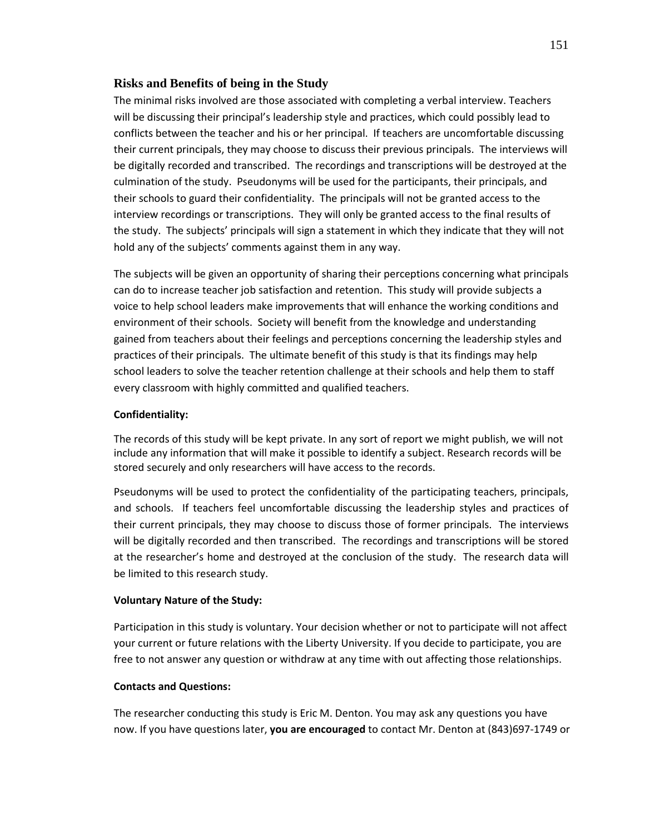## **Risks and Benefits of being in the Study**

 The minimal risks involved are those associated with completing a verbal interview. Teachers will be discussing their principal's leadership style and practices, which could possibly lead to conflicts between the teacher and his or her principal. If teachers are uncomfortable discussing their current principals, they may choose to discuss their previous principals. The interviews will be digitally recorded and transcribed. The recordings and transcriptions will be destroyed at the culmination of the study. Pseudonyms will be used for the participants, their principals, and their schools to guard their confidentiality. The principals will not be granted access to the interview recordings or transcriptions. They will only be granted access to the final results of the study. The subjects' principals will sign a statement in which they indicate that they will not hold any of the subjects' comments against them in any way.

The subjects will be given an opportunity of sharing their perceptions concerning what principals can do to increase teacher job satisfaction and retention. This study will provide subjects a voice to help school leaders make improvements that will enhance the working conditions and environment of their schools. Society will benefit from the knowledge and understanding gained from teachers about their feelings and perceptions concerning the leadership styles and practices of their principals. The ultimate benefit of this study is that its findings may help school leaders to solve the teacher retention challenge at their schools and help them to staff every classroom with highly committed and qualified teachers.

## Confidentiality:

The records of this study will be kept private. In any sort of report we might publish, we will not include any information that will make it possible to identify a subject. Research records will be stored securely and only researchers will have access to the records.

Pseudonyms will be used to protect the confidentiality of the participating teachers, principals, and schools. If teachers feel uncomfortable discussing the leadership styles and practices of their current principals, they may choose to discuss those of former principals. The interviews will be digitally recorded and then transcribed. The recordings and transcriptions will be stored at the researcher's home and destroyed at the conclusion of the study. The research data will be limited to this research study.

#### Voluntary Nature of the Study:

Participation in this study is voluntary. Your decision whether or not to participate will not affect your current or future relations with the Liberty University. If you decide to participate, you are free to not answer any question or withdraw at any time with out affecting those relationships.

#### Contacts and Questions:

The researcher conducting this study is Eric M. Denton. You may ask any questions you have now. If you have questions later, you are encouraged to contact Mr. Denton at (843)697-1749 or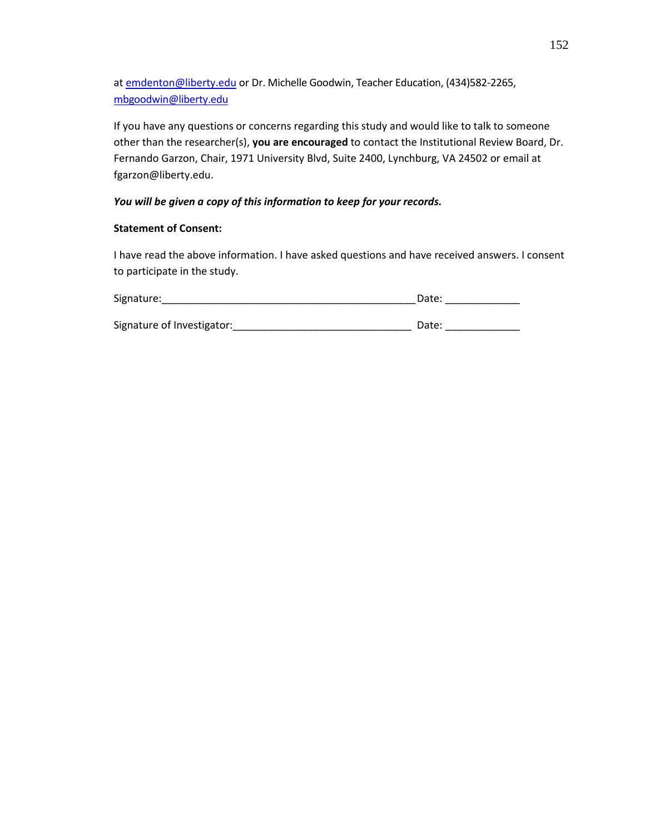at emdenton@liberty.edu or Dr. Michelle Goodwin, Teacher Education, (434)582-2265, mbgoodwin@liberty.edu

If you have any questions or concerns regarding this study and would like to talk to someone other than the researcher(s), you are encouraged to contact the Institutional Review Board, Dr. Fernando Garzon, Chair, 1971 University Blvd, Suite 2400, Lynchburg, VA 24502 or email at fgarzon@liberty.edu.

## You will be given a copy of this information to keep for your records.

## Statement of Consent:

I have read the above information. I have asked questions and have received answers. I consent to participate in the study.

| Signature:                 | Date: |
|----------------------------|-------|
|                            |       |
| Signature of Investigator: | Date: |